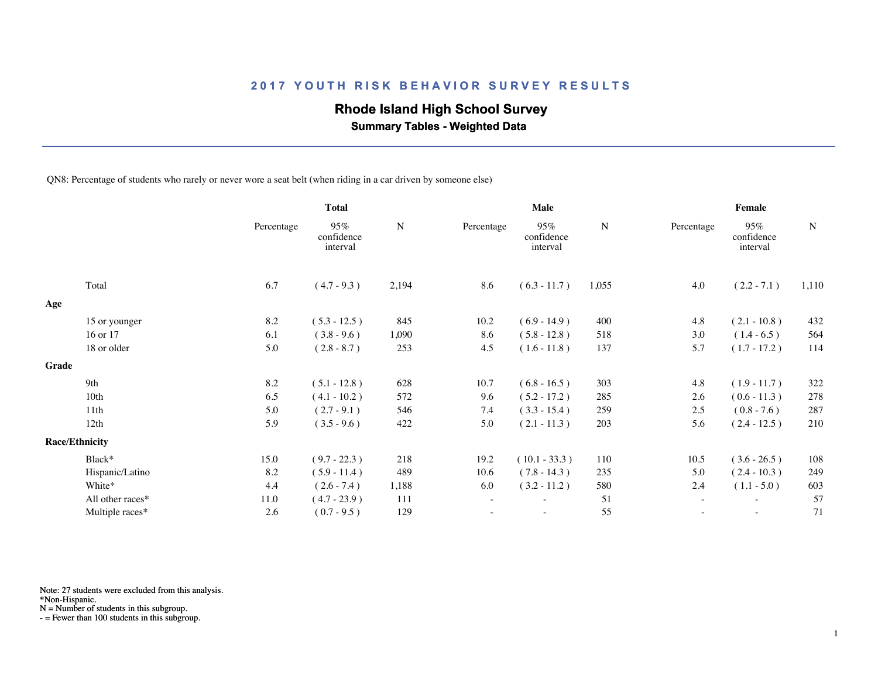## **Rhode Island High School Survey**

 **Summary Tables - Weighted Data**

QN8: Percentage of students who rarely or never wore a seat belt (when riding in a car driven by someone else)

|              |                       |            | <b>Total</b>                  |       | Male       |                               |       | Female                   |                               |             |  |
|--------------|-----------------------|------------|-------------------------------|-------|------------|-------------------------------|-------|--------------------------|-------------------------------|-------------|--|
|              |                       | Percentage | 95%<br>confidence<br>interval | N     | Percentage | 95%<br>confidence<br>interval | N     | Percentage               | 95%<br>confidence<br>interval | $\mathbf N$ |  |
|              | Total                 | 6.7        | $(4.7 - 9.3)$                 | 2,194 | 8.6        | $(6.3 - 11.7)$                | 1,055 | 4.0                      | $(2.2 - 7.1)$                 | 1,110       |  |
| Age          |                       |            |                               |       |            |                               |       |                          |                               |             |  |
|              | 15 or younger         | 8.2        | $(5.3 - 12.5)$                | 845   | 10.2       | $(6.9 - 14.9)$                | 400   | 4.8                      | $(2.1 - 10.8)$                | 432         |  |
|              | 16 or 17              | 6.1        | $(3.8 - 9.6)$                 | 1,090 | 8.6        | $(5.8 - 12.8)$                | 518   | 3.0                      | $(1.4 - 6.5)$                 | 564         |  |
|              | 18 or older           | 5.0        | $(2.8 - 8.7)$                 | 253   | 4.5        | $(1.6 - 11.8)$                | 137   | 5.7                      | $(1.7 - 17.2)$                | 114         |  |
| <b>Grade</b> |                       |            |                               |       |            |                               |       |                          |                               |             |  |
|              | 9th                   | 8.2        | $(5.1 - 12.8)$                | 628   | 10.7       | $(6.8 - 16.5)$                | 303   | 4.8                      | $(1.9 - 11.7)$                | 322         |  |
|              | 10th                  | 6.5        | $(4.1 - 10.2)$                | 572   | 9.6        | $(5.2 - 17.2)$                | 285   | 2.6                      | $(0.6 - 11.3)$                | 278         |  |
|              | 11th                  | 5.0        | $(2.7 - 9.1)$                 | 546   | 7.4        | $(3.3 - 15.4)$                | 259   | 2.5                      | $(0.8 - 7.6)$                 | 287         |  |
|              | 12th                  | 5.9        | $(3.5 - 9.6)$                 | 422   | 5.0        | $(2.1 - 11.3)$                | 203   | 5.6                      | $(2.4 - 12.5)$                | 210         |  |
|              | <b>Race/Ethnicity</b> |            |                               |       |            |                               |       |                          |                               |             |  |
|              | Black*                | 15.0       | $(9.7 - 22.3)$                | 218   | 19.2       | $(10.1 - 33.3)$               | 110   | 10.5                     | $(3.6 - 26.5)$                | 108         |  |
|              | Hispanic/Latino       | 8.2        | $(5.9 - 11.4)$                | 489   | 10.6       | $(7.8 - 14.3)$                | 235   | 5.0                      | $(2.4 - 10.3)$                | 249         |  |
|              | White*                | 4.4        | $(2.6 - 7.4)$                 | 1,188 | 6.0        | $(3.2 - 11.2)$                | 580   | 2.4                      | $(1.1 - 5.0)$                 | 603         |  |
|              | All other races*      | 11.0       | $(4.7 - 23.9)$                | 111   | $\sim$     | $\overline{\phantom{a}}$      | 51    | $\overline{\phantom{a}}$ | $\overline{\phantom{a}}$      | 57          |  |
|              | Multiple races*       | 2.6        | $(0.7 - 9.5)$                 | 129   |            |                               | 55    |                          | $\sim$                        | 71          |  |
|              |                       |            |                               |       |            |                               |       |                          |                               |             |  |

Note: 27 students were excluded from this analysis.

\*Non-Hispanic.

N = Number of students in this subgroup.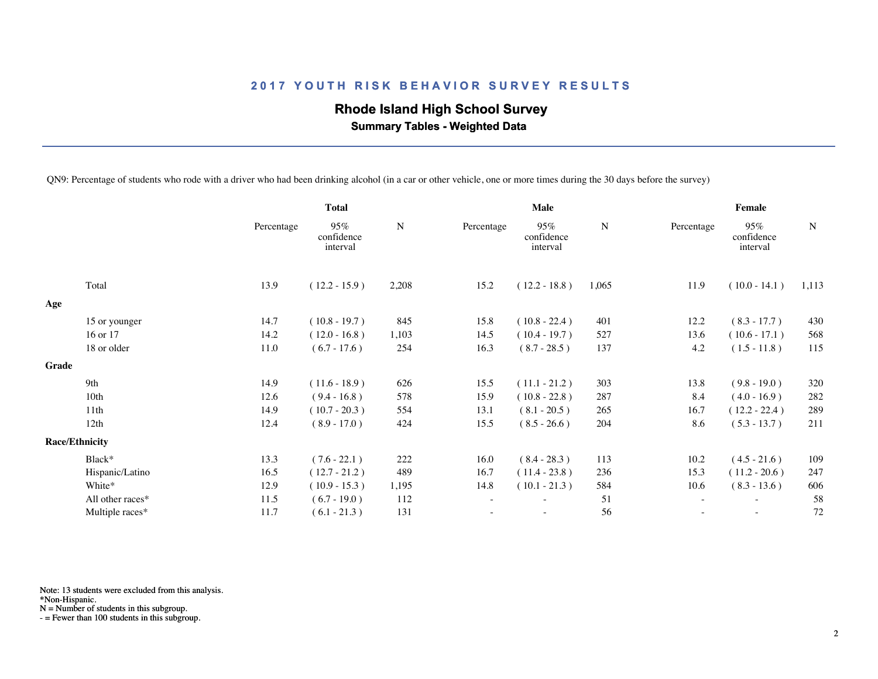## **Rhode Island High School Survey**

 **Summary Tables - Weighted Data**

QN9: Percentage of students who rode with a driver who had been drinking alcohol (in a car or other vehicle, one or more times during the 30 days before the survey)

|       |                       | <b>Total</b> |                               |       | <b>Male</b>              |                               |       | Female                   |                               |             |  |
|-------|-----------------------|--------------|-------------------------------|-------|--------------------------|-------------------------------|-------|--------------------------|-------------------------------|-------------|--|
|       |                       | Percentage   | 95%<br>confidence<br>interval | N     | Percentage               | 95%<br>confidence<br>interval | N     | Percentage               | 95%<br>confidence<br>interval | $\mathbf N$ |  |
|       | Total                 | 13.9         | $(12.2 - 15.9)$               | 2,208 | 15.2                     | $(12.2 - 18.8)$               | 1,065 | 11.9                     | $(10.0 - 14.1)$               | 1,113       |  |
| Age   |                       |              |                               |       |                          |                               |       |                          |                               |             |  |
|       | 15 or younger         | 14.7         | $(10.8 - 19.7)$               | 845   | 15.8                     | $(10.8 - 22.4)$               | 401   | 12.2                     | $(8.3 - 17.7)$                | 430         |  |
|       | 16 or 17              | 14.2         | $(12.0 - 16.8)$               | 1,103 | 14.5                     | $(10.4 - 19.7)$               | 527   | 13.6                     | $(10.6 - 17.1)$               | 568         |  |
|       | 18 or older           | 11.0         | $(6.7 - 17.6)$                | 254   | 16.3                     | $(8.7 - 28.5)$                | 137   | 4.2                      | $(1.5 - 11.8)$                | 115         |  |
| Grade |                       |              |                               |       |                          |                               |       |                          |                               |             |  |
|       | 9th                   | 14.9         | $(11.6 - 18.9)$               | 626   | 15.5                     | $(11.1 - 21.2)$               | 303   | 13.8                     | $(9.8 - 19.0)$                | 320         |  |
|       | 10th                  | 12.6         | $(9.4 - 16.8)$                | 578   | 15.9                     | $(10.8 - 22.8)$               | 287   | 8.4                      | $(4.0 - 16.9)$                | 282         |  |
|       | 11th                  | 14.9         | $(10.7 - 20.3)$               | 554   | 13.1                     | $(8.1 - 20.5)$                | 265   | 16.7                     | $(12.2 - 22.4)$               | 289         |  |
|       | 12th                  | 12.4         | $(8.9 - 17.0)$                | 424   | 15.5                     | $(8.5 - 26.6)$                | 204   | 8.6                      | $(5.3 - 13.7)$                | 211         |  |
|       | <b>Race/Ethnicity</b> |              |                               |       |                          |                               |       |                          |                               |             |  |
|       | Black*                | 13.3         | $(7.6 - 22.1)$                | 222   | 16.0                     | $(8.4 - 28.3)$                | 113   | 10.2                     | $(4.5 - 21.6)$                | 109         |  |
|       | Hispanic/Latino       | 16.5         | $(12.7 - 21.2)$               | 489   | 16.7                     | $(11.4 - 23.8)$               | 236   | 15.3                     | $(11.2 - 20.6)$               | 247         |  |
|       | White*                | 12.9         | $(10.9 - 15.3)$               | 1,195 | 14.8                     | $(10.1 - 21.3)$               | 584   | 10.6                     | $(8.3 - 13.6)$                | 606         |  |
|       | All other races*      | 11.5         | $(6.7 - 19.0)$                | 112   | $\overline{\phantom{a}}$ |                               | 51    | $\sim$                   | $\overline{\phantom{a}}$      | 58          |  |
|       | Multiple races*       | 11.7         | $(6.1 - 21.3)$                | 131   | $\overline{\phantom{a}}$ | $\overline{\phantom{0}}$      | 56    | $\overline{\phantom{a}}$ | $\sim$                        | 72          |  |
|       |                       |              |                               |       |                          |                               |       |                          |                               |             |  |

Note: 13 students were excluded from this analysis.

\*Non-Hispanic.

N = Number of students in this subgroup.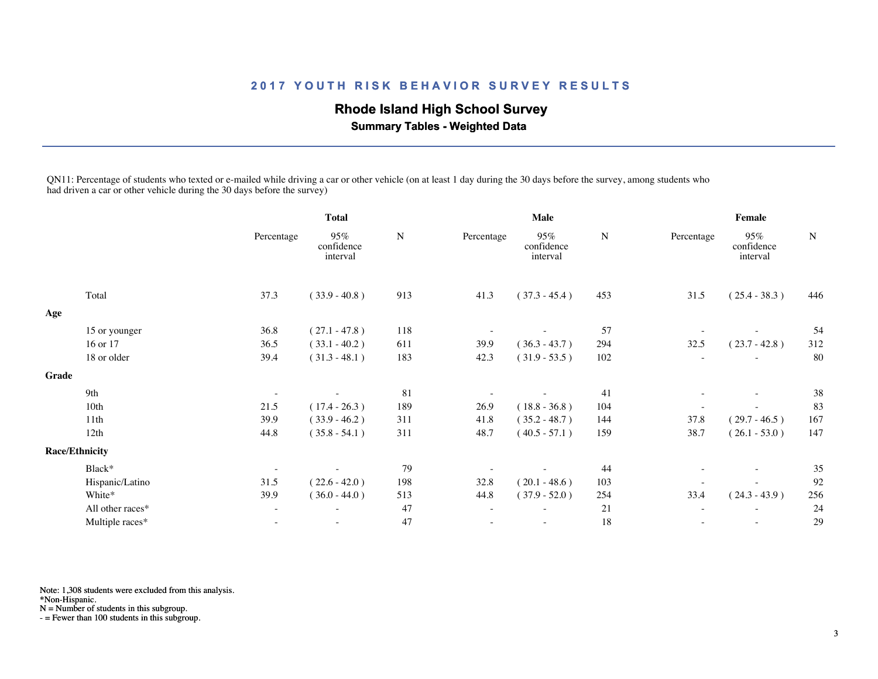## **Rhode Island High School Survey**

 **Summary Tables - Weighted Data**

QN11: Percentage of students who texted or e-mailed while driving a car or other vehicle (on at least 1 day during the 30 days before the survey, among students who had driven a car or other vehicle during the 30 days before the survey)

|       |                       | <b>Total</b>             |                               |           | <b>Male</b> |                               |           | Female                   |                               |           |
|-------|-----------------------|--------------------------|-------------------------------|-----------|-------------|-------------------------------|-----------|--------------------------|-------------------------------|-----------|
|       |                       | Percentage               | 95%<br>confidence<br>interval | ${\bf N}$ | Percentage  | 95%<br>confidence<br>interval | ${\bf N}$ | Percentage               | 95%<br>confidence<br>interval | ${\bf N}$ |
|       | Total                 | 37.3                     | $(33.9 - 40.8)$               | 913       | 41.3        | $(37.3 - 45.4)$               | 453       | 31.5                     | $(25.4 - 38.3)$               | 446       |
| Age   |                       |                          |                               |           |             |                               |           |                          |                               |           |
|       | 15 or younger         | 36.8                     | $(27.1 - 47.8)$               | 118       |             |                               | 57        |                          |                               | 54        |
|       | 16 or 17              | 36.5                     | $(33.1 - 40.2)$               | 611       | 39.9        | $(36.3 - 43.7)$               | 294       | 32.5                     | $(23.7 - 42.8)$               | 312       |
|       | 18 or older           | 39.4                     | $(31.3 - 48.1)$               | 183       | 42.3        | $(31.9 - 53.5)$               | 102       |                          |                               | 80        |
| Grade |                       |                          |                               |           |             |                               |           |                          |                               |           |
|       | 9th                   | $\overline{\phantom{a}}$ |                               | 81        |             |                               | 41        | $\overline{\phantom{a}}$ | $\overline{\phantom{a}}$      | 38        |
|       | 10th                  | 21.5                     | $(17.4 - 26.3)$               | 189       | 26.9        | $(18.8 - 36.8)$               | 104       |                          |                               | 83        |
|       | 11th                  | 39.9                     | $(33.9 - 46.2)$               | 311       | 41.8        | $(35.2 - 48.7)$               | 144       | 37.8                     | $(29.7 - 46.5)$               | 167       |
|       | 12th                  | 44.8                     | $(35.8 - 54.1)$               | 311       | 48.7        | $(40.5 - 57.1)$               | 159       | 38.7                     | $(26.1 - 53.0)$               | 147       |
|       | <b>Race/Ethnicity</b> |                          |                               |           |             |                               |           |                          |                               |           |
|       | Black*                | $\overline{\phantom{a}}$ |                               | 79        |             |                               | 44        |                          | $\overline{\phantom{a}}$      | 35        |
|       | Hispanic/Latino       | 31.5                     | $(22.6 - 42.0)$               | 198       | 32.8        | $(20.1 - 48.6)$               | 103       |                          |                               | 92        |
|       | White*                | 39.9                     | $(36.0 - 44.0)$               | 513       | 44.8        | $(37.9 - 52.0)$               | 254       | 33.4                     | $(24.3 - 43.9)$               | 256       |
|       | All other races*      | $\overline{\phantom{a}}$ |                               | 47        | $\sim$      |                               | 21        |                          | $\overline{\phantom{a}}$      | 24        |
|       | Multiple races*       | $\overline{\phantom{0}}$ |                               | 47        |             | $\overline{\phantom{a}}$      | 18        |                          | $\overline{\phantom{a}}$      | 29        |
|       |                       |                          |                               |           |             |                               |           |                          |                               |           |

Note: 1,308 students were excluded from this analysis.

\*Non-Hispanic.

N = Number of students in this subgroup.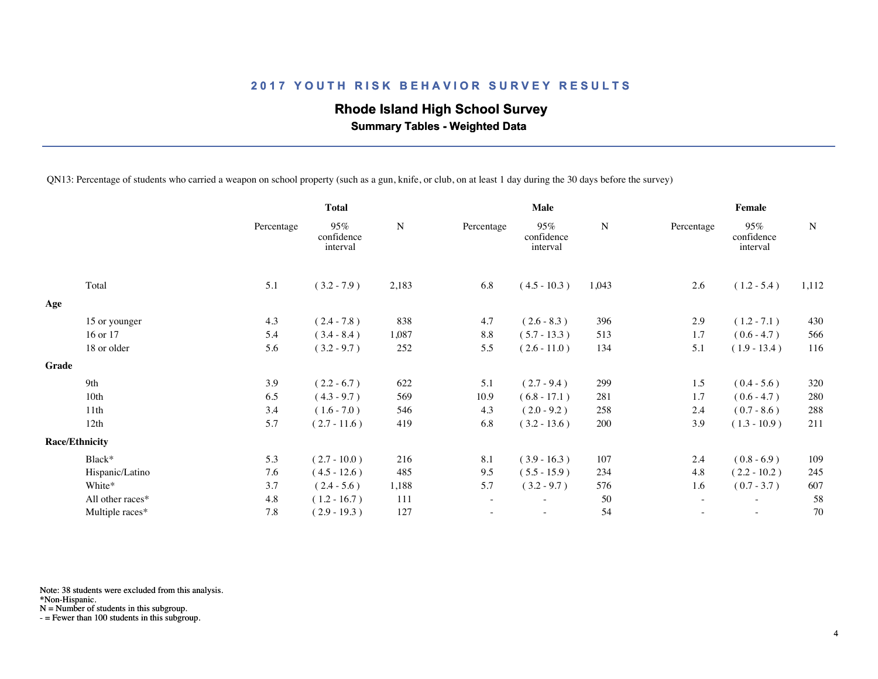## **Rhode Island High School Survey**

 **Summary Tables - Weighted Data**

QN13: Percentage of students who carried a weapon on school property (such as a gun, knife, or club, on at least 1 day during the 30 days before the survey)

|       |                       |            | <b>Total</b>                  |           | Male                     |                               |           | Female     |                               |             |  |
|-------|-----------------------|------------|-------------------------------|-----------|--------------------------|-------------------------------|-----------|------------|-------------------------------|-------------|--|
|       |                       | Percentage | 95%<br>confidence<br>interval | ${\bf N}$ | Percentage               | 95%<br>confidence<br>interval | ${\bf N}$ | Percentage | 95%<br>confidence<br>interval | $\mathbf N$ |  |
|       | Total                 | 5.1        | $(3.2 - 7.9)$                 | 2,183     | 6.8                      | $(4.5 - 10.3)$                | 1,043     | 2.6        | $(1.2 - 5.4)$                 | 1,112       |  |
| Age   |                       |            |                               |           |                          |                               |           |            |                               |             |  |
|       | 15 or younger         | 4.3        | $(2.4 - 7.8)$                 | 838       | 4.7                      | $(2.6 - 8.3)$                 | 396       | 2.9        | $(1.2 - 7.1)$                 | 430         |  |
|       | 16 or 17              | 5.4        | $(3.4 - 8.4)$                 | 1,087     | 8.8                      | $(5.7 - 13.3)$                | 513       | 1.7        | $(0.6 - 4.7)$                 | 566         |  |
|       | 18 or older           | 5.6        | $(3.2 - 9.7)$                 | 252       | 5.5                      | $(2.6 - 11.0)$                | 134       | 5.1        | $(1.9 - 13.4)$                | 116         |  |
| Grade |                       |            |                               |           |                          |                               |           |            |                               |             |  |
|       | 9th                   | 3.9        | $(2.2 - 6.7)$                 | 622       | 5.1                      | $(2.7 - 9.4)$                 | 299       | 1.5        | $(0.4 - 5.6)$                 | 320         |  |
|       | 10 <sub>th</sub>      | 6.5        | $(4.3 - 9.7)$                 | 569       | 10.9                     | $(6.8 - 17.1)$                | 281       | 1.7        | $(0.6 - 4.7)$                 | 280         |  |
|       | 11th                  | 3.4        | $(1.6 - 7.0)$                 | 546       | 4.3                      | $(2.0 - 9.2)$                 | 258       | 2.4        | $(0.7 - 8.6)$                 | 288         |  |
|       | 12th                  | 5.7        | $(2.7 - 11.6)$                | 419       | 6.8                      | $(3.2 - 13.6)$                | 200       | 3.9        | $(1.3 - 10.9)$                | 211         |  |
|       | <b>Race/Ethnicity</b> |            |                               |           |                          |                               |           |            |                               |             |  |
|       | Black*                | 5.3        | $(2.7 - 10.0)$                | 216       | 8.1                      | $(3.9 - 16.3)$                | 107       | 2.4        | $(0.8 - 6.9)$                 | 109         |  |
|       | Hispanic/Latino       | 7.6        | $(4.5 - 12.6)$                | 485       | 9.5                      | $(5.5 - 15.9)$                | 234       | 4.8        | $(2.2 - 10.2)$                | 245         |  |
|       | White*                | 3.7        | $(2.4 - 5.6)$                 | 1,188     | 5.7                      | $(3.2 - 9.7)$                 | 576       | 1.6        | $(0.7 - 3.7)$                 | 607         |  |
|       | All other races*      | 4.8        | $(1.2 - 16.7)$                | 111       | $\overline{\phantom{a}}$ | $\overline{\phantom{0}}$      | 50        | $\sim$     | $\overline{\phantom{a}}$      | 58          |  |
|       | Multiple races*       | 7.8        | $(2.9 - 19.3)$                | 127       |                          |                               | 54        |            |                               | 70          |  |
|       |                       |            |                               |           |                          |                               |           |            |                               |             |  |

Note: 38 students were excluded from this analysis.

\*Non-Hispanic.

N = Number of students in this subgroup.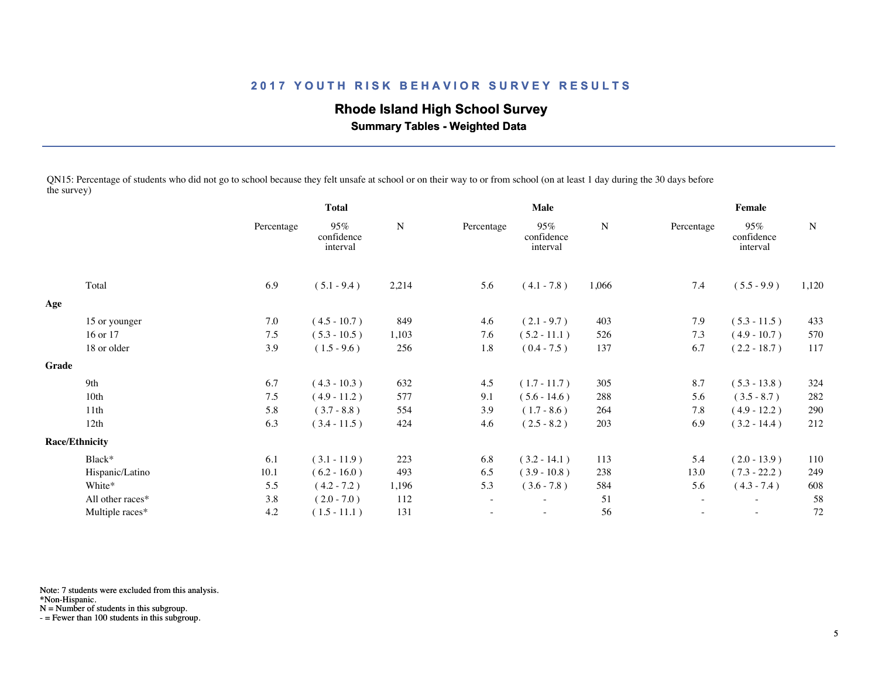## **Rhode Island High School Survey**

 **Summary Tables - Weighted Data**

QN15: Percentage of students who did not go to school because they felt unsafe at school or on their way to or from school (on at least 1 day during the 30 days before the survey)

|       |                       | <b>Total</b> |                               |           | <b>Male</b>              |                               |       | Female                   |                               |           |  |
|-------|-----------------------|--------------|-------------------------------|-----------|--------------------------|-------------------------------|-------|--------------------------|-------------------------------|-----------|--|
|       |                       | Percentage   | 95%<br>confidence<br>interval | ${\bf N}$ | Percentage               | 95%<br>confidence<br>interval | N     | Percentage               | 95%<br>confidence<br>interval | ${\bf N}$ |  |
|       | Total                 | 6.9          | $(5.1 - 9.4)$                 | 2,214     | 5.6                      | $(4.1 - 7.8)$                 | 1,066 | 7.4                      | $(5.5 - 9.9)$                 | 1,120     |  |
| Age   |                       |              |                               |           |                          |                               |       |                          |                               |           |  |
|       | 15 or younger         | $7.0\,$      | $(4.5 - 10.7)$                | 849       | 4.6                      | $(2.1 - 9.7)$                 | 403   | 7.9                      | $(5.3 - 11.5)$                | 433       |  |
|       | 16 or 17              | 7.5          | $(5.3 - 10.5)$                | 1,103     | 7.6                      | $(5.2 - 11.1)$                | 526   | 7.3                      | $(4.9 - 10.7)$                | 570       |  |
|       | 18 or older           | 3.9          | $(1.5 - 9.6)$                 | 256       | 1.8                      | $(0.4 - 7.5)$                 | 137   | 6.7                      | $(2.2 - 18.7)$                | 117       |  |
| Grade |                       |              |                               |           |                          |                               |       |                          |                               |           |  |
|       | 9th                   | 6.7          | $(4.3 - 10.3)$                | 632       | 4.5                      | $(1.7 - 11.7)$                | 305   | 8.7                      | $(5.3 - 13.8)$                | 324       |  |
|       | 10th                  | 7.5          | $(4.9 - 11.2)$                | 577       | 9.1                      | $(5.6 - 14.6)$                | 288   | 5.6                      | $(3.5 - 8.7)$                 | 282       |  |
|       | 11th                  | 5.8          | $(3.7 - 8.8)$                 | 554       | 3.9                      | $(1.7 - 8.6)$                 | 264   | 7.8                      | $(4.9 - 12.2)$                | 290       |  |
|       | 12th                  | 6.3          | $(3.4 - 11.5)$                | 424       | 4.6                      | $(2.5 - 8.2)$                 | 203   | 6.9                      | $(3.2 - 14.4)$                | 212       |  |
|       | <b>Race/Ethnicity</b> |              |                               |           |                          |                               |       |                          |                               |           |  |
|       | Black*                | 6.1          | $(3.1 - 11.9)$                | 223       | 6.8                      | $(3.2 - 14.1)$                | 113   | 5.4                      | $(2.0 - 13.9)$                | 110       |  |
|       | Hispanic/Latino       | 10.1         | $(6.2 - 16.0)$                | 493       | 6.5                      | $(3.9 - 10.8)$                | 238   | 13.0                     | $(7.3 - 22.2)$                | 249       |  |
|       | White*                | 5.5          | $(4.2 - 7.2)$                 | 1,196     | 5.3                      | $(3.6 - 7.8)$                 | 584   | 5.6                      | $(4.3 - 7.4)$                 | 608       |  |
|       | All other races*      | 3.8          | $(2.0 - 7.0)$                 | 112       | $\overline{\phantom{a}}$ | ٠                             | 51    | $\sim$                   | $\overline{\phantom{a}}$      | 58        |  |
|       | Multiple races*       | 4.2          | $(1.5 - 11.1)$                | 131       | $\sim$                   | $\overline{\phantom{0}}$      | 56    | $\overline{\phantom{a}}$ | $\sim$                        | 72        |  |
|       |                       |              |                               |           |                          |                               |       |                          |                               |           |  |

Note: 7 students were excluded from this analysis.

\*Non-Hispanic.

N = Number of students in this subgroup.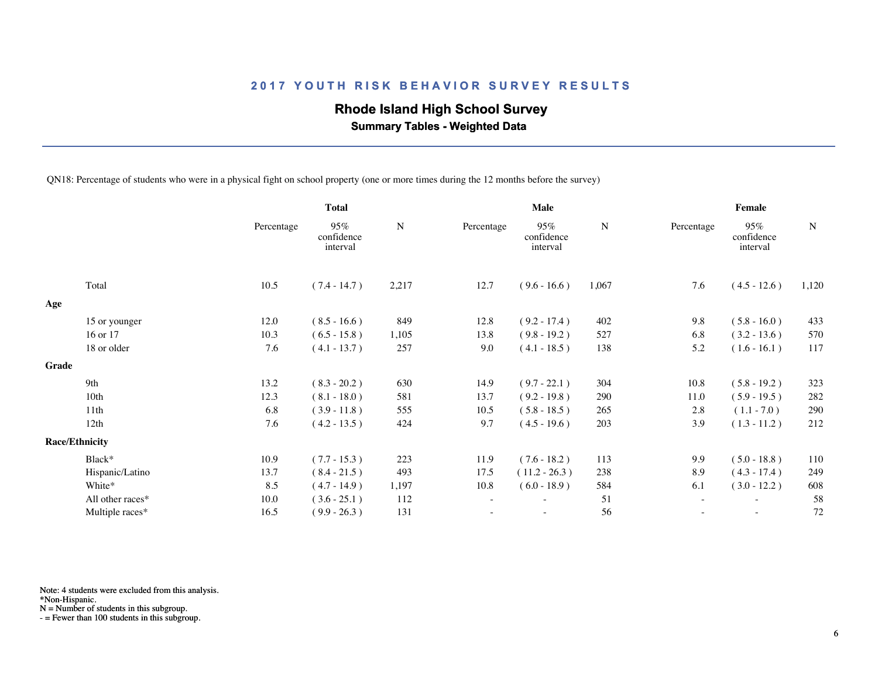## **Rhode Island High School Survey**

 **Summary Tables - Weighted Data**

QN18: Percentage of students who were in a physical fight on school property (one or more times during the 12 months before the survey)

|       |                       |            | <b>Total</b>                  |           | Male                     |                               |       | Female                   |                               |             |  |
|-------|-----------------------|------------|-------------------------------|-----------|--------------------------|-------------------------------|-------|--------------------------|-------------------------------|-------------|--|
|       |                       | Percentage | 95%<br>confidence<br>interval | ${\bf N}$ | Percentage               | 95%<br>confidence<br>interval | N     | Percentage               | 95%<br>confidence<br>interval | $\mathbf N$ |  |
|       | Total                 | 10.5       | $(7.4 - 14.7)$                | 2,217     | 12.7                     | $(9.6 - 16.6)$                | 1,067 | 7.6                      | $(4.5 - 12.6)$                | 1,120       |  |
| Age   |                       |            |                               |           |                          |                               |       |                          |                               |             |  |
|       | 15 or younger         | 12.0       | $(8.5 - 16.6)$                | 849       | 12.8                     | $(9.2 - 17.4)$                | 402   | 9.8                      | $(5.8 - 16.0)$                | 433         |  |
|       | 16 or 17              | 10.3       | $(6.5 - 15.8)$                | 1,105     | 13.8                     | $(9.8 - 19.2)$                | 527   | 6.8                      | $(3.2 - 13.6)$                | 570         |  |
|       | 18 or older           | 7.6        | $(4.1 - 13.7)$                | 257       | 9.0                      | $(4.1 - 18.5)$                | 138   | 5.2                      | $(1.6 - 16.1)$                | 117         |  |
| Grade |                       |            |                               |           |                          |                               |       |                          |                               |             |  |
|       | 9th                   | 13.2       | $(8.3 - 20.2)$                | 630       | 14.9                     | $(9.7 - 22.1)$                | 304   | 10.8                     | $(5.8 - 19.2)$                | 323         |  |
|       | 10th                  | 12.3       | $(8.1 - 18.0)$                | 581       | 13.7                     | $(9.2 - 19.8)$                | 290   | 11.0                     | $(5.9 - 19.5)$                | 282         |  |
|       | 11th                  | 6.8        | $(3.9 - 11.8)$                | 555       | 10.5                     | $(5.8 - 18.5)$                | 265   | 2.8                      | $(1.1 - 7.0)$                 | 290         |  |
|       | 12th                  | 7.6        | $(4.2 - 13.5)$                | 424       | 9.7                      | $(4.5 - 19.6)$                | 203   | 3.9                      | $(1.3 - 11.2)$                | 212         |  |
|       | <b>Race/Ethnicity</b> |            |                               |           |                          |                               |       |                          |                               |             |  |
|       | Black*                | 10.9       | $(7.7 - 15.3)$                | 223       | 11.9                     | $(7.6 - 18.2)$                | 113   | 9.9                      | $(5.0 - 18.8)$                | 110         |  |
|       | Hispanic/Latino       | 13.7       | $(8.4 - 21.5)$                | 493       | 17.5                     | $(11.2 - 26.3)$               | 238   | 8.9                      | $(4.3 - 17.4)$                | 249         |  |
|       | White*                | 8.5        | $(4.7 - 14.9)$                | 1,197     | 10.8                     | $(6.0 - 18.9)$                | 584   | 6.1                      | $(3.0 - 12.2)$                | 608         |  |
|       | All other races*      | 10.0       | $(3.6 - 25.1)$                | 112       | $\overline{\phantom{a}}$ | $\overline{\phantom{0}}$      | 51    | $\overline{\phantom{a}}$ | $\overline{\phantom{a}}$      | 58          |  |
|       | Multiple races*       | 16.5       | $(9.9 - 26.3)$                | 131       |                          |                               | 56    |                          |                               | 72          |  |
|       |                       |            |                               |           |                          |                               |       |                          |                               |             |  |

Note: 4 students were excluded from this analysis.

\*Non-Hispanic.

N = Number of students in this subgroup.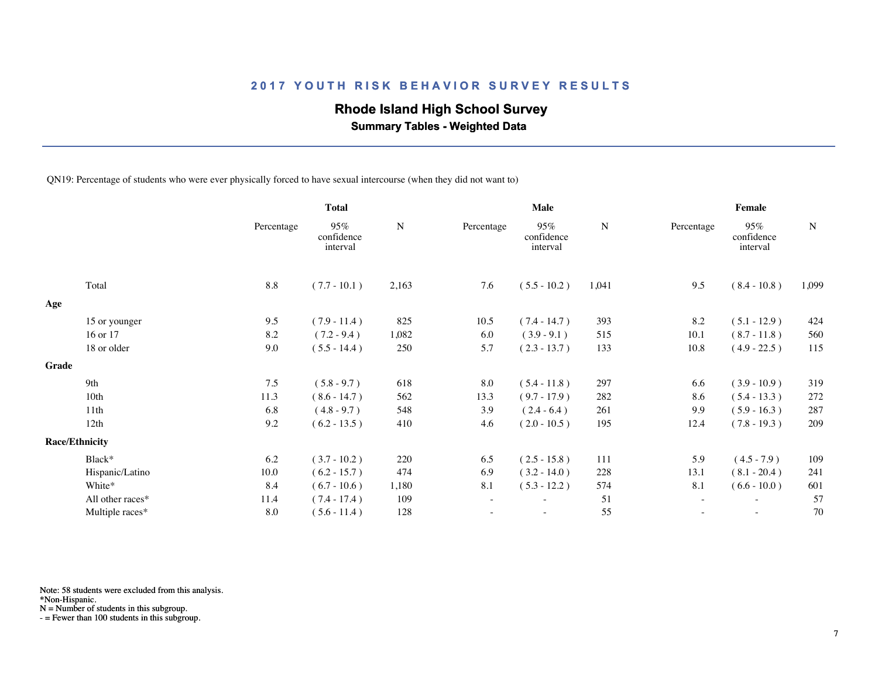## **Rhode Island High School Survey**

 **Summary Tables - Weighted Data**

QN19: Percentage of students who were ever physically forced to have sexual intercourse (when they did not want to)

|       |                       |            | <b>Total</b>                  |           | <b>Male</b> |                               |       | Female     |                               |           |  |
|-------|-----------------------|------------|-------------------------------|-----------|-------------|-------------------------------|-------|------------|-------------------------------|-----------|--|
|       |                       | Percentage | 95%<br>confidence<br>interval | ${\bf N}$ | Percentage  | 95%<br>confidence<br>interval | N     | Percentage | 95%<br>confidence<br>interval | ${\bf N}$ |  |
|       | Total                 | 8.8        | $(7.7 - 10.1)$                | 2,163     | 7.6         | $(5.5 - 10.2)$                | 1,041 | 9.5        | $(8.4 - 10.8)$                | 1,099     |  |
| Age   |                       |            |                               |           |             |                               |       |            |                               |           |  |
|       | 15 or younger         | 9.5        | $(7.9 - 11.4)$                | 825       | 10.5        | $(7.4 - 14.7)$                | 393   | 8.2        | $(5.1 - 12.9)$                | 424       |  |
|       | 16 or 17              | 8.2        | $(7.2 - 9.4)$                 | 1,082     | 6.0         | $(3.9 - 9.1)$                 | 515   | 10.1       | $(8.7 - 11.8)$                | 560       |  |
|       | 18 or older           | 9.0        | $(5.5 - 14.4)$                | 250       | 5.7         | $(2.3 - 13.7)$                | 133   | 10.8       | $(4.9 - 22.5)$                | 115       |  |
| Grade |                       |            |                               |           |             |                               |       |            |                               |           |  |
|       | 9th                   | 7.5        | $(5.8 - 9.7)$                 | 618       | 8.0         | $(5.4 - 11.8)$                | 297   | 6.6        | $(3.9 - 10.9)$                | 319       |  |
|       | 10th                  | 11.3       | $(8.6 - 14.7)$                | 562       | 13.3        | $(9.7 - 17.9)$                | 282   | 8.6        | $(5.4 - 13.3)$                | 272       |  |
|       | 11th                  | 6.8        | $(4.8 - 9.7)$                 | 548       | 3.9         | $(2.4 - 6.4)$                 | 261   | 9.9        | $(5.9 - 16.3)$                | 287       |  |
|       | 12th                  | 9.2        | $(6.2 - 13.5)$                | 410       | 4.6         | $(2.0 - 10.5)$                | 195   | 12.4       | $(7.8 - 19.3)$                | 209       |  |
|       | <b>Race/Ethnicity</b> |            |                               |           |             |                               |       |            |                               |           |  |
|       | Black*                | 6.2        | $(3.7 - 10.2)$                | 220       | 6.5         | $(2.5 - 15.8)$                | 111   | 5.9        | $(4.5 - 7.9)$                 | 109       |  |
|       | Hispanic/Latino       | 10.0       | $(6.2 - 15.7)$                | 474       | 6.9         | $(3.2 - 14.0)$                | 228   | 13.1       | $(8.1 - 20.4)$                | 241       |  |
|       | White*                | 8.4        | $(6.7 - 10.6)$                | 1,180     | 8.1         | $(5.3 - 12.2)$                | 574   | 8.1        | $(6.6 - 10.0)$                | 601       |  |
|       | All other races*      | 11.4       | $(7.4 - 17.4)$                | 109       | $\sim$      | $\overline{\phantom{a}}$      | 51    | $\sim$     | $\overline{\phantom{a}}$      | 57        |  |
|       | Multiple races*       | 8.0        | $(5.6 - 11.4)$                | 128       |             |                               | 55    |            |                               | 70        |  |
|       |                       |            |                               |           |             |                               |       |            |                               |           |  |

Note: 58 students were excluded from this analysis.

\*Non-Hispanic.

N = Number of students in this subgroup.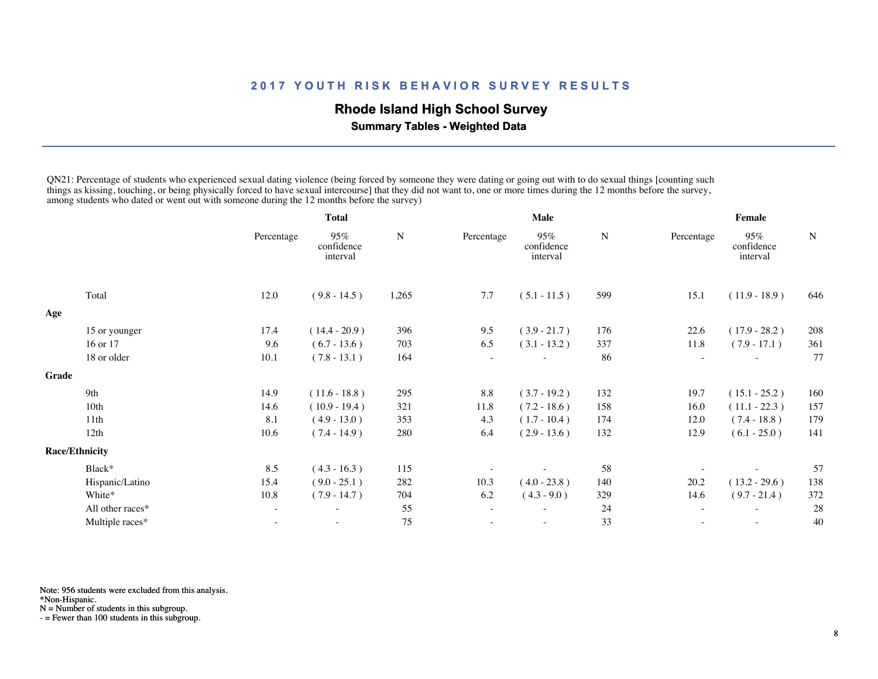## **Rhode Island High School Survey**

 **Summary Tables - Weighted Data**

QN21: Percentage of students who experienced sexual dating violence (being forced by someone they were dating or going out with to do sexual things [counting such things as kissing, touching, or being physically forced to have sexual intercourse] that they did not want to, one or more times during the 12 months before the survey, among students who dated or went out with someone during the 12 months before the survey)

|       |                       | Total      |                               |       | Male       |                               |     | Female                   |                               |             |
|-------|-----------------------|------------|-------------------------------|-------|------------|-------------------------------|-----|--------------------------|-------------------------------|-------------|
|       |                       | Percentage | 95%<br>confidence<br>interval | N     | Percentage | 95%<br>confidence<br>interval | N   | Percentage               | 95%<br>confidence<br>interval | $\mathbf N$ |
|       | Total                 | 12.0       | $(9.8 - 14.5)$                | 1,265 | 7.7        | $(5.1 - 11.5)$                | 599 | 15.1                     | $(11.9 - 18.9)$               | 646         |
| Age   |                       |            |                               |       |            |                               |     |                          |                               |             |
|       | 15 or younger         | 17.4       | $(14.4 - 20.9)$               | 396   | 9.5        | $(3.9 - 21.7)$                | 176 | 22.6                     | $(17.9 - 28.2)$               | 208         |
|       | 16 or 17              | 9.6        | $(6.7 - 13.6)$                | 703   | 6.5        | $(3.1 - 13.2)$                | 337 | 11.8                     | $(7.9 - 17.1)$                | 361         |
|       | 18 or older           | 10.1       | $(7.8 - 13.1)$                | 164   |            |                               | 86  |                          |                               | 77          |
| Grade |                       |            |                               |       |            |                               |     |                          |                               |             |
|       | 9th                   | 14.9       | $(11.6 - 18.8)$               | 295   | 8.8        | $(3.7 - 19.2)$                | 132 | 19.7                     | $(15.1 - 25.2)$               | 160         |
|       | 10th                  | 14.6       | $(10.9 - 19.4)$               | 321   | 11.8       | $(7.2 - 18.6)$                | 158 | 16.0                     | $(11.1 - 22.3)$               | 157         |
|       | 11th                  | 8.1        | $(4.9 - 13.0)$                | 353   | 4.3        | $(1.7 - 10.4)$                | 174 | 12.0                     | $(7.4 - 18.8)$                | 179         |
|       | 12th                  | 10.6       | $(7.4 - 14.9)$                | 280   | 6.4        | $(2.9 - 13.6)$                | 132 | 12.9                     | $(6.1 - 25.0)$                | 141         |
|       | <b>Race/Ethnicity</b> |            |                               |       |            |                               |     |                          |                               |             |
|       | Black*                | 8.5        | $(4.3 - 16.3)$                | 115   |            |                               | 58  |                          |                               | 57          |
|       | Hispanic/Latino       | 15.4       | $(9.0 - 25.1)$                | 282   | 10.3       | $(4.0 - 23.8)$                | 140 | 20.2                     | $(13.2 - 29.6)$               | 138         |
|       | White*                | 10.8       | $(7.9 - 14.7)$                | 704   | 6.2        | $(4.3 - 9.0)$                 | 329 | 14.6                     | $(9.7 - 21.4)$                | 372         |
|       | All other races*      |            | ٠                             | 55    |            |                               | 24  | $\overline{\phantom{a}}$ |                               | 28          |
|       | Multiple races*       |            |                               | 75    |            |                               | 33  |                          |                               | 40          |
|       |                       |            |                               |       |            |                               |     |                          |                               |             |

Note: 956 students were excluded from this analysis.

\*Non-Hispanic.

N = Number of students in this subgroup.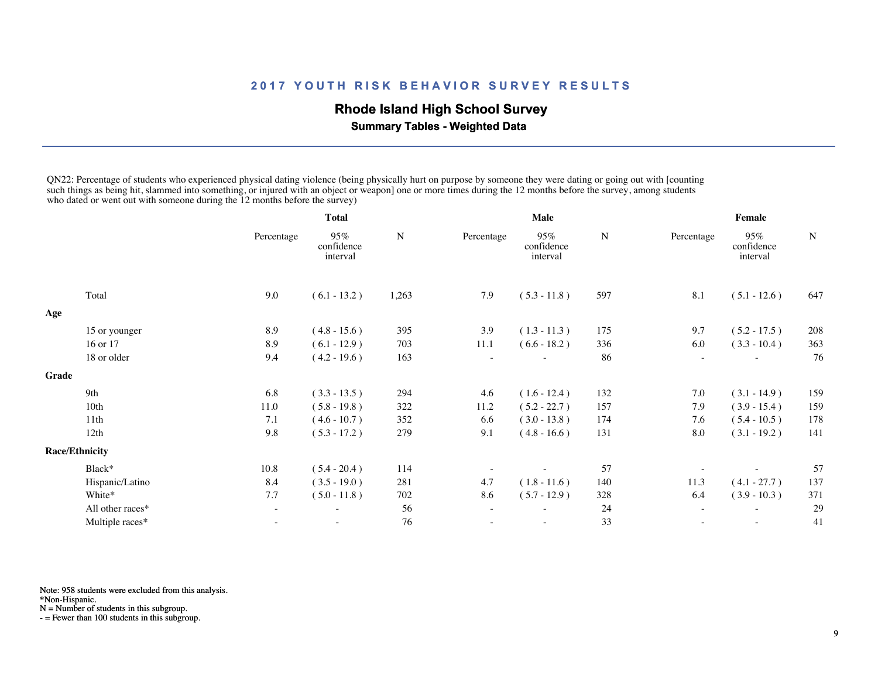## **Rhode Island High School Survey**

 **Summary Tables - Weighted Data**

QN22: Percentage of students who experienced physical dating violence (being physically hurt on purpose by someone they were dating or going out with [counting such things as being hit, slammed into something, or injured with an object or weapon] one or more times during the 12 months before the survey, among students who dated or went out with someone during the 12 months before the survey)

|       |                       | <b>Total</b> |                               | Male  |            |                               | Female |                          |                               |     |
|-------|-----------------------|--------------|-------------------------------|-------|------------|-------------------------------|--------|--------------------------|-------------------------------|-----|
|       |                       | Percentage   | 95%<br>confidence<br>interval | N     | Percentage | 95%<br>confidence<br>interval | N      | Percentage               | 95%<br>confidence<br>interval | N   |
|       | Total                 | 9.0          | $(6.1 - 13.2)$                | 1,263 | 7.9        | $(5.3 - 11.8)$                | 597    | 8.1                      | $(5.1 - 12.6)$                | 647 |
| Age   |                       |              |                               |       |            |                               |        |                          |                               |     |
|       | 15 or younger         | 8.9          | $(4.8 - 15.6)$                | 395   | 3.9        | $(1.3 - 11.3)$                | 175    | 9.7                      | $(5.2 - 17.5)$                | 208 |
|       | 16 or 17              | 8.9          | $(6.1 - 12.9)$                | 703   | $11.1$     | $(6.6 - 18.2)$                | 336    | 6.0                      | $(3.3 - 10.4)$                | 363 |
|       | 18 or older           | 9.4          | $(4.2 - 19.6)$                | 163   |            |                               | 86     |                          |                               | 76  |
| Grade |                       |              |                               |       |            |                               |        |                          |                               |     |
|       | 9th                   | 6.8          | $(3.3 - 13.5)$                | 294   | 4.6        | $(1.6 - 12.4)$                | 132    | 7.0                      | $(3.1 - 14.9)$                | 159 |
|       | 10th                  | 11.0         | $(5.8 - 19.8)$                | 322   | 11.2       | $(5.2 - 22.7)$                | 157    | 7.9                      | $(3.9 - 15.4)$                | 159 |
|       | 11th                  | 7.1          | $(4.6 - 10.7)$                | 352   | 6.6        | $(3.0 - 13.8)$                | 174    | 7.6                      | $(5.4 - 10.5)$                | 178 |
|       | 12th                  | 9.8          | $(5.3 - 17.2)$                | 279   | 9.1        | $(4.8 - 16.6)$                | 131    | 8.0                      | $(3.1 - 19.2)$                | 141 |
|       | <b>Race/Ethnicity</b> |              |                               |       |            |                               |        |                          |                               |     |
|       | Black*                | 10.8         | $(5.4 - 20.4)$                | 114   |            |                               | 57     |                          |                               | 57  |
|       | Hispanic/Latino       | 8.4          | $(3.5 - 19.0)$                | 281   | 4.7        | $(1.8 - 11.6)$                | 140    | 11.3                     | $(4.1 - 27.7)$                | 137 |
|       | White*                | 7.7          | $(5.0 - 11.8)$                | 702   | 8.6        | $(5.7 - 12.9)$                | 328    | 6.4                      | $(3.9 - 10.3)$                | 371 |
|       | All other races*      |              |                               | 56    |            |                               | 24     | $\overline{\phantom{a}}$ |                               | 29  |
|       | Multiple races*       |              | $\overline{\phantom{0}}$      | 76    |            | $\overline{\phantom{0}}$      | 33     | $\overline{\phantom{a}}$ | $\overline{\phantom{a}}$      | 41  |
|       |                       |              |                               |       |            |                               |        |                          |                               |     |

Note: 958 students were excluded from this analysis.

\*Non-Hispanic.

N = Number of students in this subgroup.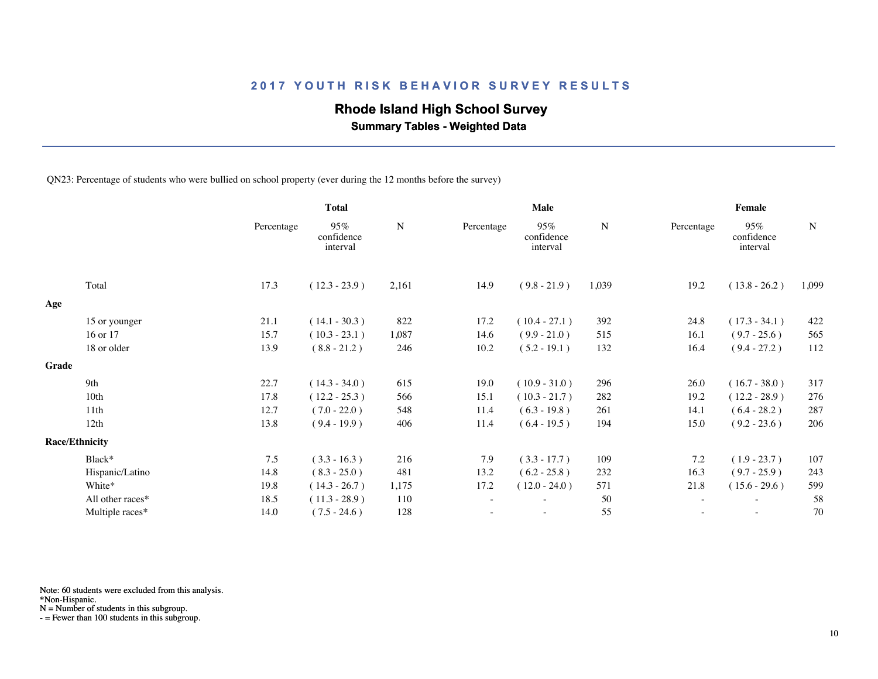## **Rhode Island High School Survey**

 **Summary Tables - Weighted Data**

QN23: Percentage of students who were bullied on school property (ever during the 12 months before the survey)

|       |                       |            | <b>Total</b>                  |       | Male       |                               |       | Female     |                               |             |  |
|-------|-----------------------|------------|-------------------------------|-------|------------|-------------------------------|-------|------------|-------------------------------|-------------|--|
|       |                       | Percentage | 95%<br>confidence<br>interval | N     | Percentage | 95%<br>confidence<br>interval | N     | Percentage | 95%<br>confidence<br>interval | $\mathbf N$ |  |
|       | Total                 | 17.3       | $(12.3 - 23.9)$               | 2,161 | 14.9       | $(9.8 - 21.9)$                | 1,039 | 19.2       | $(13.8 - 26.2)$               | 1,099       |  |
| Age   |                       |            |                               |       |            |                               |       |            |                               |             |  |
|       | 15 or younger         | 21.1       | $(14.1 - 30.3)$               | 822   | 17.2       | $(10.4 - 27.1)$               | 392   | 24.8       | $(17.3 - 34.1)$               | 422         |  |
|       | 16 or 17              | 15.7       | $(10.3 - 23.1)$               | 1,087 | 14.6       | $(9.9 - 21.0)$                | 515   | 16.1       | $(9.7 - 25.6)$                | 565         |  |
|       | 18 or older           | 13.9       | $(8.8 - 21.2)$                | 246   | 10.2       | $(5.2 - 19.1)$                | 132   | 16.4       | $(9.4 - 27.2)$                | 112         |  |
| Grade |                       |            |                               |       |            |                               |       |            |                               |             |  |
|       | 9th                   | 22.7       | $(14.3 - 34.0)$               | 615   | 19.0       | $(10.9 - 31.0)$               | 296   | 26.0       | $(16.7 - 38.0)$               | 317         |  |
|       | 10th                  | 17.8       | $(12.2 - 25.3)$               | 566   | 15.1       | $(10.3 - 21.7)$               | 282   | 19.2       | $(12.2 - 28.9)$               | 276         |  |
|       | 11 <sup>th</sup>      | 12.7       | $(7.0 - 22.0)$                | 548   | 11.4       | $(6.3 - 19.8)$                | 261   | 14.1       | $(6.4 - 28.2)$                | 287         |  |
|       | 12th                  | 13.8       | $(9.4 - 19.9)$                | 406   | 11.4       | $(6.4 - 19.5)$                | 194   | 15.0       | $(9.2 - 23.6)$                | 206         |  |
|       | <b>Race/Ethnicity</b> |            |                               |       |            |                               |       |            |                               |             |  |
|       | Black*                | 7.5        | $(3.3 - 16.3)$                | 216   | 7.9        | $(3.3 - 17.7)$                | 109   | 7.2        | $(1.9 - 23.7)$                | 107         |  |
|       | Hispanic/Latino       | 14.8       | $(8.3 - 25.0)$                | 481   | 13.2       | $(6.2 - 25.8)$                | 232   | 16.3       | $(9.7 - 25.9)$                | 243         |  |
|       | White*                | 19.8       | $(14.3 - 26.7)$               | 1,175 | 17.2       | $(12.0 - 24.0)$               | 571   | 21.8       | $(15.6 - 29.6)$               | 599         |  |
|       | All other races*      | 18.5       | $(11.3 - 28.9)$               | 110   | $\sim$     | $\overline{\phantom{0}}$      | 50    | $\sim$     | $\overline{\phantom{a}}$      | 58          |  |
|       | Multiple races*       | 14.0       | $(7.5 - 24.6)$                | 128   |            |                               | 55    |            |                               | 70          |  |
|       |                       |            |                               |       |            |                               |       |            |                               |             |  |

Note: 60 students were excluded from this analysis.

\*Non-Hispanic.

N = Number of students in this subgroup.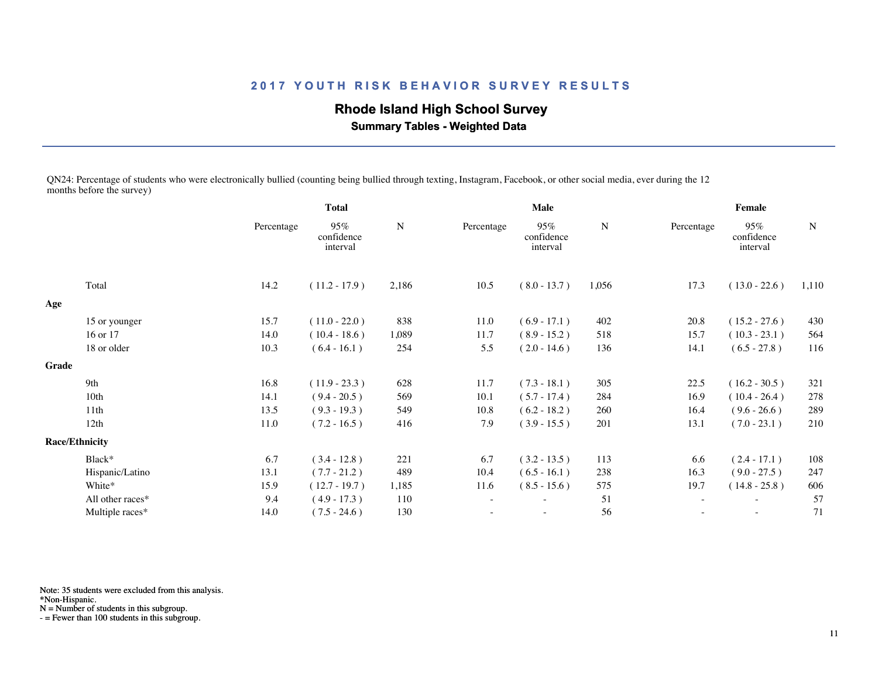# **Rhode Island High School Survey**

 **Summary Tables - Weighted Data**

QN24: Percentage of students who were electronically bullied (counting being bullied through texting, Instagram, Facebook, or other social media, ever during the 12 months before the survey)

|       |                       | <b>Total</b> |                               | Male      |                          |                               | Female |            |                               |       |
|-------|-----------------------|--------------|-------------------------------|-----------|--------------------------|-------------------------------|--------|------------|-------------------------------|-------|
|       |                       | Percentage   | 95%<br>confidence<br>interval | ${\bf N}$ | Percentage               | 95%<br>confidence<br>interval | N      | Percentage | 95%<br>confidence<br>interval | N     |
|       | Total                 | 14.2         | $(11.2 - 17.9)$               | 2,186     | 10.5                     | $(8.0 - 13.7)$                | 1,056  | 17.3       | $(13.0 - 22.6)$               | 1,110 |
| Age   |                       |              |                               |           |                          |                               |        |            |                               |       |
|       | 15 or younger         | 15.7         | $(11.0 - 22.0)$               | 838       | 11.0                     | $(6.9 - 17.1)$                | 402    | 20.8       | $(15.2 - 27.6)$               | 430   |
|       | 16 or 17              | 14.0         | $(10.4 - 18.6)$               | 1,089     | 11.7                     | $(8.9 - 15.2)$                | 518    | 15.7       | $(10.3 - 23.1)$               | 564   |
|       | 18 or older           | 10.3         | $(6.4 - 16.1)$                | 254       | 5.5                      | $(2.0 - 14.6)$                | 136    | 14.1       | $(6.5 - 27.8)$                | 116   |
| Grade |                       |              |                               |           |                          |                               |        |            |                               |       |
|       | 9th                   | 16.8         | $(11.9 - 23.3)$               | 628       | 11.7                     | $(7.3 - 18.1)$                | 305    | 22.5       | $(16.2 - 30.5)$               | 321   |
|       | 10 <sub>th</sub>      | 14.1         | $(9.4 - 20.5)$                | 569       | 10.1                     | $(5.7 - 17.4)$                | 284    | 16.9       | $(10.4 - 26.4)$               | 278   |
|       | 11th                  | 13.5         | $(9.3 - 19.3)$                | 549       | 10.8                     | $(6.2 - 18.2)$                | 260    | 16.4       | $(9.6 - 26.6)$                | 289   |
|       | 12th                  | 11.0         | $(7.2 - 16.5)$                | 416       | 7.9                      | $(3.9 - 15.5)$                | 201    | 13.1       | $(7.0 - 23.1)$                | 210   |
|       | <b>Race/Ethnicity</b> |              |                               |           |                          |                               |        |            |                               |       |
|       | Black*                | 6.7          | $(3.4 - 12.8)$                | 221       | 6.7                      | $(3.2 - 13.5)$                | 113    | 6.6        | $(2.4 - 17.1)$                | 108   |
|       | Hispanic/Latino       | 13.1         | $(7.7 - 21.2)$                | 489       | 10.4                     | $(6.5 - 16.1)$                | 238    | 16.3       | $(9.0 - 27.5)$                | 247   |
|       | White*                | 15.9         | $(12.7 - 19.7)$               | 1,185     | 11.6                     | $(8.5 - 15.6)$                | 575    | 19.7       | $(14.8 - 25.8)$               | 606   |
|       | All other races*      | 9.4          | $(4.9 - 17.3)$                | 110       | $\overline{\phantom{a}}$ |                               | 51     | $\sim$     | $\overline{\phantom{a}}$      | 57    |
|       | Multiple races*       | 14.0         | $(7.5 - 24.6)$                | 130       |                          | $\overline{\phantom{0}}$      | 56     |            | $\overline{\phantom{a}}$      | 71    |
|       |                       |              |                               |           |                          |                               |        |            |                               |       |

Note: 35 students were excluded from this analysis.

\*Non-Hispanic.

N = Number of students in this subgroup.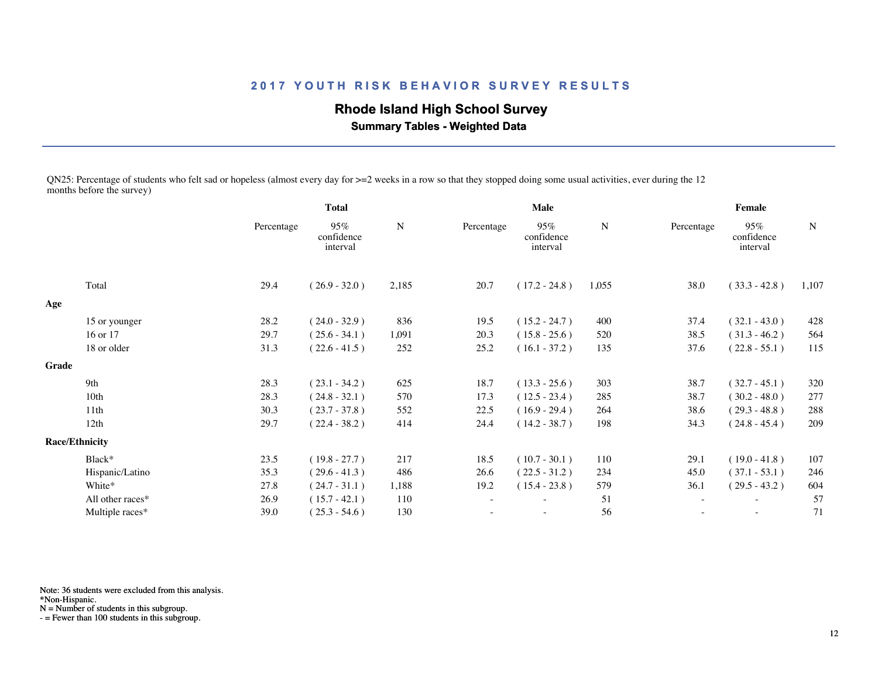# **Rhode Island High School Survey**

 **Summary Tables - Weighted Data**

QN25: Percentage of students who felt sad or hopeless (almost every day for >=2 weeks in a row so that they stopped doing some usual activities, ever during the 12 months before the survey)

|       |                       | <b>Total</b> |                               | Male  |                          |                               | Female |            |                               |             |
|-------|-----------------------|--------------|-------------------------------|-------|--------------------------|-------------------------------|--------|------------|-------------------------------|-------------|
|       |                       | Percentage   | 95%<br>confidence<br>interval | N     | Percentage               | 95%<br>confidence<br>interval | N      | Percentage | 95%<br>confidence<br>interval | $\mathbf N$ |
|       | Total                 | 29.4         | $(26.9 - 32.0)$               | 2,185 | 20.7                     | $(17.2 - 24.8)$               | 1,055  | 38.0       | $(33.3 - 42.8)$               | 1,107       |
| Age   |                       |              |                               |       |                          |                               |        |            |                               |             |
|       | 15 or younger         | 28.2         | $(24.0 - 32.9)$               | 836   | 19.5                     | $(15.2 - 24.7)$               | 400    | 37.4       | $(32.1 - 43.0)$               | 428         |
|       | 16 or 17              | 29.7         | $(25.6 - 34.1)$               | 1,091 | 20.3                     | $(15.8 - 25.6)$               | 520    | 38.5       | $(31.3 - 46.2)$               | 564         |
|       | 18 or older           | 31.3         | $(22.6 - 41.5)$               | 252   | 25.2                     | $(16.1 - 37.2)$               | 135    | 37.6       | $(22.8 - 55.1)$               | 115         |
| Grade |                       |              |                               |       |                          |                               |        |            |                               |             |
|       | 9th                   | 28.3         | $(23.1 - 34.2)$               | 625   | 18.7                     | $(13.3 - 25.6)$               | 303    | 38.7       | $(32.7 - 45.1)$               | 320         |
|       | 10 <sub>th</sub>      | 28.3         | $(24.8 - 32.1)$               | 570   | 17.3                     | $(12.5 - 23.4)$               | 285    | 38.7       | $(30.2 - 48.0)$               | 277         |
|       | 11th                  | 30.3         | $(23.7 - 37.8)$               | 552   | 22.5                     | $(16.9 - 29.4)$               | 264    | 38.6       | $(29.3 - 48.8)$               | 288         |
|       | 12th                  | 29.7         | $(22.4 - 38.2)$               | 414   | 24.4                     | $(14.2 - 38.7)$               | 198    | 34.3       | $(24.8 - 45.4)$               | 209         |
|       | <b>Race/Ethnicity</b> |              |                               |       |                          |                               |        |            |                               |             |
|       | Black*                | 23.5         | $(19.8 - 27.7)$               | 217   | 18.5                     | $(10.7 - 30.1)$               | 110    | 29.1       | $(19.0 - 41.8)$               | 107         |
|       | Hispanic/Latino       | 35.3         | $(29.6 - 41.3)$               | 486   | 26.6                     | $(22.5 - 31.2)$               | 234    | 45.0       | $(37.1 - 53.1)$               | 246         |
|       | White*                | 27.8         | $(24.7 - 31.1)$               | 1,188 | 19.2                     | $(15.4 - 23.8)$               | 579    | 36.1       | $(29.5 - 43.2)$               | 604         |
|       | All other races*      | 26.9         | $(15.7 - 42.1)$               | 110   | $\overline{\phantom{a}}$ | $\overline{\phantom{a}}$      | 51     | $\sim$     | $\overline{\phantom{a}}$      | 57          |
|       | Multiple races*       | 39.0         | $(25.3 - 54.6)$               | 130   |                          | $\overline{\phantom{a}}$      | 56     |            | $\overline{\phantom{a}}$      | 71          |
|       |                       |              |                               |       |                          |                               |        |            |                               |             |

Note: 36 students were excluded from this analysis.

\*Non-Hispanic.

N = Number of students in this subgroup.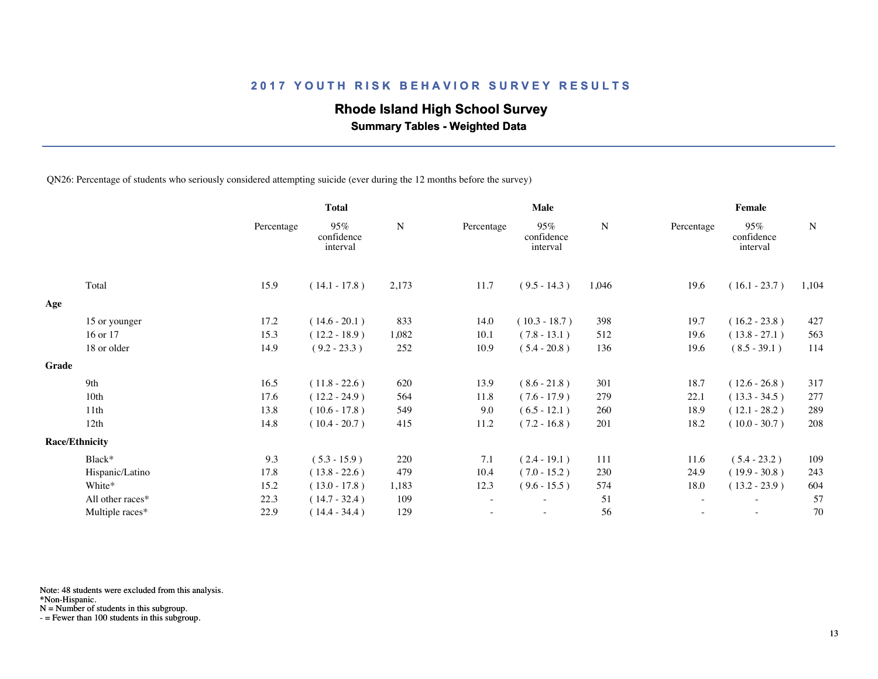## **Rhode Island High School Survey**

 **Summary Tables - Weighted Data**

QN26: Percentage of students who seriously considered attempting suicide (ever during the 12 months before the survey)

|       |                       |            | <b>Total</b>                  |       | Male       |                               |       | Female                   |                               |       |  |
|-------|-----------------------|------------|-------------------------------|-------|------------|-------------------------------|-------|--------------------------|-------------------------------|-------|--|
|       |                       | Percentage | 95%<br>confidence<br>interval | N     | Percentage | 95%<br>confidence<br>interval | N     | Percentage               | 95%<br>confidence<br>interval | N     |  |
|       | Total                 | 15.9       | $(14.1 - 17.8)$               | 2,173 | 11.7       | $(9.5 - 14.3)$                | 1,046 | 19.6                     | $(16.1 - 23.7)$               | 1,104 |  |
| Age   |                       |            |                               |       |            |                               |       |                          |                               |       |  |
|       | 15 or younger         | 17.2       | $(14.6 - 20.1)$               | 833   | 14.0       | $(10.3 - 18.7)$               | 398   | 19.7                     | $(16.2 - 23.8)$               | 427   |  |
|       | 16 or 17              | 15.3       | $(12.2 - 18.9)$               | 1,082 | 10.1       | $(7.8 - 13.1)$                | 512   | 19.6                     | $(13.8 - 27.1)$               | 563   |  |
|       | 18 or older           | 14.9       | $(9.2 - 23.3)$                | 252   | 10.9       | $(5.4 - 20.8)$                | 136   | 19.6                     | $(8.5 - 39.1)$                | 114   |  |
| Grade |                       |            |                               |       |            |                               |       |                          |                               |       |  |
|       | 9th                   | 16.5       | $(11.8 - 22.6)$               | 620   | 13.9       | $(8.6 - 21.8)$                | 301   | 18.7                     | $(12.6 - 26.8)$               | 317   |  |
|       | 10th                  | 17.6       | $(12.2 - 24.9)$               | 564   | 11.8       | $(7.6 - 17.9)$                | 279   | 22.1                     | $(13.3 - 34.5)$               | 277   |  |
|       | 11th                  | 13.8       | $(10.6 - 17.8)$               | 549   | 9.0        | $(6.5 - 12.1)$                | 260   | 18.9                     | $(12.1 - 28.2)$               | 289   |  |
|       | 12th                  | 14.8       | $(10.4 - 20.7)$               | 415   | 11.2       | $(7.2 - 16.8)$                | 201   | 18.2                     | $(10.0 - 30.7)$               | 208   |  |
|       | <b>Race/Ethnicity</b> |            |                               |       |            |                               |       |                          |                               |       |  |
|       | Black*                | 9.3        | $(5.3 - 15.9)$                | 220   | 7.1        | $(2.4 - 19.1)$                | 111   | 11.6                     | $(5.4 - 23.2)$                | 109   |  |
|       | Hispanic/Latino       | 17.8       | $(13.8 - 22.6)$               | 479   | 10.4       | $(7.0 - 15.2)$                | 230   | 24.9                     | $(19.9 - 30.8)$               | 243   |  |
|       | White*                | 15.2       | $(13.0 - 17.8)$               | 1,183 | 12.3       | $(9.6 - 15.5)$                | 574   | 18.0                     | $(13.2 - 23.9)$               | 604   |  |
|       | All other races*      | 22.3       | $(14.7 - 32.4)$               | 109   |            | ٠                             | 51    | $\overline{\phantom{a}}$ | $\overline{\phantom{a}}$      | 57    |  |
|       | Multiple races*       | 22.9       | $(14.4 - 34.4)$               | 129   |            | $\overline{\phantom{a}}$      | 56    |                          | $\overline{\phantom{a}}$      | 70    |  |
|       |                       |            |                               |       |            |                               |       |                          |                               |       |  |

Note: 48 students were excluded from this analysis.

\*Non-Hispanic.

N = Number of students in this subgroup.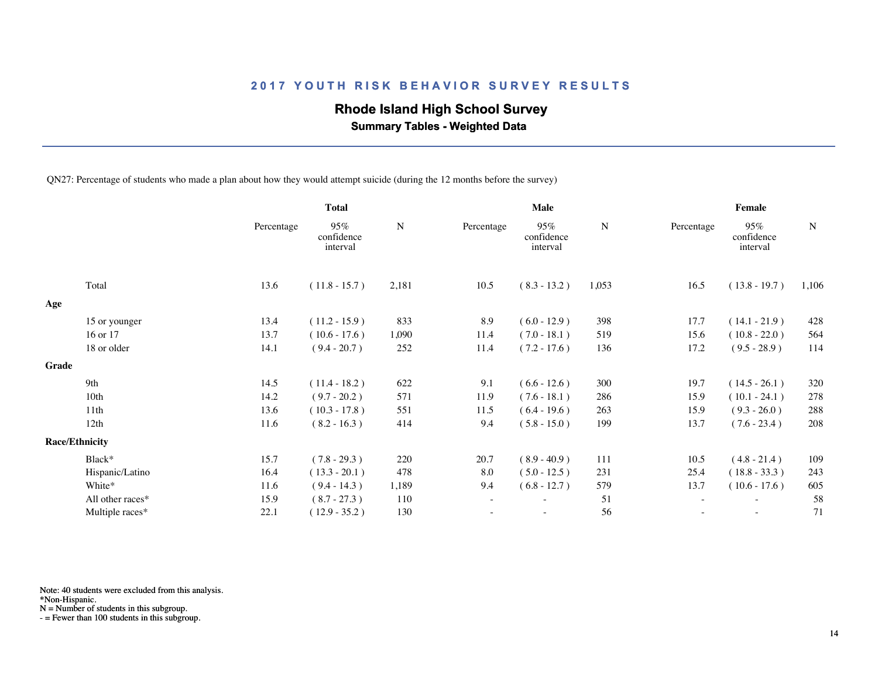## **Rhode Island High School Survey**

 **Summary Tables - Weighted Data**

QN27: Percentage of students who made a plan about how they would attempt suicide (during the 12 months before the survey)

|       |                       |            | <b>Total</b>                  |             | Male       |                               |           | Female                   |                               |           |  |
|-------|-----------------------|------------|-------------------------------|-------------|------------|-------------------------------|-----------|--------------------------|-------------------------------|-----------|--|
|       |                       | Percentage | 95%<br>confidence<br>interval | $\mathbf N$ | Percentage | 95%<br>confidence<br>interval | ${\bf N}$ | Percentage               | 95%<br>confidence<br>interval | ${\bf N}$ |  |
|       | Total                 | 13.6       | $(11.8 - 15.7)$               | 2,181       | 10.5       | $(8.3 - 13.2)$                | 1,053     | 16.5                     | $(13.8 - 19.7)$               | 1,106     |  |
| Age   |                       |            |                               |             |            |                               |           |                          |                               |           |  |
|       | 15 or younger         | 13.4       | $(11.2 - 15.9)$               | 833         | 8.9        | $(6.0 - 12.9)$                | 398       | 17.7                     | $(14.1 - 21.9)$               | 428       |  |
|       | 16 or 17              | 13.7       | $(10.6 - 17.6)$               | 1,090       | 11.4       | $(7.0 - 18.1)$                | 519       | 15.6                     | $(10.8 - 22.0)$               | 564       |  |
|       | 18 or older           | 14.1       | $(9.4 - 20.7)$                | 252         | 11.4       | $(7.2 - 17.6)$                | 136       | 17.2                     | $(9.5 - 28.9)$                | 114       |  |
| Grade |                       |            |                               |             |            |                               |           |                          |                               |           |  |
|       | 9th                   | 14.5       | $(11.4 - 18.2)$               | 622         | 9.1        | $(6.6 - 12.6)$                | 300       | 19.7                     | $(14.5 - 26.1)$               | 320       |  |
|       | 10 <sub>th</sub>      | 14.2       | $(9.7 - 20.2)$                | 571         | 11.9       | $(7.6 - 18.1)$                | 286       | 15.9                     | $(10.1 - 24.1)$               | 278       |  |
|       | 11th                  | 13.6       | $(10.3 - 17.8)$               | 551         | 11.5       | $(6.4 - 19.6)$                | 263       | 15.9                     | $(9.3 - 26.0)$                | 288       |  |
|       | 12th                  | 11.6       | $(8.2 - 16.3)$                | 414         | 9.4        | $(5.8 - 15.0)$                | 199       | 13.7                     | $(7.6 - 23.4)$                | 208       |  |
|       | <b>Race/Ethnicity</b> |            |                               |             |            |                               |           |                          |                               |           |  |
|       | Black*                | 15.7       | $(7.8 - 29.3)$                | 220         | 20.7       | $(8.9 - 40.9)$                | 111       | 10.5                     | $(4.8 - 21.4)$                | 109       |  |
|       | Hispanic/Latino       | 16.4       | $(13.3 - 20.1)$               | 478         | 8.0        | $(5.0 - 12.5)$                | 231       | 25.4                     | $(18.8 - 33.3)$               | 243       |  |
|       | White*                | 11.6       | $(9.4 - 14.3)$                | 1,189       | 9.4        | $(6.8 - 12.7)$                | 579       | 13.7                     | $(10.6 - 17.6)$               | 605       |  |
|       | All other races*      | 15.9       | $(8.7 - 27.3)$                | 110         | $\sim$     | $\overline{\phantom{a}}$      | 51        | $\overline{\phantom{a}}$ | $\overline{\phantom{a}}$      | 58        |  |
|       | Multiple races*       | 22.1       | $(12.9 - 35.2)$               | 130         |            |                               | 56        |                          |                               | 71        |  |
|       |                       |            |                               |             |            |                               |           |                          |                               |           |  |

Note: 40 students were excluded from this analysis.

\*Non-Hispanic.

N = Number of students in this subgroup.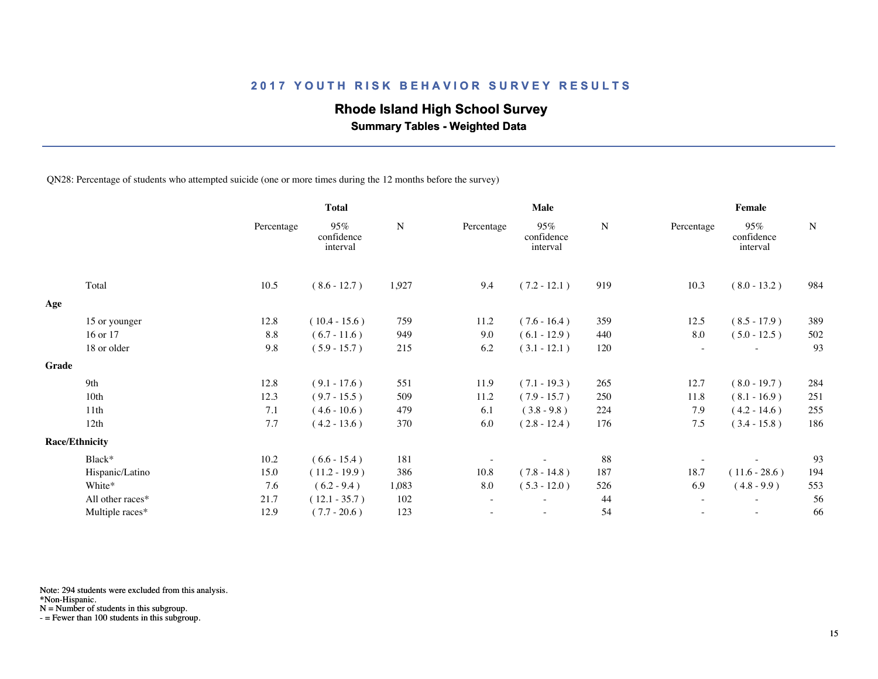## **Rhode Island High School Survey**

 **Summary Tables - Weighted Data**

QN28: Percentage of students who attempted suicide (one or more times during the 12 months before the survey)

|       |                       | <b>Total</b> |                               |           | Male                     |                               |           | Female                   |                               |             |  |
|-------|-----------------------|--------------|-------------------------------|-----------|--------------------------|-------------------------------|-----------|--------------------------|-------------------------------|-------------|--|
|       |                       | Percentage   | 95%<br>confidence<br>interval | ${\bf N}$ | Percentage               | 95%<br>confidence<br>interval | ${\bf N}$ | Percentage               | 95%<br>confidence<br>interval | $\mathbf N$ |  |
|       | Total                 | 10.5         | $(8.6 - 12.7)$                | 1,927     | 9.4                      | $(7.2 - 12.1)$                | 919       | 10.3                     | $(8.0 - 13.2)$                | 984         |  |
| Age   |                       |              |                               |           |                          |                               |           |                          |                               |             |  |
|       | 15 or younger         | 12.8         | $(10.4 - 15.6)$               | 759       | 11.2                     | $(7.6 - 16.4)$                | 359       | 12.5                     | $(8.5 - 17.9)$                | 389         |  |
|       | 16 or 17              | 8.8          | $(6.7 - 11.6)$                | 949       | 9.0                      | $(6.1 - 12.9)$                | 440       | 8.0                      | $(5.0 - 12.5)$                | 502         |  |
|       | 18 or older           | 9.8          | $(5.9 - 15.7)$                | 215       | 6.2                      | $(3.1 - 12.1)$                | 120       | $\sim$                   |                               | 93          |  |
| Grade |                       |              |                               |           |                          |                               |           |                          |                               |             |  |
|       | 9th                   | 12.8         | $(9.1 - 17.6)$                | 551       | 11.9                     | $(7.1 - 19.3)$                | 265       | 12.7                     | $(8.0 - 19.7)$                | 284         |  |
|       | 10 <sub>th</sub>      | 12.3         | $(9.7 - 15.5)$                | 509       | 11.2                     | $(7.9 - 15.7)$                | 250       | 11.8                     | $(8.1 - 16.9)$                | 251         |  |
|       | 11 <sup>th</sup>      | 7.1          | $(4.6 - 10.6)$                | 479       | 6.1                      | $(3.8 - 9.8)$                 | 224       | 7.9                      | $(4.2 - 14.6)$                | 255         |  |
|       | 12th                  | 7.7          | $(4.2 - 13.6)$                | 370       | 6.0                      | $(2.8 - 12.4)$                | 176       | 7.5                      | $(3.4 - 15.8)$                | 186         |  |
|       | <b>Race/Ethnicity</b> |              |                               |           |                          |                               |           |                          |                               |             |  |
|       | Black*                | 10.2         | $(6.6 - 15.4)$                | 181       |                          |                               | 88        |                          |                               | 93          |  |
|       | Hispanic/Latino       | 15.0         | $(11.2 - 19.9)$               | 386       | 10.8                     | $(7.8 - 14.8)$                | 187       | 18.7                     | $(11.6 - 28.6)$               | 194         |  |
|       | White*                | 7.6          | $(6.2 - 9.4)$                 | 1,083     | 8.0                      | $(5.3 - 12.0)$                | 526       | 6.9                      | $(4.8 - 9.9)$                 | 553         |  |
|       | All other races*      | 21.7         | $(12.1 - 35.7)$               | 102       | $\overline{\phantom{a}}$ | $\overline{\phantom{0}}$      | 44        | $\overline{\phantom{a}}$ | $\overline{\phantom{a}}$      | 56          |  |
|       | Multiple races*       | 12.9         | $(7.7 - 20.6)$                | 123       |                          |                               | 54        |                          |                               | 66          |  |
|       |                       |              |                               |           |                          |                               |           |                          |                               |             |  |

Note: 294 students were excluded from this analysis.

N = Number of students in this subgroup.

<sup>\*</sup>Non-Hispanic.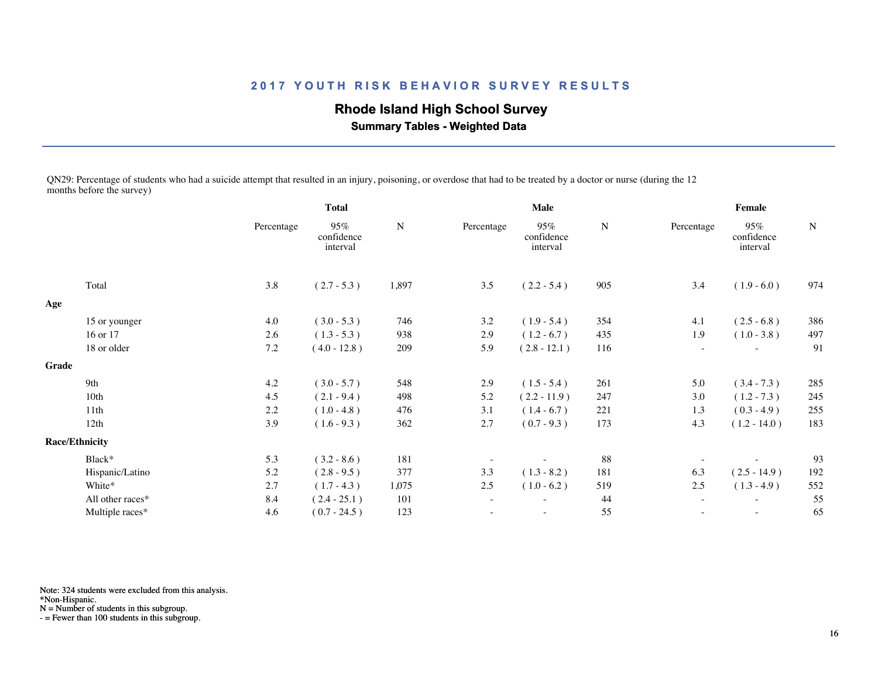# **Rhode Island High School Survey**

 **Summary Tables - Weighted Data**

QN29: Percentage of students who had a suicide attempt that resulted in an injury, poisoning, or overdose that had to be treated by a doctor or nurse (during the 12 months before the survey)

|       |                       |            | Total                         |           |            | Male                          |     |                          | Female                        |             |
|-------|-----------------------|------------|-------------------------------|-----------|------------|-------------------------------|-----|--------------------------|-------------------------------|-------------|
|       |                       | Percentage | 95%<br>confidence<br>interval | ${\bf N}$ | Percentage | 95%<br>confidence<br>interval | N   | Percentage               | 95%<br>confidence<br>interval | $\mathbf N$ |
|       | Total                 | 3.8        | $(2.7 - 5.3)$                 | 1,897     | 3.5        | $(2.2 - 5.4)$                 | 905 | 3.4                      | $(1.9 - 6.0)$                 | 974         |
| Age   |                       |            |                               |           |            |                               |     |                          |                               |             |
|       | 15 or younger         | 4.0        | $(3.0 - 5.3)$                 | 746       | 3.2        | $(1.9 - 5.4)$                 | 354 | 4.1                      | $(2.5 - 6.8)$                 | 386         |
|       | 16 or 17              | 2.6        | $(1.3 - 5.3)$                 | 938       | 2.9        | $(1.2 - 6.7)$                 | 435 | 1.9                      | $(1.0 - 3.8)$                 | 497         |
|       | 18 or older           | $7.2\,$    | $(4.0 - 12.8)$                | 209       | 5.9        | $(2.8 - 12.1)$                | 116 |                          |                               | 91          |
| Grade |                       |            |                               |           |            |                               |     |                          |                               |             |
|       | 9th                   | 4.2        | $(3.0 - 5.7)$                 | 548       | 2.9        | $(1.5 - 5.4)$                 | 261 | 5.0                      | $(3.4 - 7.3)$                 | 285         |
|       | 10th                  | 4.5        | $(2.1 - 9.4)$                 | 498       | 5.2        | $(2.2 - 11.9)$                | 247 | 3.0                      | $(1.2 - 7.3)$                 | 245         |
|       | 11th                  | 2.2        | $(1.0 - 4.8)$                 | 476       | 3.1        | $(1.4 - 6.7)$                 | 221 | 1.3                      | $(0.3 - 4.9)$                 | 255         |
|       | 12th                  | 3.9        | $(1.6 - 9.3)$                 | 362       | 2.7        | $(0.7 - 9.3)$                 | 173 | 4.3                      | $(1.2 - 14.0)$                | 183         |
|       | <b>Race/Ethnicity</b> |            |                               |           |            |                               |     |                          |                               |             |
|       | Black*                | 5.3        | $(3.2 - 8.6)$                 | 181       |            |                               | 88  |                          |                               | 93          |
|       | Hispanic/Latino       | 5.2        | $(2.8 - 9.5)$                 | 377       | 3.3        | $(1.3 - 8.2)$                 | 181 | 6.3                      | $(2.5 - 14.9)$                | 192         |
|       | White*                | 2.7        | $(1.7 - 4.3)$                 | 1,075     | 2.5        | $(1.0 - 6.2)$                 | 519 | 2.5                      | $(1.3 - 4.9)$                 | 552         |
|       | All other races*      | 8.4        | $(2.4 - 25.1)$                | 101       | $\sim$     | $\overline{\phantom{a}}$      | 44  | $\sim$                   | $\sim$                        | 55          |
|       | Multiple races*       | 4.6        | $(0.7 - 24.5)$                | 123       |            | $\overline{\phantom{a}}$      | 55  | $\overline{\phantom{a}}$ | $\overline{\phantom{a}}$      | 65          |
|       |                       |            |                               |           |            |                               |     |                          |                               |             |

Note: 324 students were excluded from this analysis.

\*Non-Hispanic.

N = Number of students in this subgroup.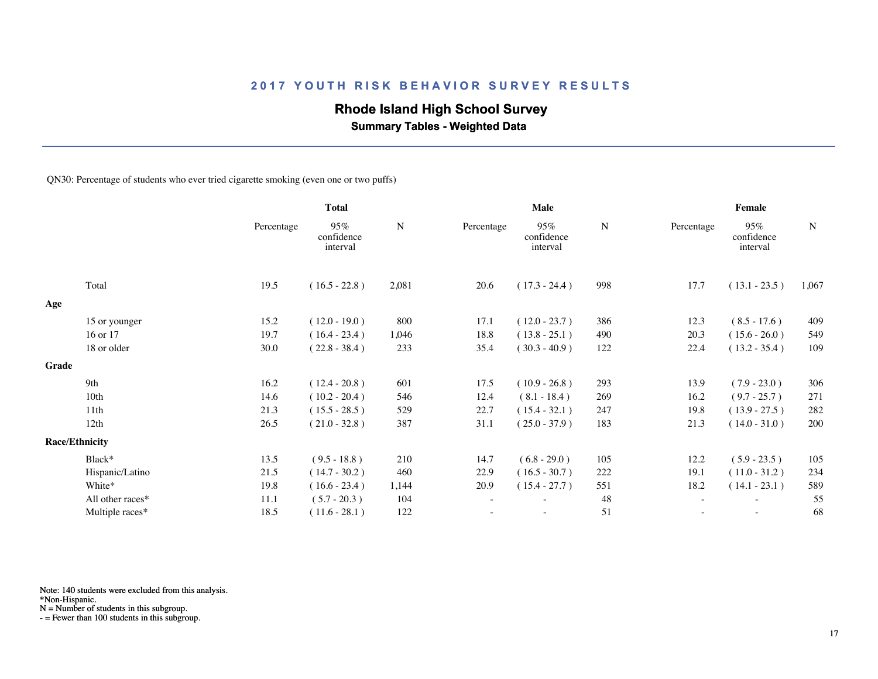## **Rhode Island High School Survey**

 **Summary Tables - Weighted Data**

QN30: Percentage of students who ever tried cigarette smoking (even one or two puffs)

|       |                       |            | <b>Total</b>                  |       | Male                     |                               |     | Female                   |                               |       |  |
|-------|-----------------------|------------|-------------------------------|-------|--------------------------|-------------------------------|-----|--------------------------|-------------------------------|-------|--|
|       |                       | Percentage | 95%<br>confidence<br>interval | N     | Percentage               | 95%<br>confidence<br>interval | N   | Percentage               | 95%<br>confidence<br>interval | N     |  |
|       | Total                 | 19.5       | $(16.5 - 22.8)$               | 2,081 | 20.6                     | $(17.3 - 24.4)$               | 998 | 17.7                     | $(13.1 - 23.5)$               | 1,067 |  |
| Age   |                       |            |                               |       |                          |                               |     |                          |                               |       |  |
|       | 15 or younger         | 15.2       | $(12.0 - 19.0)$               | 800   | 17.1                     | $(12.0 - 23.7)$               | 386 | 12.3                     | $(8.5 - 17.6)$                | 409   |  |
|       | 16 or 17              | 19.7       | $(16.4 - 23.4)$               | 1,046 | 18.8                     | $(13.8 - 25.1)$               | 490 | 20.3                     | $(15.6 - 26.0)$               | 549   |  |
|       | 18 or older           | 30.0       | $(22.8 - 38.4)$               | 233   | 35.4                     | $(30.3 - 40.9)$               | 122 | 22.4                     | $(13.2 - 35.4)$               | 109   |  |
| Grade |                       |            |                               |       |                          |                               |     |                          |                               |       |  |
|       | 9th                   | 16.2       | $(12.4 - 20.8)$               | 601   | 17.5                     | $(10.9 - 26.8)$               | 293 | 13.9                     | $(7.9 - 23.0)$                | 306   |  |
|       | 10th                  | 14.6       | $(10.2 - 20.4)$               | 546   | 12.4                     | $(8.1 - 18.4)$                | 269 | 16.2                     | $(9.7 - 25.7)$                | 271   |  |
|       | 11 <sup>th</sup>      | 21.3       | $(15.5 - 28.5)$               | 529   | 22.7                     | $(15.4 - 32.1)$               | 247 | 19.8                     | $(13.9 - 27.5)$               | 282   |  |
|       | 12th                  | 26.5       | $(21.0 - 32.8)$               | 387   | 31.1                     | $(25.0 - 37.9)$               | 183 | 21.3                     | $(14.0 - 31.0)$               | 200   |  |
|       | <b>Race/Ethnicity</b> |            |                               |       |                          |                               |     |                          |                               |       |  |
|       | Black*                | 13.5       | $(9.5 - 18.8)$                | 210   | 14.7                     | $(6.8 - 29.0)$                | 105 | 12.2                     | $(5.9 - 23.5)$                | 105   |  |
|       | Hispanic/Latino       | 21.5       | $(14.7 - 30.2)$               | 460   | 22.9                     | $(16.5 - 30.7)$               | 222 | 19.1                     | $(11.0 - 31.2)$               | 234   |  |
|       | White*                | 19.8       | $(16.6 - 23.4)$               | 1,144 | 20.9                     | $(15.4 - 27.7)$               | 551 | 18.2                     | $(14.1 - 23.1)$               | 589   |  |
|       | All other races*      | 11.1       | $(5.7 - 20.3)$                | 104   | $\overline{\phantom{a}}$ | ۰                             | 48  | $\overline{\phantom{a}}$ | $\overline{\phantom{a}}$      | 55    |  |
|       | Multiple races*       | 18.5       | $(11.6 - 28.1)$               | 122   |                          |                               | 51  |                          |                               | 68    |  |
|       |                       |            |                               |       |                          |                               |     |                          |                               |       |  |

Note: 140 students were excluded from this analysis.

N = Number of students in this subgroup.

<sup>\*</sup>Non-Hispanic.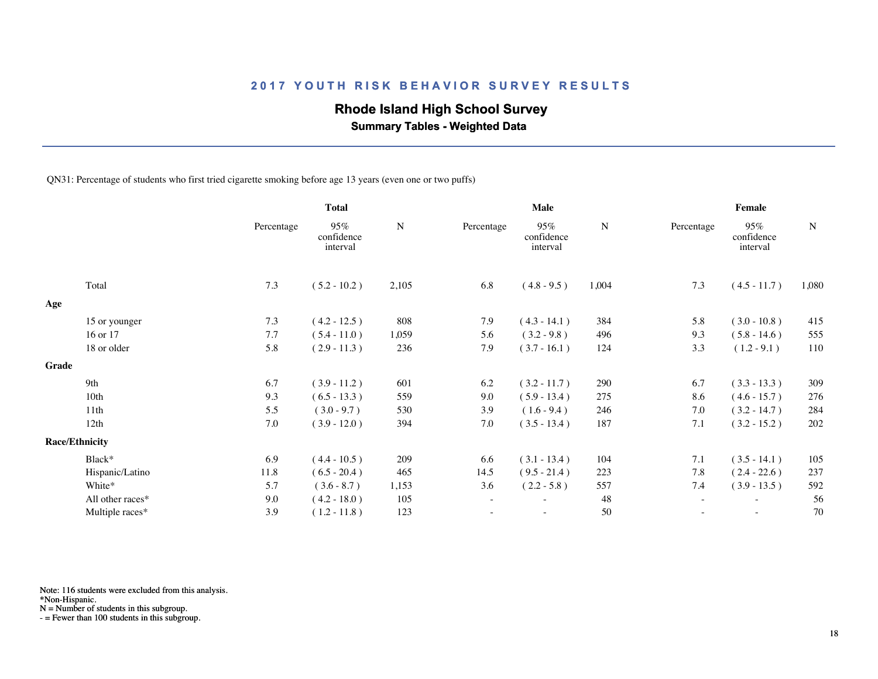## **Rhode Island High School Survey**

 **Summary Tables - Weighted Data**

QN31: Percentage of students who first tried cigarette smoking before age 13 years (even one or two puffs)

|       |                       |            | <b>Total</b>                  |       | Male                     |                               |       | Female     |                               |             |  |
|-------|-----------------------|------------|-------------------------------|-------|--------------------------|-------------------------------|-------|------------|-------------------------------|-------------|--|
|       |                       | Percentage | 95%<br>confidence<br>interval | N     | Percentage               | 95%<br>confidence<br>interval | N     | Percentage | 95%<br>confidence<br>interval | $\mathbf N$ |  |
|       | Total                 | 7.3        | $(5.2 - 10.2)$                | 2,105 | 6.8                      | $(4.8 - 9.5)$                 | 1,004 | 7.3        | $(4.5 - 11.7)$                | 1,080       |  |
| Age   |                       |            |                               |       |                          |                               |       |            |                               |             |  |
|       | 15 or younger         | 7.3        | $(4.2 - 12.5)$                | 808   | 7.9                      | $(4.3 - 14.1)$                | 384   | 5.8        | $(3.0 - 10.8)$                | 415         |  |
|       | 16 or 17              | 7.7        | $(5.4 - 11.0)$                | 1,059 | 5.6                      | $(3.2 - 9.8)$                 | 496   | 9.3        | $(5.8 - 14.6)$                | 555         |  |
|       | 18 or older           | 5.8        | $(2.9 - 11.3)$                | 236   | 7.9                      | $(3.7 - 16.1)$                | 124   | 3.3        | $(1.2 - 9.1)$                 | 110         |  |
| Grade |                       |            |                               |       |                          |                               |       |            |                               |             |  |
|       | 9th                   | 6.7        | $(3.9 - 11.2)$                | 601   | 6.2                      | $(3.2 - 11.7)$                | 290   | 6.7        | $(3.3 - 13.3)$                | 309         |  |
|       | 10th                  | 9.3        | $(6.5 - 13.3)$                | 559   | 9.0                      | $(5.9 - 13.4)$                | 275   | 8.6        | $(4.6 - 15.7)$                | 276         |  |
|       | 11 <sup>th</sup>      | 5.5        | $(3.0 - 9.7)$                 | 530   | 3.9                      | $(1.6 - 9.4)$                 | 246   | 7.0        | $(3.2 - 14.7)$                | 284         |  |
|       | 12th                  | 7.0        | $(3.9 - 12.0)$                | 394   | 7.0                      | $(3.5 - 13.4)$                | 187   | 7.1        | $(3.2 - 15.2)$                | 202         |  |
|       | <b>Race/Ethnicity</b> |            |                               |       |                          |                               |       |            |                               |             |  |
|       | Black*                | 6.9        | $(4.4 - 10.5)$                | 209   | 6.6                      | $(3.1 - 13.4)$                | 104   | 7.1        | $(3.5 - 14.1)$                | 105         |  |
|       | Hispanic/Latino       | 11.8       | $(6.5 - 20.4)$                | 465   | 14.5                     | $(9.5 - 21.4)$                | 223   | 7.8        | $(2.4 - 22.6)$                | 237         |  |
|       | White*                | 5.7        | $(3.6 - 8.7)$                 | 1,153 | 3.6                      | $(2.2 - 5.8)$                 | 557   | 7.4        | $(3.9 - 13.5)$                | 592         |  |
|       | All other races*      | 9.0        | $(4.2 - 18.0)$                | 105   | $\overline{\phantom{a}}$ |                               | 48    |            | $\overline{\phantom{a}}$      | 56          |  |
|       | Multiple races*       | 3.9        | $(1.2 - 11.8)$                | 123   |                          | ٠                             | 50    |            | $\sim$                        | 70          |  |
|       |                       |            |                               |       |                          |                               |       |            |                               |             |  |

Note: 116 students were excluded from this analysis.

\*Non-Hispanic.

N = Number of students in this subgroup.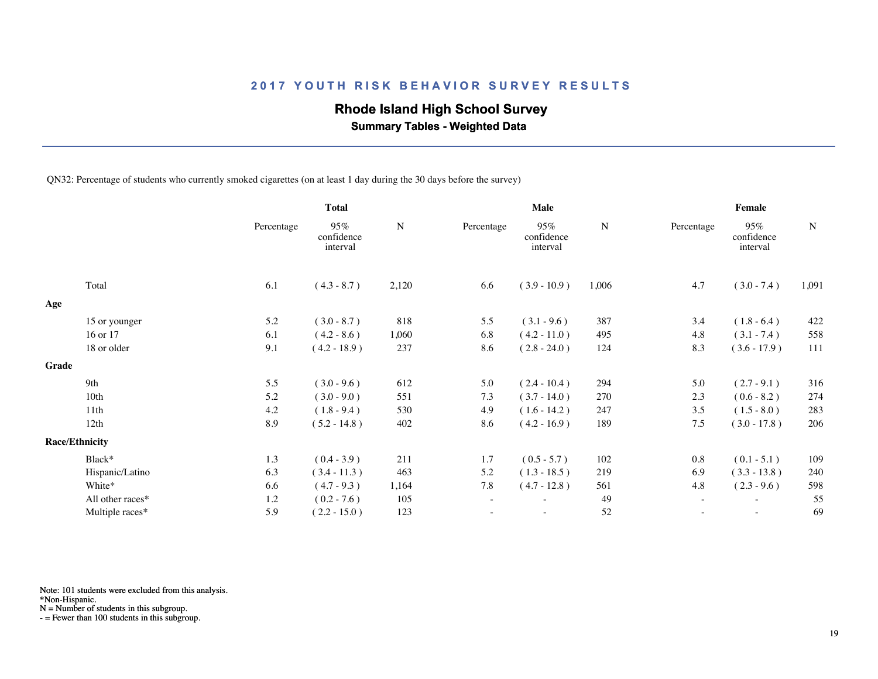## **Rhode Island High School Survey**

 **Summary Tables - Weighted Data**

QN32: Percentage of students who currently smoked cigarettes (on at least 1 day during the 30 days before the survey)

|       |                       |            | <b>Total</b>                  |           | Male       |                               |       | Female     |                               |       |  |
|-------|-----------------------|------------|-------------------------------|-----------|------------|-------------------------------|-------|------------|-------------------------------|-------|--|
|       |                       | Percentage | 95%<br>confidence<br>interval | ${\bf N}$ | Percentage | 95%<br>confidence<br>interval | N     | Percentage | 95%<br>confidence<br>interval | N     |  |
|       | Total                 | 6.1        | $(4.3 - 8.7)$                 | 2,120     | 6.6        | $(3.9 - 10.9)$                | 1,006 | 4.7        | $(3.0 - 7.4)$                 | 1,091 |  |
| Age   |                       |            |                               |           |            |                               |       |            |                               |       |  |
|       | 15 or younger         | 5.2        | $(3.0 - 8.7)$                 | 818       | 5.5        | $(3.1 - 9.6)$                 | 387   | 3.4        | $(1.8 - 6.4)$                 | 422   |  |
|       | 16 or 17              | 6.1        | $(4.2 - 8.6)$                 | 1,060     | 6.8        | $(4.2 - 11.0)$                | 495   | 4.8        | $(3.1 - 7.4)$                 | 558   |  |
|       | 18 or older           | 9.1        | $(4.2 - 18.9)$                | 237       | 8.6        | $(2.8 - 24.0)$                | 124   | 8.3        | $(3.6 - 17.9)$                | 111   |  |
| Grade |                       |            |                               |           |            |                               |       |            |                               |       |  |
|       | 9th                   | 5.5        | $(3.0 - 9.6)$                 | 612       | 5.0        | $(2.4 - 10.4)$                | 294   | 5.0        | $(2.7 - 9.1)$                 | 316   |  |
|       | 10th                  | 5.2        | $(3.0 - 9.0)$                 | 551       | 7.3        | $(3.7 - 14.0)$                | 270   | 2.3        | $(0.6 - 8.2)$                 | 274   |  |
|       | 11th                  | 4.2        | $(1.8 - 9.4)$                 | 530       | 4.9        | $(1.6 - 14.2)$                | 247   | 3.5        | $(1.5 - 8.0)$                 | 283   |  |
|       | 12th                  | 8.9        | $(5.2 - 14.8)$                | 402       | 8.6        | $(4.2 - 16.9)$                | 189   | 7.5        | $(3.0 - 17.8)$                | 206   |  |
|       | <b>Race/Ethnicity</b> |            |                               |           |            |                               |       |            |                               |       |  |
|       | Black*                | 1.3        | $(0.4 - 3.9)$                 | 211       | 1.7        | $(0.5 - 5.7)$                 | 102   | 0.8        | $(0.1 - 5.1)$                 | 109   |  |
|       | Hispanic/Latino       | 6.3        | $(3.4 - 11.3)$                | 463       | 5.2        | $(1.3 - 18.5)$                | 219   | 6.9        | $(3.3 - 13.8)$                | 240   |  |
|       | White*                | 6.6        | $(4.7 - 9.3)$                 | 1,164     | 7.8        | $(4.7 - 12.8)$                | 561   | 4.8        | $(2.3 - 9.6)$                 | 598   |  |
|       | All other races*      | 1.2        | $(0.2 - 7.6)$                 | 105       |            |                               | 49    | $\sim$     |                               | 55    |  |
|       | Multiple races*       | 5.9        | $(2.2 - 15.0)$                | 123       |            | ٠                             | 52    | $\sim$     | $\sim$                        | 69    |  |
|       |                       |            |                               |           |            |                               |       |            |                               |       |  |

Note: 101 students were excluded from this analysis.

N = Number of students in this subgroup.

<sup>\*</sup>Non-Hispanic.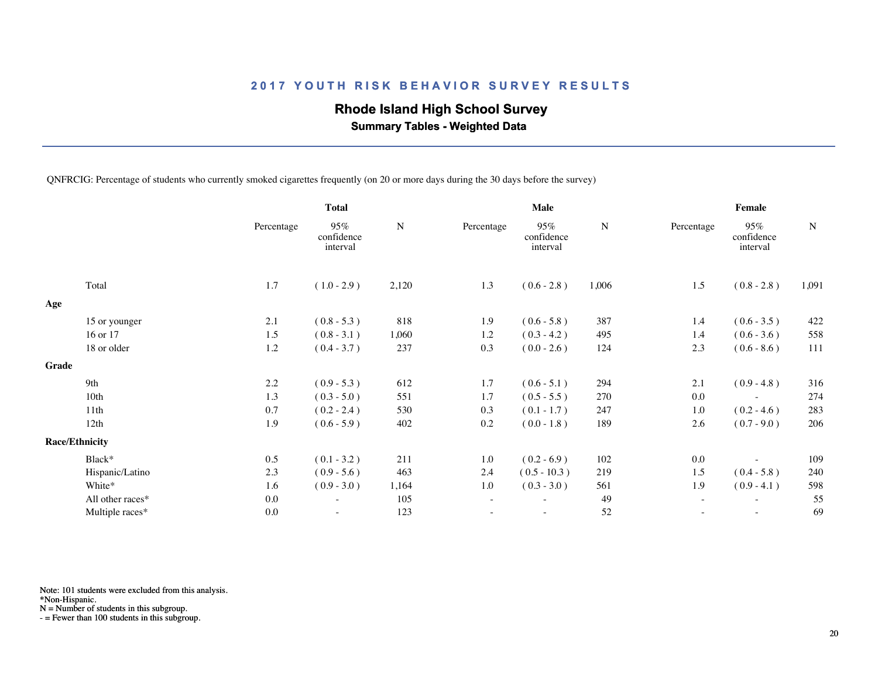## **Rhode Island High School Survey**

 **Summary Tables - Weighted Data**

QNFRCIG: Percentage of students who currently smoked cigarettes frequently (on 20 or more days during the 30 days before the survey)

|       |                       |            | <b>Total</b>                  |           | Male                     |                               |           | Female                   |                               |           |  |
|-------|-----------------------|------------|-------------------------------|-----------|--------------------------|-------------------------------|-----------|--------------------------|-------------------------------|-----------|--|
|       |                       | Percentage | 95%<br>confidence<br>interval | ${\bf N}$ | Percentage               | 95%<br>confidence<br>interval | ${\bf N}$ | Percentage               | 95%<br>confidence<br>interval | ${\bf N}$ |  |
|       | Total                 | 1.7        | $(1.0 - 2.9)$                 | 2,120     | 1.3                      | $(0.6 - 2.8)$                 | 1,006     | 1.5                      | $(0.8 - 2.8)$                 | 1,091     |  |
| Age   |                       |            |                               |           |                          |                               |           |                          |                               |           |  |
|       | 15 or younger         | 2.1        | $(0.8 - 5.3)$                 | 818       | 1.9                      | $(0.6 - 5.8)$                 | 387       | 1.4                      | $(0.6 - 3.5)$                 | 422       |  |
|       | 16 or 17              | 1.5        | $(0.8 - 3.1)$                 | 1,060     | 1.2                      | $(0.3 - 4.2)$                 | 495       | 1.4                      | $(0.6 - 3.6)$                 | 558       |  |
|       | 18 or older           | 1.2        | $(0.4 - 3.7)$                 | 237       | 0.3                      | $(0.0 - 2.6)$                 | 124       | 2.3                      | $(0.6 - 8.6)$                 | 111       |  |
| Grade |                       |            |                               |           |                          |                               |           |                          |                               |           |  |
|       | 9th                   | 2.2        | $(0.9 - 5.3)$                 | 612       | 1.7                      | $(0.6 - 5.1)$                 | 294       | 2.1                      | $(0.9 - 4.8)$                 | 316       |  |
|       | 10th                  | 1.3        | $(0.3 - 5.0)$                 | 551       | 1.7                      | $(0.5 - 5.5)$                 | 270       | 0.0                      |                               | 274       |  |
|       | 11th                  | 0.7        | $(0.2 - 2.4)$                 | 530       | 0.3                      | $(0.1 - 1.7)$                 | 247       | 1.0                      | $(0.2 - 4.6)$                 | 283       |  |
|       | 12th                  | 1.9        | $(0.6 - 5.9)$                 | 402       | 0.2                      | $(0.0 - 1.8)$                 | 189       | 2.6                      | $(0.7 - 9.0)$                 | 206       |  |
|       | <b>Race/Ethnicity</b> |            |                               |           |                          |                               |           |                          |                               |           |  |
|       | Black*                | 0.5        | $(0.1 - 3.2)$                 | 211       | 1.0                      | $(0.2 - 6.9)$                 | 102       | 0.0                      |                               | 109       |  |
|       | Hispanic/Latino       | 2.3        | $(0.9 - 5.6)$                 | 463       | 2.4                      | $(0.5 - 10.3)$                | 219       | 1.5                      | $(0.4 - 5.8)$                 | 240       |  |
|       | White*                | 1.6        | $(0.9 - 3.0)$                 | 1,164     | 1.0                      | $(0.3 - 3.0)$                 | 561       | 1.9                      | $(0.9 - 4.1)$                 | 598       |  |
|       | All other races*      | 0.0        | $\overline{\phantom{a}}$      | 105       | $\overline{\phantom{a}}$ |                               | 49        | $\overline{\phantom{a}}$ | $\sim$                        | 55        |  |
|       | Multiple races*       | 0.0        |                               | 123       |                          |                               | 52        |                          | $\overline{\phantom{a}}$      | 69        |  |

Note: 101 students were excluded from this analysis.

\*Non-Hispanic.

N = Number of students in this subgroup.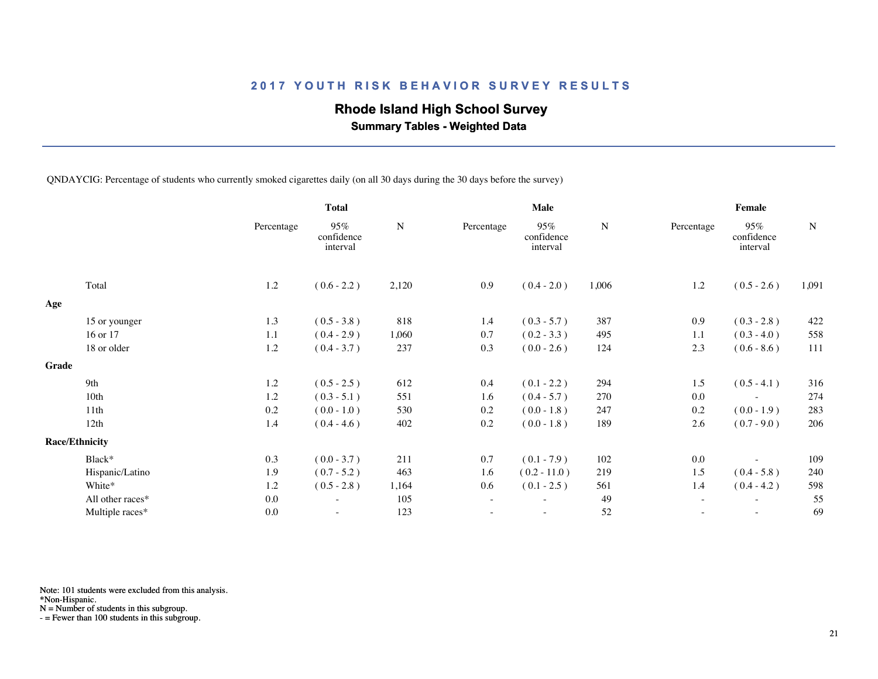## **Rhode Island High School Survey**

 **Summary Tables - Weighted Data**

QNDAYCIG: Percentage of students who currently smoked cigarettes daily (on all 30 days during the 30 days before the survey)

|       |                       |            | <b>Total</b>                  |           | <b>Male</b> |                               |       | Female     |                               |           |  |
|-------|-----------------------|------------|-------------------------------|-----------|-------------|-------------------------------|-------|------------|-------------------------------|-----------|--|
|       |                       | Percentage | 95%<br>confidence<br>interval | ${\bf N}$ | Percentage  | 95%<br>confidence<br>interval | N     | Percentage | 95%<br>confidence<br>interval | ${\bf N}$ |  |
|       | Total                 | 1.2        | $(0.6 - 2.2)$                 | 2,120     | 0.9         | $(0.4 - 2.0)$                 | 1,006 | 1.2        | $(0.5 - 2.6)$                 | 1,091     |  |
| Age   |                       |            |                               |           |             |                               |       |            |                               |           |  |
|       | 15 or younger         | 1.3        | $(0.5 - 3.8)$                 | 818       | 1.4         | $(0.3 - 5.7)$                 | 387   | 0.9        | $(0.3 - 2.8)$                 | 422       |  |
|       | 16 or 17              | 1.1        | $(0.4 - 2.9)$                 | 1,060     | 0.7         | $(0.2 - 3.3)$                 | 495   | 1.1        | $(0.3 - 4.0)$                 | 558       |  |
|       | 18 or older           | 1.2        | $(0.4 - 3.7)$                 | 237       | 0.3         | $(0.0 - 2.6)$                 | 124   | 2.3        | $(0.6 - 8.6)$                 | 111       |  |
| Grade |                       |            |                               |           |             |                               |       |            |                               |           |  |
|       | 9th                   | 1.2        | $(0.5 - 2.5)$                 | 612       | 0.4         | $(0.1 - 2.2)$                 | 294   | 1.5        | $(0.5 - 4.1)$                 | 316       |  |
|       | 10th                  | 1.2        | $(0.3 - 5.1)$                 | 551       | 1.6         | $(0.4 - 5.7)$                 | 270   | 0.0        |                               | 274       |  |
|       | 11th                  | 0.2        | $(0.0 - 1.0)$                 | 530       | 0.2         | $(0.0 - 1.8)$                 | 247   | 0.2        | $(0.0 - 1.9)$                 | 283       |  |
|       | 12th                  | 1.4        | $(0.4 - 4.6)$                 | 402       | 0.2         | $(0.0 - 1.8)$                 | 189   | 2.6        | $(0.7 - 9.0)$                 | 206       |  |
|       | <b>Race/Ethnicity</b> |            |                               |           |             |                               |       |            |                               |           |  |
|       | Black*                | 0.3        | $(0.0 - 3.7)$                 | 211       | 0.7         | $(0.1 - 7.9)$                 | 102   | 0.0        |                               | 109       |  |
|       | Hispanic/Latino       | 1.9        | $(0.7 - 5.2)$                 | 463       | 1.6         | $(0.2 - 11.0)$                | 219   | 1.5        | $(0.4 - 5.8)$                 | 240       |  |
|       | White*                | 1.2        | $(0.5 - 2.8)$                 | 1,164     | 0.6         | $(0.1 - 2.5)$                 | 561   | 1.4        | $(0.4 - 4.2)$                 | 598       |  |
|       | All other races*      | 0.0        | $\overline{\phantom{a}}$      | 105       | $\sim$      | $\overline{\phantom{0}}$      | 49    | $\sim$     | $\overline{\phantom{a}}$      | 55        |  |
|       | Multiple races*       | 0.0        |                               | 123       |             |                               | 52    |            |                               | 69        |  |
|       |                       |            |                               |           |             |                               |       |            |                               |           |  |

Note: 101 students were excluded from this analysis.

\*Non-Hispanic.

N = Number of students in this subgroup.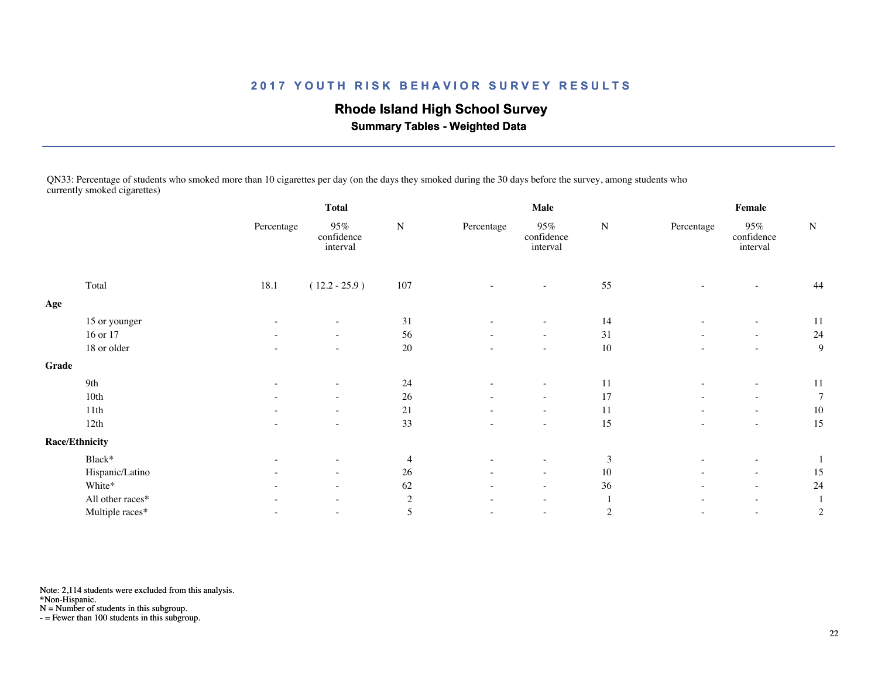# **Rhode Island High School Survey**

 **Summary Tables - Weighted Data**

QN33: Percentage of students who smoked more than 10 cigarettes per day (on the days they smoked during the 30 days before the survey, among students who currently smoked cigarettes)

|       |                       | <b>Total</b>             |                                  |                | Male                     |                                  |                | Female                   |                                  |                |  |
|-------|-----------------------|--------------------------|----------------------------------|----------------|--------------------------|----------------------------------|----------------|--------------------------|----------------------------------|----------------|--|
|       |                       | Percentage               | $95\%$<br>confidence<br>interval | ${\bf N}$      | Percentage               | $95\%$<br>confidence<br>interval | ${\bf N}$      | Percentage               | $95\%$<br>confidence<br>interval | ${\bf N}$      |  |
|       | Total                 | 18.1                     | $(12.2 - 25.9)$                  | $107\,$        |                          | $\overline{\phantom{a}}$         | 55             |                          |                                  | 44             |  |
| Age   |                       |                          |                                  |                |                          |                                  |                |                          |                                  |                |  |
|       | 15 or younger         |                          | $\sim$                           | 31             |                          | ۰                                | 14             |                          |                                  | 11             |  |
|       | 16 or 17              |                          | $\overline{\phantom{a}}$         | 56             |                          | $\overline{\phantom{a}}$         | 31             |                          | $\overline{\phantom{a}}$         | 24             |  |
|       | 18 or older           | $\overline{\phantom{a}}$ | $\overline{\phantom{a}}$         | 20             | $\overline{\phantom{a}}$ | $\sim$                           | 10             | $\overline{\phantom{a}}$ | $\sim$                           | 9              |  |
| Grade |                       |                          |                                  |                |                          |                                  |                |                          |                                  |                |  |
|       | 9th                   |                          | $\overline{\phantom{a}}$         | 24             | $\overline{\phantom{a}}$ | ۰                                | 11             |                          | $\overline{\phantom{a}}$         | 11             |  |
|       | 10th                  |                          | $\overline{\phantom{a}}$         | 26             |                          | $\sim$                           | 17             |                          |                                  | $\overline{7}$ |  |
|       | 11th                  |                          | $ \,$                            | $21\,$         | $\overline{\phantom{a}}$ | $\overline{\phantom{a}}$         | 11             |                          | $\overline{\phantom{a}}$         | 10             |  |
|       | 12th                  |                          | $\overline{\phantom{a}}$         | 33             |                          | $\overline{\phantom{a}}$         | 15             |                          | $\overline{\phantom{a}}$         | 15             |  |
|       | <b>Race/Ethnicity</b> |                          |                                  |                |                          |                                  |                |                          |                                  |                |  |
|       | Black*                |                          | $\overline{\phantom{a}}$         | $\overline{4}$ | $\overline{\phantom{a}}$ | $\overline{\phantom{a}}$         | 3              |                          | $\overline{\phantom{a}}$         |                |  |
|       | Hispanic/Latino       |                          | $\overline{\phantom{a}}$         | 26             | $\overline{\phantom{a}}$ | $\overline{\phantom{a}}$         | 10             |                          | $\overline{\phantom{a}}$         | 15             |  |
|       | White*                |                          | $\sim$                           | 62             |                          | $\sim$                           | 36             |                          | $\sim$                           | 24             |  |
|       | All other races*      |                          | $\overline{\phantom{a}}$         | $\overline{2}$ | $\overline{\phantom{a}}$ | $\sim$                           |                |                          | $\sim$                           |                |  |
|       | Multiple races*       |                          | $\overline{\phantom{a}}$         | 5              |                          | $\overline{\phantom{a}}$         | $\overline{c}$ |                          | $\overline{\phantom{a}}$         | $\overline{c}$ |  |

Note: 2,114 students were excluded from this analysis.

\*Non-Hispanic.

N = Number of students in this subgroup.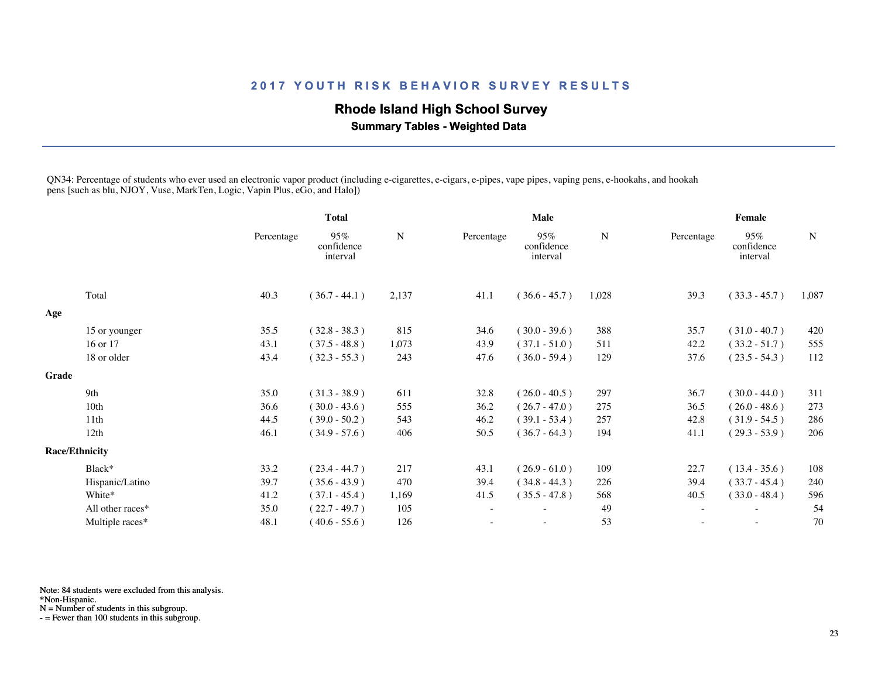## **Rhode Island High School Survey**

 **Summary Tables - Weighted Data**

QN34: Percentage of students who ever used an electronic vapor product (including e-cigarettes, e-cigars, e-pipes, vape pipes, vaping pens, e-hookahs, and hookah pens [such as blu, NJOY, Vuse, MarkTen, Logic, Vapin Plus, eGo, and Halo])

|       |                       |            | <b>Total</b>                  |       |            | Male                          |       |            | Female                        |             |
|-------|-----------------------|------------|-------------------------------|-------|------------|-------------------------------|-------|------------|-------------------------------|-------------|
|       |                       | Percentage | 95%<br>confidence<br>interval | N     | Percentage | 95%<br>confidence<br>interval | N     | Percentage | 95%<br>confidence<br>interval | $\mathbf N$ |
|       | Total                 | 40.3       | $(36.7 - 44.1)$               | 2,137 | 41.1       | $(36.6 - 45.7)$               | 1,028 | 39.3       | $(33.3 - 45.7)$               | 1,087       |
| Age   |                       |            |                               |       |            |                               |       |            |                               |             |
|       | 15 or younger         | 35.5       | $(32.8 - 38.3)$               | 815   | 34.6       | $(30.0 - 39.6)$               | 388   | 35.7       | $(31.0 - 40.7)$               | 420         |
|       | 16 or 17              | 43.1       | $(37.5 - 48.8)$               | 1,073 | 43.9       | $(37.1 - 51.0)$               | 511   | 42.2       | $(33.2 - 51.7)$               | 555         |
|       | 18 or older           | 43.4       | $(32.3 - 55.3)$               | 243   | 47.6       | $(36.0 - 59.4)$               | 129   | 37.6       | $(23.5 - 54.3)$               | 112         |
| Grade |                       |            |                               |       |            |                               |       |            |                               |             |
|       | 9th                   | 35.0       | $(31.3 - 38.9)$               | 611   | 32.8       | $(26.0 - 40.5)$               | 297   | 36.7       | $(30.0 - 44.0)$               | 311         |
|       | 10 <sub>th</sub>      | 36.6       | $(30.0 - 43.6)$               | 555   | 36.2       | $(26.7 - 47.0)$               | 275   | 36.5       | $(26.0 - 48.6)$               | 273         |
|       | 11 <sup>th</sup>      | 44.5       | $(39.0 - 50.2)$               | 543   | 46.2       | $(39.1 - 53.4)$               | 257   | 42.8       | $(31.9 - 54.5)$               | 286         |
|       | 12th                  | 46.1       | $(34.9 - 57.6)$               | 406   | 50.5       | $(36.7 - 64.3)$               | 194   | 41.1       | $(29.3 - 53.9)$               | 206         |
|       | <b>Race/Ethnicity</b> |            |                               |       |            |                               |       |            |                               |             |
|       | Black*                | 33.2       | $(23.4 - 44.7)$               | 217   | 43.1       | $(26.9 - 61.0)$               | 109   | 22.7       | $(13.4 - 35.6)$               | 108         |
|       | Hispanic/Latino       | 39.7       | $(35.6 - 43.9)$               | 470   | 39.4       | $(34.8 - 44.3)$               | 226   | 39.4       | $(33.7 - 45.4)$               | 240         |
|       | White*                | 41.2       | $(37.1 - 45.4)$               | 1,169 | 41.5       | $(35.5 - 47.8)$               | 568   | 40.5       | $(33.0 - 48.4)$               | 596         |
|       | All other races*      | 35.0       | $(22.7 - 49.7)$               | 105   |            |                               | 49    |            |                               | 54          |
|       | Multiple races*       | 48.1       | $(40.6 - 55.6)$               | 126   |            | $\sim$                        | 53    |            | $\sim$                        | 70          |
|       |                       |            |                               |       |            |                               |       |            |                               |             |

Note: 84 students were excluded from this analysis.

\*Non-Hispanic.

N = Number of students in this subgroup.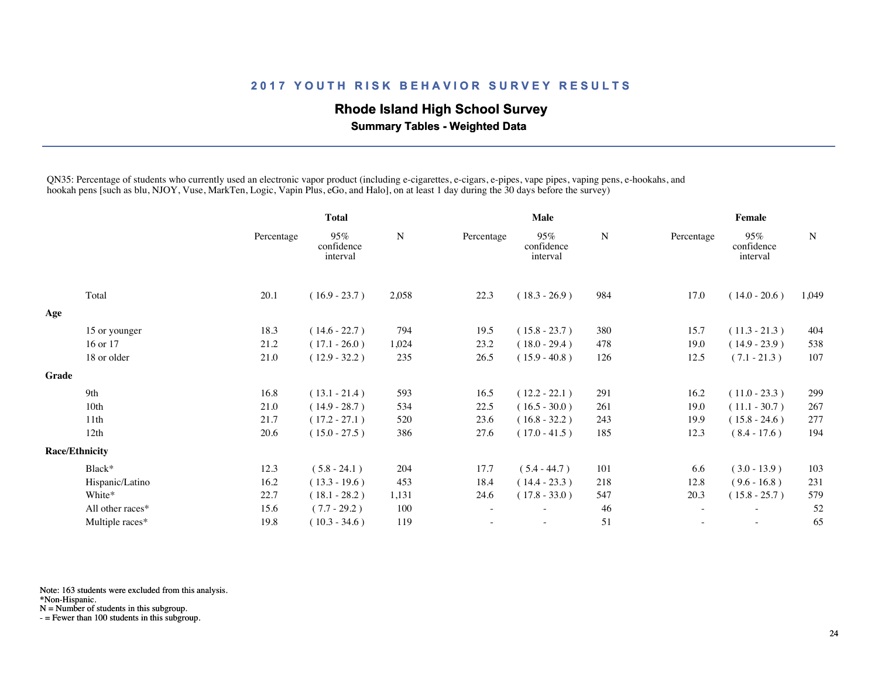## **Rhode Island High School Survey**

 **Summary Tables - Weighted Data**

QN35: Percentage of students who currently used an electronic vapor product (including e-cigarettes, e-cigars, e-pipes, vape pipes, vaping pens, e-hookahs, and hookah pens [such as blu, NJOY, Vuse, MarkTen, Logic, Vapin Plus, eGo, and Halo], on at least 1 day during the 30 days before the survey)

|       |                       |            | <b>Total</b>                  |             | <b>Male</b> |                               |     | Female                   |                               |             |
|-------|-----------------------|------------|-------------------------------|-------------|-------------|-------------------------------|-----|--------------------------|-------------------------------|-------------|
|       |                       | Percentage | 95%<br>confidence<br>interval | $\mathbf N$ | Percentage  | 95%<br>confidence<br>interval | N   | Percentage               | 95%<br>confidence<br>interval | $\mathbf N$ |
|       | Total                 | 20.1       | $(16.9 - 23.7)$               | 2,058       | 22.3        | $(18.3 - 26.9)$               | 984 | 17.0                     | $(14.0 - 20.6)$               | 1,049       |
| Age   |                       |            |                               |             |             |                               |     |                          |                               |             |
|       | 15 or younger         | 18.3       | $(14.6 - 22.7)$               | 794         | 19.5        | $(15.8 - 23.7)$               | 380 | 15.7                     | $(11.3 - 21.3)$               | 404         |
|       | 16 or 17              | 21.2       | $(17.1 - 26.0)$               | 1,024       | 23.2        | $(18.0 - 29.4)$               | 478 | 19.0                     | $(14.9 - 23.9)$               | 538         |
|       | 18 or older           | 21.0       | $(12.9 - 32.2)$               | 235         | 26.5        | $(15.9 - 40.8)$               | 126 | 12.5                     | $(7.1 - 21.3)$                | 107         |
| Grade |                       |            |                               |             |             |                               |     |                          |                               |             |
|       | 9th                   | 16.8       | $(13.1 - 21.4)$               | 593         | 16.5        | $(12.2 - 22.1)$               | 291 | 16.2                     | $(11.0 - 23.3)$               | 299         |
|       | 10 <sub>th</sub>      | 21.0       | $(14.9 - 28.7)$               | 534         | 22.5        | $(16.5 - 30.0)$               | 261 | 19.0                     | $(11.1 - 30.7)$               | 267         |
|       | 11th                  | 21.7       | $(17.2 - 27.1)$               | 520         | 23.6        | $(16.8 - 32.2)$               | 243 | 19.9                     | $(15.8 - 24.6)$               | 277         |
|       | 12th                  | 20.6       | $(15.0 - 27.5)$               | 386         | 27.6        | $(17.0 - 41.5)$               | 185 | 12.3                     | $(8.4 - 17.6)$                | 194         |
|       | <b>Race/Ethnicity</b> |            |                               |             |             |                               |     |                          |                               |             |
|       | Black*                | 12.3       | $(5.8 - 24.1)$                | 204         | 17.7        | $(5.4 - 44.7)$                | 101 | 6.6                      | $(3.0 - 13.9)$                | 103         |
|       | Hispanic/Latino       | 16.2       | $(13.3 - 19.6)$               | 453         | 18.4        | $(14.4 - 23.3)$               | 218 | 12.8                     | $(9.6 - 16.8)$                | 231         |
|       | White*                | 22.7       | $(18.1 - 28.2)$               | 1,131       | 24.6        | $(17.8 - 33.0)$               | 547 | 20.3                     | $(15.8 - 25.7)$               | 579         |
|       | All other races*      | 15.6       | $(7.7 - 29.2)$                | 100         | ٠           |                               | 46  | $\overline{\phantom{a}}$ | $\overline{\phantom{a}}$      | 52          |
|       | Multiple races*       | 19.8       | $(10.3 - 34.6)$               | 119         |             |                               | 51  |                          | $\overline{\phantom{a}}$      | 65          |

Note: 163 students were excluded from this analysis.

\*Non-Hispanic.

N = Number of students in this subgroup.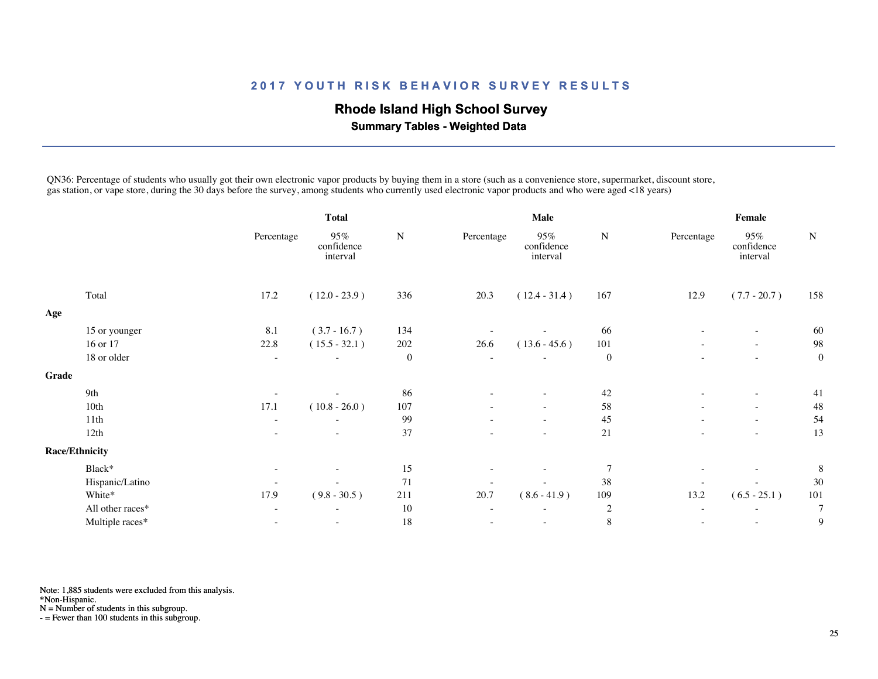## **Rhode Island High School Survey**

 **Summary Tables - Weighted Data**

QN36: Percentage of students who usually got their own electronic vapor products by buying them in a store (such as a convenience store, supermarket, discount store, gas station, or vape store, during the 30 days before the survey, among students who currently used electronic vapor products and who were aged <18 years)

|       |                       |                          | <b>Total</b>                  |                  | Male                     |                               |                  | Female                   |                               |                  |
|-------|-----------------------|--------------------------|-------------------------------|------------------|--------------------------|-------------------------------|------------------|--------------------------|-------------------------------|------------------|
|       |                       | Percentage               | 95%<br>confidence<br>interval | ${\bf N}$        | Percentage               | 95%<br>confidence<br>interval | ${\bf N}$        | Percentage               | 95%<br>confidence<br>interval | ${\bf N}$        |
|       | Total                 | 17.2                     | $(12.0 - 23.9)$               | 336              | 20.3                     | $(12.4 - 31.4)$               | 167              | 12.9                     | $(7.7 - 20.7)$                | 158              |
| Age   |                       |                          |                               |                  |                          |                               |                  |                          |                               |                  |
|       | 15 or younger         | 8.1                      | $(3.7 - 16.7)$                | 134              |                          |                               | 66               |                          | $\overline{\phantom{a}}$      | 60               |
|       | 16 or 17              | 22.8                     | $(15.5 - 32.1)$               | 202              | 26.6                     | $(13.6 - 45.6)$               | 101              |                          | $\overline{\phantom{a}}$      | 98               |
|       | 18 or older           | $\overline{\phantom{a}}$ |                               | $\boldsymbol{0}$ | $\sim$                   |                               | $\boldsymbol{0}$ | ٠                        | $\overline{\phantom{a}}$      | $\boldsymbol{0}$ |
| Grade |                       |                          |                               |                  |                          |                               |                  |                          |                               |                  |
|       | 9th                   | $\overline{\phantom{a}}$ |                               | 86               | ۰                        |                               | 42               | $\overline{\phantom{a}}$ | $\overline{\phantom{a}}$      | 41               |
|       | 10th                  | 17.1                     | $(10.8 - 26.0)$               | 107              |                          |                               | 58               |                          | $\overline{\phantom{a}}$      | 48               |
|       | 11th                  | $\overline{\phantom{a}}$ |                               | 99               |                          | $\overline{\phantom{a}}$      | 45               | $\sim$                   | $\overline{\phantom{a}}$      | 54               |
|       | 12th                  | ۰                        |                               | 37               |                          | $\overline{\phantom{a}}$      | 21               |                          | $\overline{\phantom{a}}$      | 13               |
|       | <b>Race/Ethnicity</b> |                          |                               |                  |                          |                               |                  |                          |                               |                  |
|       | Black*                | $\overline{\phantom{a}}$ | $\overline{\phantom{a}}$      | 15               | ۰                        | $\overline{\phantom{a}}$      | 7                | $\overline{\phantom{a}}$ | $\overline{\phantom{a}}$      | 8                |
|       | Hispanic/Latino       | $\overline{\phantom{a}}$ |                               | 71               |                          |                               | 38               |                          |                               | 30               |
|       | White*                | 17.9                     | $(9.8 - 30.5)$                | 211              | 20.7                     | $(8.6 - 41.9)$                | 109              | 13.2                     | $(6.5 - 25.1)$                | 101              |
|       | All other races*      | ۰                        |                               | 10               | $\overline{\phantom{a}}$ |                               | $\sqrt{2}$       | $\overline{\phantom{a}}$ |                               | 7                |
|       | Multiple races*       | $\overline{\phantom{0}}$ | $\overline{\phantom{a}}$      | 18               | $\overline{\phantom{0}}$ | $\overline{\phantom{a}}$      | $\,8\,$          | $\overline{\phantom{a}}$ | $\overline{\phantom{a}}$      | 9                |

Note: 1,885 students were excluded from this analysis.

\*Non-Hispanic.

N = Number of students in this subgroup.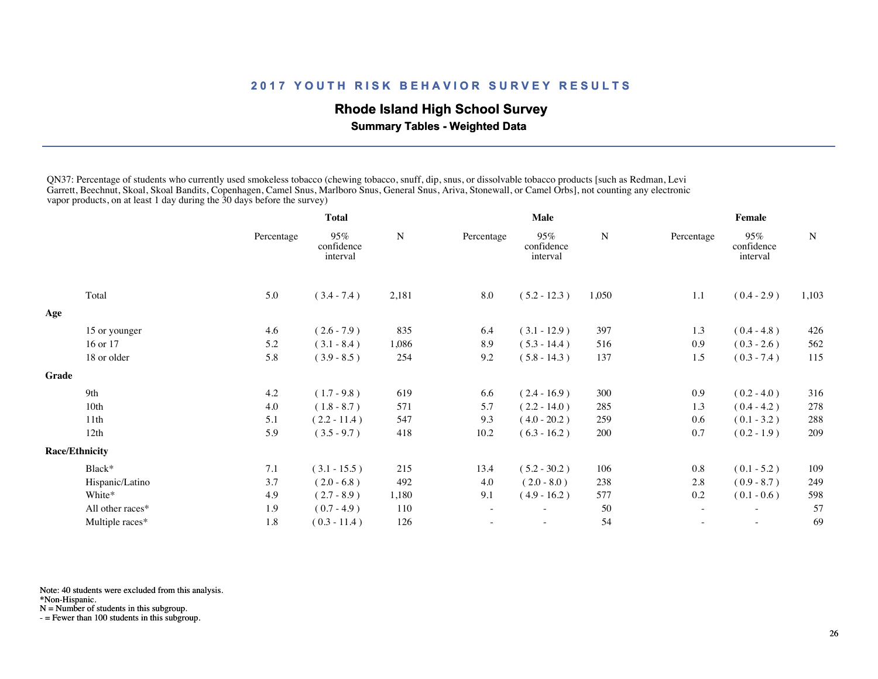## **Rhode Island High School Survey**

 **Summary Tables - Weighted Data**

QN37: Percentage of students who currently used smokeless tobacco (chewing tobacco, snuff, dip, snus, or dissolvable tobacco products [such as Redman, Levi Garrett, Beechnut, Skoal, Skoal Bandits, Copenhagen, Camel Snus, Marlboro Snus, General Snus, Ariva, Stonewall, or Camel Orbs], not counting any electronic vapor products, on at least 1 day during the 30 days before the survey)

|       |                       | Total      |                               |             | Male       |                               |       | Female                   |                               |       |  |
|-------|-----------------------|------------|-------------------------------|-------------|------------|-------------------------------|-------|--------------------------|-------------------------------|-------|--|
|       |                       | Percentage | 95%<br>confidence<br>interval | $\mathbf N$ | Percentage | 95%<br>confidence<br>interval | N     | Percentage               | 95%<br>confidence<br>interval | N     |  |
|       | Total                 | 5.0        | $(3.4 - 7.4)$                 | 2,181       | $\ \, 8.0$ | $(5.2 - 12.3)$                | 1,050 | 1.1                      | $(0.4 - 2.9)$                 | 1,103 |  |
| Age   |                       |            |                               |             |            |                               |       |                          |                               |       |  |
|       | 15 or younger         | 4.6        | $(2.6 - 7.9)$                 | 835         | 6.4        | $(3.1 - 12.9)$                | 397   | 1.3                      | $(0.4 - 4.8)$                 | 426   |  |
|       | 16 or 17              | 5.2        | $(3.1 - 8.4)$                 | 1,086       | 8.9        | $(5.3 - 14.4)$                | 516   | 0.9                      | $(0.3 - 2.6)$                 | 562   |  |
|       | 18 or older           | 5.8        | $(3.9 - 8.5)$                 | 254         | 9.2        | $(5.8 - 14.3)$                | 137   | 1.5                      | $(0.3 - 7.4)$                 | 115   |  |
| Grade |                       |            |                               |             |            |                               |       |                          |                               |       |  |
|       | 9th                   | 4.2        | $(1.7 - 9.8)$                 | 619         | 6.6        | $(2.4 - 16.9)$                | 300   | 0.9                      | $(0.2 - 4.0)$                 | 316   |  |
|       | 10 <sub>th</sub>      | 4.0        | $(1.8 - 8.7)$                 | 571         | 5.7        | $(2.2 - 14.0)$                | 285   | 1.3                      | $(0.4 - 4.2)$                 | 278   |  |
|       | 11th                  | 5.1        | $(2.2 - 11.4)$                | 547         | 9.3        | $(4.0 - 20.2)$                | 259   | 0.6                      | $(0.1 - 3.2)$                 | 288   |  |
|       | 12th                  | 5.9        | $(3.5 - 9.7)$                 | 418         | 10.2       | $(6.3 - 16.2)$                | 200   | 0.7                      | $(0.2 - 1.9)$                 | 209   |  |
|       | <b>Race/Ethnicity</b> |            |                               |             |            |                               |       |                          |                               |       |  |
|       | Black*                | 7.1        | $(3.1 - 15.5)$                | 215         | 13.4       | $(5.2 - 30.2)$                | 106   | 0.8                      | $(0.1 - 5.2)$                 | 109   |  |
|       | Hispanic/Latino       | 3.7        | $(2.0 - 6.8)$                 | 492         | 4.0        | $(2.0 - 8.0)$                 | 238   | 2.8                      | $(0.9 - 8.7)$                 | 249   |  |
|       | White*                | 4.9        | $(2.7 - 8.9)$                 | 1,180       | 9.1        | $(4.9 - 16.2)$                | 577   | 0.2                      | $(0.1 - 0.6)$                 | 598   |  |
|       | All other races*      | 1.9        | $(0.7 - 4.9)$                 | 110         | $\sim$     |                               | 50    | $\overline{\phantom{a}}$ | $\sim$                        | 57    |  |
|       | Multiple races*       | 1.8        | $(0.3 - 11.4)$                | 126         |            | $\overline{\phantom{0}}$      | 54    | $\overline{\phantom{a}}$ | $\sim$                        | 69    |  |
|       |                       |            |                               |             |            |                               |       |                          |                               |       |  |

Note: 40 students were excluded from this analysis.

\*Non-Hispanic.

N = Number of students in this subgroup.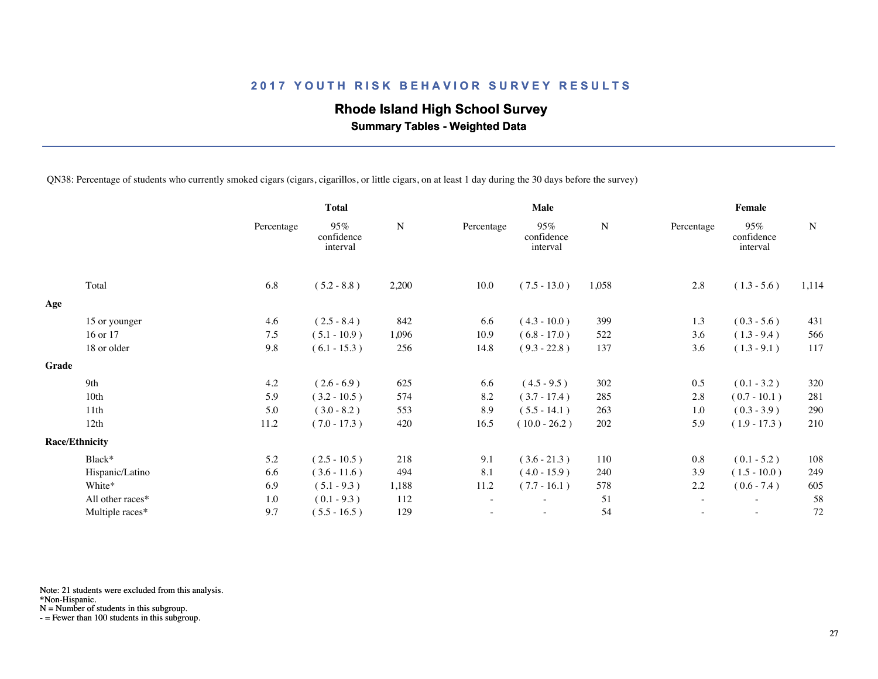## **Rhode Island High School Survey**

 **Summary Tables - Weighted Data**

QN38: Percentage of students who currently smoked cigars (cigars, cigarillos, or little cigars, on at least 1 day during the 30 days before the survey)

|       |                       |            | <b>Total</b>                  |           | Male                     |                               |           | Female                   |                               |             |  |
|-------|-----------------------|------------|-------------------------------|-----------|--------------------------|-------------------------------|-----------|--------------------------|-------------------------------|-------------|--|
|       |                       | Percentage | 95%<br>confidence<br>interval | ${\bf N}$ | Percentage               | 95%<br>confidence<br>interval | ${\bf N}$ | Percentage               | 95%<br>confidence<br>interval | $\mathbf N$ |  |
|       | Total                 | 6.8        | $(5.2 - 8.8)$                 | 2,200     | 10.0                     | $(7.5 - 13.0)$                | 1,058     | 2.8                      | $(1.3 - 5.6)$                 | 1,114       |  |
| Age   |                       |            |                               |           |                          |                               |           |                          |                               |             |  |
|       | 15 or younger         | 4.6        | $(2.5 - 8.4)$                 | 842       | 6.6                      | $(4.3 - 10.0)$                | 399       | 1.3                      | $(0.3 - 5.6)$                 | 431         |  |
|       | 16 or 17              | 7.5        | $(5.1 - 10.9)$                | 1,096     | 10.9                     | $(6.8 - 17.0)$                | 522       | 3.6                      | $(1.3 - 9.4)$                 | 566         |  |
|       | 18 or older           | 9.8        | $(6.1 - 15.3)$                | 256       | 14.8                     | $(9.3 - 22.8)$                | 137       | 3.6                      | $(1.3 - 9.1)$                 | 117         |  |
| Grade |                       |            |                               |           |                          |                               |           |                          |                               |             |  |
|       | 9th                   | 4.2        | $(2.6 - 6.9)$                 | 625       | 6.6                      | $(4.5 - 9.5)$                 | 302       | 0.5                      | $(0.1 - 3.2)$                 | 320         |  |
|       | 10 <sub>th</sub>      | 5.9        | $(3.2 - 10.5)$                | 574       | 8.2                      | $(3.7 - 17.4)$                | 285       | 2.8                      | $(0.7 - 10.1)$                | 281         |  |
|       | 11th                  | 5.0        | $(3.0 - 8.2)$                 | 553       | 8.9                      | $(5.5 - 14.1)$                | 263       | 1.0                      | $(0.3 - 3.9)$                 | 290         |  |
|       | 12th                  | 11.2       | $(7.0 - 17.3)$                | 420       | 16.5                     | $(10.0 - 26.2)$               | 202       | 5.9                      | $(1.9 - 17.3)$                | 210         |  |
|       | <b>Race/Ethnicity</b> |            |                               |           |                          |                               |           |                          |                               |             |  |
|       | Black*                | 5.2        | $(2.5 - 10.5)$                | 218       | 9.1                      | $(3.6 - 21.3)$                | 110       | 0.8                      | $(0.1 - 5.2)$                 | 108         |  |
|       | Hispanic/Latino       | 6.6        | $(3.6 - 11.6)$                | 494       | 8.1                      | $(4.0 - 15.9)$                | 240       | 3.9                      | $(1.5 - 10.0)$                | 249         |  |
|       | White*                | 6.9        | $(5.1 - 9.3)$                 | 1,188     | 11.2                     | $(7.7 - 16.1)$                | 578       | 2.2                      | $(0.6 - 7.4)$                 | 605         |  |
|       | All other races*      | 1.0        | $(0.1 - 9.3)$                 | 112       | $\overline{\phantom{a}}$ | $\overline{\phantom{0}}$      | 51        | $\overline{\phantom{a}}$ | $\overline{\phantom{a}}$      | 58          |  |
|       | Multiple races*       | 9.7        | $(5.5 - 16.5)$                | 129       |                          |                               | 54        |                          |                               | 72          |  |
|       |                       |            |                               |           |                          |                               |           |                          |                               |             |  |

Note: 21 students were excluded from this analysis.

\*Non-Hispanic.

N = Number of students in this subgroup.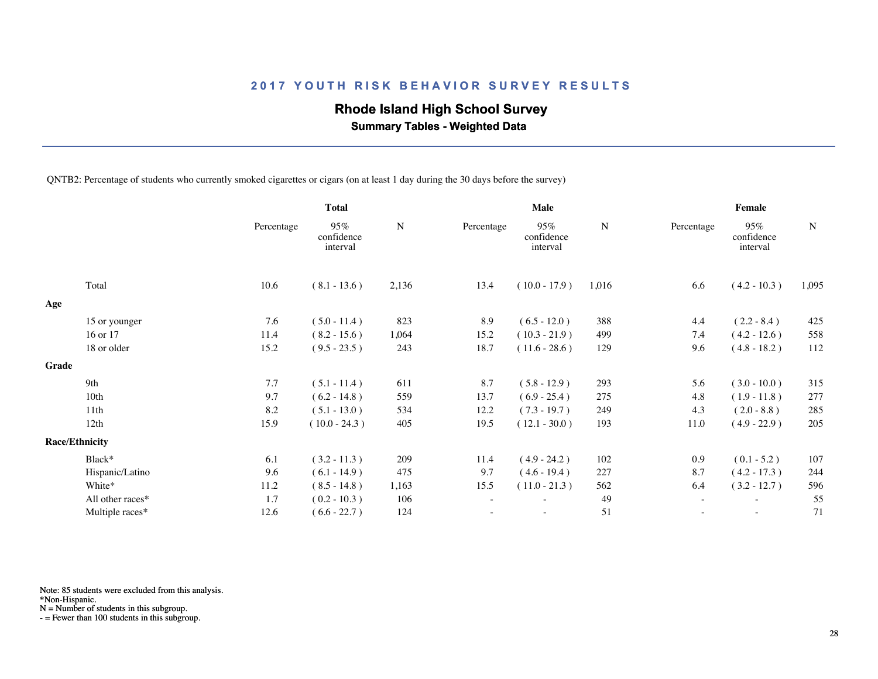## **Rhode Island High School Survey**

 **Summary Tables - Weighted Data**

QNTB2: Percentage of students who currently smoked cigarettes or cigars (on at least 1 day during the 30 days before the survey)

|       |                       |            | <b>Total</b>                  |           | Male                     |                               |       | Female                   |                               |             |  |
|-------|-----------------------|------------|-------------------------------|-----------|--------------------------|-------------------------------|-------|--------------------------|-------------------------------|-------------|--|
|       |                       | Percentage | 95%<br>confidence<br>interval | ${\bf N}$ | Percentage               | 95%<br>confidence<br>interval | N     | Percentage               | 95%<br>confidence<br>interval | $\mathbf N$ |  |
|       | Total                 | 10.6       | $(8.1 - 13.6)$                | 2,136     | 13.4                     | $(10.0 - 17.9)$               | 1,016 | 6.6                      | $(4.2 - 10.3)$                | 1,095       |  |
| Age   |                       |            |                               |           |                          |                               |       |                          |                               |             |  |
|       | 15 or younger         | 7.6        | $(5.0 - 11.4)$                | 823       | 8.9                      | $(6.5 - 12.0)$                | 388   | 4.4                      | $(2.2 - 8.4)$                 | 425         |  |
|       | 16 or 17              | 11.4       | $(8.2 - 15.6)$                | 1,064     | 15.2                     | $(10.3 - 21.9)$               | 499   | 7.4                      | $(4.2 - 12.6)$                | 558         |  |
|       | 18 or older           | 15.2       | $(9.5 - 23.5)$                | 243       | 18.7                     | $(11.6 - 28.6)$               | 129   | 9.6                      | $(4.8 - 18.2)$                | 112         |  |
| Grade |                       |            |                               |           |                          |                               |       |                          |                               |             |  |
|       | 9th                   | 7.7        | $(5.1 - 11.4)$                | 611       | 8.7                      | $(5.8 - 12.9)$                | 293   | 5.6                      | $(3.0 - 10.0)$                | 315         |  |
|       | 10 <sub>th</sub>      | 9.7        | $(6.2 - 14.8)$                | 559       | 13.7                     | $(6.9 - 25.4)$                | 275   | 4.8                      | $(1.9 - 11.8)$                | 277         |  |
|       | 11th                  | 8.2        | $(5.1 - 13.0)$                | 534       | 12.2                     | $(7.3 - 19.7)$                | 249   | 4.3                      | $(2.0 - 8.8)$                 | 285         |  |
|       | 12th                  | 15.9       | $(10.0 - 24.3)$               | 405       | 19.5                     | $(12.1 - 30.0)$               | 193   | 11.0                     | $(4.9 - 22.9)$                | 205         |  |
|       | <b>Race/Ethnicity</b> |            |                               |           |                          |                               |       |                          |                               |             |  |
|       | Black*                | 6.1        | $(3.2 - 11.3)$                | 209       | 11.4                     | $(4.9 - 24.2)$                | 102   | 0.9                      | $(0.1 - 5.2)$                 | 107         |  |
|       | Hispanic/Latino       | 9.6        | $(6.1 - 14.9)$                | 475       | 9.7                      | $(4.6 - 19.4)$                | 227   | 8.7                      | $(4.2 - 17.3)$                | 244         |  |
|       | White*                | 11.2       | $(8.5 - 14.8)$                | 1,163     | 15.5                     | $(11.0 - 21.3)$               | 562   | 6.4                      | $(3.2 - 12.7)$                | 596         |  |
|       | All other races*      | 1.7        | $(0.2 - 10.3)$                | 106       | $\overline{\phantom{a}}$ | $\overline{\phantom{0}}$      | 49    | $\overline{\phantom{a}}$ | $\overline{\phantom{a}}$      | 55          |  |
|       | Multiple races*       | 12.6       | $(6.6 - 22.7)$                | 124       |                          |                               | 51    |                          |                               | 71          |  |
|       |                       |            |                               |           |                          |                               |       |                          |                               |             |  |

Note: 85 students were excluded from this analysis.

\*Non-Hispanic.

N = Number of students in this subgroup.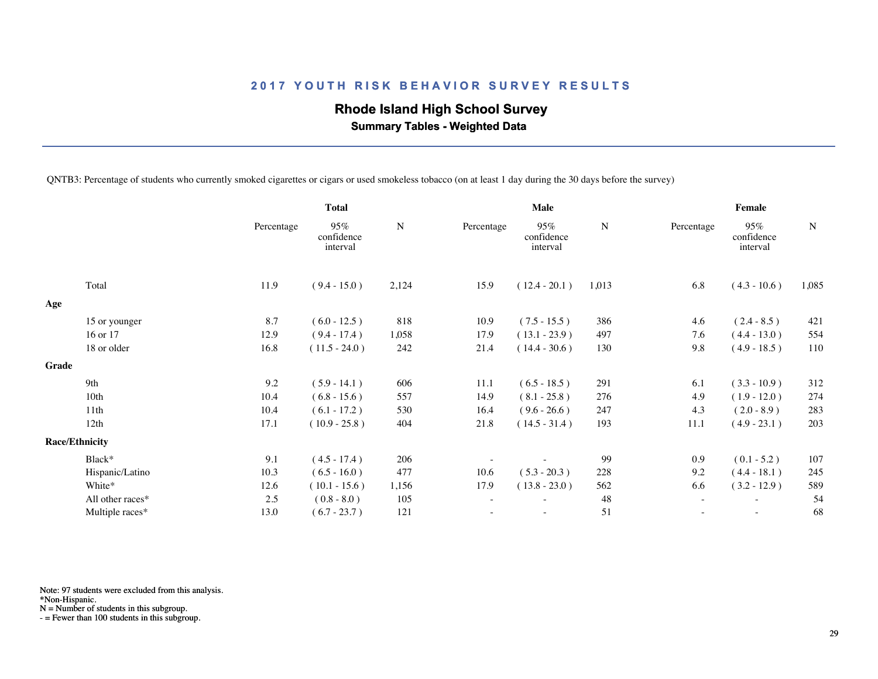# **Rhode Island High School Survey**

 **Summary Tables - Weighted Data**

QNTB3: Percentage of students who currently smoked cigarettes or cigars or used smokeless tobacco (on at least 1 day during the 30 days before the survey)

|       |                       | <b>Total</b> |                               | <b>Male</b> |            |                               | Female |                          |                               |             |
|-------|-----------------------|--------------|-------------------------------|-------------|------------|-------------------------------|--------|--------------------------|-------------------------------|-------------|
|       |                       | Percentage   | 95%<br>confidence<br>interval | ${\bf N}$   | Percentage | 95%<br>confidence<br>interval | N      | Percentage               | 95%<br>confidence<br>interval | $\mathbf N$ |
|       | Total                 | 11.9         | $(9.4 - 15.0)$                | 2,124       | 15.9       | $(12.4 - 20.1)$               | 1,013  | 6.8                      | $(4.3 - 10.6)$                | 1,085       |
| Age   |                       |              |                               |             |            |                               |        |                          |                               |             |
|       | 15 or younger         | 8.7          | $(6.0 - 12.5)$                | 818         | 10.9       | $(7.5 - 15.5)$                | 386    | 4.6                      | $(2.4 - 8.5)$                 | 421         |
|       | 16 or 17              | 12.9         | $(9.4 - 17.4)$                | 1,058       | 17.9       | $(13.1 - 23.9)$               | 497    | 7.6                      | $(4.4 - 13.0)$                | 554         |
|       | 18 or older           | 16.8         | $(11.5 - 24.0)$               | 242         | 21.4       | $(14.4 - 30.6)$               | 130    | 9.8                      | $(4.9 - 18.5)$                | 110         |
| Grade |                       |              |                               |             |            |                               |        |                          |                               |             |
|       | 9th                   | 9.2          | $(5.9 - 14.1)$                | 606         | 11.1       | $(6.5 - 18.5)$                | 291    | 6.1                      | $(3.3 - 10.9)$                | 312         |
|       | 10 <sub>th</sub>      | 10.4         | $(6.8 - 15.6)$                | 557         | 14.9       | $(8.1 - 25.8)$                | 276    | 4.9                      | $(1.9 - 12.0)$                | 274         |
|       | 11th                  | 10.4         | $(6.1 - 17.2)$                | 530         | 16.4       | $(9.6 - 26.6)$                | 247    | 4.3                      | $(2.0 - 8.9)$                 | 283         |
|       | 12th                  | 17.1         | $(10.9 - 25.8)$               | 404         | 21.8       | $(14.5 - 31.4)$               | 193    | 11.1                     | $(4.9 - 23.1)$                | 203         |
|       | <b>Race/Ethnicity</b> |              |                               |             |            |                               |        |                          |                               |             |
|       | Black*                | 9.1          | $(4.5 - 17.4)$                | 206         |            |                               | 99     | 0.9                      | $(0.1 - 5.2)$                 | 107         |
|       | Hispanic/Latino       | 10.3         | $(6.5 - 16.0)$                | 477         | 10.6       | $(5.3 - 20.3)$                | 228    | 9.2                      | $(4.4 - 18.1)$                | 245         |
|       | White*                | 12.6         | $(10.1 - 15.6)$               | 1,156       | 17.9       | $(13.8 - 23.0)$               | 562    | 6.6                      | $(3.2 - 12.9)$                | 589         |
|       | All other races*      | 2.5          | $(0.8 - 8.0)$                 | 105         |            |                               | 48     |                          |                               | 54          |
|       | Multiple races*       | 13.0         | $(6.7 - 23.7)$                | 121         |            | $\overline{\phantom{a}}$      | 51     | $\overline{\phantom{a}}$ | $\sim$                        | 68          |
|       |                       |              |                               |             |            |                               |        |                          |                               |             |

Note: 97 students were excluded from this analysis.

\*Non-Hispanic.

N = Number of students in this subgroup.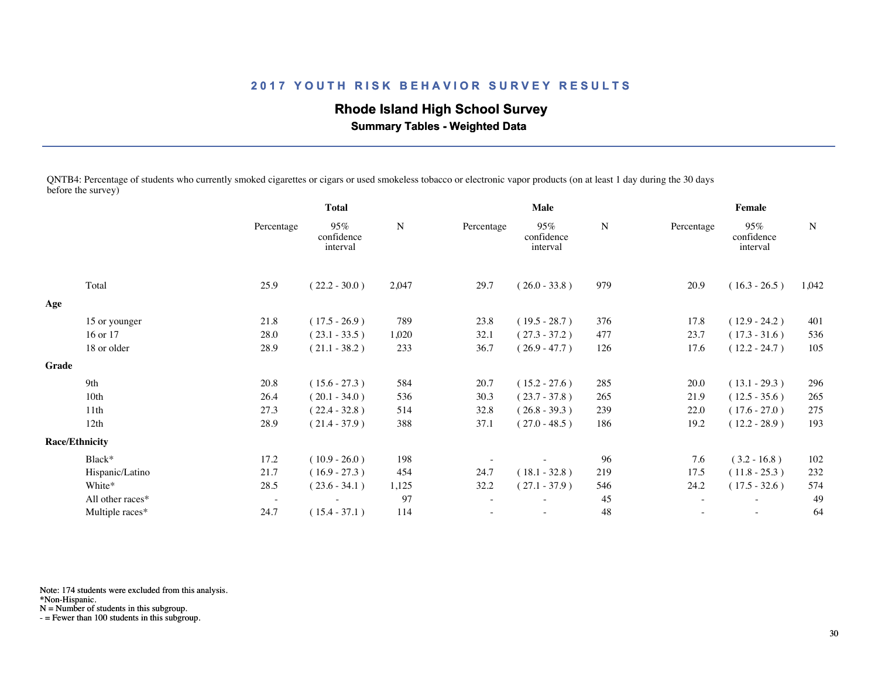# **Rhode Island High School Survey**

 **Summary Tables - Weighted Data**

QNTB4: Percentage of students who currently smoked cigarettes or cigars or used smokeless tobacco or electronic vapor products (on at least 1 day during the 30 days before the survey)

|       |                       | <b>Total</b>             |                               |           | Male       |                               |     | Female     |                               |             |  |
|-------|-----------------------|--------------------------|-------------------------------|-----------|------------|-------------------------------|-----|------------|-------------------------------|-------------|--|
|       |                       | Percentage               | 95%<br>confidence<br>interval | ${\bf N}$ | Percentage | 95%<br>confidence<br>interval | N   | Percentage | 95%<br>confidence<br>interval | $\mathbf N$ |  |
|       | Total                 | 25.9                     | $(22.2 - 30.0)$               | 2,047     | 29.7       | $(26.0 - 33.8)$               | 979 | 20.9       | $(16.3 - 26.5)$               | 1,042       |  |
| Age   |                       |                          |                               |           |            |                               |     |            |                               |             |  |
|       | 15 or younger         | 21.8                     | $(17.5 - 26.9)$               | 789       | 23.8       | $(19.5 - 28.7)$               | 376 | 17.8       | $(12.9 - 24.2)$               | 401         |  |
|       | 16 or 17              | 28.0                     | $(23.1 - 33.5)$               | 1,020     | 32.1       | $(27.3 - 37.2)$               | 477 | 23.7       | $(17.3 - 31.6)$               | 536         |  |
|       | 18 or older           | 28.9                     | $(21.1 - 38.2)$               | 233       | 36.7       | $(26.9 - 47.7)$               | 126 | 17.6       | $(12.2 - 24.7)$               | 105         |  |
| Grade |                       |                          |                               |           |            |                               |     |            |                               |             |  |
|       | 9th                   | 20.8                     | $(15.6 - 27.3)$               | 584       | 20.7       | $(15.2 - 27.6)$               | 285 | 20.0       | $(13.1 - 29.3)$               | 296         |  |
|       | 10th                  | 26.4                     | $(20.1 - 34.0)$               | 536       | 30.3       | $(23.7 - 37.8)$               | 265 | 21.9       | $(12.5 - 35.6)$               | 265         |  |
|       | 11th                  | 27.3                     | $(22.4 - 32.8)$               | 514       | 32.8       | $(26.8 - 39.3)$               | 239 | 22.0       | $(17.6 - 27.0)$               | 275         |  |
|       | 12th                  | 28.9                     | $(21.4 - 37.9)$               | 388       | 37.1       | $(27.0 - 48.5)$               | 186 | 19.2       | $(12.2 - 28.9)$               | 193         |  |
|       | <b>Race/Ethnicity</b> |                          |                               |           |            |                               |     |            |                               |             |  |
|       | Black*                | 17.2                     | $(10.9 - 26.0)$               | 198       |            |                               | 96  | 7.6        | $(3.2 - 16.8)$                | 102         |  |
|       | Hispanic/Latino       | 21.7                     | $(16.9 - 27.3)$               | 454       | 24.7       | $(18.1 - 32.8)$               | 219 | 17.5       | $(11.8 - 25.3)$               | 232         |  |
|       | White*                | 28.5                     | $(23.6 - 34.1)$               | 1,125     | 32.2       | $(27.1 - 37.9)$               | 546 | 24.2       | $(17.5 - 32.6)$               | 574         |  |
|       | All other races*      | $\overline{\phantom{a}}$ |                               | 97        |            |                               | 45  | $\sim$     |                               | 49          |  |
|       | Multiple races*       | 24.7                     | $(15.4 - 37.1)$               | 114       |            | $\overline{\phantom{0}}$      | 48  |            | $\overline{\phantom{a}}$      | 64          |  |
|       |                       |                          |                               |           |            |                               |     |            |                               |             |  |

Note: 174 students were excluded from this analysis.

\*Non-Hispanic.

N = Number of students in this subgroup.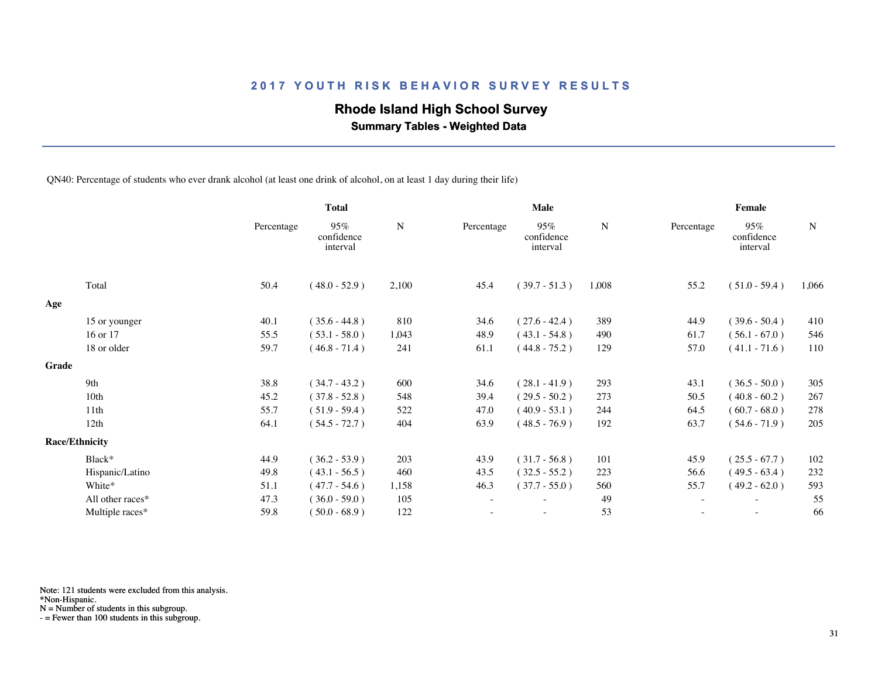## **Rhode Island High School Survey**

 **Summary Tables - Weighted Data**

QN40: Percentage of students who ever drank alcohol (at least one drink of alcohol, on at least 1 day during their life)

|                  |                                | <b>Total</b>                  |       | Male       |                               |       | Female     |                               |             |  |
|------------------|--------------------------------|-------------------------------|-------|------------|-------------------------------|-------|------------|-------------------------------|-------------|--|
|                  | Percentage                     | 95%<br>confidence<br>interval | N     | Percentage | 95%<br>confidence<br>interval | N     | Percentage | 95%<br>confidence<br>interval | $\mathbf N$ |  |
| Total            | 50.4                           | $(48.0 - 52.9)$               | 2,100 | 45.4       | $(39.7 - 51.3)$               | 1,008 | 55.2       | $(51.0 - 59.4)$               | 1,066       |  |
|                  |                                |                               |       |            |                               |       |            |                               |             |  |
| 15 or younger    | 40.1                           | $(35.6 - 44.8)$               | 810   | 34.6       | $(27.6 - 42.4)$               | 389   | 44.9       | $(39.6 - 50.4)$               | 410         |  |
| 16 or 17         | 55.5                           | $(53.1 - 58.0)$               | 1,043 | 48.9       | $(43.1 - 54.8)$               | 490   | 61.7       | $(56.1 - 67.0)$               | 546         |  |
| 18 or older      | 59.7                           | $(46.8 - 71.4)$               | 241   | 61.1       | $(44.8 - 75.2)$               | 129   | 57.0       | $(41.1 - 71.6)$               | 110         |  |
|                  |                                |                               |       |            |                               |       |            |                               |             |  |
| 9th              | 38.8                           | $(34.7 - 43.2)$               | 600   | 34.6       | $(28.1 - 41.9)$               | 293   | 43.1       | $(36.5 - 50.0)$               | 305         |  |
| 10th             | 45.2                           | $(37.8 - 52.8)$               | 548   | 39.4       | $(29.5 - 50.2)$               | 273   | 50.5       | $(40.8 - 60.2)$               | 267         |  |
| 11 <sup>th</sup> | 55.7                           | $(51.9 - 59.4)$               | 522   | 47.0       | $(40.9 - 53.1)$               | 244   | 64.5       | $(60.7 - 68.0)$               | 278         |  |
| 12th             | 64.1                           | $(54.5 - 72.7)$               | 404   | 63.9       | $(48.5 - 76.9)$               | 192   | 63.7       | $(54.6 - 71.9)$               | 205         |  |
|                  |                                |                               |       |            |                               |       |            |                               |             |  |
| Black*           | 44.9                           | $(36.2 - 53.9)$               | 203   | 43.9       | $(31.7 - 56.8)$               | 101   | 45.9       | $(25.5 - 67.7)$               | 102         |  |
| Hispanic/Latino  | 49.8                           | $(43.1 - 56.5)$               | 460   | 43.5       | $(32.5 - 55.2)$               | 223   | 56.6       | $(49.5 - 63.4)$               | 232         |  |
| White*           | 51.1                           | $(47.7 - 54.6)$               | 1,158 | 46.3       | $(37.7 - 55.0)$               | 560   | 55.7       | $(49.2 - 62.0)$               | 593         |  |
| All other races* | 47.3                           | $(36.0 - 59.0)$               | 105   |            |                               | 49    |            |                               | 55          |  |
| Multiple races*  | 59.8                           | $(50.0 - 68.9)$               | 122   |            | ٠                             | 53    |            | $\sim$                        | 66          |  |
|                  | Grade<br><b>Race/Ethnicity</b> |                               |       |            |                               |       |            |                               |             |  |

Note: 121 students were excluded from this analysis.

\*Non-Hispanic.

N = Number of students in this subgroup.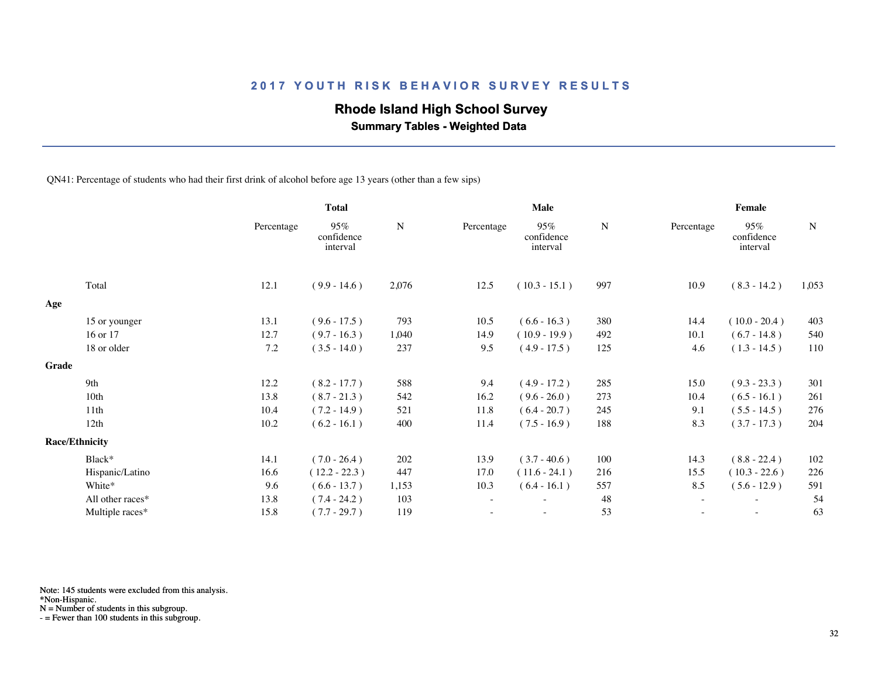## **Rhode Island High School Survey**

 **Summary Tables - Weighted Data**

QN41: Percentage of students who had their first drink of alcohol before age 13 years (other than a few sips)

|       |                       | <b>Total</b> |                               | Male      |            |                               | Female    |                          |                               |             |
|-------|-----------------------|--------------|-------------------------------|-----------|------------|-------------------------------|-----------|--------------------------|-------------------------------|-------------|
|       |                       | Percentage   | 95%<br>confidence<br>interval | ${\bf N}$ | Percentage | 95%<br>confidence<br>interval | ${\bf N}$ | Percentage               | 95%<br>confidence<br>interval | $\mathbf N$ |
|       | Total                 | 12.1         | $(9.9 - 14.6)$                | 2,076     | 12.5       | $(10.3 - 15.1)$               | 997       | 10.9                     | $(8.3 - 14.2)$                | 1,053       |
| Age   |                       |              |                               |           |            |                               |           |                          |                               |             |
|       | 15 or younger         | 13.1         | $(9.6 - 17.5)$                | 793       | 10.5       | $(6.6 - 16.3)$                | 380       | 14.4                     | $(10.0 - 20.4)$               | 403         |
|       | 16 or 17              | 12.7         | $(9.7 - 16.3)$                | 1,040     | 14.9       | $(10.9 - 19.9)$               | 492       | 10.1                     | $(6.7 - 14.8)$                | 540         |
|       | 18 or older           | 7.2          | $(3.5 - 14.0)$                | 237       | 9.5        | $(4.9 - 17.5)$                | 125       | 4.6                      | $(1.3 - 14.5)$                | 110         |
| Grade |                       |              |                               |           |            |                               |           |                          |                               |             |
|       | 9th                   | 12.2         | $(8.2 - 17.7)$                | 588       | 9.4        | $(4.9 - 17.2)$                | 285       | 15.0                     | $(9.3 - 23.3)$                | 301         |
|       | 10 <sub>th</sub>      | 13.8         | $(8.7 - 21.3)$                | 542       | 16.2       | $(9.6 - 26.0)$                | 273       | 10.4                     | $(6.5 - 16.1)$                | 261         |
|       | 11th                  | 10.4         | $(7.2 - 14.9)$                | 521       | 11.8       | $(6.4 - 20.7)$                | 245       | 9.1                      | $(5.5 - 14.5)$                | 276         |
|       | 12th                  | 10.2         | $(6.2 - 16.1)$                | 400       | 11.4       | $(7.5 - 16.9)$                | 188       | 8.3                      | $(3.7 - 17.3)$                | 204         |
|       | <b>Race/Ethnicity</b> |              |                               |           |            |                               |           |                          |                               |             |
|       | Black*                | 14.1         | $(7.0 - 26.4)$                | 202       | 13.9       | $(3.7 - 40.6)$                | 100       | 14.3                     | $(8.8 - 22.4)$                | 102         |
|       | Hispanic/Latino       | 16.6         | $(12.2 - 22.3)$               | 447       | 17.0       | $(11.6 - 24.1)$               | 216       | 15.5                     | $(10.3 - 22.6)$               | 226         |
|       | White*                | 9.6          | $(6.6 - 13.7)$                | 1,153     | 10.3       | $(6.4 - 16.1)$                | 557       | 8.5                      | $(5.6 - 12.9)$                | 591         |
|       | All other races*      | 13.8         | $(7.4 - 24.2)$                | 103       | $\sim$     | $\overline{\phantom{m}}$      | 48        | $\overline{\phantom{a}}$ | $\overline{\phantom{a}}$      | 54          |
|       | Multiple races*       | 15.8         | $(7.7 - 29.7)$                | 119       |            |                               | 53        |                          |                               | 63          |
|       |                       |              |                               |           |            |                               |           |                          |                               |             |

Note: 145 students were excluded from this analysis.

\*Non-Hispanic.

N = Number of students in this subgroup.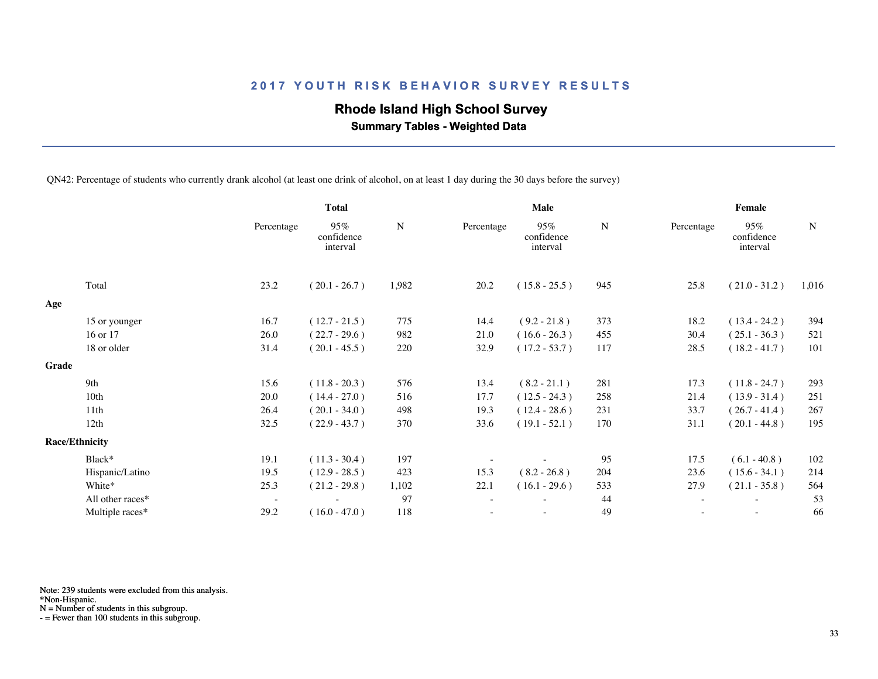## **Rhode Island High School Survey**

 **Summary Tables - Weighted Data**

QN42: Percentage of students who currently drank alcohol (at least one drink of alcohol, on at least 1 day during the 30 days before the survey)

|       |                       | <b>Total</b>             |                               |             | Male       |                               |           | Female     |                               |           |
|-------|-----------------------|--------------------------|-------------------------------|-------------|------------|-------------------------------|-----------|------------|-------------------------------|-----------|
|       |                       | Percentage               | 95%<br>confidence<br>interval | $\mathbf N$ | Percentage | 95%<br>confidence<br>interval | ${\bf N}$ | Percentage | 95%<br>confidence<br>interval | ${\bf N}$ |
|       | Total                 | 23.2                     | $(20.1 - 26.7)$               | 1,982       | 20.2       | $(15.8 - 25.5)$               | 945       | 25.8       | $(21.0 - 31.2)$               | 1,016     |
| Age   |                       |                          |                               |             |            |                               |           |            |                               |           |
|       | 15 or younger         | 16.7                     | $(12.7 - 21.5)$               | 775         | 14.4       | $(9.2 - 21.8)$                | 373       | 18.2       | $(13.4 - 24.2)$               | 394       |
|       | 16 or 17              | 26.0                     | $(22.7 - 29.6)$               | 982         | 21.0       | $(16.6 - 26.3)$               | 455       | 30.4       | $(25.1 - 36.3)$               | 521       |
|       | 18 or older           | 31.4                     | $(20.1 - 45.5)$               | 220         | 32.9       | $(17.2 - 53.7)$               | 117       | 28.5       | $(18.2 - 41.7)$               | 101       |
| Grade |                       |                          |                               |             |            |                               |           |            |                               |           |
|       | 9th                   | 15.6                     | $(11.8 - 20.3)$               | 576         | 13.4       | $(8.2 - 21.1)$                | 281       | 17.3       | $(11.8 - 24.7)$               | 293       |
|       | 10 <sub>th</sub>      | 20.0                     | $(14.4 - 27.0)$               | 516         | 17.7       | $(12.5 - 24.3)$               | 258       | 21.4       | $(13.9 - 31.4)$               | 251       |
|       | 11th                  | 26.4                     | $(20.1 - 34.0)$               | 498         | 19.3       | $(12.4 - 28.6)$               | 231       | 33.7       | $(26.7 - 41.4)$               | 267       |
|       | 12th                  | 32.5                     | $(22.9 - 43.7)$               | 370         | 33.6       | $(19.1 - 52.1)$               | 170       | 31.1       | $(20.1 - 44.8)$               | 195       |
|       | <b>Race/Ethnicity</b> |                          |                               |             |            |                               |           |            |                               |           |
|       | Black*                | 19.1                     | $(11.3 - 30.4)$               | 197         |            |                               | 95        | 17.5       | $(6.1 - 40.8)$                | 102       |
|       | Hispanic/Latino       | 19.5                     | $(12.9 - 28.5)$               | 423         | 15.3       | $(8.2 - 26.8)$                | 204       | 23.6       | $(15.6 - 34.1)$               | 214       |
|       | White*                | 25.3                     | $(21.2 - 29.8)$               | 1,102       | 22.1       | $(16.1 - 29.6)$               | 533       | 27.9       | $(21.1 - 35.8)$               | 564       |
|       | All other races*      | $\overline{\phantom{a}}$ |                               | 97          |            | $\overline{\phantom{a}}$      | 44        | $\sim$     |                               | 53        |
|       | Multiple races*       | 29.2                     | $(16.0 - 47.0)$               | 118         |            | $\sim$                        | 49        | $\sim$     | $\sim$                        | 66        |
|       |                       |                          |                               |             |            |                               |           |            |                               |           |

Note: 239 students were excluded from this analysis.

\*Non-Hispanic.

N = Number of students in this subgroup.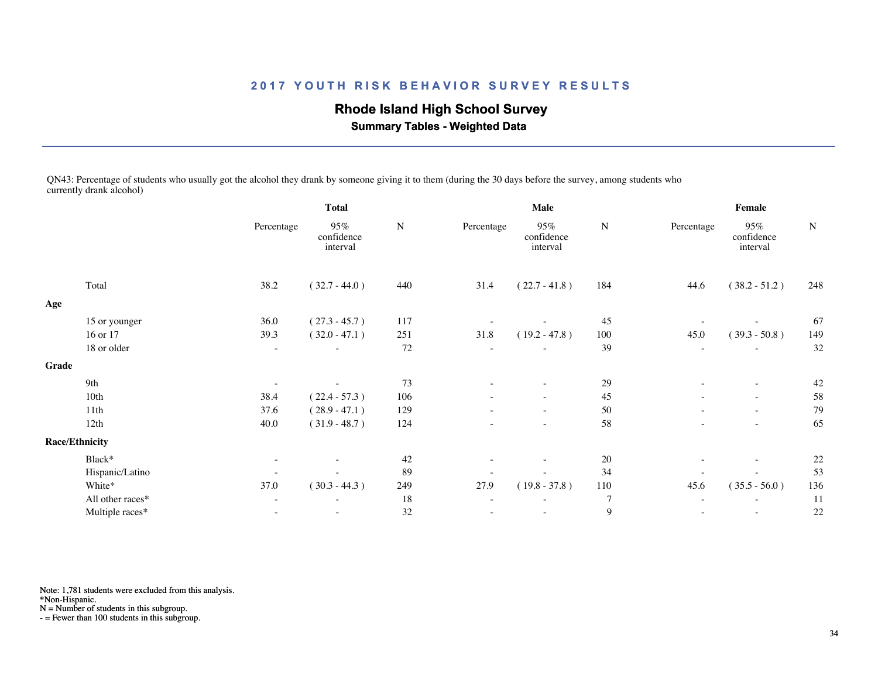# **Rhode Island High School Survey**

 **Summary Tables - Weighted Data**

QN43: Percentage of students who usually got the alcohol they drank by someone giving it to them (during the 30 days before the survey, among students who currently drank alcohol)

|       |                       | <b>Total</b>             |                               | Male        |            |                               | Female         |                          |                               |           |
|-------|-----------------------|--------------------------|-------------------------------|-------------|------------|-------------------------------|----------------|--------------------------|-------------------------------|-----------|
|       |                       | Percentage               | 95%<br>confidence<br>interval | $\mathbf N$ | Percentage | 95%<br>confidence<br>interval | ${\bf N}$      | Percentage               | 95%<br>confidence<br>interval | ${\bf N}$ |
|       | Total                 | 38.2                     | $(32.7 - 44.0)$               | 440         | 31.4       | $(22.7 - 41.8)$               | 184            | 44.6                     | $(38.2 - 51.2)$               | 248       |
| Age   |                       |                          |                               |             |            |                               |                |                          |                               |           |
|       | 15 or younger         | 36.0                     | $(27.3 - 45.7)$               | 117         |            |                               | 45             |                          |                               | 67        |
|       | 16 or 17              | 39.3                     | $(32.0 - 47.1)$               | 251         | 31.8       | $(19.2 - 47.8)$               | 100            | 45.0                     | $(39.3 - 50.8)$               | 149       |
|       | 18 or older           |                          |                               | 72          |            |                               | 39             |                          |                               | 32        |
| Grade |                       |                          |                               |             |            |                               |                |                          |                               |           |
|       | 9th                   | $\overline{\phantom{a}}$ |                               | 73          |            | $\overline{\phantom{a}}$      | 29             | ٠                        | $\overline{\phantom{a}}$      | 42        |
|       | 10th                  | 38.4                     | $(22.4 - 57.3)$               | 106         |            | $\overline{\phantom{0}}$      | 45             | $\overline{\phantom{a}}$ | $\sim$                        | 58        |
|       | 11th                  | 37.6                     | $(28.9 - 47.1)$               | 129         |            | $\overline{\phantom{a}}$      | 50             | ٠                        | $\sim$                        | 79        |
|       | 12th                  | 40.0                     | $(31.9 - 48.7)$               | 124         |            |                               | 58             |                          |                               | 65        |
|       | <b>Race/Ethnicity</b> |                          |                               |             |            |                               |                |                          |                               |           |
|       | Black*                |                          |                               | 42          |            |                               | $20\,$         |                          | $\overline{\phantom{a}}$      | 22        |
|       | Hispanic/Latino       |                          |                               | 89          |            |                               | 34             |                          |                               | 53        |
|       | White*                | 37.0                     | $(30.3 - 44.3)$               | 249         | 27.9       | $(19.8 - 37.8)$               | 110            | 45.6                     | $(35.5 - 56.0)$               | 136       |
|       | All other races*      | $\overline{\phantom{a}}$ | ٠                             | 18          |            | $\sim$                        | $\overline{7}$ | $\overline{\phantom{a}}$ | $\sim$                        | 11        |
|       | Multiple races*       |                          | $\overline{\phantom{0}}$      | 32          |            | $\overline{\phantom{a}}$      | 9              | $\qquad \qquad -$        | $\sim$                        | 22        |
|       |                       |                          |                               |             |            |                               |                |                          |                               |           |

Note: 1,781 students were excluded from this analysis.

\*Non-Hispanic.

N = Number of students in this subgroup.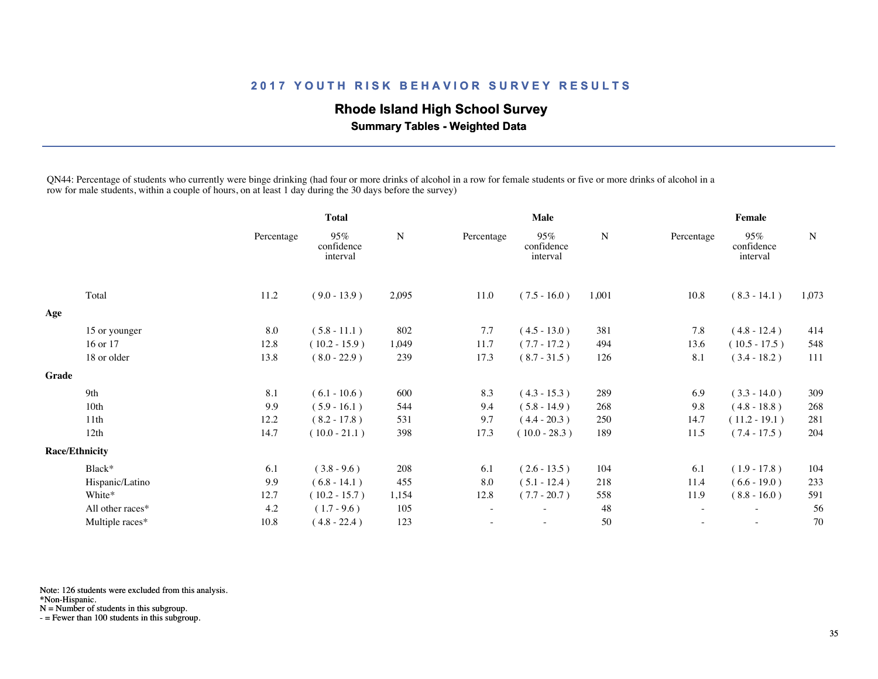# **Rhode Island High School Survey**

 **Summary Tables - Weighted Data**

QN44: Percentage of students who currently were binge drinking (had four or more drinks of alcohol in a row for female students or five or more drinks of alcohol in a row for male students, within a couple of hours, on at least 1 day during the 30 days before the survey)

|       |                       | <b>Total</b> |                               | <b>Male</b> |                          |                               | Female |            |                               |             |
|-------|-----------------------|--------------|-------------------------------|-------------|--------------------------|-------------------------------|--------|------------|-------------------------------|-------------|
|       |                       | Percentage   | 95%<br>confidence<br>interval | N           | Percentage               | 95%<br>confidence<br>interval | N      | Percentage | 95%<br>confidence<br>interval | $\mathbf N$ |
|       | Total                 | 11.2         | $(9.0 - 13.9)$                | 2,095       | 11.0                     | $(7.5 - 16.0)$                | 1,001  | 10.8       | $(8.3 - 14.1)$                | 1,073       |
| Age   |                       |              |                               |             |                          |                               |        |            |                               |             |
|       | 15 or younger         | 8.0          | $(5.8 - 11.1)$                | 802         | 7.7                      | $(4.5 - 13.0)$                | 381    | 7.8        | $(4.8 - 12.4)$                | 414         |
|       | 16 or 17              | 12.8         | $(10.2 - 15.9)$               | 1,049       | 11.7                     | $(7.7 - 17.2)$                | 494    | 13.6       | $(10.5 - 17.5)$               | 548         |
|       | 18 or older           | 13.8         | $(8.0 - 22.9)$                | 239         | 17.3                     | $(8.7 - 31.5)$                | 126    | 8.1        | $(3.4 - 18.2)$                | 111         |
| Grade |                       |              |                               |             |                          |                               |        |            |                               |             |
|       | 9th                   | 8.1          | $(6.1 - 10.6)$                | 600         | 8.3                      | $(4.3 - 15.3)$                | 289    | 6.9        | $(3.3 - 14.0)$                | 309         |
|       | 10th                  | 9.9          | $(5.9 - 16.1)$                | 544         | 9.4                      | $(5.8 - 14.9)$                | 268    | 9.8        | $(4.8 - 18.8)$                | 268         |
|       | 11th                  | 12.2         | $(8.2 - 17.8)$                | 531         | 9.7                      | $(4.4 - 20.3)$                | 250    | 14.7       | $(11.2 - 19.1)$               | 281         |
|       | 12th                  | 14.7         | $(10.0 - 21.1)$               | 398         | 17.3                     | $(10.0 - 28.3)$               | 189    | 11.5       | $(7.4 - 17.5)$                | 204         |
|       | <b>Race/Ethnicity</b> |              |                               |             |                          |                               |        |            |                               |             |
|       | Black*                | 6.1          | $(3.8 - 9.6)$                 | 208         | 6.1                      | $(2.6 - 13.5)$                | 104    | 6.1        | $(1.9 - 17.8)$                | 104         |
|       | Hispanic/Latino       | 9.9          | $(6.8 - 14.1)$                | 455         | 8.0                      | $(5.1 - 12.4)$                | 218    | 11.4       | $(6.6 - 19.0)$                | 233         |
|       | White*                | 12.7         | $(10.2 - 15.7)$               | 1,154       | 12.8                     | $(7.7 - 20.7)$                | 558    | 11.9       | $(8.8 - 16.0)$                | 591         |
|       | All other races*      | 4.2          | $(1.7 - 9.6)$                 | 105         | $\overline{\phantom{a}}$ |                               | 48     |            |                               | 56          |
|       | Multiple races*       | 10.8         | $(4.8 - 22.4)$                | 123         |                          | $\sim$                        | 50     |            | $\sim$                        | 70          |
|       |                       |              |                               |             |                          |                               |        |            |                               |             |

Note: 126 students were excluded from this analysis.

\*Non-Hispanic.

N = Number of students in this subgroup.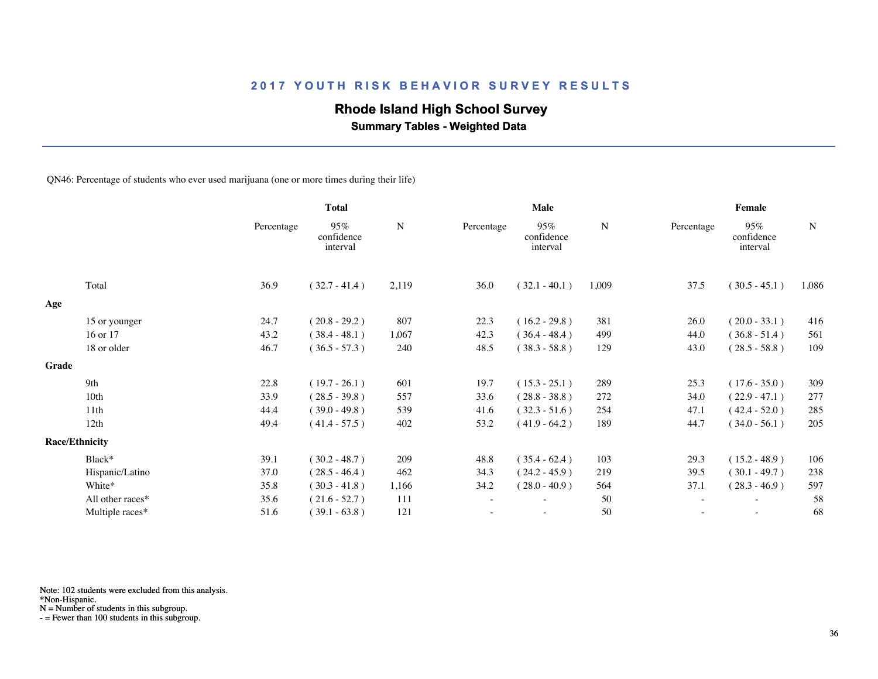## **Rhode Island High School Survey**

 **Summary Tables - Weighted Data**

QN46: Percentage of students who ever used marijuana (one or more times during their life)

|       |                       |            | <b>Total</b>                  |             | Male       |                               |           | Female     |                               |       |  |
|-------|-----------------------|------------|-------------------------------|-------------|------------|-------------------------------|-----------|------------|-------------------------------|-------|--|
|       |                       | Percentage | 95%<br>confidence<br>interval | $\mathbf N$ | Percentage | 95%<br>confidence<br>interval | ${\bf N}$ | Percentage | 95%<br>confidence<br>interval | N     |  |
|       | Total                 | 36.9       | $(32.7 - 41.4)$               | 2,119       | 36.0       | $(32.1 - 40.1)$               | 1,009     | 37.5       | $(30.5 - 45.1)$               | 1,086 |  |
| Age   |                       |            |                               |             |            |                               |           |            |                               |       |  |
|       | 15 or younger         | 24.7       | $(20.8 - 29.2)$               | 807         | 22.3       | $(16.2 - 29.8)$               | 381       | 26.0       | $(20.0 - 33.1)$               | 416   |  |
|       | 16 or 17              | 43.2       | $(38.4 - 48.1)$               | 1,067       | 42.3       | $(36.4 - 48.4)$               | 499       | 44.0       | $(36.8 - 51.4)$               | 561   |  |
|       | 18 or older           | 46.7       | $(36.5 - 57.3)$               | 240         | 48.5       | $(38.3 - 58.8)$               | 129       | 43.0       | $(28.5 - 58.8)$               | 109   |  |
| Grade |                       |            |                               |             |            |                               |           |            |                               |       |  |
|       | 9th                   | 22.8       | $(19.7 - 26.1)$               | 601         | 19.7       | $(15.3 - 25.1)$               | 289       | 25.3       | $(17.6 - 35.0)$               | 309   |  |
|       | 10th                  | 33.9       | $(28.5 - 39.8)$               | 557         | 33.6       | $(28.8 - 38.8)$               | 272       | 34.0       | $(22.9 - 47.1)$               | 277   |  |
|       | 11th                  | 44.4       | $(39.0 - 49.8)$               | 539         | 41.6       | $(32.3 - 51.6)$               | 254       | 47.1       | $(42.4 - 52.0)$               | 285   |  |
|       | 12th                  | 49.4       | $(41.4 - 57.5)$               | 402         | 53.2       | $(41.9 - 64.2)$               | 189       | 44.7       | $(34.0 - 56.1)$               | 205   |  |
|       | <b>Race/Ethnicity</b> |            |                               |             |            |                               |           |            |                               |       |  |
|       | Black*                | 39.1       | $(30.2 - 48.7)$               | 209         | 48.8       | $(35.4 - 62.4)$               | 103       | 29.3       | $(15.2 - 48.9)$               | 106   |  |
|       | Hispanic/Latino       | 37.0       | $(28.5 - 46.4)$               | 462         | 34.3       | $(24.2 - 45.9)$               | 219       | 39.5       | $(30.1 - 49.7)$               | 238   |  |
|       | White*                | 35.8       | $(30.3 - 41.8)$               | 1,166       | 34.2       | $(28.0 - 40.9)$               | 564       | 37.1       | $(28.3 - 46.9)$               | 597   |  |
|       | All other races*      | 35.6       | $(21.6 - 52.7)$               | 111         | $\sim$     |                               | 50        | $\sim$     | $\overline{\phantom{a}}$      | 58    |  |
|       | Multiple races*       | 51.6       | $(39.1 - 63.8)$               | 121         |            |                               | 50        |            | $\sim$                        | 68    |  |
|       |                       |            |                               |             |            |                               |           |            |                               |       |  |

Note: 102 students were excluded from this analysis.

N = Number of students in this subgroup.

<sup>\*</sup>Non-Hispanic.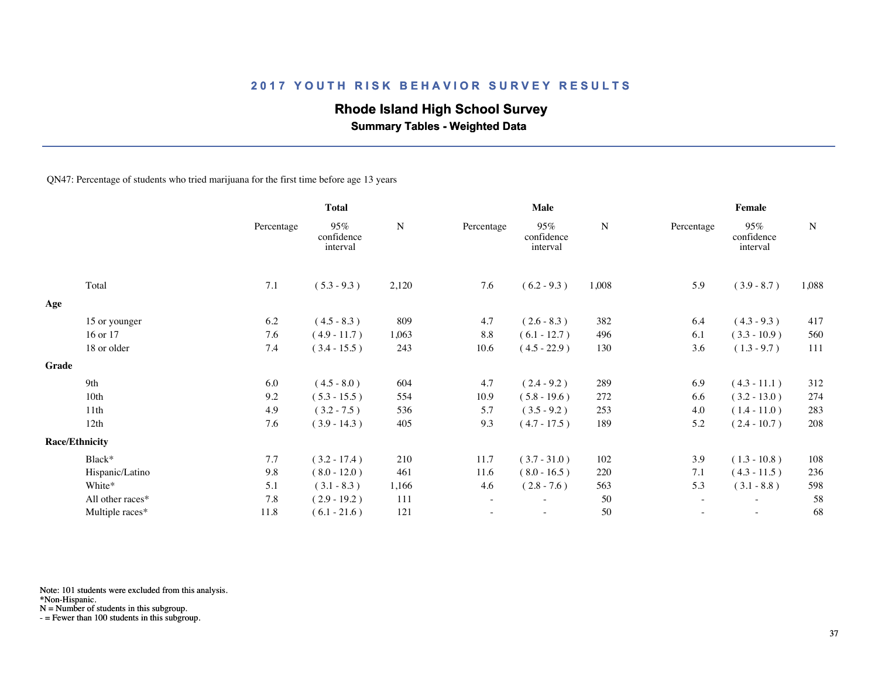## **Rhode Island High School Survey**

 **Summary Tables - Weighted Data**

QN47: Percentage of students who tried marijuana for the first time before age 13 years

|       |                       |            | <b>Total</b>                  |           |            | Male                          |           | Female     |                               |             |  |
|-------|-----------------------|------------|-------------------------------|-----------|------------|-------------------------------|-----------|------------|-------------------------------|-------------|--|
|       |                       | Percentage | 95%<br>confidence<br>interval | ${\bf N}$ | Percentage | 95%<br>confidence<br>interval | ${\bf N}$ | Percentage | 95%<br>confidence<br>interval | $\mathbf N$ |  |
|       | Total                 | $7.1\,$    | $(5.3 - 9.3)$                 | 2,120     | 7.6        | $(6.2 - 9.3)$                 | 1,008     | 5.9        | $(3.9 - 8.7)$                 | 1,088       |  |
| Age   |                       |            |                               |           |            |                               |           |            |                               |             |  |
|       | 15 or younger         | 6.2        | $(4.5 - 8.3)$                 | 809       | 4.7        | $(2.6 - 8.3)$                 | 382       | 6.4        | $(4.3 - 9.3)$                 | 417         |  |
|       | 16 or 17              | 7.6        | $(4.9 - 11.7)$                | 1,063     | 8.8        | $(6.1 - 12.7)$                | 496       | 6.1        | $(3.3 - 10.9)$                | 560         |  |
|       | 18 or older           | 7.4        | $(3.4 - 15.5)$                | 243       | 10.6       | $(4.5 - 22.9)$                | 130       | 3.6        | $(1.3 - 9.7)$                 | 111         |  |
| Grade |                       |            |                               |           |            |                               |           |            |                               |             |  |
|       | 9th                   | 6.0        | $(4.5 - 8.0)$                 | 604       | 4.7        | $(2.4 - 9.2)$                 | 289       | 6.9        | $(4.3 - 11.1)$                | 312         |  |
|       | 10th                  | 9.2        | $(5.3 - 15.5)$                | 554       | 10.9       | $(5.8 - 19.6)$                | 272       | 6.6        | $(3.2 - 13.0)$                | 274         |  |
|       | 11th                  | 4.9        | $(3.2 - 7.5)$                 | 536       | 5.7        | $(3.5 - 9.2)$                 | 253       | 4.0        | $(1.4 - 11.0)$                | 283         |  |
|       | 12th                  | 7.6        | $(3.9 - 14.3)$                | 405       | 9.3        | $(4.7 - 17.5)$                | 189       | 5.2        | $(2.4 - 10.7)$                | 208         |  |
|       | <b>Race/Ethnicity</b> |            |                               |           |            |                               |           |            |                               |             |  |
|       | Black*                | 7.7        | $(3.2 - 17.4)$                | 210       | 11.7       | $(3.7 - 31.0)$                | 102       | 3.9        | $(1.3 - 10.8)$                | 108         |  |
|       | Hispanic/Latino       | 9.8        | $(8.0 - 12.0)$                | 461       | 11.6       | $(8.0 - 16.5)$                | 220       | 7.1        | $(4.3 - 11.5)$                | 236         |  |
|       | White*                | 5.1        | $(3.1 - 8.3)$                 | 1,166     | 4.6        | $(2.8 - 7.6)$                 | 563       | 5.3        | $(3.1 - 8.8)$                 | 598         |  |
|       | All other races*      | 7.8        | $(2.9 - 19.2)$                | 111       | $\sim$     | $\overline{\phantom{0}}$      | 50        | $\sim$     | $\overline{\phantom{a}}$      | 58          |  |
|       | Multiple races*       | 11.8       | $(6.1 - 21.6)$                | 121       |            |                               | 50        |            |                               | 68          |  |
|       |                       |            |                               |           |            |                               |           |            |                               |             |  |

Note: 101 students were excluded from this analysis.

\*Non-Hispanic.

N = Number of students in this subgroup.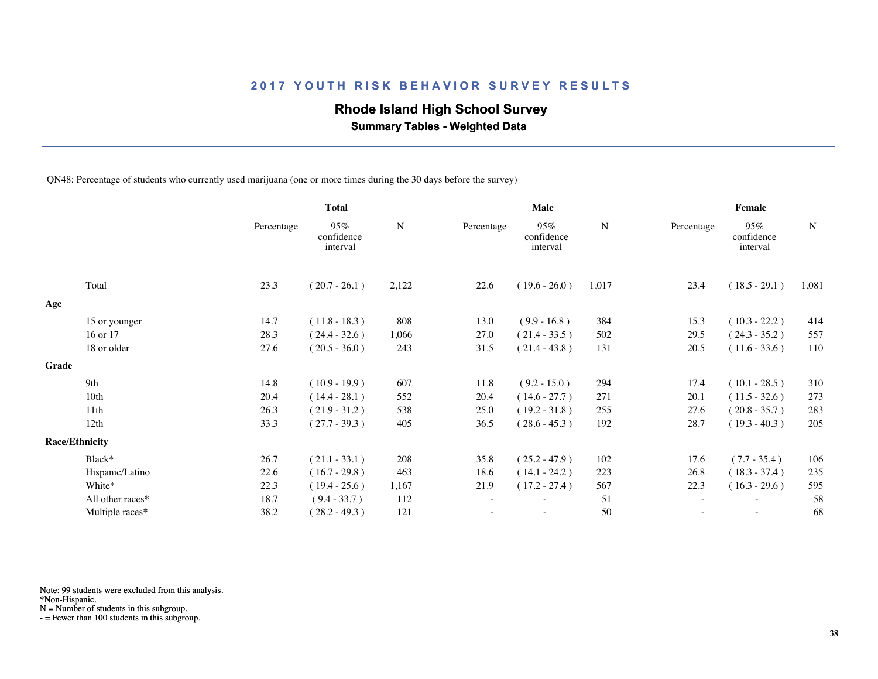## **Rhode Island High School Survey**

 **Summary Tables - Weighted Data**

QN48: Percentage of students who currently used marijuana (one or more times during the 30 days before the survey)

|       |                       | <b>Total</b> |                               | Male  |            |                               | Female |                          |                               |       |
|-------|-----------------------|--------------|-------------------------------|-------|------------|-------------------------------|--------|--------------------------|-------------------------------|-------|
|       |                       | Percentage   | 95%<br>confidence<br>interval | N     | Percentage | 95%<br>confidence<br>interval | N      | Percentage               | 95%<br>confidence<br>interval | N     |
|       | Total                 | 23.3         | $(20.7 - 26.1)$               | 2,122 | 22.6       | $(19.6 - 26.0)$               | 1,017  | 23.4                     | $(18.5 - 29.1)$               | 1,081 |
| Age   |                       |              |                               |       |            |                               |        |                          |                               |       |
|       | 15 or younger         | 14.7         | $(11.8 - 18.3)$               | 808   | 13.0       | $(9.9 - 16.8)$                | 384    | 15.3                     | $(10.3 - 22.2)$               | 414   |
|       | 16 or 17              | 28.3         | $(24.4 - 32.6)$               | 1,066 | 27.0       | $(21.4 - 33.5)$               | 502    | 29.5                     | $(24.3 - 35.2)$               | 557   |
|       | 18 or older           | 27.6         | $(20.5 - 36.0)$               | 243   | 31.5       | $(21.4 - 43.8)$               | 131    | 20.5                     | $(11.6 - 33.6)$               | 110   |
| Grade |                       |              |                               |       |            |                               |        |                          |                               |       |
|       | 9th                   | 14.8         | $(10.9 - 19.9)$               | 607   | 11.8       | $(9.2 - 15.0)$                | 294    | 17.4                     | $(10.1 - 28.5)$               | 310   |
|       | 10th                  | 20.4         | $(14.4 - 28.1)$               | 552   | 20.4       | $(14.6 - 27.7)$               | 271    | 20.1                     | $(11.5 - 32.6)$               | 273   |
|       | 11 <sup>th</sup>      | 26.3         | $(21.9 - 31.2)$               | 538   | 25.0       | $(19.2 - 31.8)$               | 255    | 27.6                     | $(20.8 - 35.7)$               | 283   |
|       | 12th                  | 33.3         | $(27.7 - 39.3)$               | 405   | 36.5       | $(28.6 - 45.3)$               | 192    | 28.7                     | $(19.3 - 40.3)$               | 205   |
|       | <b>Race/Ethnicity</b> |              |                               |       |            |                               |        |                          |                               |       |
|       | Black*                | 26.7         | $(21.1 - 33.1)$               | 208   | 35.8       | $(25.2 - 47.9)$               | 102    | 17.6                     | $(7.7 - 35.4)$                | 106   |
|       | Hispanic/Latino       | 22.6         | $(16.7 - 29.8)$               | 463   | 18.6       | $(14.1 - 24.2)$               | 223    | 26.8                     | $(18.3 - 37.4)$               | 235   |
|       | White*                | 22.3         | $(19.4 - 25.6)$               | 1,167 | 21.9       | $(17.2 - 27.4)$               | 567    | 22.3                     | $(16.3 - 29.6)$               | 595   |
|       | All other races*      | 18.7         | $(9.4 - 33.7)$                | 112   |            | $\overline{\phantom{a}}$      | 51     | $\overline{\phantom{a}}$ | $\overline{\phantom{a}}$      | 58    |
|       | Multiple races*       | 38.2         | $(28.2 - 49.3)$               | 121   |            |                               | 50     |                          |                               | 68    |
|       |                       |              |                               |       |            |                               |        |                          |                               |       |

Note: 99 students were excluded from this analysis.

\*Non-Hispanic.

N = Number of students in this subgroup.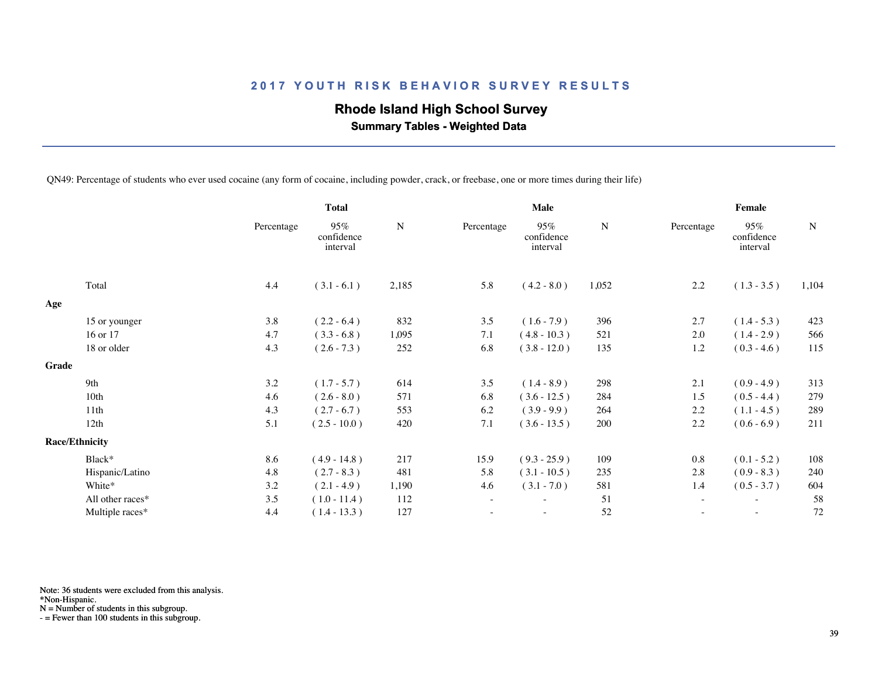## **Rhode Island High School Survey**

 **Summary Tables - Weighted Data**

QN49: Percentage of students who ever used cocaine (any form of cocaine, including powder, crack, or freebase, one or more times during their life)

|       |                       |            | <b>Total</b>                  |             |            | Male                          |             | Female                   |                               |             |  |
|-------|-----------------------|------------|-------------------------------|-------------|------------|-------------------------------|-------------|--------------------------|-------------------------------|-------------|--|
|       |                       | Percentage | 95%<br>confidence<br>interval | $\mathbf N$ | Percentage | 95%<br>confidence<br>interval | $\mathbf N$ | Percentage               | 95%<br>confidence<br>interval | $\mathbf N$ |  |
|       | Total                 | 4.4        | $(3.1 - 6.1)$                 | 2,185       | 5.8        | $(4.2 - 8.0)$                 | 1,052       | $2.2\,$                  | $(1.3 - 3.5)$                 | 1,104       |  |
| Age   |                       |            |                               |             |            |                               |             |                          |                               |             |  |
|       | 15 or younger         | 3.8        | $(2.2 - 6.4)$                 | 832         | 3.5        | $(1.6 - 7.9)$                 | 396         | 2.7                      | $(1.4 - 5.3)$                 | 423         |  |
|       | 16 or 17              | 4.7        | $(3.3 - 6.8)$                 | 1,095       | 7.1        | $(4.8 - 10.3)$                | 521         | 2.0                      | $(1.4 - 2.9)$                 | 566         |  |
|       | 18 or older           | 4.3        | $(2.6 - 7.3)$                 | 252         | 6.8        | $(3.8 - 12.0)$                | 135         | 1.2                      | $(0.3 - 4.6)$                 | 115         |  |
| Grade |                       |            |                               |             |            |                               |             |                          |                               |             |  |
|       | 9th                   | 3.2        | $(1.7 - 5.7)$                 | 614         | 3.5        | $(1.4 - 8.9)$                 | 298         | 2.1                      | $(0.9 - 4.9)$                 | 313         |  |
|       | 10 <sub>th</sub>      | 4.6        | $(2.6 - 8.0)$                 | 571         | 6.8        | $(3.6 - 12.5)$                | 284         | 1.5                      | $(0.5 - 4.4)$                 | 279         |  |
|       | 11th                  | 4.3        | $(2.7 - 6.7)$                 | 553         | 6.2        | $(3.9 - 9.9)$                 | 264         | 2.2                      | $(1.1 - 4.5)$                 | 289         |  |
|       | 12th                  | 5.1        | $(2.5 - 10.0)$                | 420         | 7.1        | $(3.6 - 13.5)$                | 200         | 2.2                      | $(0.6 - 6.9)$                 | 211         |  |
|       | <b>Race/Ethnicity</b> |            |                               |             |            |                               |             |                          |                               |             |  |
|       | Black*                | 8.6        | $(4.9 - 14.8)$                | 217         | 15.9       | $(9.3 - 25.9)$                | 109         | 0.8                      | $(0.1 - 5.2)$                 | 108         |  |
|       | Hispanic/Latino       | 4.8        | $(2.7 - 8.3)$                 | 481         | 5.8        | $(3.1 - 10.5)$                | 235         | 2.8                      | $(0.9 - 8.3)$                 | 240         |  |
|       | White*                | 3.2        | $(2.1 - 4.9)$                 | 1,190       | 4.6        | $(3.1 - 7.0)$                 | 581         | 1.4                      | $(0.5 - 3.7)$                 | 604         |  |
|       | All other races*      | 3.5        | $(1.0 - 11.4)$                | 112         | $\sim$     | $\overline{\phantom{a}}$      | 51          | $\overline{\phantom{a}}$ | $\overline{\phantom{a}}$      | 58          |  |
|       | Multiple races*       | 4.4        | $(1.4 - 13.3)$                | 127         |            |                               | 52          |                          | $\sim$                        | 72          |  |
|       |                       |            |                               |             |            |                               |             |                          |                               |             |  |

Note: 36 students were excluded from this analysis.

\*Non-Hispanic.

N = Number of students in this subgroup.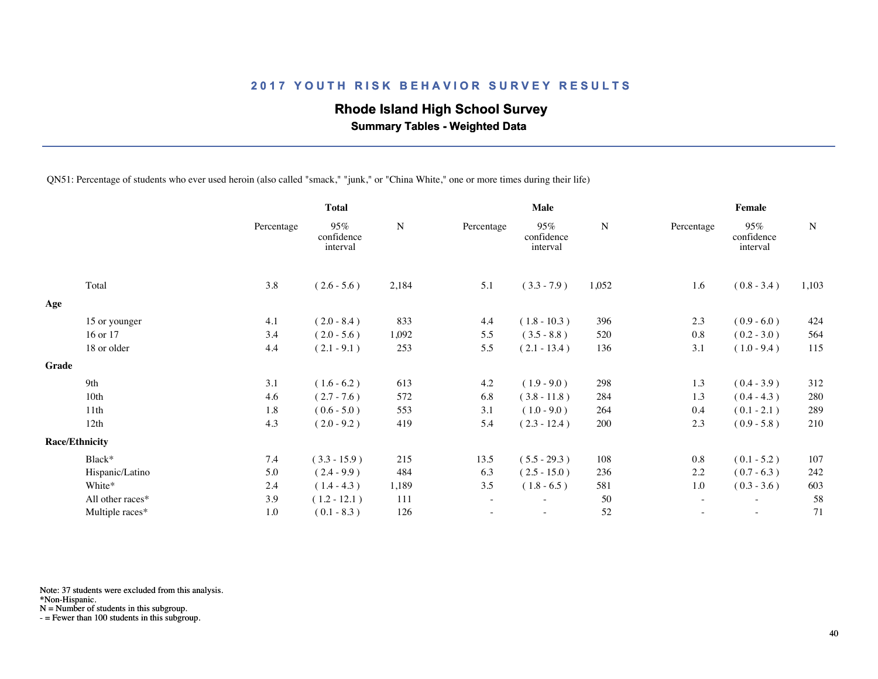## **Rhode Island High School Survey**

 **Summary Tables - Weighted Data**

QN51: Percentage of students who ever used heroin (also called "smack," "junk," or "China White," one or more times during their life)

|       |                       |            | <b>Total</b>                  |           | Male       |                               |       | Female     |                               |           |  |
|-------|-----------------------|------------|-------------------------------|-----------|------------|-------------------------------|-------|------------|-------------------------------|-----------|--|
|       |                       | Percentage | 95%<br>confidence<br>interval | ${\bf N}$ | Percentage | 95%<br>confidence<br>interval | N     | Percentage | 95%<br>confidence<br>interval | ${\bf N}$ |  |
|       | Total                 | 3.8        | $(2.6 - 5.6)$                 | 2,184     | 5.1        | $(3.3 - 7.9)$                 | 1,052 | 1.6        | $(0.8 - 3.4)$                 | 1,103     |  |
| Age   |                       |            |                               |           |            |                               |       |            |                               |           |  |
|       | 15 or younger         | 4.1        | $(2.0 - 8.4)$                 | 833       | 4.4        | $(1.8 - 10.3)$                | 396   | 2.3        | $(0.9 - 6.0)$                 | 424       |  |
|       | 16 or 17              | 3.4        | $(2.0 - 5.6)$                 | 1,092     | 5.5        | $(3.5 - 8.8)$                 | 520   | 0.8        | $(0.2 - 3.0)$                 | 564       |  |
|       | 18 or older           | 4.4        | $(2.1 - 9.1)$                 | 253       | 5.5        | $(2.1 - 13.4)$                | 136   | 3.1        | $(1.0 - 9.4)$                 | 115       |  |
| Grade |                       |            |                               |           |            |                               |       |            |                               |           |  |
|       | 9th                   | 3.1        | $(1.6 - 6.2)$                 | 613       | 4.2        | $(1.9 - 9.0)$                 | 298   | 1.3        | $(0.4 - 3.9)$                 | 312       |  |
|       | 10th                  | 4.6        | $(2.7 - 7.6)$                 | 572       | 6.8        | $(3.8 - 11.8)$                | 284   | 1.3        | $(0.4 - 4.3)$                 | 280       |  |
|       | 11th                  | 1.8        | $(0.6 - 5.0)$                 | 553       | 3.1        | $(1.0 - 9.0)$                 | 264   | 0.4        | $(0.1 - 2.1)$                 | 289       |  |
|       | 12th                  | 4.3        | $(2.0 - 9.2)$                 | 419       | 5.4        | $(2.3 - 12.4)$                | 200   | 2.3        | $(0.9 - 5.8)$                 | 210       |  |
|       | <b>Race/Ethnicity</b> |            |                               |           |            |                               |       |            |                               |           |  |
|       | Black*                | 7.4        | $(3.3 - 15.9)$                | 215       | 13.5       | $(5.5 - 29.3)$                | 108   | 0.8        | $(0.1 - 5.2)$                 | 107       |  |
|       | Hispanic/Latino       | 5.0        | $(2.4 - 9.9)$                 | 484       | 6.3        | $(2.5 - 15.0)$                | 236   | 2.2        | $(0.7 - 6.3)$                 | 242       |  |
|       | White*                | 2.4        | $(1.4 - 4.3)$                 | 1,189     | 3.5        | $(1.8 - 6.5)$                 | 581   | 1.0        | $(0.3 - 3.6)$                 | 603       |  |
|       | All other races*      | 3.9        | $(1.2 - 12.1)$                | 111       | $\sim$     | $\overline{\phantom{0}}$      | 50    | $\sim$     | $\overline{\phantom{a}}$      | 58        |  |
|       | Multiple races*       | 1.0        | $(0.1 - 8.3)$                 | 126       |            |                               | 52    |            |                               | 71        |  |
|       |                       |            |                               |           |            |                               |       |            |                               |           |  |

Note: 37 students were excluded from this analysis.

\*Non-Hispanic.

N = Number of students in this subgroup.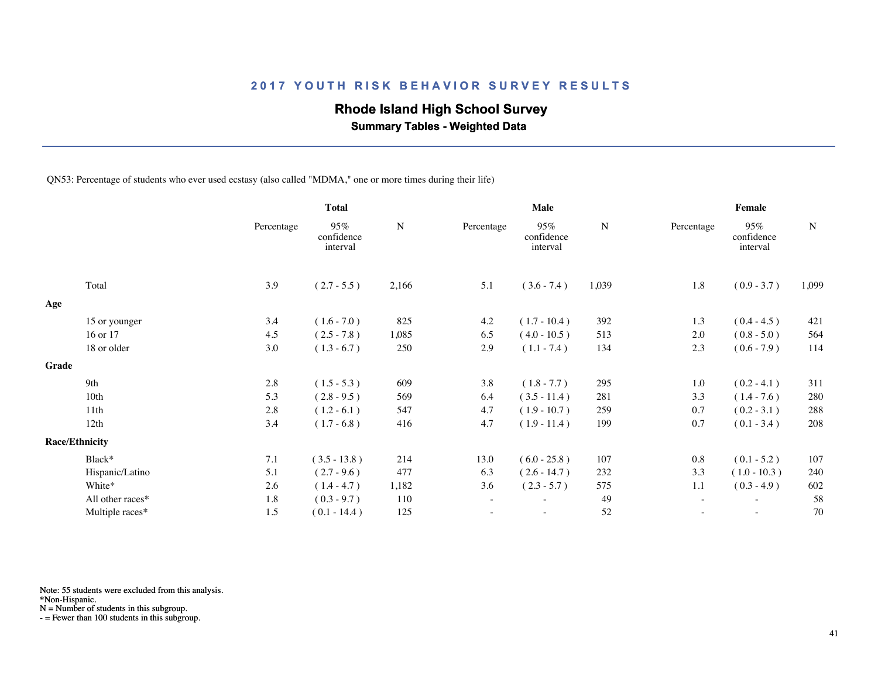## **Rhode Island High School Survey**

 **Summary Tables - Weighted Data**

QN53: Percentage of students who ever used ecstasy (also called "MDMA," one or more times during their life)

|       |                       |            | <b>Total</b>                  |       |            | Male                          |             | Female                   |                               |             |  |
|-------|-----------------------|------------|-------------------------------|-------|------------|-------------------------------|-------------|--------------------------|-------------------------------|-------------|--|
|       |                       | Percentage | 95%<br>confidence<br>interval | N     | Percentage | 95%<br>confidence<br>interval | $\mathbf N$ | Percentage               | 95%<br>confidence<br>interval | $\mathbf N$ |  |
|       | Total                 | 3.9        | $(2.7 - 5.5)$                 | 2,166 | 5.1        | $(3.6 - 7.4)$                 | 1,039       | 1.8                      | $(0.9 - 3.7)$                 | 1,099       |  |
| Age   |                       |            |                               |       |            |                               |             |                          |                               |             |  |
|       | 15 or younger         | 3.4        | $(1.6 - 7.0)$                 | 825   | 4.2        | $(1.7 - 10.4)$                | 392         | 1.3                      | $(0.4 - 4.5)$                 | 421         |  |
|       | 16 or 17              | 4.5        | $(2.5 - 7.8)$                 | 1,085 | 6.5        | $(4.0 - 10.5)$                | 513         | 2.0                      | $(0.8 - 5.0)$                 | 564         |  |
|       | 18 or older           | 3.0        | $(1.3 - 6.7)$                 | 250   | 2.9        | $(1.1 - 7.4)$                 | 134         | 2.3                      | $(0.6 - 7.9)$                 | 114         |  |
| Grade |                       |            |                               |       |            |                               |             |                          |                               |             |  |
|       | 9th                   | 2.8        | $(1.5 - 5.3)$                 | 609   | 3.8        | $(1.8 - 7.7)$                 | 295         | 1.0                      | $(0.2 - 4.1)$                 | 311         |  |
|       | 10th                  | 5.3        | $(2.8 - 9.5)$                 | 569   | 6.4        | $(3.5 - 11.4)$                | 281         | 3.3                      | $(1.4 - 7.6)$                 | 280         |  |
|       | 11th                  | 2.8        | $(1.2 - 6.1)$                 | 547   | 4.7        | $(1.9 - 10.7)$                | 259         | 0.7                      | $(0.2 - 3.1)$                 | 288         |  |
|       | 12th                  | 3.4        | $(1.7 - 6.8)$                 | 416   | 4.7        | $(1.9 - 11.4)$                | 199         | 0.7                      | $(0.1 - 3.4)$                 | 208         |  |
|       | <b>Race/Ethnicity</b> |            |                               |       |            |                               |             |                          |                               |             |  |
|       | Black*                | 7.1        | $(3.5 - 13.8)$                | 214   | 13.0       | $(6.0 - 25.8)$                | 107         | 0.8                      | $(0.1 - 5.2)$                 | 107         |  |
|       | Hispanic/Latino       | 5.1        | $(2.7 - 9.6)$                 | 477   | 6.3        | $(2.6 - 14.7)$                | 232         | 3.3                      | $(1.0 - 10.3)$                | 240         |  |
|       | White*                | 2.6        | $(1.4 - 4.7)$                 | 1,182 | 3.6        | $(2.3 - 5.7)$                 | 575         | 1.1                      | $(0.3 - 4.9)$                 | 602         |  |
|       | All other races*      | 1.8        | $(0.3 - 9.7)$                 | 110   | $\sim$     | $\overline{\phantom{a}}$      | 49          | $\overline{\phantom{a}}$ | $\overline{\phantom{a}}$      | 58          |  |
|       | Multiple races*       | 1.5        | $(0.1 - 14.4)$                | 125   |            | $\overline{\phantom{a}}$      | 52          |                          | $\sim$                        | 70          |  |
|       |                       |            |                               |       |            |                               |             |                          |                               |             |  |

Note: 55 students were excluded from this analysis.

\*Non-Hispanic.

N = Number of students in this subgroup.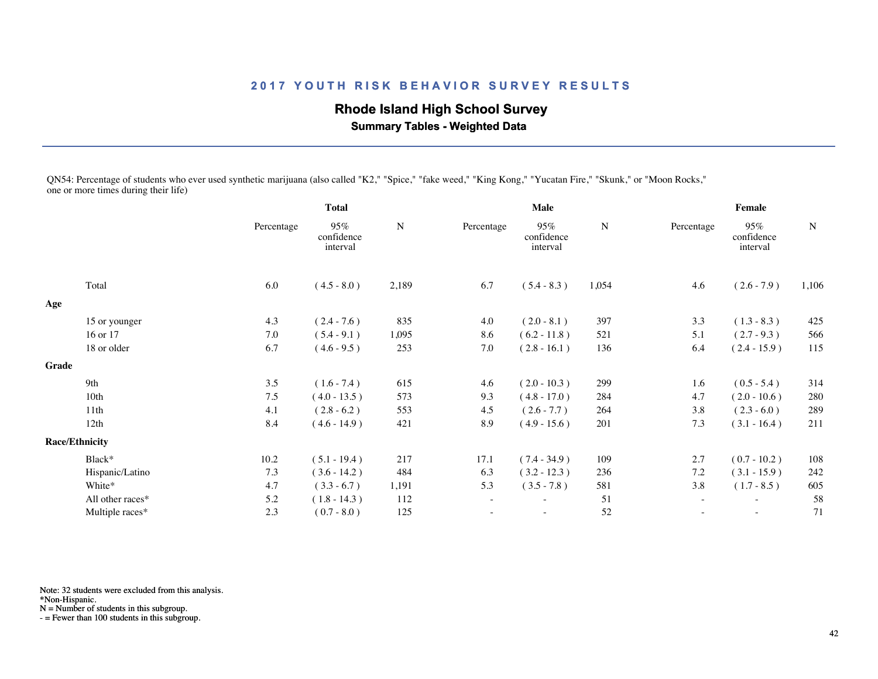# **Rhode Island High School Survey**

 **Summary Tables - Weighted Data**

QN54: Percentage of students who ever used synthetic marijuana (also called "K2," "Spice," "fake weed," "King Kong," "Yucatan Fire," "Skunk," or "Moon Rocks," one or more times during their life)

|       |                       |            | <b>Total</b>                  |           |            | <b>Male</b>                   |           |                          | Female                        |             |  |  |
|-------|-----------------------|------------|-------------------------------|-----------|------------|-------------------------------|-----------|--------------------------|-------------------------------|-------------|--|--|
|       |                       | Percentage | 95%<br>confidence<br>interval | ${\bf N}$ | Percentage | 95%<br>confidence<br>interval | ${\bf N}$ | Percentage               | 95%<br>confidence<br>interval | $\mathbf N$ |  |  |
|       | Total                 | 6.0        | $(4.5 - 8.0)$                 | 2,189     | 6.7        | $(5.4 - 8.3)$                 | 1,054     | 4.6                      | $(2.6 - 7.9)$                 | 1,106       |  |  |
| Age   |                       |            |                               |           |            |                               |           |                          |                               |             |  |  |
|       | 15 or younger         | 4.3        | $(2.4 - 7.6)$                 | 835       | 4.0        | $(2.0 - 8.1)$                 | 397       | 3.3                      | $(1.3 - 8.3)$                 | 425         |  |  |
|       | 16 or 17              | 7.0        | $(5.4 - 9.1)$                 | 1,095     | 8.6        | $(6.2 - 11.8)$                | 521       | 5.1                      | $(2.7 - 9.3)$                 | 566         |  |  |
|       | 18 or older           | 6.7        | $(4.6 - 9.5)$                 | 253       | 7.0        | $(2.8 - 16.1)$                | 136       | 6.4                      | $(2.4 - 15.9)$                | 115         |  |  |
| Grade |                       |            |                               |           |            |                               |           |                          |                               |             |  |  |
|       | 9th                   | 3.5        | $(1.6 - 7.4)$                 | 615       | 4.6        | $(2.0 - 10.3)$                | 299       | 1.6                      | $(0.5 - 5.4)$                 | 314         |  |  |
|       | 10th                  | 7.5        | $(4.0 - 13.5)$                | 573       | 9.3        | $(4.8 - 17.0)$                | 284       | 4.7                      | $(2.0 - 10.6)$                | 280         |  |  |
|       | 11th                  | 4.1        | $(2.8 - 6.2)$                 | 553       | 4.5        | $(2.6 - 7.7)$                 | 264       | 3.8                      | $(2.3 - 6.0)$                 | 289         |  |  |
|       | 12th                  | 8.4        | $(4.6 - 14.9)$                | 421       | 8.9        | $(4.9 - 15.6)$                | 201       | 7.3                      | $(3.1 - 16.4)$                | 211         |  |  |
|       | <b>Race/Ethnicity</b> |            |                               |           |            |                               |           |                          |                               |             |  |  |
|       | Black*                | 10.2       | $(5.1 - 19.4)$                | 217       | 17.1       | $(7.4 - 34.9)$                | 109       | 2.7                      | $(0.7 - 10.2)$                | 108         |  |  |
|       | Hispanic/Latino       | 7.3        | $(3.6 - 14.2)$                | 484       | 6.3        | $(3.2 - 12.3)$                | 236       | 7.2                      | $(3.1 - 15.9)$                | 242         |  |  |
|       | White*                | 4.7        | $(3.3 - 6.7)$                 | 1,191     | 5.3        | $(3.5 - 7.8)$                 | 581       | 3.8                      | $(1.7 - 8.5)$                 | 605         |  |  |
|       | All other races*      | 5.2        | $(1.8 - 14.3)$                | 112       | $\sim$     | $\overline{\phantom{a}}$      | 51        | $\sim$                   | $\sim$                        | 58          |  |  |
|       | Multiple races*       | 2.3        | $(0.7 - 8.0)$                 | 125       |            | $\overline{\phantom{a}}$      | 52        | $\overline{\phantom{a}}$ | $\overline{\phantom{a}}$      | 71          |  |  |
|       |                       |            |                               |           |            |                               |           |                          |                               |             |  |  |

Note: 32 students were excluded from this analysis.

\*Non-Hispanic.

N = Number of students in this subgroup.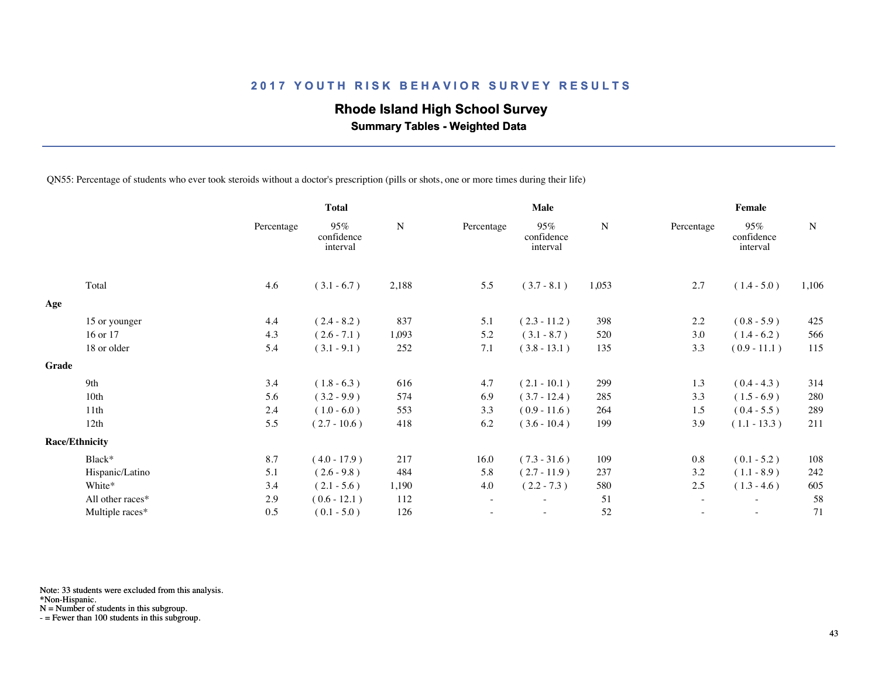## **Rhode Island High School Survey**

 **Summary Tables - Weighted Data**

QN55: Percentage of students who ever took steroids without a doctor's prescription (pills or shots, one or more times during their life)

|       |                       |            | <b>Total</b>                  |           | Male                     |                               |       | Female     |                               |       |  |
|-------|-----------------------|------------|-------------------------------|-----------|--------------------------|-------------------------------|-------|------------|-------------------------------|-------|--|
|       |                       | Percentage | 95%<br>confidence<br>interval | ${\bf N}$ | Percentage               | 95%<br>confidence<br>interval | N     | Percentage | 95%<br>confidence<br>interval | N     |  |
|       | Total                 | 4.6        | $(3.1 - 6.7)$                 | 2,188     | 5.5                      | $(3.7 - 8.1)$                 | 1,053 | 2.7        | $(1.4 - 5.0)$                 | 1,106 |  |
| Age   |                       |            |                               |           |                          |                               |       |            |                               |       |  |
|       | 15 or younger         | 4.4        | $(2.4 - 8.2)$                 | 837       | 5.1                      | $(2.3 - 11.2)$                | 398   | 2.2        | $(0.8 - 5.9)$                 | 425   |  |
|       | 16 or 17              | 4.3        | $(2.6 - 7.1)$                 | 1,093     | 5.2                      | $(3.1 - 8.7)$                 | 520   | 3.0        | $(1.4 - 6.2)$                 | 566   |  |
|       | 18 or older           | 5.4        | $(3.1 - 9.1)$                 | 252       | 7.1                      | $(3.8 - 13.1)$                | 135   | 3.3        | $(0.9 - 11.1)$                | 115   |  |
| Grade |                       |            |                               |           |                          |                               |       |            |                               |       |  |
|       | 9th                   | 3.4        | $(1.8 - 6.3)$                 | 616       | 4.7                      | $(2.1 - 10.1)$                | 299   | 1.3        | $(0.4 - 4.3)$                 | 314   |  |
|       | 10th                  | 5.6        | $(3.2 - 9.9)$                 | 574       | 6.9                      | $(3.7 - 12.4)$                | 285   | 3.3        | $(1.5 - 6.9)$                 | 280   |  |
|       | 11th                  | 2.4        | $(1.0 - 6.0)$                 | 553       | 3.3                      | $(0.9 - 11.6)$                | 264   | 1.5        | $(0.4 - 5.5)$                 | 289   |  |
|       | 12th                  | 5.5        | $(2.7 - 10.6)$                | 418       | 6.2                      | $(3.6 - 10.4)$                | 199   | 3.9        | $(1.1 - 13.3)$                | 211   |  |
|       | <b>Race/Ethnicity</b> |            |                               |           |                          |                               |       |            |                               |       |  |
|       | Black*                | 8.7        | $(4.0 - 17.9)$                | 217       | 16.0                     | $(7.3 - 31.6)$                | 109   | 0.8        | $(0.1 - 5.2)$                 | 108   |  |
|       | Hispanic/Latino       | 5.1        | $(2.6 - 9.8)$                 | 484       | 5.8                      | $(2.7 - 11.9)$                | 237   | 3.2        | $(1.1 - 8.9)$                 | 242   |  |
|       | White*                | 3.4        | $(2.1 - 5.6)$                 | 1,190     | 4.0                      | $(2.2 - 7.3)$                 | 580   | 2.5        | $(1.3 - 4.6)$                 | 605   |  |
|       | All other races*      | 2.9        | $(0.6 - 12.1)$                | 112       | $\overline{\phantom{a}}$ |                               | 51    |            |                               | 58    |  |
|       | Multiple races*       | 0.5        | $(0.1 - 5.0)$                 | 126       |                          | $\overline{\phantom{0}}$      | 52    | $\sim$     | $\sim$                        | 71    |  |
|       |                       |            |                               |           |                          |                               |       |            |                               |       |  |

Note: 33 students were excluded from this analysis.

\*Non-Hispanic.

N = Number of students in this subgroup.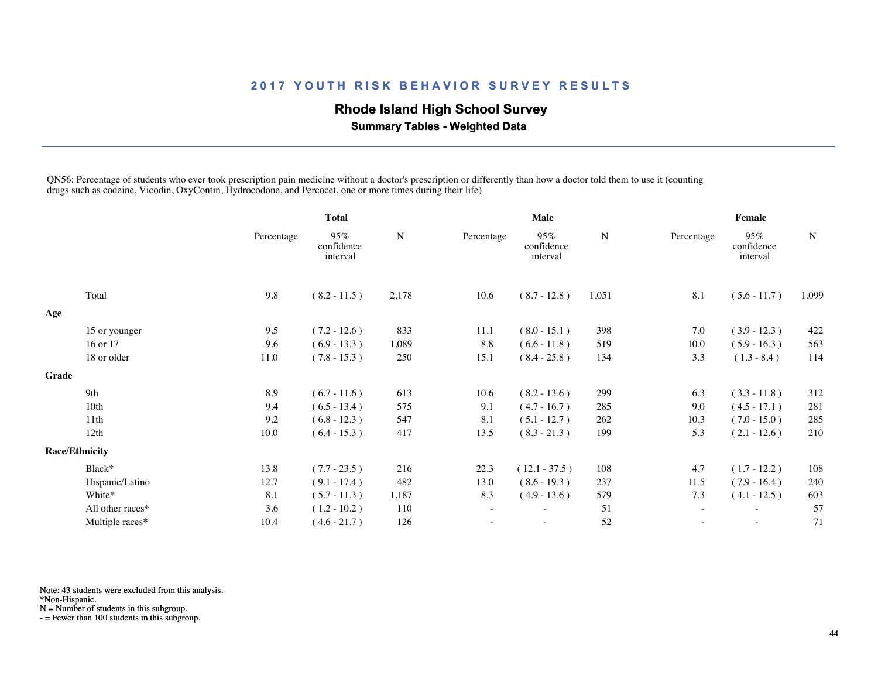## **Rhode Island High School Survey**

 **Summary Tables - Weighted Data**

QN56: Percentage of students who ever took prescription pain medicine without a doctor's prescription or differently than how a doctor told them to use it (counting drugs such as codeine, Vicodin, OxyContin, Hydrocodone, and Percocet, one or more times during their life)

|       |                       | <b>Total</b> |                               | <b>Male</b> |                          |                               | Female    |                          |                               |             |
|-------|-----------------------|--------------|-------------------------------|-------------|--------------------------|-------------------------------|-----------|--------------------------|-------------------------------|-------------|
|       |                       | Percentage   | 95%<br>confidence<br>interval | N           | Percentage               | 95%<br>confidence<br>interval | ${\bf N}$ | Percentage               | 95%<br>confidence<br>interval | $\mathbf N$ |
|       | Total                 | 9.8          | $(8.2 - 11.5)$                | 2,178       | 10.6                     | $(8.7 - 12.8)$                | 1,051     | 8.1                      | $(5.6 - 11.7)$                | 1,099       |
| Age   |                       |              |                               |             |                          |                               |           |                          |                               |             |
|       | 15 or younger         | 9.5          | $(7.2 - 12.6)$                | 833         | 11.1                     | $(8.0 - 15.1)$                | 398       | 7.0                      | $(3.9 - 12.3)$                | 422         |
|       | 16 or 17              | 9.6          | $(6.9 - 13.3)$                | 1,089       | 8.8                      | $(6.6 - 11.8)$                | 519       | 10.0                     | $(5.9 - 16.3)$                | 563         |
|       | 18 or older           | 11.0         | $(7.8 - 15.3)$                | 250         | 15.1                     | $(8.4 - 25.8)$                | 134       | 3.3                      | $(1.3 - 8.4)$                 | 114         |
| Grade |                       |              |                               |             |                          |                               |           |                          |                               |             |
|       | 9th                   | 8.9          | $(6.7 - 11.6)$                | 613         | 10.6                     | $(8.2 - 13.6)$                | 299       | 6.3                      | $(3.3 - 11.8)$                | 312         |
|       | 10th                  | 9.4          | $(6.5 - 13.4)$                | 575         | 9.1                      | $(4.7 - 16.7)$                | 285       | 9.0                      | $(4.5 - 17.1)$                | 281         |
|       | 11th                  | 9.2          | $(6.8 - 12.3)$                | 547         | 8.1                      | $(5.1 - 12.7)$                | 262       | 10.3                     | $(7.0 - 15.0)$                | 285         |
|       | 12th                  | 10.0         | $(6.4 - 15.3)$                | 417         | 13.5                     | $(8.3 - 21.3)$                | 199       | 5.3                      | $(2.1 - 12.6)$                | 210         |
|       | <b>Race/Ethnicity</b> |              |                               |             |                          |                               |           |                          |                               |             |
|       | Black*                | 13.8         | $(7.7 - 23.5)$                | 216         | 22.3                     | $(12.1 - 37.5)$               | 108       | 4.7                      | $(1.7 - 12.2)$                | 108         |
|       | Hispanic/Latino       | 12.7         | $(9.1 - 17.4)$                | 482         | 13.0                     | $(8.6 - 19.3)$                | 237       | 11.5                     | $(7.9 - 16.4)$                | 240         |
|       | White*                | 8.1          | $(5.7 - 11.3)$                | 1,187       | 8.3                      | $(4.9 - 13.6)$                | 579       | 7.3                      | $(4.1 - 12.5)$                | 603         |
|       | All other races*      | 3.6          | $(1.2 - 10.2)$                | 110         | $\overline{\phantom{a}}$ |                               | 51        |                          | $\overline{\phantom{a}}$      | 57          |
|       | Multiple races*       | 10.4         | $(4.6 - 21.7)$                | 126         |                          | $\sim$                        | 52        | $\overline{\phantom{a}}$ | $\sim$                        | 71          |
|       |                       |              |                               |             |                          |                               |           |                          |                               |             |

Note: 43 students were excluded from this analysis.

\*Non-Hispanic.

N = Number of students in this subgroup.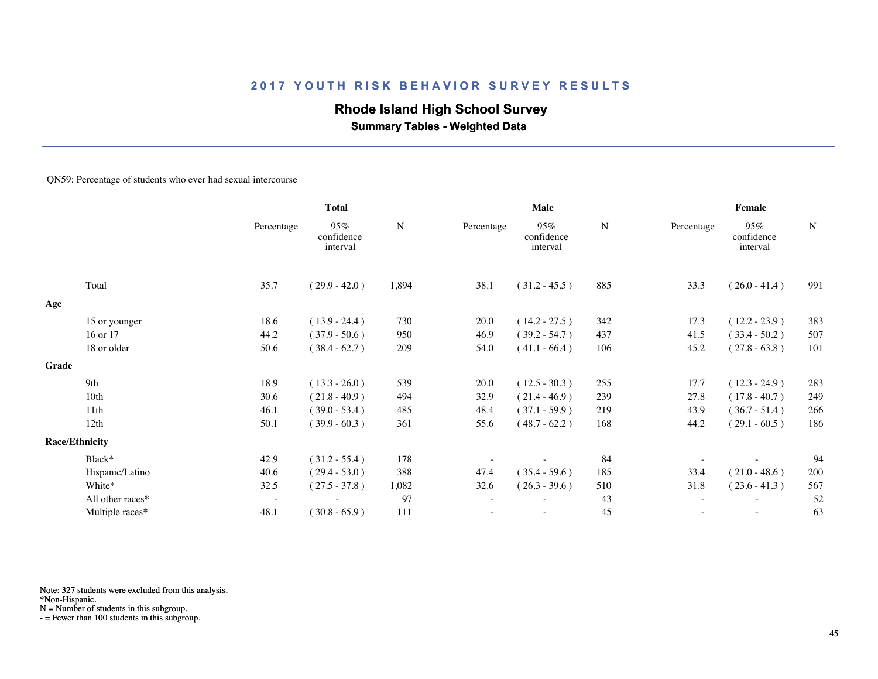## **Rhode Island High School Survey**

 **Summary Tables - Weighted Data**

#### QN59: Percentage of students who ever had sexual intercourse

|       |                       | <b>Total</b>             |                               | Male      |            |                               | Female    |            |                               |             |
|-------|-----------------------|--------------------------|-------------------------------|-----------|------------|-------------------------------|-----------|------------|-------------------------------|-------------|
|       |                       | Percentage               | 95%<br>confidence<br>interval | ${\bf N}$ | Percentage | 95%<br>confidence<br>interval | ${\bf N}$ | Percentage | 95%<br>confidence<br>interval | $\mathbf N$ |
|       | Total                 | 35.7                     | $(29.9 - 42.0)$               | 1,894     | 38.1       | $(31.2 - 45.5)$               | 885       | 33.3       | $(26.0 - 41.4)$               | 991         |
| Age   |                       |                          |                               |           |            |                               |           |            |                               |             |
|       | 15 or younger         | 18.6                     | $(13.9 - 24.4)$               | 730       | 20.0       | $(14.2 - 27.5)$               | 342       | 17.3       | $(12.2 - 23.9)$               | 383         |
|       | 16 or 17              | 44.2                     | $(37.9 - 50.6)$               | 950       | 46.9       | $(39.2 - 54.7)$               | 437       | 41.5       | $(33.4 - 50.2)$               | 507         |
|       | 18 or older           | 50.6                     | $(38.4 - 62.7)$               | 209       | 54.0       | $(41.1 - 66.4)$               | 106       | 45.2       | $(27.8 - 63.8)$               | 101         |
| Grade |                       |                          |                               |           |            |                               |           |            |                               |             |
|       | 9th                   | 18.9                     | $(13.3 - 26.0)$               | 539       | 20.0       | $(12.5 - 30.3)$               | 255       | 17.7       | $(12.3 - 24.9)$               | 283         |
|       | 10th                  | 30.6                     | $(21.8 - 40.9)$               | 494       | 32.9       | $(21.4 - 46.9)$               | 239       | 27.8       | $(17.8 - 40.7)$               | 249         |
|       | 11th                  | 46.1                     | $(39.0 - 53.4)$               | 485       | 48.4       | $(37.1 - 59.9)$               | 219       | 43.9       | $(36.7 - 51.4)$               | 266         |
|       | 12th                  | 50.1                     | $(39.9 - 60.3)$               | 361       | 55.6       | $(48.7 - 62.2)$               | 168       | 44.2       | $(29.1 - 60.5)$               | 186         |
|       | <b>Race/Ethnicity</b> |                          |                               |           |            |                               |           |            |                               |             |
|       | Black*                | 42.9                     | $(31.2 - 55.4)$               | 178       |            |                               | 84        |            |                               | 94          |
|       | Hispanic/Latino       | 40.6                     | $(29.4 - 53.0)$               | 388       | 47.4       | $(35.4 - 59.6)$               | 185       | 33.4       | $(21.0 - 48.6)$               | 200         |
|       | White*                | 32.5                     | $(27.5 - 37.8)$               | 1,082     | 32.6       | $(26.3 - 39.6)$               | 510       | 31.8       | $(23.6 - 41.3)$               | 567         |
|       | All other races*      | $\overline{\phantom{a}}$ | $\overline{\phantom{0}}$      | 97        | $\sim$     | $\overline{\phantom{a}}$      | 43        | $\sim$     | $\sim$                        | 52          |
|       | Multiple races*       | 48.1                     | $(30.8 - 65.9)$               | 111       |            | ٠                             | 45        |            |                               | 63          |
|       |                       |                          |                               |           |            |                               |           |            |                               |             |

Note: 327 students were excluded from this analysis.

\*Non-Hispanic.

N = Number of students in this subgroup.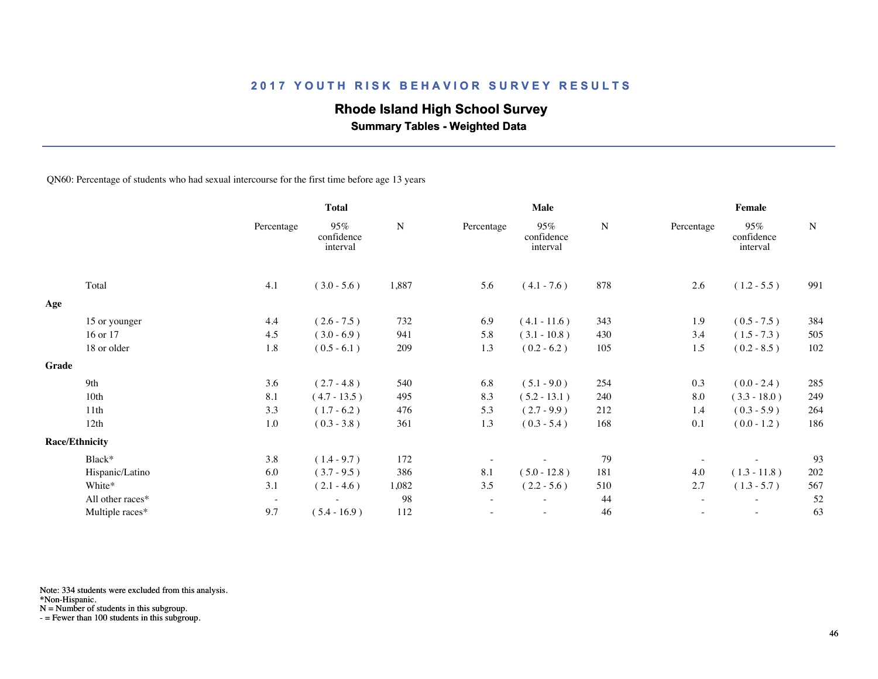## **Rhode Island High School Survey**

 **Summary Tables - Weighted Data**

QN60: Percentage of students who had sexual intercourse for the first time before age 13 years

|       |                       |                          | <b>Total</b>                  |           | Male       |                               |           | Female     |                               |     |  |
|-------|-----------------------|--------------------------|-------------------------------|-----------|------------|-------------------------------|-----------|------------|-------------------------------|-----|--|
|       |                       | Percentage               | 95%<br>confidence<br>interval | ${\bf N}$ | Percentage | 95%<br>confidence<br>interval | ${\bf N}$ | Percentage | 95%<br>confidence<br>interval | N   |  |
|       | Total                 | 4.1                      | $(3.0 - 5.6)$                 | 1,887     | 5.6        | $(4.1 - 7.6)$                 | 878       | 2.6        | $(1.2 - 5.5)$                 | 991 |  |
| Age   |                       |                          |                               |           |            |                               |           |            |                               |     |  |
|       | 15 or younger         | 4.4                      | $(2.6 - 7.5)$                 | 732       | 6.9        | $(4.1 - 11.6)$                | 343       | 1.9        | $(0.5 - 7.5)$                 | 384 |  |
|       | 16 or 17              | 4.5                      | $(3.0 - 6.9)$                 | 941       | 5.8        | $(3.1 - 10.8)$                | 430       | 3.4        | $(1.5 - 7.3)$                 | 505 |  |
|       | 18 or older           | 1.8                      | $(0.5 - 6.1)$                 | 209       | 1.3        | $(0.2 - 6.2)$                 | 105       | 1.5        | $(0.2 - 8.5)$                 | 102 |  |
| Grade |                       |                          |                               |           |            |                               |           |            |                               |     |  |
|       | 9th                   | 3.6                      | $(2.7 - 4.8)$                 | 540       | 6.8        | $(5.1 - 9.0)$                 | 254       | 0.3        | $(0.0 - 2.4)$                 | 285 |  |
|       | 10th                  | 8.1                      | $(4.7 - 13.5)$                | 495       | 8.3        | $(5.2 - 13.1)$                | 240       | 8.0        | $(3.3 - 18.0)$                | 249 |  |
|       | 11 <sup>th</sup>      | 3.3                      | $(1.7 - 6.2)$                 | 476       | 5.3        | $(2.7 - 9.9)$                 | 212       | 1.4        | $(0.3 - 5.9)$                 | 264 |  |
|       | 12th                  | 1.0                      | $(0.3 - 3.8)$                 | 361       | 1.3        | $(0.3 - 5.4)$                 | 168       | 0.1        | $(0.0 - 1.2)$                 | 186 |  |
|       | <b>Race/Ethnicity</b> |                          |                               |           |            |                               |           |            |                               |     |  |
|       | Black*                | 3.8                      | $(1.4 - 9.7)$                 | 172       |            |                               | 79        |            |                               | 93  |  |
|       | Hispanic/Latino       | 6.0                      | $(3.7 - 9.5)$                 | 386       | 8.1        | $(5.0 - 12.8)$                | 181       | 4.0        | $(1.3 - 11.8)$                | 202 |  |
|       | White*                | 3.1                      | $(2.1 - 4.6)$                 | 1,082     | 3.5        | $(2.2 - 5.6)$                 | 510       | 2.7        | $(1.3 - 5.7)$                 | 567 |  |
|       | All other races*      | $\overline{\phantom{a}}$ | $\overline{\phantom{a}}$      | 98        | $\sim$     | $\overline{\phantom{0}}$      | 44        | $\sim$     | $\overline{\phantom{a}}$      | 52  |  |
|       | Multiple races*       | 9.7                      | $(5.4 - 16.9)$                | 112       |            |                               | 46        |            | $\overline{\phantom{a}}$      | 63  |  |
|       |                       |                          |                               |           |            |                               |           |            |                               |     |  |

Note: 334 students were excluded from this analysis.

\*Non-Hispanic.

N = Number of students in this subgroup.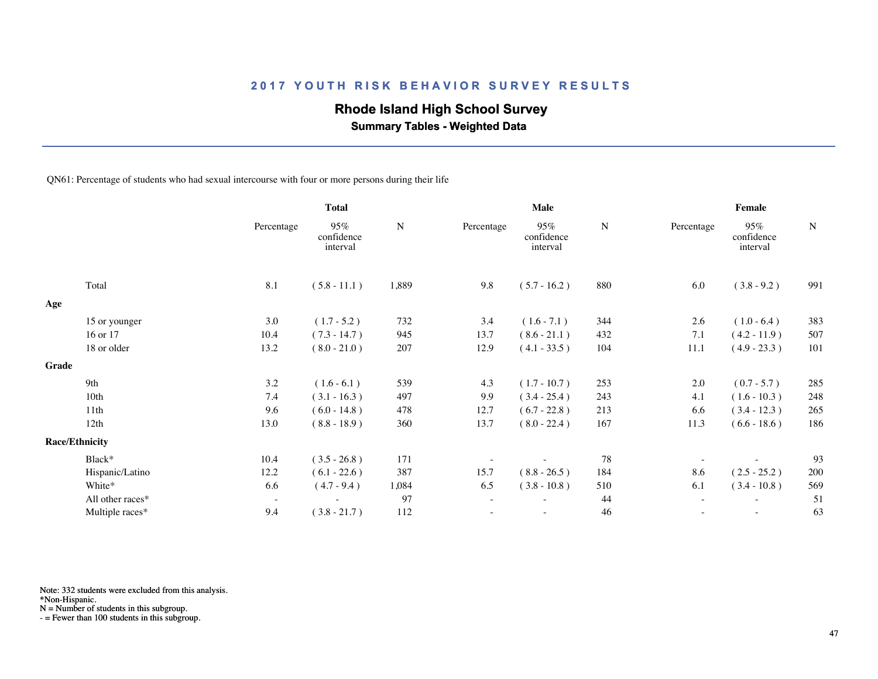## **Rhode Island High School Survey**

 **Summary Tables - Weighted Data**

QN61: Percentage of students who had sexual intercourse with four or more persons during their life

|       |                       | <b>Total</b>             |                               | Male      |            |                               | Female |                          |                               |             |
|-------|-----------------------|--------------------------|-------------------------------|-----------|------------|-------------------------------|--------|--------------------------|-------------------------------|-------------|
|       |                       | Percentage               | 95%<br>confidence<br>interval | ${\bf N}$ | Percentage | 95%<br>confidence<br>interval | N      | Percentage               | 95%<br>confidence<br>interval | $\mathbf N$ |
|       | Total                 | 8.1                      | $(5.8 - 11.1)$                | 1,889     | 9.8        | $(5.7 - 16.2)$                | 880    | 6.0                      | $(3.8 - 9.2)$                 | 991         |
| Age   |                       |                          |                               |           |            |                               |        |                          |                               |             |
|       | 15 or younger         | 3.0                      | $(1.7 - 5.2)$                 | 732       | 3.4        | $(1.6 - 7.1)$                 | 344    | 2.6                      | $(1.0 - 6.4)$                 | 383         |
|       | 16 or 17              | 10.4                     | $(7.3 - 14.7)$                | 945       | 13.7       | $(8.6 - 21.1)$                | 432    | 7.1                      | $(4.2 - 11.9)$                | 507         |
|       | 18 or older           | 13.2                     | $(8.0 - 21.0)$                | 207       | 12.9       | $(4.1 - 33.5)$                | 104    | 11.1                     | $(4.9 - 23.3)$                | 101         |
| Grade |                       |                          |                               |           |            |                               |        |                          |                               |             |
|       | 9th                   | 3.2                      | $(1.6 - 6.1)$                 | 539       | 4.3        | $(1.7 - 10.7)$                | 253    | 2.0                      | $(0.7 - 5.7)$                 | 285         |
|       | 10th                  | 7.4                      | $(3.1 - 16.3)$                | 497       | 9.9        | $(3.4 - 25.4)$                | 243    | 4.1                      | $(1.6 - 10.3)$                | 248         |
|       | 11th                  | 9.6                      | $(6.0 - 14.8)$                | 478       | 12.7       | $(6.7 - 22.8)$                | 213    | 6.6                      | $(3.4 - 12.3)$                | 265         |
|       | 12th                  | 13.0                     | $(8.8 - 18.9)$                | 360       | 13.7       | $(8.0 - 22.4)$                | 167    | 11.3                     | $(6.6 - 18.6)$                | 186         |
|       | <b>Race/Ethnicity</b> |                          |                               |           |            |                               |        |                          |                               |             |
|       | Black*                | 10.4                     | $(3.5 - 26.8)$                | 171       |            |                               | 78     | $\overline{\phantom{a}}$ |                               | 93          |
|       | Hispanic/Latino       | 12.2                     | $(6.1 - 22.6)$                | 387       | 15.7       | $(8.8 - 26.5)$                | 184    | 8.6                      | $(2.5 - 25.2)$                | 200         |
|       | White*                | 6.6                      | $(4.7 - 9.4)$                 | 1,084     | 6.5        | $(3.8 - 10.8)$                | 510    | 6.1                      | $(3.4 - 10.8)$                | 569         |
|       | All other races*      | $\overline{\phantom{a}}$ | $\sim$                        | 97        | $\sim$     | ٠                             | 44     | $\sim$                   | $\sim$                        | 51          |
|       | Multiple races*       | 9.4                      | $(3.8 - 21.7)$                | 112       |            | $\overline{\phantom{a}}$      | 46     | ٠                        | $\sim$                        | 63          |
|       |                       |                          |                               |           |            |                               |        |                          |                               |             |

Note: 332 students were excluded from this analysis.

\*Non-Hispanic.

N = Number of students in this subgroup.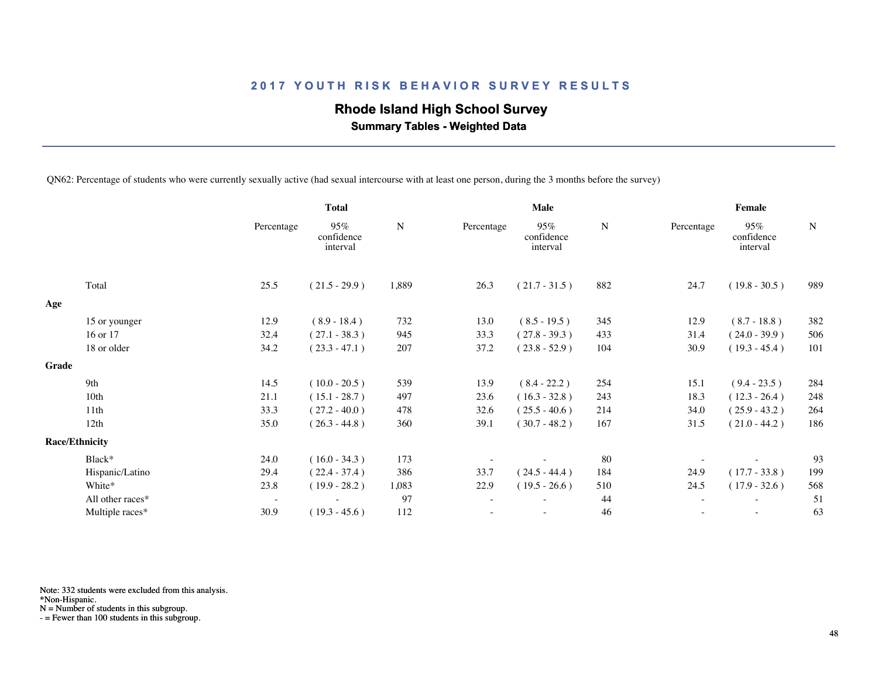## **Rhode Island High School Survey**

 **Summary Tables - Weighted Data**

QN62: Percentage of students who were currently sexually active (had sexual intercourse with at least one person, during the 3 months before the survey)

|       |                       | <b>Total</b>             |                               | <b>Male</b> |                          |                               | Female |            |                               |             |
|-------|-----------------------|--------------------------|-------------------------------|-------------|--------------------------|-------------------------------|--------|------------|-------------------------------|-------------|
|       |                       | Percentage               | 95%<br>confidence<br>interval | N           | Percentage               | 95%<br>confidence<br>interval | N      | Percentage | 95%<br>confidence<br>interval | $\mathbf N$ |
|       | Total                 | 25.5                     | $(21.5 - 29.9)$               | 1,889       | 26.3                     | $(21.7 - 31.5)$               | 882    | 24.7       | $(19.8 - 30.5)$               | 989         |
| Age   |                       |                          |                               |             |                          |                               |        |            |                               |             |
|       | 15 or younger         | 12.9                     | $(8.9 - 18.4)$                | 732         | 13.0                     | $(8.5 - 19.5)$                | 345    | 12.9       | $(8.7 - 18.8)$                | 382         |
|       | 16 or 17              | 32.4                     | $(27.1 - 38.3)$               | 945         | 33.3                     | $(27.8 - 39.3)$               | 433    | 31.4       | $(24.0 - 39.9)$               | 506         |
|       | 18 or older           | 34.2                     | $(23.3 - 47.1)$               | 207         | 37.2                     | $(23.8 - 52.9)$               | 104    | 30.9       | $(19.3 - 45.4)$               | 101         |
| Grade |                       |                          |                               |             |                          |                               |        |            |                               |             |
|       | 9th                   | 14.5                     | $(10.0 - 20.5)$               | 539         | 13.9                     | $(8.4 - 22.2)$                | 254    | 15.1       | $(9.4 - 23.5)$                | 284         |
|       | 10 <sub>th</sub>      | 21.1                     | $(15.1 - 28.7)$               | 497         | 23.6                     | $(16.3 - 32.8)$               | 243    | 18.3       | $(12.3 - 26.4)$               | 248         |
|       | 11th                  | 33.3                     | $(27.2 - 40.0)$               | 478         | 32.6                     | $(25.5 - 40.6)$               | 214    | 34.0       | $(25.9 - 43.2)$               | 264         |
|       | 12th                  | 35.0                     | $(26.3 - 44.8)$               | 360         | 39.1                     | $(30.7 - 48.2)$               | 167    | 31.5       | $(21.0 - 44.2)$               | 186         |
|       | <b>Race/Ethnicity</b> |                          |                               |             |                          |                               |        |            |                               |             |
|       | Black*                | 24.0                     | $(16.0 - 34.3)$               | 173         |                          |                               | 80     |            |                               | 93          |
|       | Hispanic/Latino       | 29.4                     | $(22.4 - 37.4)$               | 386         | 33.7                     | $(24.5 - 44.4)$               | 184    | 24.9       | $(17.7 - 33.8)$               | 199         |
|       | White*                | 23.8                     | $(19.9 - 28.2)$               | 1,083       | 22.9                     | $(19.5 - 26.6)$               | 510    | 24.5       | $(17.9 - 32.6)$               | 568         |
|       | All other races*      | $\overline{\phantom{a}}$ |                               | 97          | $\overline{\phantom{a}}$ |                               | 44     |            | $\overline{\phantom{a}}$      | 51          |
|       | Multiple races*       | 30.9                     | $(19.3 - 45.6)$               | 112         | $\overline{\phantom{a}}$ | $\overline{\phantom{a}}$      | 46     | $\sim$     | $\sim$                        | 63          |
|       |                       |                          |                               |             |                          |                               |        |            |                               |             |

Note: 332 students were excluded from this analysis.

\*Non-Hispanic.

N = Number of students in this subgroup.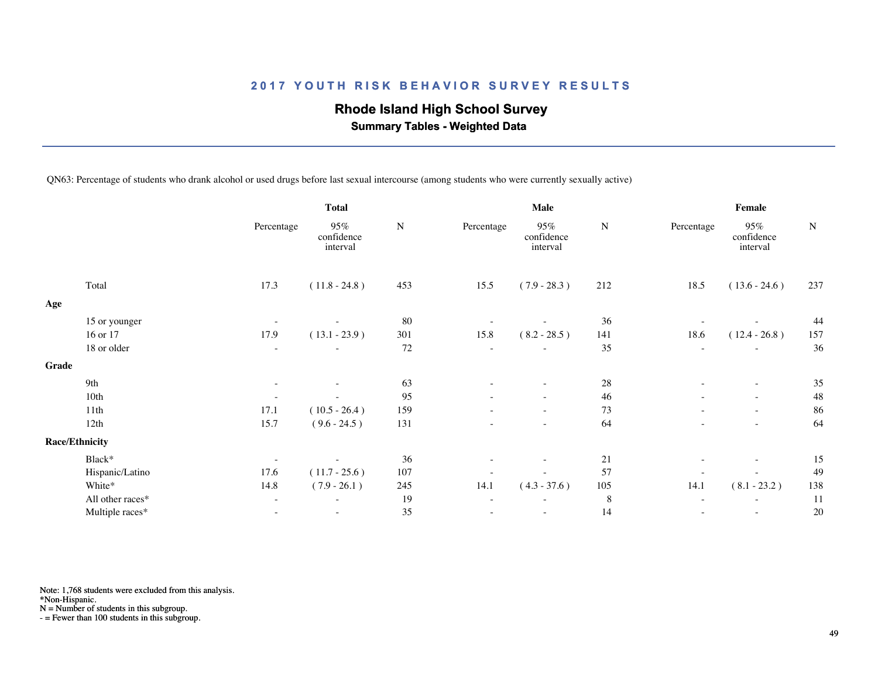## **Rhode Island High School Survey**

 **Summary Tables - Weighted Data**

QN63: Percentage of students who drank alcohol or used drugs before last sexual intercourse (among students who were currently sexually active)

|       |                       | <b>Total</b>             |                               |           |            | Male                          |           | Female                   |                               |             |  |
|-------|-----------------------|--------------------------|-------------------------------|-----------|------------|-------------------------------|-----------|--------------------------|-------------------------------|-------------|--|
|       |                       | Percentage               | 95%<br>confidence<br>interval | ${\bf N}$ | Percentage | 95%<br>confidence<br>interval | ${\bf N}$ | Percentage               | 95%<br>confidence<br>interval | $\mathbf N$ |  |
|       | Total                 | 17.3                     | $(11.8 - 24.8)$               | 453       | 15.5       | $(7.9 - 28.3)$                | 212       | 18.5                     | $(13.6 - 24.6)$               | 237         |  |
| Age   |                       |                          |                               |           |            |                               |           |                          |                               |             |  |
|       | 15 or younger         |                          |                               | 80        |            |                               | 36        |                          |                               | 44          |  |
|       | 16 or 17              | 17.9                     | $(13.1 - 23.9)$               | 301       | 15.8       | $(8.2 - 28.5)$                | 141       | 18.6                     | $(12.4 - 26.8)$               | 157         |  |
|       | 18 or older           | $\overline{\phantom{a}}$ |                               | 72        |            |                               | 35        | $\sim$                   |                               | 36          |  |
| Grade |                       |                          |                               |           |            |                               |           |                          |                               |             |  |
|       | 9th                   | $\overline{\phantom{a}}$ |                               | 63        |            |                               | 28        | $\overline{\phantom{a}}$ | $\sim$                        | 35          |  |
|       | 10th                  | $\overline{\phantom{a}}$ | $\overline{\phantom{a}}$      | 95        |            | $\overline{\phantom{a}}$      | 46        | $\equiv$                 | $\overline{\phantom{a}}$      | 48          |  |
|       | 11th                  | 17.1                     | $(10.5 - 26.4)$               | 159       |            |                               | 73        |                          | $\overline{\phantom{a}}$      | 86          |  |
|       | 12th                  | 15.7                     | $(9.6 - 24.5)$                | 131       |            | $\overline{\phantom{a}}$      | 64        |                          | $\overline{\phantom{a}}$      | 64          |  |
|       | <b>Race/Ethnicity</b> |                          |                               |           |            |                               |           |                          |                               |             |  |
|       | Black*                | $\overline{\phantom{a}}$ |                               | 36        |            |                               | 21        |                          | $\sim$                        | 15          |  |
|       | Hispanic/Latino       | 17.6                     | $(11.7 - 25.6)$               | 107       |            |                               | 57        |                          |                               | 49          |  |
|       | White*                | 14.8                     | $(7.9 - 26.1)$                | 245       | 14.1       | $(4.3 - 37.6)$                | 105       | 14.1                     | $(8.1 - 23.2)$                | 138         |  |
|       | All other races*      | $\overline{\phantom{a}}$ | $\overline{\phantom{a}}$      | 19        | $\sim$     | $\overline{\phantom{a}}$      | $\,8\,$   | $\overline{\phantom{a}}$ | $\overline{\phantom{a}}$      | 11          |  |
|       | Multiple races*       |                          |                               | 35        |            |                               | 14        |                          | $\sim$                        | 20          |  |
|       |                       |                          |                               |           |            |                               |           |                          |                               |             |  |

Note: 1,768 students were excluded from this analysis.

\*Non-Hispanic.

N = Number of students in this subgroup.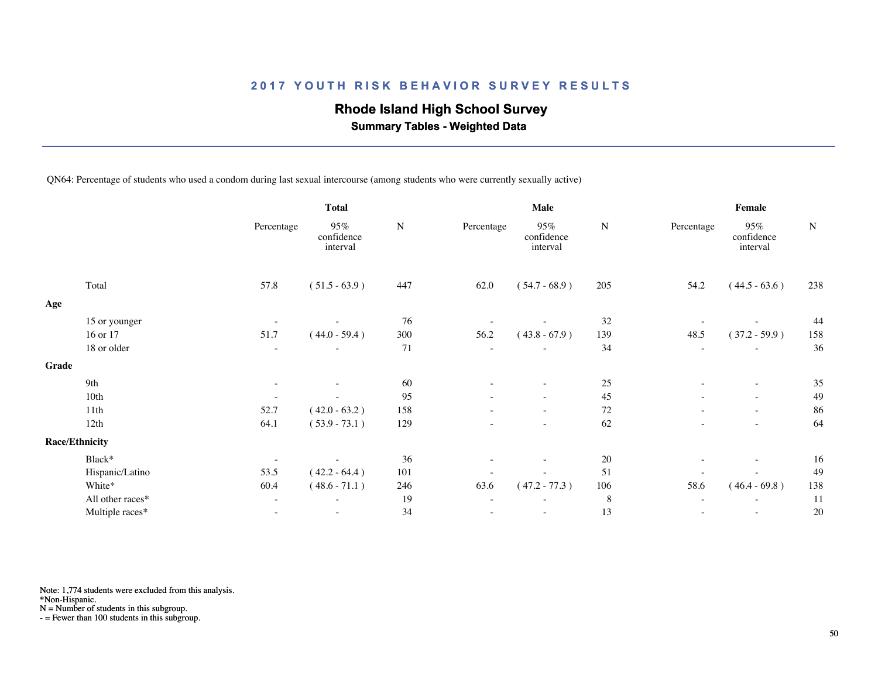## **Rhode Island High School Survey**

 **Summary Tables - Weighted Data**

QN64: Percentage of students who used a condom during last sexual intercourse (among students who were currently sexually active)

|                  |                                                 | <b>Total</b>                  |           |                          | <b>Male</b>                      |        | Female                   |                               |           |  |
|------------------|-------------------------------------------------|-------------------------------|-----------|--------------------------|----------------------------------|--------|--------------------------|-------------------------------|-----------|--|
|                  | Percentage                                      | 95%<br>confidence<br>interval | ${\bf N}$ | Percentage               | $95\%$<br>confidence<br>interval | N      | Percentage               | 95%<br>confidence<br>interval | ${\bf N}$ |  |
| Total            | 57.8                                            | $(51.5 - 63.9)$               | 447       | 62.0                     | $(54.7 - 68.9)$                  | 205    | 54.2                     | $(44.5 - 63.6)$               | 238       |  |
|                  |                                                 |                               |           |                          |                                  |        |                          |                               |           |  |
|                  | $\overline{\phantom{a}}$                        |                               | 76        |                          |                                  |        |                          |                               | 44        |  |
| 16 or 17         | 51.7                                            | $(44.0 - 59.4)$               | 300       | 56.2                     | $(43.8 - 67.9)$                  | 139    | 48.5                     | $(37.2 - 59.9)$               | 158       |  |
| 18 or older      | $\overline{\phantom{a}}$                        |                               | 71        | $\overline{\phantom{a}}$ |                                  | 34     | $\sim$                   | $\overline{\phantom{a}}$      | 36        |  |
|                  |                                                 |                               |           |                          |                                  |        |                          |                               |           |  |
| 9th              | $\overline{\phantom{a}}$                        |                               | 60        |                          |                                  |        | $\overline{\phantom{a}}$ | $\sim$                        | 35        |  |
| 10th             |                                                 |                               | 95        |                          |                                  | 45     |                          | $\sim$                        | 49        |  |
| 11th             | 52.7                                            | $(42.0 - 63.2)$               | 158       |                          | $\overline{\phantom{a}}$         | $72\,$ |                          | $\sim$                        | 86        |  |
| 12th             | 64.1                                            | $(53.9 - 73.1)$               | 129       |                          | $\overline{\phantom{a}}$         | 62     |                          | $\overline{\phantom{a}}$      | 64        |  |
|                  |                                                 |                               |           |                          |                                  |        |                          |                               |           |  |
| Black*           | $\overline{\phantom{a}}$                        |                               | 36        |                          |                                  | 20     | $\overline{\phantom{a}}$ | $\overline{\phantom{a}}$      | 16        |  |
| Hispanic/Latino  | 53.5                                            | $(42.2 - 64.4)$               | 101       |                          |                                  | 51     |                          |                               | 49        |  |
| White*           | 60.4                                            | $(48.6 - 71.1)$               | 246       | 63.6                     | $(47.2 - 77.3)$                  | 106    | 58.6                     | $(46.4 - 69.8)$               | 138       |  |
| All other races* | $\overline{\phantom{a}}$                        | $\sim$                        | 19        | $\overline{\phantom{a}}$ |                                  | 8      | $\sim$                   | $\sim$                        | 11        |  |
| Multiple races*  |                                                 |                               | 34        |                          | $\overline{\phantom{a}}$         | 13     |                          | $\overline{\phantom{a}}$      | 20        |  |
|                  | 15 or younger<br>Grade<br><b>Race/Ethnicity</b> |                               |           |                          |                                  |        | 32<br>$25\,$             |                               |           |  |

Note: 1,774 students were excluded from this analysis.

\*Non-Hispanic.

N = Number of students in this subgroup.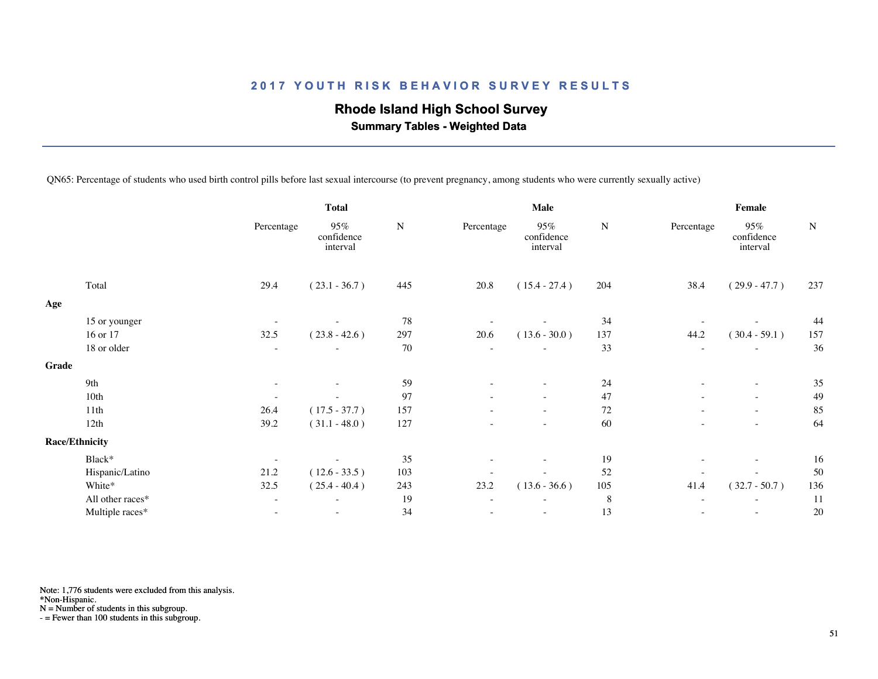# **Rhode Island High School Survey**

 **Summary Tables - Weighted Data**

QN65: Percentage of students who used birth control pills before last sexual intercourse (to prevent pregnancy, among students who were currently sexually active)

|       |                       | <b>Total</b>             |                               |           |                          | <b>Male</b>                      |         | Female                   |                                  |           |  |
|-------|-----------------------|--------------------------|-------------------------------|-----------|--------------------------|----------------------------------|---------|--------------------------|----------------------------------|-----------|--|
|       |                       | Percentage               | 95%<br>confidence<br>interval | ${\bf N}$ | Percentage               | $95\%$<br>confidence<br>interval | N       | Percentage               | $95\%$<br>confidence<br>interval | ${\bf N}$ |  |
|       | Total                 | 29.4                     | $(23.1 - 36.7)$               | 445       | 20.8                     | $(15.4 - 27.4)$                  | 204     | 38.4                     | $(29.9 - 47.7)$                  | 237       |  |
| Age   |                       |                          |                               |           |                          |                                  |         |                          |                                  |           |  |
|       | 15 or younger         | $\overline{\phantom{a}}$ | $\overline{\phantom{a}}$      | 78        |                          |                                  | 34      |                          |                                  | 44        |  |
|       | 16 or 17              | 32.5                     | $(23.8 - 42.6)$               | 297       | 20.6                     | $(13.6 - 30.0)$                  | 137     | 44.2                     | $(30.4 - 59.1)$                  | 157       |  |
|       | 18 or older           | $\overline{\phantom{a}}$ |                               | 70        | $\overline{\phantom{a}}$ |                                  | 33      | $\sim$                   | $\overline{\phantom{a}}$         | 36        |  |
| Grade |                       |                          |                               |           |                          |                                  |         |                          |                                  |           |  |
|       | 9th                   | $\overline{\phantom{a}}$ |                               | 59        | $\overline{\phantom{a}}$ |                                  | 24      | $\sim$                   | $\overline{\phantom{a}}$         | 35        |  |
|       | 10th                  |                          |                               | 97        |                          |                                  | 47      |                          | $\sim$                           | 49        |  |
|       | 11th                  | 26.4                     | $(17.5 - 37.7)$               | 157       |                          | $\overline{\phantom{a}}$         | 72      |                          | $\sim$                           | 85        |  |
|       | 12th                  | 39.2                     | $(31.1 - 48.0)$               | 127       |                          |                                  | 60      |                          | $\overline{\phantom{a}}$         | 64        |  |
|       | <b>Race/Ethnicity</b> |                          |                               |           |                          |                                  |         |                          |                                  |           |  |
|       | Black*                | $\overline{\phantom{a}}$ |                               | 35        | $\overline{\phantom{a}}$ | $\overline{\phantom{a}}$         | 19      | $\overline{\phantom{a}}$ | $\overline{\phantom{a}}$         | 16        |  |
|       | Hispanic/Latino       | 21.2                     | $(12.6 - 33.5)$               | 103       |                          |                                  | 52      |                          |                                  | 50        |  |
|       | White*                | 32.5                     | $(25.4 - 40.4)$               | 243       | 23.2                     | $(13.6 - 36.6)$                  | 105     | 41.4                     | $(32.7 - 50.7)$                  | 136       |  |
|       | All other races*      | $\overline{\phantom{a}}$ |                               | 19        |                          |                                  | $\,8\,$ |                          |                                  | 11        |  |
|       | Multiple races*       | $\overline{\phantom{a}}$ | $\overline{\phantom{a}}$      | 34        |                          | $\overline{\phantom{a}}$         | 13      | $\overline{\phantom{a}}$ | $\sim$                           | 20        |  |
|       |                       |                          |                               |           |                          |                                  |         |                          |                                  |           |  |

Note: 1,776 students were excluded from this analysis.

\*Non-Hispanic.

N = Number of students in this subgroup.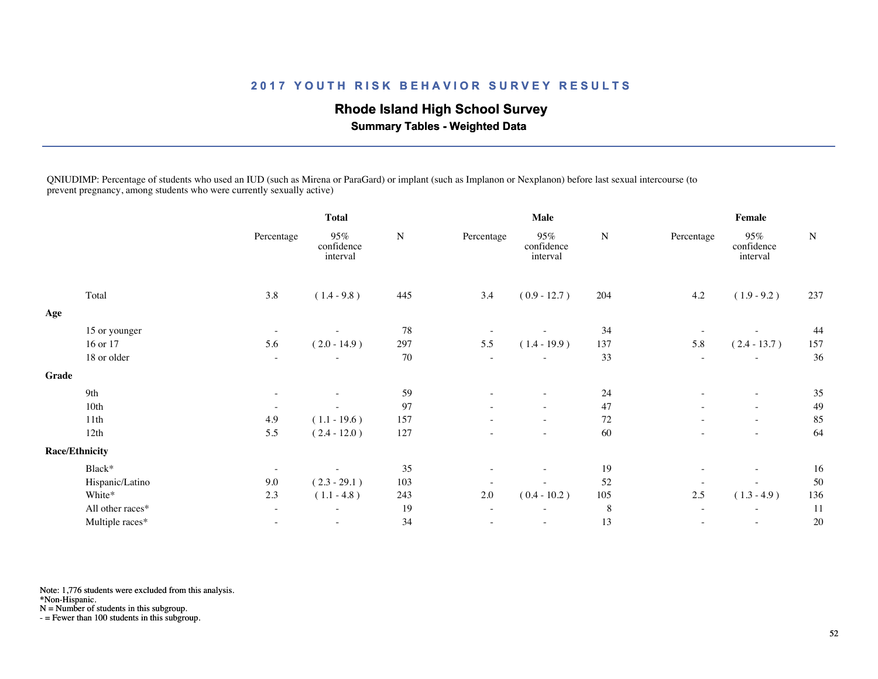## **Rhode Island High School Survey**

 **Summary Tables - Weighted Data**

QNIUDIMP: Percentage of students who used an IUD (such as Mirena or ParaGard) or implant (such as Implanon or Nexplanon) before last sexual intercourse (to prevent pregnancy, among students who were currently sexually active)

|       |                       | <b>Total</b>             |                               |           | Male                     |                               |           | Female                   |                               |             |
|-------|-----------------------|--------------------------|-------------------------------|-----------|--------------------------|-------------------------------|-----------|--------------------------|-------------------------------|-------------|
|       |                       | Percentage               | 95%<br>confidence<br>interval | ${\bf N}$ | Percentage               | 95%<br>confidence<br>interval | ${\bf N}$ | Percentage               | 95%<br>confidence<br>interval | $\mathbf N$ |
|       | Total                 | 3.8                      | $(1.4 - 9.8)$                 | 445       | 3.4                      | $(0.9 - 12.7)$                | 204       | 4.2                      | $(1.9 - 9.2)$                 | 237         |
| Age   |                       |                          |                               |           |                          |                               |           |                          |                               |             |
|       | 15 or younger         | $\overline{\phantom{a}}$ |                               | 78        |                          |                               | 34        |                          |                               | 44          |
|       | 16 or 17              | 5.6                      | $(2.0 - 14.9)$                | 297       | 5.5                      | $(1.4 - 19.9)$                | 137       | 5.8                      | $(2.4 - 13.7)$                | 157         |
|       | 18 or older           | $\overline{\phantom{a}}$ |                               | 70        | $\sim$                   |                               | 33        | $\overline{\phantom{a}}$ | $\overline{\phantom{a}}$      | 36          |
| Grade |                       |                          |                               |           |                          |                               |           |                          |                               |             |
|       | 9th                   | $\overline{\phantom{a}}$ |                               | 59        | $\overline{\phantom{a}}$ |                               | 24        | $\overline{\phantom{a}}$ | $\overline{\phantom{a}}$      | 35          |
|       | 10th                  | $\overline{\phantom{a}}$ | $\overline{\phantom{a}}$      | 97        | ٠                        | $\overline{\phantom{a}}$      | 47        | $\overline{\phantom{a}}$ | $\sim$                        | 49          |
|       | 11th                  | 4.9                      | $(1.1 - 19.6)$                | 157       |                          |                               | 72        |                          | $\overline{\phantom{a}}$      | 85          |
|       | 12th                  | 5.5                      | $(2.4 - 12.0)$                | 127       |                          | $\overline{\phantom{a}}$      | 60        |                          | $\overline{\phantom{a}}$      | 64          |
|       | <b>Race/Ethnicity</b> |                          |                               |           |                          |                               |           |                          |                               |             |
|       | Black*                | $\overline{\phantom{a}}$ |                               | 35        |                          |                               | 19        |                          | $\overline{\phantom{a}}$      | 16          |
|       | Hispanic/Latino       | 9.0                      | $(2.3 - 29.1)$                | 103       | $\overline{\phantom{a}}$ |                               | 52        | $\overline{\phantom{a}}$ | $\overline{\phantom{a}}$      | 50          |
|       | White*                | 2.3                      | $(1.1 - 4.8)$                 | 243       | $2.0\,$                  | $(0.4 - 10.2)$                | 105       | 2.5                      | $(1.3 - 4.9)$                 | 136         |
|       | All other races*      | $\overline{\phantom{a}}$ | $\overline{\phantom{a}}$      | 19        | $\overline{\phantom{a}}$ | $\sim$                        | $\,8\,$   | $\sim$                   | $\overline{\phantom{a}}$      | 11          |
|       | Multiple races*       |                          |                               | 34        |                          |                               | 13        |                          | $\overline{\phantom{a}}$      | 20          |
|       |                       |                          |                               |           |                          |                               |           |                          |                               |             |

Note: 1,776 students were excluded from this analysis.

\*Non-Hispanic.

N = Number of students in this subgroup.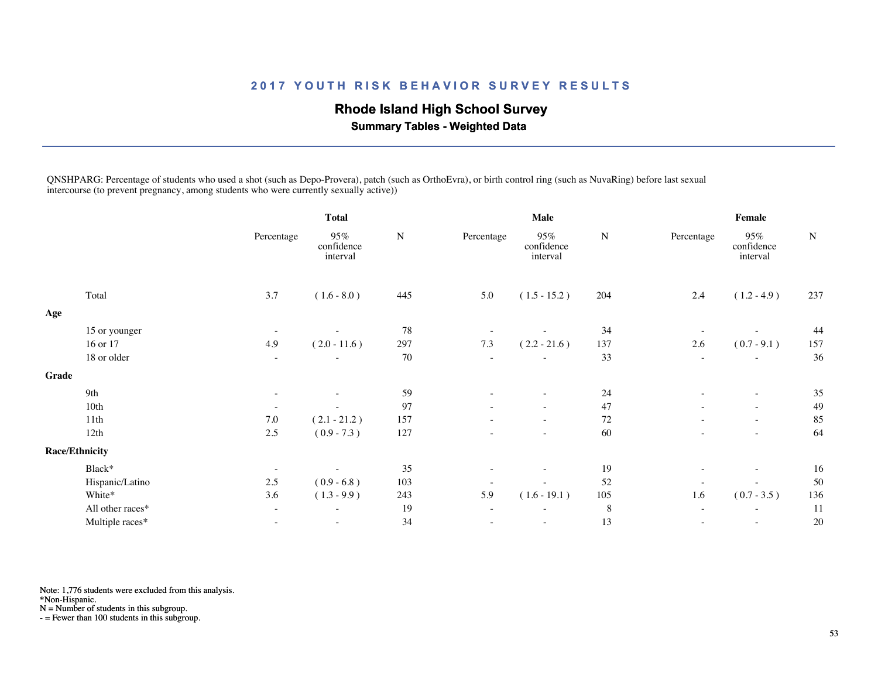# **Rhode Island High School Survey**

 **Summary Tables - Weighted Data**

QNSHPARG: Percentage of students who used a shot (such as Depo-Provera), patch (such as OrthoEvra), or birth control ring (such as NuvaRing) before last sexual intercourse (to prevent pregnancy, among students who were currently sexually active))

|       |                       | <b>Total</b>             |                               |           |                          | <b>Male</b>                      |           | Female                   |                               |           |  |
|-------|-----------------------|--------------------------|-------------------------------|-----------|--------------------------|----------------------------------|-----------|--------------------------|-------------------------------|-----------|--|
|       |                       | Percentage               | 95%<br>confidence<br>interval | ${\bf N}$ | Percentage               | $95\%$<br>confidence<br>interval | ${\bf N}$ | Percentage               | 95%<br>confidence<br>interval | ${\bf N}$ |  |
|       | Total                 | 3.7                      | $(1.6 - 8.0)$                 | 445       | 5.0                      | $(1.5 - 15.2)$                   | 204       | 2.4                      | $(1.2 - 4.9)$                 | 237       |  |
| Age   |                       |                          |                               |           |                          |                                  |           |                          |                               |           |  |
|       | 15 or younger         | $\overline{\phantom{a}}$ |                               | 78        |                          |                                  | 34        |                          |                               | 44        |  |
|       | 16 or 17              | 4.9                      | $(2.0 - 11.6)$                | 297       | 7.3                      | $(2.2 - 21.6)$                   | 137       | 2.6                      | $(0.7 - 9.1)$                 | 157       |  |
|       | 18 or older           | $\overline{\phantom{a}}$ | $\overline{\phantom{a}}$      | 70        | $\overline{\phantom{a}}$ |                                  | 33        | $\overline{\phantom{a}}$ | $\overline{\phantom{a}}$      | 36        |  |
| Grade |                       |                          |                               |           |                          |                                  |           |                          |                               |           |  |
|       | 9th                   | $\overline{\phantom{a}}$ |                               | 59        |                          |                                  | 24        | $\overline{\phantom{a}}$ | $\overline{\phantom{a}}$      | 35        |  |
|       | 10th                  | $\overline{\phantom{a}}$ | $\overline{\phantom{a}}$      | 97        |                          | $\overline{\phantom{a}}$         | 47        | $\overline{\phantom{a}}$ | $\sim$                        | 49        |  |
|       | 11th                  | $7.0\,$                  | $(2.1 - 21.2)$                | 157       |                          |                                  | 72        |                          | $\overline{\phantom{a}}$      | 85        |  |
|       | 12th                  | 2.5                      | $(0.9 - 7.3)$                 | 127       |                          | $\overline{\phantom{a}}$         | 60        |                          | $\sim$                        | 64        |  |
|       | <b>Race/Ethnicity</b> |                          |                               |           |                          |                                  |           |                          |                               |           |  |
|       | Black*                | $\overline{\phantom{a}}$ |                               | 35        |                          |                                  | 19        | $\overline{\phantom{a}}$ | $\overline{\phantom{a}}$      | 16        |  |
|       | Hispanic/Latino       | 2.5                      | $(0.9 - 6.8)$                 | 103       | $\overline{\phantom{a}}$ |                                  | 52        | $\overline{\phantom{a}}$ | $\overline{\phantom{a}}$      | 50        |  |
|       | White*                | 3.6                      | $(1.3 - 9.9)$                 | 243       | 5.9                      | $(1.6 - 19.1)$                   | 105       | 1.6                      | $(0.7 - 3.5)$                 | 136       |  |
|       | All other races*      | $\overline{\phantom{a}}$ | $\overline{\phantom{a}}$      | 19        | $\overline{\phantom{a}}$ |                                  | 8         | $\sim$                   | $\overline{\phantom{a}}$      | 11        |  |
|       | Multiple races*       | ۰                        |                               | 34        |                          | $\sim$                           | 13        |                          | $\overline{\phantom{a}}$      | 20        |  |
|       |                       |                          |                               |           |                          |                                  |           |                          |                               |           |  |

Note: 1,776 students were excluded from this analysis.

\*Non-Hispanic.

N = Number of students in this subgroup.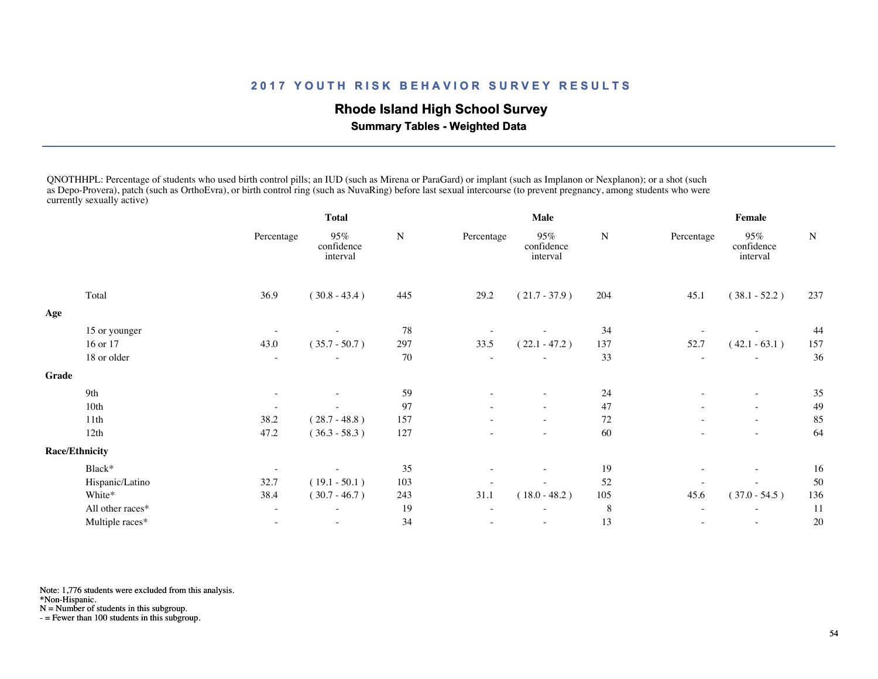## **Rhode Island High School Survey**

 **Summary Tables - Weighted Data**

QNOTHHPL: Percentage of students who used birth control pills; an IUD (such as Mirena or ParaGard) or implant (such as Implanon or Nexplanon); or a shot (such as Depo-Provera), patch (such as OrthoEvra), or birth control ring (such as NuvaRing) before last sexual intercourse (to prevent pregnancy, among students who were currently sexually active)

|       |                       | Total                    |                               |     |                          | Male                          |        | Female                   |                               |     |
|-------|-----------------------|--------------------------|-------------------------------|-----|--------------------------|-------------------------------|--------|--------------------------|-------------------------------|-----|
|       |                       | Percentage               | 95%<br>confidence<br>interval | N   | Percentage               | 95%<br>confidence<br>interval | N      | Percentage               | 95%<br>confidence<br>interval | N   |
|       | Total                 | 36.9                     | $(30.8 - 43.4)$               | 445 | 29.2                     | $(21.7 - 37.9)$               | 204    | 45.1                     | $(38.1 - 52.2)$               | 237 |
| Age   |                       |                          |                               |     |                          |                               |        |                          |                               |     |
|       | 15 or younger         |                          |                               | 78  |                          |                               | 34     |                          |                               | 44  |
|       | 16 or 17              | 43.0                     | $(35.7 - 50.7)$               | 297 | 33.5                     | $(22.1 - 47.2)$               | 137    | 52.7                     | $(42.1 - 63.1)$               | 157 |
|       | 18 or older           | $\overline{\phantom{a}}$ |                               | 70  |                          |                               | 33     | ÷                        |                               | 36  |
| Grade |                       |                          |                               |     |                          |                               |        |                          |                               |     |
|       | 9th                   | $\overline{\phantom{a}}$ | $\overline{\phantom{a}}$      | 59  | $\overline{\phantom{a}}$ | $\overline{\phantom{0}}$      | 24     | ٠                        | $\overline{\phantom{a}}$      | 35  |
|       | 10th                  |                          |                               | 97  |                          | $\overline{\phantom{a}}$      | 47     |                          | $\sim$                        | 49  |
|       | 11 <sup>th</sup>      | 38.2                     | $(28.7 - 48.8)$               | 157 |                          | $\overline{\phantom{0}}$      | $72\,$ | $\overline{\phantom{a}}$ | $\sim$                        | 85  |
|       | 12th                  | 47.2                     | $(36.3 - 58.3)$               | 127 |                          |                               | 60     |                          |                               | 64  |
|       | <b>Race/Ethnicity</b> |                          |                               |     |                          |                               |        |                          |                               |     |
|       | Black*                |                          |                               | 35  |                          |                               | 19     |                          | $\overline{\phantom{a}}$      | 16  |
|       | Hispanic/Latino       | 32.7                     | $(19.1 - 50.1)$               | 103 |                          |                               | 52     |                          |                               | 50  |
|       | White*                | 38.4                     | $(30.7 - 46.7)$               | 243 | 31.1                     | $(18.0 - 48.2)$               | 105    | 45.6                     | $(37.0 - 54.5)$               | 136 |
|       | All other races*      |                          | ÷                             | 19  |                          | ÷                             | 8      | $\overline{\phantom{a}}$ | $\sim$                        | 11  |
|       | Multiple races*       |                          |                               | 34  |                          |                               | 13     |                          |                               | 20  |
|       |                       |                          |                               |     |                          |                               |        |                          |                               |     |

Note: 1,776 students were excluded from this analysis.

\*Non-Hispanic.

N = Number of students in this subgroup.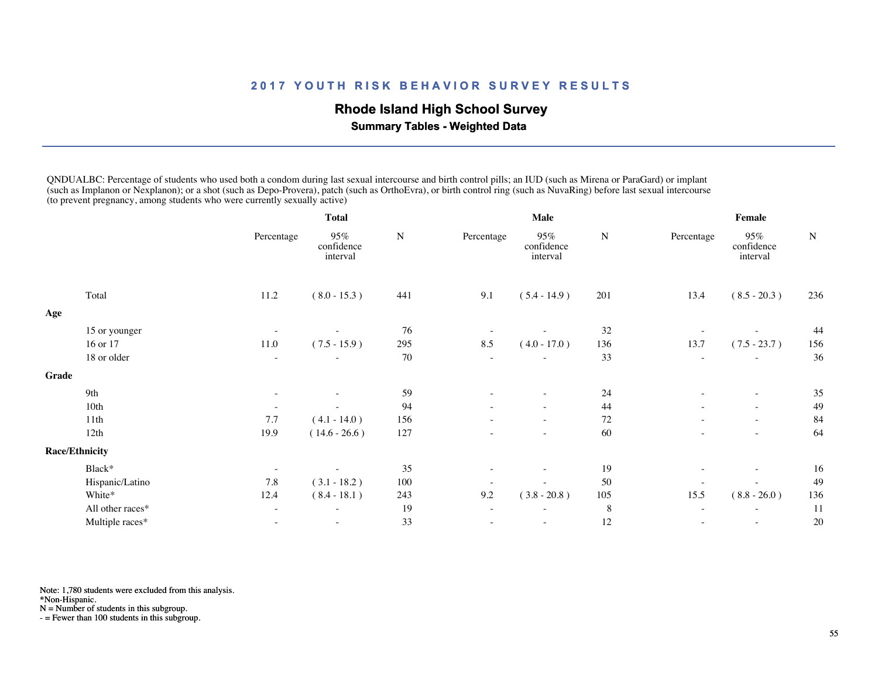## **Rhode Island High School Survey**

 **Summary Tables - Weighted Data**

QNDUALBC: Percentage of students who used both a condom during last sexual intercourse and birth control pills; an IUD (such as Mirena or ParaGard) or implant (such as Implanon or Nexplanon); or a shot (such as Depo-Provera), patch (such as OrthoEvra), or birth control ring (such as NuvaRing) before last sexual intercourse (to prevent pregnancy, among students who were currently sexually active)

|       |                       | Total                    |                               |           |                          | Male                          |           | Female                   |                               |           |  |
|-------|-----------------------|--------------------------|-------------------------------|-----------|--------------------------|-------------------------------|-----------|--------------------------|-------------------------------|-----------|--|
|       |                       | Percentage               | 95%<br>confidence<br>interval | ${\bf N}$ | Percentage               | 95%<br>confidence<br>interval | ${\bf N}$ | Percentage               | 95%<br>confidence<br>interval | ${\bf N}$ |  |
|       | Total                 | 11.2                     | $(8.0 - 15.3)$                | 441       | 9.1                      | $(5.4 - 14.9)$                | 201       | 13.4                     | $(8.5 - 20.3)$                | 236       |  |
| Age   |                       |                          |                               |           |                          |                               |           |                          |                               |           |  |
|       | 15 or younger         |                          |                               | 76        |                          |                               | 32        |                          |                               | 44        |  |
|       | 16 or 17              | 11.0                     | $(7.5 - 15.9)$                | 295       | 8.5                      | $(4.0 - 17.0)$                | 136       | 13.7                     | $(7.5 - 23.7)$                | 156       |  |
|       | 18 or older           | $\sim$                   |                               | 70        |                          | ٠                             | 33        | ٠                        |                               | 36        |  |
| Grade |                       |                          |                               |           |                          |                               |           |                          |                               |           |  |
|       | 9th                   |                          |                               | 59        |                          | ٠                             | 24        | $\overline{\phantom{a}}$ | $\sim$                        | 35        |  |
|       | 10th                  |                          | $\overline{\phantom{a}}$      | 94        |                          | $\overline{\phantom{a}}$      | 44        | $\overline{\phantom{a}}$ | $\sim$                        | 49        |  |
|       | 11th                  | 7.7                      | $(4.1 - 14.0)$                | 156       |                          |                               | 72        | $\sim$                   | $\sim$                        | 84        |  |
|       | 12th                  | 19.9                     | $(14.6 - 26.6)$               | 127       |                          | $\overline{\phantom{a}}$      | 60        |                          | $\sim$                        | 64        |  |
|       | <b>Race/Ethnicity</b> |                          |                               |           |                          |                               |           |                          |                               |           |  |
|       | Black*                | $\overline{\phantom{a}}$ |                               | 35        |                          |                               | 19        |                          | $\overline{\phantom{a}}$      | 16        |  |
|       | Hispanic/Latino       | 7.8                      | $(3.1 - 18.2)$                | 100       |                          |                               | 50        |                          |                               | 49        |  |
|       | White*                | 12.4                     | $(8.4 - 18.1)$                | 243       | 9.2                      | $(3.8 - 20.8)$                | 105       | 15.5                     | $(8.8 - 26.0)$                | 136       |  |
|       | All other races*      |                          | ۰                             | 19        | $\overline{\phantom{a}}$ |                               | $\,8\,$   | $\overline{\phantom{a}}$ |                               | 11        |  |
|       | Multiple races*       |                          |                               | 33        |                          | ٠                             | 12        |                          |                               | 20        |  |
|       |                       |                          |                               |           |                          |                               |           |                          |                               |           |  |

Note: 1,780 students were excluded from this analysis.

\*Non-Hispanic.

 $N =$  Number of students in this subgroup.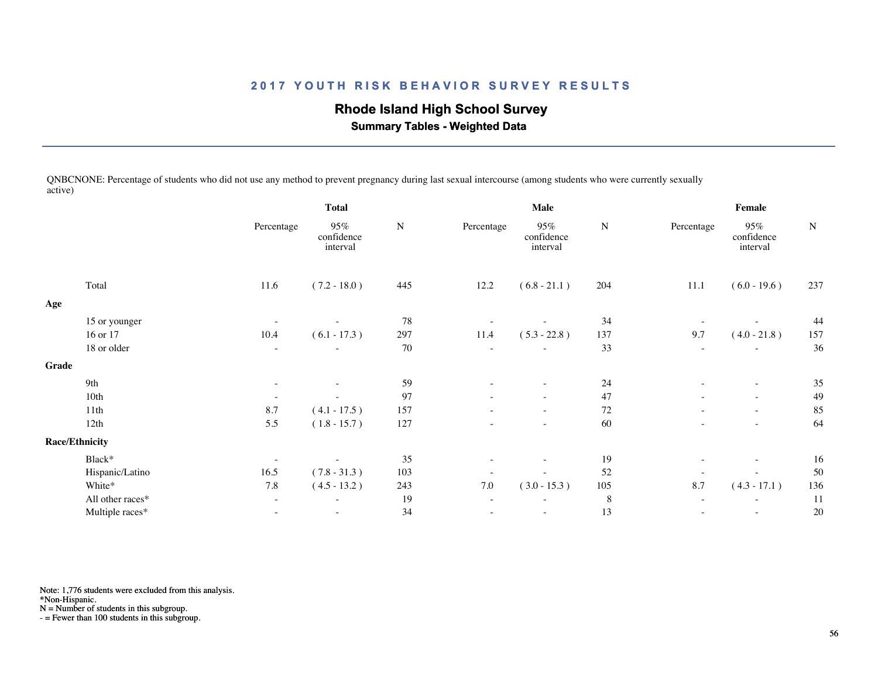# **Rhode Island High School Survey**

 **Summary Tables - Weighted Data**

QNBCNONE: Percentage of students who did not use any method to prevent pregnancy during last sexual intercourse (among students who were currently sexually active)

|       |                       | <b>Total</b>             |                               | <b>Male</b> |                          |                               | Female    |                          |                               |           |
|-------|-----------------------|--------------------------|-------------------------------|-------------|--------------------------|-------------------------------|-----------|--------------------------|-------------------------------|-----------|
|       |                       | Percentage               | 95%<br>confidence<br>interval | ${\bf N}$   | Percentage               | 95%<br>confidence<br>interval | ${\bf N}$ | Percentage               | 95%<br>confidence<br>interval | ${\bf N}$ |
|       | Total                 | 11.6                     | $(7.2 - 18.0)$                | 445         | 12.2                     | $(6.8 - 21.1)$                | 204       | 11.1                     | $(6.0 - 19.6)$                | 237       |
| Age   |                       |                          |                               |             |                          |                               |           |                          |                               |           |
|       | 15 or younger         | $\overline{\phantom{a}}$ |                               | 78          |                          |                               | 34        |                          |                               | 44        |
|       | 16 or 17              | 10.4                     | $(6.1 - 17.3)$                | 297         | 11.4                     | $(5.3 - 22.8)$                | 137       | 9.7                      | $(4.0 - 21.8)$                | 157       |
|       | 18 or older           |                          |                               | 70          |                          |                               | 33        |                          |                               | 36        |
| Grade |                       |                          |                               |             |                          |                               |           |                          |                               |           |
|       | 9th                   | $\overline{\phantom{a}}$ |                               | 59          |                          |                               | 24        | $\overline{\phantom{a}}$ | $\overline{\phantom{a}}$      | 35        |
|       | 10th                  | $\overline{\phantom{a}}$ | $\overline{\phantom{a}}$      | 97          | $\overline{\phantom{a}}$ | $\overline{\phantom{a}}$      | 47        | $\overline{\phantom{a}}$ | $\overline{\phantom{a}}$      | 49        |
|       | 11th                  | 8.7                      | $(4.1 - 17.5)$                | 157         |                          |                               | 72        | $\sim$                   | $\sim$                        | 85        |
|       | 12th                  | 5.5                      | $(1.8 - 15.7)$                | 127         |                          | $\overline{\phantom{a}}$      | 60        |                          | $\overline{\phantom{a}}$      | 64        |
|       | <b>Race/Ethnicity</b> |                          |                               |             |                          |                               |           |                          |                               |           |
|       | Black*                | $\overline{\phantom{a}}$ |                               | 35          |                          |                               | 19        |                          | $\overline{\phantom{a}}$      | 16        |
|       | Hispanic/Latino       | 16.5                     | $(7.8 - 31.3)$                | 103         |                          |                               | 52        | $\overline{a}$           |                               | 50        |
|       | White*                | 7.8                      | $(4.5 - 13.2)$                | 243         | $7.0\,$                  | $(3.0 - 15.3)$                | 105       | 8.7                      | $(4.3 - 17.1)$                | 136       |
|       | All other races*      | $\overline{\phantom{a}}$ | $\overline{\phantom{a}}$      | 19          | $\overline{\phantom{a}}$ | $\overline{\phantom{a}}$      | $\,8\,$   | $\sim$                   | $\overline{\phantom{a}}$      | 11        |
|       | Multiple races*       |                          |                               | 34          |                          |                               | 13        |                          | $\overline{\phantom{a}}$      | 20        |
|       |                       |                          |                               |             |                          |                               |           |                          |                               |           |

Note: 1,776 students were excluded from this analysis.

\*Non-Hispanic.

N = Number of students in this subgroup.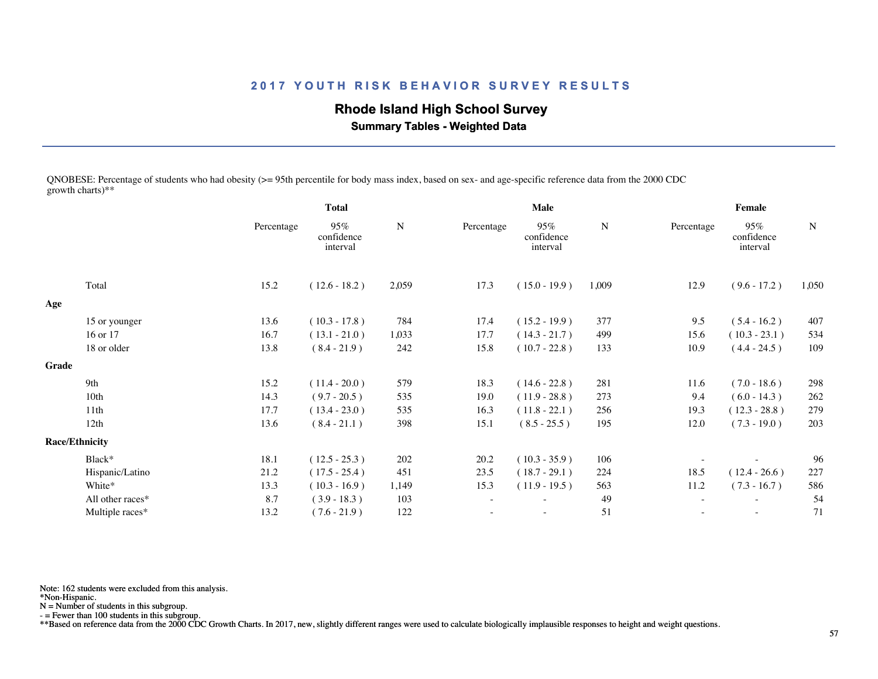## **Rhode Island High School Survey**

 **Summary Tables - Weighted Data**

QNOBESE: Percentage of students who had obesity (>= 95th percentile for body mass index, based on sex- and age-specific reference data from the 2000 CDC growth charts)\*\*

|       |                       | <b>Total</b> |                               |       |            | <b>Male</b>                   |       | Female     |                               |             |
|-------|-----------------------|--------------|-------------------------------|-------|------------|-------------------------------|-------|------------|-------------------------------|-------------|
|       |                       | Percentage   | 95%<br>confidence<br>interval | N     | Percentage | 95%<br>confidence<br>interval | N     | Percentage | 95%<br>confidence<br>interval | $\mathbf N$ |
|       | Total                 | 15.2         | $(12.6 - 18.2)$               | 2,059 | 17.3       | $(15.0 - 19.9)$               | 1,009 | 12.9       | $(9.6 - 17.2)$                | 1,050       |
| Age   |                       |              |                               |       |            |                               |       |            |                               |             |
|       | 15 or younger         | 13.6         | $(10.3 - 17.8)$               | 784   | 17.4       | $(15.2 - 19.9)$               | 377   | 9.5        | $(5.4 - 16.2)$                | 407         |
|       | 16 or 17              | 16.7         | $(13.1 - 21.0)$               | 1,033 | 17.7       | $(14.3 - 21.7)$               | 499   | 15.6       | $(10.3 - 23.1)$               | 534         |
|       | 18 or older           | 13.8         | $(8.4 - 21.9)$                | 242   | 15.8       | $(10.7 - 22.8)$               | 133   | 10.9       | $(4.4 - 24.5)$                | 109         |
| Grade |                       |              |                               |       |            |                               |       |            |                               |             |
|       | 9th                   | 15.2         | $(11.4 - 20.0)$               | 579   | 18.3       | $(14.6 - 22.8)$               | 281   | 11.6       | $(7.0 - 18.6)$                | 298         |
|       | 10th                  | 14.3         | $(9.7 - 20.5)$                | 535   | 19.0       | $(11.9 - 28.8)$               | 273   | 9.4        | $(6.0 - 14.3)$                | 262         |
|       | 11th                  | 17.7         | $(13.4 - 23.0)$               | 535   | 16.3       | $(11.8 - 22.1)$               | 256   | 19.3       | $(12.3 - 28.8)$               | 279         |
|       | 12th                  | 13.6         | $(8.4 - 21.1)$                | 398   | 15.1       | $(8.5 - 25.5)$                | 195   | 12.0       | $(7.3 - 19.0)$                | 203         |
|       | <b>Race/Ethnicity</b> |              |                               |       |            |                               |       |            |                               |             |
|       | Black*                | 18.1         | $(12.5 - 25.3)$               | 202   | 20.2       | $(10.3 - 35.9)$               | 106   |            |                               | 96          |
|       | Hispanic/Latino       | 21.2         | $(17.5 - 25.4)$               | 451   | 23.5       | $(18.7 - 29.1)$               | 224   | 18.5       | $(12.4 - 26.6)$               | 227         |
|       | White*                | 13.3         | $(10.3 - 16.9)$               | 1,149 | 15.3       | $(11.9 - 19.5)$               | 563   | 11.2       | $(7.3 - 16.7)$                | 586         |
|       | All other races*      | 8.7          | $(3.9 - 18.3)$                | 103   | $\sim$     |                               | 49    |            |                               | 54          |
|       | Multiple races*       | 13.2         | $(7.6 - 21.9)$                | 122   |            | $\sim$                        | 51    | $\sim$     | $\sim$                        | 71          |
|       |                       |              |                               |       |            |                               |       |            |                               |             |

Note: 162 students were excluded from this analysis.

\*Non-Hispanic.

N = Number of students in this subgroup.

- = Fewer than 100 students in this subgroup.

\*\*Based on reference data from the 2000 CDC Growth Charts. In 2017, new, slightly different ranges were used to calculate biologically implausible responses to height and weight questions.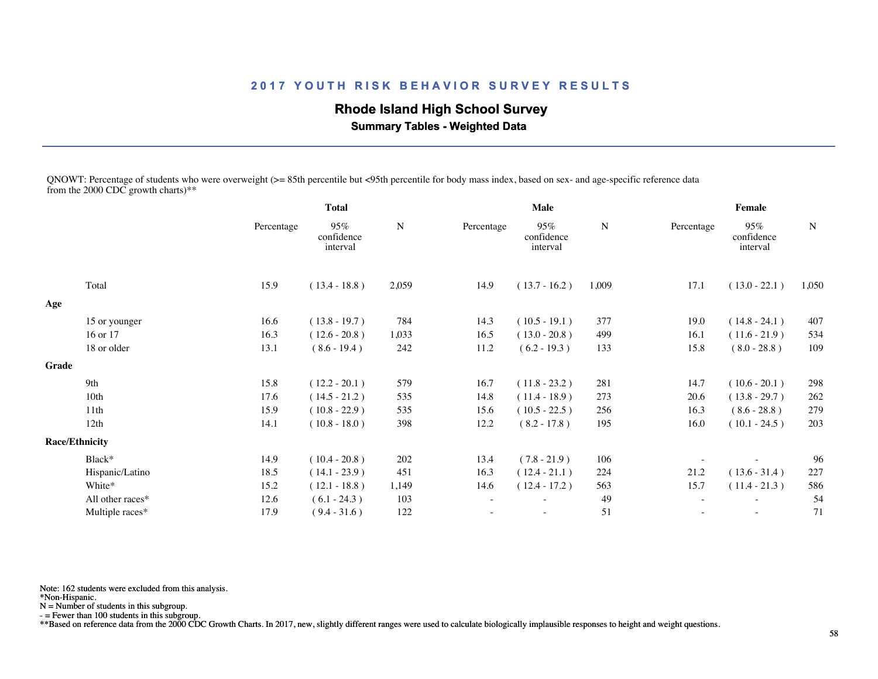## **Rhode Island High School Survey**

 **Summary Tables - Weighted Data**

QNOWT: Percentage of students who were overweight (>= 85th percentile but <95th percentile for body mass index, based on sex- and age-specific reference data from the 2000 CDC growth charts)\*\*

|                  |                                | <b>Total</b>                  |                 |            | Male                          |                 | <b>Female</b> |                               |                 |  |
|------------------|--------------------------------|-------------------------------|-----------------|------------|-------------------------------|-----------------|---------------|-------------------------------|-----------------|--|
|                  | Percentage                     | 95%<br>confidence<br>interval | N               | Percentage | 95%<br>confidence<br>interval | N               | Percentage    | 95%<br>confidence<br>interval | N               |  |
| Total            | 15.9                           | $(13.4 - 18.8)$               | 2,059           | 14.9       | $(13.7 - 16.2)$               | 1,009           | 17.1          | $(13.0 - 22.1)$               | 1,050           |  |
|                  |                                |                               |                 |            |                               |                 |               |                               |                 |  |
| 15 or younger    | 16.6                           | $(13.8 - 19.7)$               | 784             | 14.3       | $(10.5 - 19.1)$               | 377             | 19.0          | $(14.8 - 24.1)$               | 407             |  |
| 16 or 17         | 16.3                           | $(12.6 - 20.8)$               | 1,033           | 16.5       | $(13.0 - 20.8)$               | 499             | 16.1          | $(11.6 - 21.9)$               | 534             |  |
| 18 or older      | 13.1                           | $(8.6 - 19.4)$                | 242             | 11.2       | $(6.2 - 19.3)$                | 133             | 15.8          | $(8.0 - 28.8)$                | 109             |  |
|                  |                                |                               |                 |            |                               |                 |               |                               |                 |  |
| 9th              |                                |                               | 579             |            |                               | 281             |               |                               | 298             |  |
| 10th             | 17.6                           | $(14.5 - 21.2)$               | 535             | 14.8       | $(11.4 - 18.9)$               | 273             | 20.6          | $(13.8 - 29.7)$               | 262             |  |
| 11th             | 15.9                           | $(10.8 - 22.9)$               | 535             | 15.6       | $(10.5 - 22.5)$               | 256             | 16.3          | $(8.6 - 28.8)$                | 279             |  |
| 12th             | 14.1                           | $(10.8 - 18.0)$               | 398             | 12.2       | $(8.2 - 17.8)$                | 195             | 16.0          | $(10.1 - 24.5)$               | 203             |  |
|                  |                                |                               |                 |            |                               |                 |               |                               |                 |  |
| Black*           | 14.9                           | $(10.4 - 20.8)$               | 202             | 13.4       | $(7.8 - 21.9)$                | 106             |               |                               | 96              |  |
| Hispanic/Latino  | 18.5                           | $(14.1 - 23.9)$               | 451             | 16.3       | $(12.4 - 21.1)$               | 224             | 21.2          | $(13.6 - 31.4)$               | 227             |  |
| White*           | 15.2                           | $(12.1 - 18.8)$               | 1,149           | 14.6       | $(12.4 - 17.2)$               | 563             | 15.7          | $(11.4 - 21.3)$               | 586             |  |
| All other races* | 12.6                           | $(6.1 - 24.3)$                | 103             |            |                               | 49              |               |                               | 54              |  |
| Multiple races*  | 17.9                           | $(9.4 - 31.6)$                | 122             |            |                               | 51              |               |                               | 71              |  |
|                  | Grade<br><b>Race/Ethnicity</b> | 15.8                          | $(12.2 - 20.1)$ |            | 16.7                          | $(11.8 - 23.2)$ |               | 14.7                          | $(10.6 - 20.1)$ |  |

Note: 162 students were excluded from this analysis.

\*Non-Hispanic.

N = Number of students in this subgroup.

- = Fewer than 100 students in this subgroup.

\*\*Based on reference data from the 2000 CDC Growth Charts. In 2017, new, slightly different ranges were used to calculate biologically implausible responses to height and weight questions.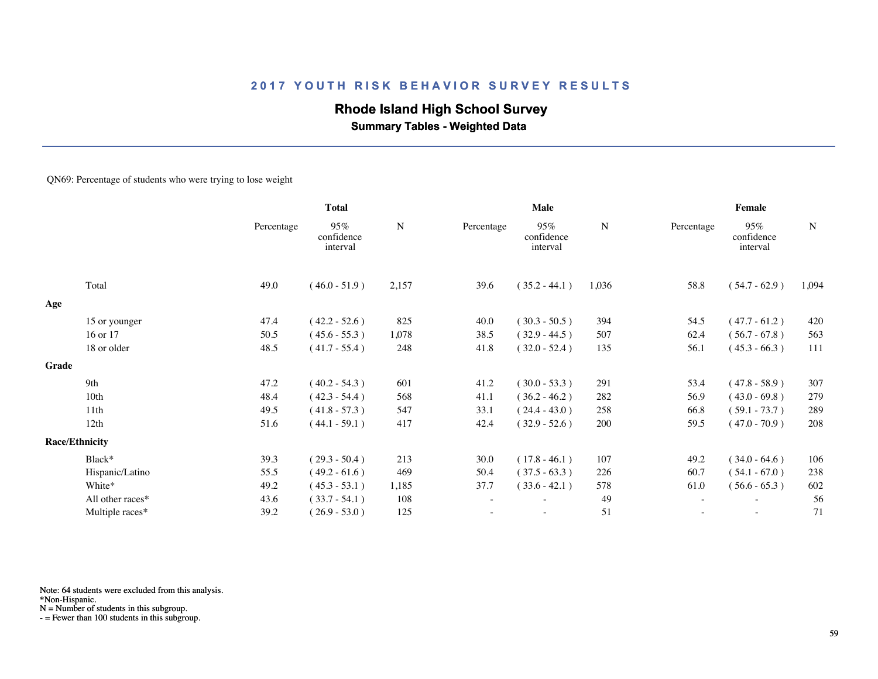## **Rhode Island High School Survey**

 **Summary Tables - Weighted Data**

#### QN69: Percentage of students who were trying to lose weight

|       |                       | <b>Total</b> |                               |       |            | Male                          |       | Female     |                                  |           |  |
|-------|-----------------------|--------------|-------------------------------|-------|------------|-------------------------------|-------|------------|----------------------------------|-----------|--|
|       |                       | Percentage   | 95%<br>confidence<br>interval | N     | Percentage | 95%<br>confidence<br>interval | N     | Percentage | $95\%$<br>confidence<br>interval | ${\bf N}$ |  |
|       | Total                 | 49.0         | $(46.0 - 51.9)$               | 2,157 | 39.6       | $(35.2 - 44.1)$               | 1,036 | 58.8       | $(54.7 - 62.9)$                  | 1,094     |  |
| Age   |                       |              |                               |       |            |                               |       |            |                                  |           |  |
|       | 15 or younger         | 47.4         | $(42.2 - 52.6)$               | 825   | 40.0       | $(30.3 - 50.5)$               | 394   | 54.5       | $(47.7 - 61.2)$                  | 420       |  |
|       | 16 or 17              | 50.5         | $(45.6 - 55.3)$               | 1,078 | 38.5       | $(32.9 - 44.5)$               | 507   | 62.4       | $(56.7 - 67.8)$                  | 563       |  |
|       | 18 or older           | 48.5         | $(41.7 - 55.4)$               | 248   | 41.8       | $(32.0 - 52.4)$               | 135   | 56.1       | $(45.3 - 66.3)$                  | 111       |  |
| Grade |                       |              |                               |       |            |                               |       |            |                                  |           |  |
|       | 9th                   | 47.2         | $(40.2 - 54.3)$               | 601   | 41.2       | $(30.0 - 53.3)$               | 291   | 53.4       | $(47.8 - 58.9)$                  | 307       |  |
|       | 10th                  | 48.4         | $(42.3 - 54.4)$               | 568   | 41.1       | $(36.2 - 46.2)$               | 282   | 56.9       | $(43.0 - 69.8)$                  | 279       |  |
|       | 11th                  | 49.5         | $(41.8 - 57.3)$               | 547   | 33.1       | $(24.4 - 43.0)$               | 258   | 66.8       | $(59.1 - 73.7)$                  | 289       |  |
|       | 12th                  | 51.6         | $(44.1 - 59.1)$               | 417   | 42.4       | $(32.9 - 52.6)$               | 200   | 59.5       | $(47.0 - 70.9)$                  | 208       |  |
|       | <b>Race/Ethnicity</b> |              |                               |       |            |                               |       |            |                                  |           |  |
|       | Black*                | 39.3         | $(29.3 - 50.4)$               | 213   | 30.0       | $(17.8 - 46.1)$               | 107   | 49.2       | $(34.0 - 64.6)$                  | 106       |  |
|       | Hispanic/Latino       | 55.5         | $(49.2 - 61.6)$               | 469   | 50.4       | $(37.5 - 63.3)$               | 226   | 60.7       | $(54.1 - 67.0)$                  | 238       |  |
|       | White*                | 49.2         | $(45.3 - 53.1)$               | 1,185 | 37.7       | $(33.6 - 42.1)$               | 578   | 61.0       | $(56.6 - 65.3)$                  | 602       |  |
|       | All other races*      | 43.6         | $(33.7 - 54.1)$               | 108   |            |                               | 49    |            | $\overline{\phantom{a}}$         | 56        |  |
|       | Multiple races*       | 39.2         | $(26.9 - 53.0)$               | 125   |            | $\overline{\phantom{a}}$      | 51    |            | $\overline{\phantom{a}}$         | 71        |  |
|       |                       |              |                               |       |            |                               |       |            |                                  |           |  |

Note: 64 students were excluded from this analysis.

\*Non-Hispanic.

N = Number of students in this subgroup.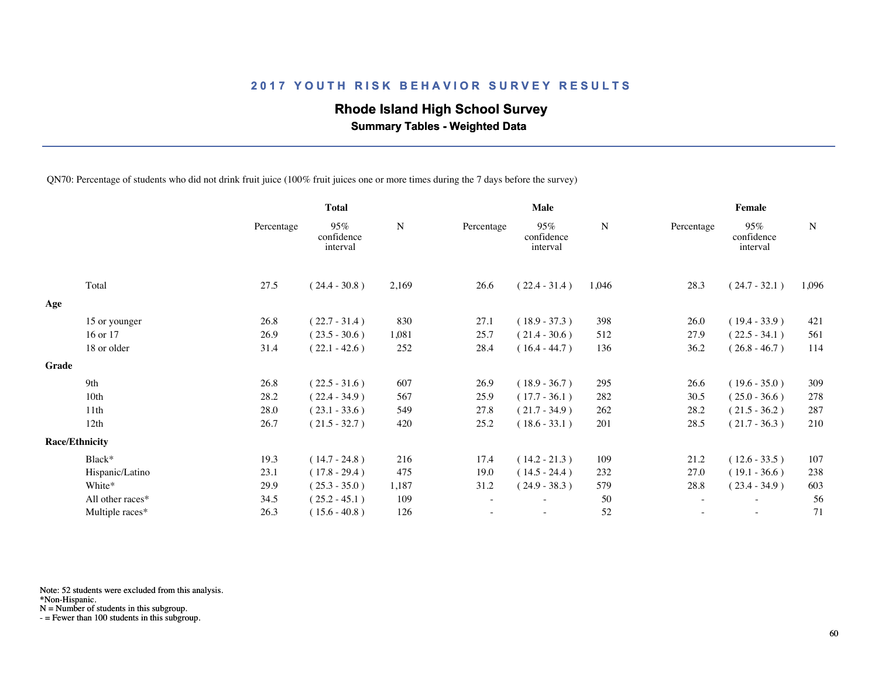## **Rhode Island High School Survey**

 **Summary Tables - Weighted Data**

QN70: Percentage of students who did not drink fruit juice (100% fruit juices one or more times during the 7 days before the survey)

|       |                       | <b>Total</b> |                               |           |            | Male                          |       | Female     |                               |           |  |
|-------|-----------------------|--------------|-------------------------------|-----------|------------|-------------------------------|-------|------------|-------------------------------|-----------|--|
|       |                       | Percentage   | 95%<br>confidence<br>interval | ${\bf N}$ | Percentage | 95%<br>confidence<br>interval | N     | Percentage | 95%<br>confidence<br>interval | ${\bf N}$ |  |
|       | Total                 | 27.5         | $(24.4 - 30.8)$               | 2,169     | 26.6       | $(22.4 - 31.4)$               | 1,046 | 28.3       | $(24.7 - 32.1)$               | 1,096     |  |
| Age   |                       |              |                               |           |            |                               |       |            |                               |           |  |
|       | 15 or younger         | 26.8         | $(22.7 - 31.4)$               | 830       | 27.1       | $(18.9 - 37.3)$               | 398   | 26.0       | $(19.4 - 33.9)$               | 421       |  |
|       | 16 or 17              | 26.9         | $(23.5 - 30.6)$               | 1,081     | 25.7       | $(21.4 - 30.6)$               | 512   | 27.9       | $(22.5 - 34.1)$               | 561       |  |
|       | 18 or older           | 31.4         | $(22.1 - 42.6)$               | 252       | 28.4       | $(16.4 - 44.7)$               | 136   | 36.2       | $(26.8 - 46.7)$               | 114       |  |
| Grade |                       |              |                               |           |            |                               |       |            |                               |           |  |
|       | 9th                   | 26.8         | $(22.5 - 31.6)$               | 607       | 26.9       | $(18.9 - 36.7)$               | 295   | 26.6       | $(19.6 - 35.0)$               | 309       |  |
|       | 10th                  | 28.2         | $(22.4 - 34.9)$               | 567       | 25.9       | $(17.7 - 36.1)$               | 282   | 30.5       | $(25.0 - 36.6)$               | 278       |  |
|       | 11th                  | 28.0         | $(23.1 - 33.6)$               | 549       | 27.8       | $(21.7 - 34.9)$               | 262   | 28.2       | $(21.5 - 36.2)$               | 287       |  |
|       | 12th                  | 26.7         | $(21.5 - 32.7)$               | 420       | 25.2       | $(18.6 - 33.1)$               | 201   | 28.5       | $(21.7 - 36.3)$               | 210       |  |
|       | <b>Race/Ethnicity</b> |              |                               |           |            |                               |       |            |                               |           |  |
|       | Black*                | 19.3         | $(14.7 - 24.8)$               | 216       | 17.4       | $(14.2 - 21.3)$               | 109   | 21.2       | $(12.6 - 33.5)$               | 107       |  |
|       | Hispanic/Latino       | 23.1         | $(17.8 - 29.4)$               | 475       | 19.0       | $(14.5 - 24.4)$               | 232   | 27.0       | $(19.1 - 36.6)$               | 238       |  |
|       | White*                | 29.9         | $(25.3 - 35.0)$               | 1,187     | 31.2       | $(24.9 - 38.3)$               | 579   | 28.8       | $(23.4 - 34.9)$               | 603       |  |
|       | All other races*      | 34.5         | $(25.2 - 45.1)$               | 109       |            | ۰                             | 50    | $\sim$     |                               | 56        |  |
|       | Multiple races*       | 26.3         | $(15.6 - 40.8)$               | 126       |            | ۰                             | 52    |            | $\overline{\phantom{a}}$      | 71        |  |
|       |                       |              |                               |           |            |                               |       |            |                               |           |  |

Note: 52 students were excluded from this analysis.

\*Non-Hispanic.

N = Number of students in this subgroup.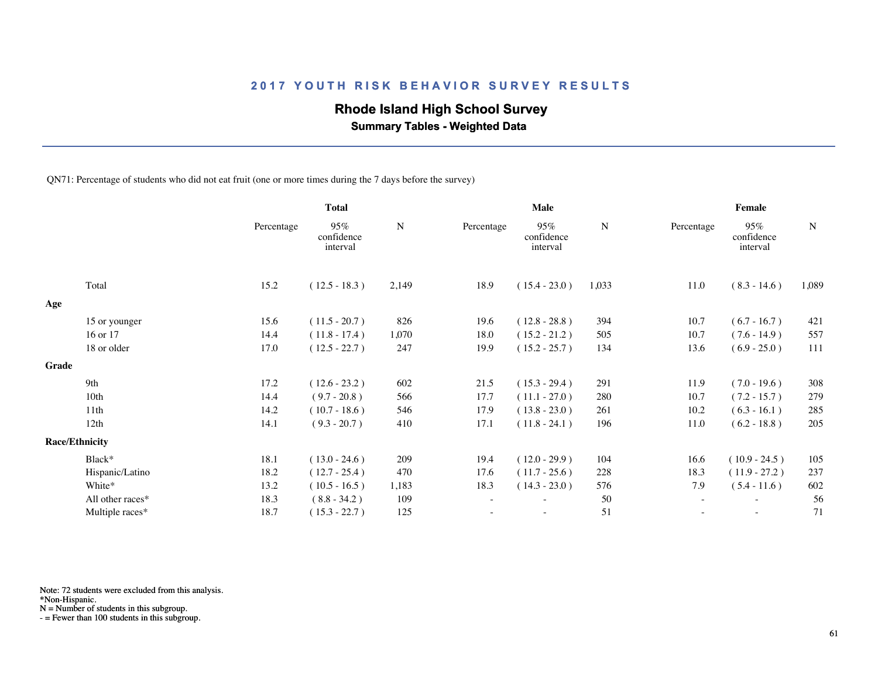## **Rhode Island High School Survey**

 **Summary Tables - Weighted Data**

QN71: Percentage of students who did not eat fruit (one or more times during the 7 days before the survey)

|       |                       | <b>Total</b> |                               |       | Male       |                               |       | Female                   |                               |           |  |
|-------|-----------------------|--------------|-------------------------------|-------|------------|-------------------------------|-------|--------------------------|-------------------------------|-----------|--|
|       |                       | Percentage   | 95%<br>confidence<br>interval | N     | Percentage | 95%<br>confidence<br>interval | N     | Percentage               | 95%<br>confidence<br>interval | ${\bf N}$ |  |
|       | Total                 | 15.2         | $(12.5 - 18.3)$               | 2,149 | 18.9       | $(15.4 - 23.0)$               | 1,033 | 11.0                     | $(8.3 - 14.6)$                | 1,089     |  |
| Age   |                       |              |                               |       |            |                               |       |                          |                               |           |  |
|       | 15 or younger         | 15.6         | $(11.5 - 20.7)$               | 826   | 19.6       | $(12.8 - 28.8)$               | 394   | 10.7                     | $(6.7 - 16.7)$                | 421       |  |
|       | 16 or 17              | 14.4         | $(11.8 - 17.4)$               | 1,070 | 18.0       | $(15.2 - 21.2)$               | 505   | 10.7                     | $(7.6 - 14.9)$                | 557       |  |
|       | 18 or older           | 17.0         | $(12.5 - 22.7)$               | 247   | 19.9       | $(15.2 - 25.7)$               | 134   | 13.6                     | $(6.9 - 25.0)$                | 111       |  |
| Grade |                       |              |                               |       |            |                               |       |                          |                               |           |  |
|       | 9th                   | 17.2         | $(12.6 - 23.2)$               | 602   | 21.5       | $(15.3 - 29.4)$               | 291   | 11.9                     | $(7.0 - 19.6)$                | 308       |  |
|       | 10th                  | 14.4         | $(9.7 - 20.8)$                | 566   | 17.7       | $(11.1 - 27.0)$               | 280   | 10.7                     | $(7.2 - 15.7)$                | 279       |  |
|       | 11th                  | 14.2         | $(10.7 - 18.6)$               | 546   | 17.9       | $(13.8 - 23.0)$               | 261   | 10.2                     | $(6.3 - 16.1)$                | 285       |  |
|       | 12th                  | 14.1         | $(9.3 - 20.7)$                | 410   | 17.1       | $(11.8 - 24.1)$               | 196   | 11.0                     | $(6.2 - 18.8)$                | 205       |  |
|       | <b>Race/Ethnicity</b> |              |                               |       |            |                               |       |                          |                               |           |  |
|       | Black*                | 18.1         | $(13.0 - 24.6)$               | 209   | 19.4       | $(12.0 - 29.9)$               | 104   | 16.6                     | $(10.9 - 24.5)$               | 105       |  |
|       | Hispanic/Latino       | 18.2         | $(12.7 - 25.4)$               | 470   | 17.6       | $(11.7 - 25.6)$               | 228   | 18.3                     | $(11.9 - 27.2)$               | 237       |  |
|       | White*                | 13.2         | $(10.5 - 16.5)$               | 1,183 | 18.3       | $(14.3 - 23.0)$               | 576   | 7.9                      | $(5.4 - 11.6)$                | 602       |  |
|       | All other races*      | 18.3         | $(8.8 - 34.2)$                | 109   |            | ٠                             | 50    | $\sim$                   |                               | 56        |  |
|       | Multiple races*       | 18.7         | $(15.3 - 22.7)$               | 125   |            | $\overline{\phantom{a}}$      | 51    | $\overline{\phantom{a}}$ | $\overline{\phantom{a}}$      | 71        |  |
|       |                       |              |                               |       |            |                               |       |                          |                               |           |  |

Note: 72 students were excluded from this analysis.

\*Non-Hispanic.

N = Number of students in this subgroup.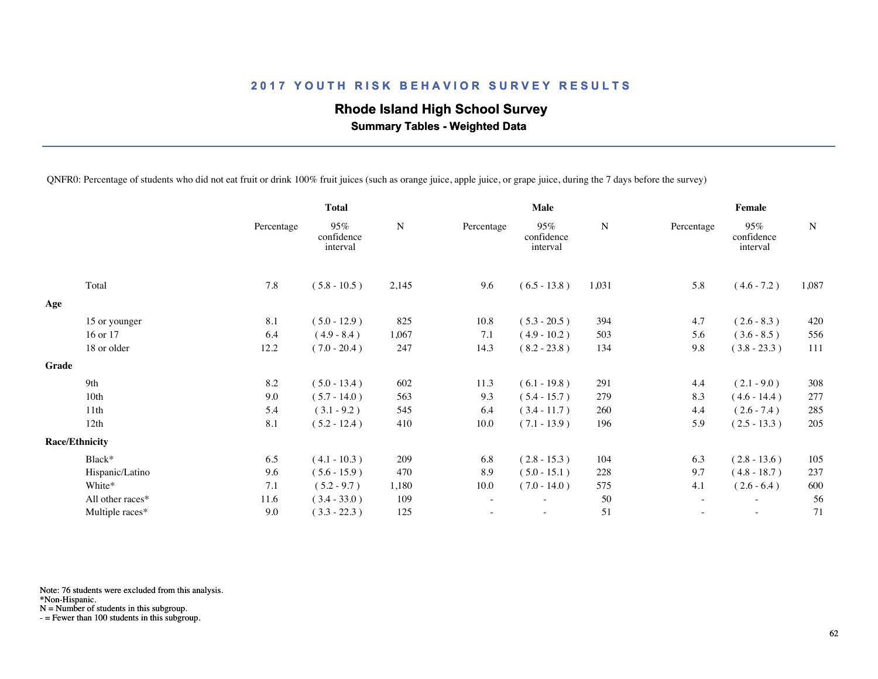## **Rhode Island High School Survey**

 **Summary Tables - Weighted Data**

QNFR0: Percentage of students who did not eat fruit or drink 100% fruit juices (such as orange juice, apple juice, or grape juice, during the 7 days before the survey)

|       |                       | <b>Total</b> |                               |           | <b>Male</b>              |                                  |           | Female                   |                               |           |  |
|-------|-----------------------|--------------|-------------------------------|-----------|--------------------------|----------------------------------|-----------|--------------------------|-------------------------------|-----------|--|
|       |                       | Percentage   | 95%<br>confidence<br>interval | ${\bf N}$ | Percentage               | $95\%$<br>confidence<br>interval | ${\bf N}$ | Percentage               | 95%<br>confidence<br>interval | ${\bf N}$ |  |
|       | Total                 | 7.8          | $(5.8 - 10.5)$                | 2,145     | 9.6                      | $(6.5 - 13.8)$                   | 1,031     | 5.8                      | $(4.6 - 7.2)$                 | 1,087     |  |
| Age   |                       |              |                               |           |                          |                                  |           |                          |                               |           |  |
|       | 15 or younger         | 8.1          | $(5.0 - 12.9)$                | 825       | 10.8                     | $(5.3 - 20.5)$                   | 394       | 4.7                      | $(2.6 - 8.3)$                 | 420       |  |
|       | 16 or 17              | 6.4          | $(4.9 - 8.4)$                 | 1,067     | 7.1                      | $(4.9 - 10.2)$                   | 503       | 5.6                      | $(3.6 - 8.5)$                 | 556       |  |
|       | 18 or older           | 12.2         | $(7.0 - 20.4)$                | 247       | 14.3                     | $(8.2 - 23.8)$                   | 134       | 9.8                      | $(3.8 - 23.3)$                | 111       |  |
| Grade |                       |              |                               |           |                          |                                  |           |                          |                               |           |  |
|       | 9th                   | 8.2          | $(5.0 - 13.4)$                | 602       | 11.3                     | $(6.1 - 19.8)$                   | 291       | 4.4                      | $(2.1 - 9.0)$                 | 308       |  |
|       | 10th                  | 9.0          | $(5.7 - 14.0)$                | 563       | 9.3                      | $(5.4 - 15.7)$                   | 279       | 8.3                      | $(4.6 - 14.4)$                | 277       |  |
|       | 11th                  | 5.4          | $(3.1 - 9.2)$                 | 545       | 6.4                      | $(3.4 - 11.7)$                   | 260       | 4.4                      | $(2.6 - 7.4)$                 | 285       |  |
|       | 12th                  | 8.1          | $(5.2 - 12.4)$                | 410       | 10.0                     | $(7.1 - 13.9)$                   | 196       | 5.9                      | $(2.5 - 13.3)$                | 205       |  |
|       | <b>Race/Ethnicity</b> |              |                               |           |                          |                                  |           |                          |                               |           |  |
|       | Black*                | 6.5          | $(4.1 - 10.3)$                | 209       | 6.8                      | $(2.8 - 15.3)$                   | 104       | 6.3                      | $(2.8 - 13.6)$                | 105       |  |
|       | Hispanic/Latino       | 9.6          | $(5.6 - 15.9)$                | 470       | 8.9                      | $(5.0 - 15.1)$                   | 228       | 9.7                      | $(4.8 - 18.7)$                | 237       |  |
|       | White*                | 7.1          | $(5.2 - 9.7)$                 | 1,180     | 10.0                     | $(7.0 - 14.0)$                   | 575       | 4.1                      | $(2.6 - 6.4)$                 | 600       |  |
|       | All other races*      | 11.6         | $(3.4 - 33.0)$                | 109       | $\overline{\phantom{a}}$ | $\overline{\phantom{a}}$         | 50        | $\overline{\phantom{a}}$ | $\overline{\phantom{a}}$      | 56        |  |
|       | Multiple races*       | 9.0          | $(3.3 - 22.3)$                | 125       |                          |                                  | 51        |                          | $\sim$                        | 71        |  |
|       |                       |              |                               |           |                          |                                  |           |                          |                               |           |  |

Note: 76 students were excluded from this analysis.

\*Non-Hispanic.

N = Number of students in this subgroup.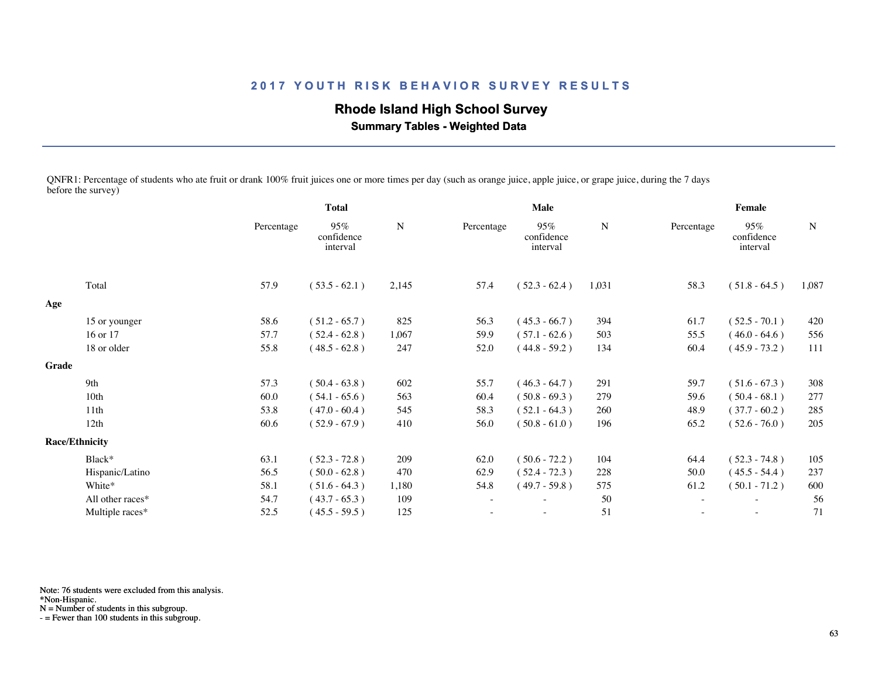# **Rhode Island High School Survey**

 **Summary Tables - Weighted Data**

QNFR1: Percentage of students who ate fruit or drank 100% fruit juices one or more times per day (such as orange juice, apple juice, or grape juice, during the 7 days before the survey)

|       |                       | <b>Total</b> |                               |           |                          | Male                          |       | Female     |                               |       |  |
|-------|-----------------------|--------------|-------------------------------|-----------|--------------------------|-------------------------------|-------|------------|-------------------------------|-------|--|
|       |                       | Percentage   | 95%<br>confidence<br>interval | ${\bf N}$ | Percentage               | 95%<br>confidence<br>interval | N     | Percentage | 95%<br>confidence<br>interval | N     |  |
|       | Total                 | 57.9         | $(53.5 - 62.1)$               | 2,145     | 57.4                     | $(52.3 - 62.4)$               | 1,031 | 58.3       | $(51.8 - 64.5)$               | 1,087 |  |
| Age   |                       |              |                               |           |                          |                               |       |            |                               |       |  |
|       | 15 or younger         | 58.6         | $(51.2 - 65.7)$               | 825       | 56.3                     | $(45.3 - 66.7)$               | 394   | 61.7       | $(52.5 - 70.1)$               | 420   |  |
|       | 16 or 17              | 57.7         | $(52.4 - 62.8)$               | 1,067     | 59.9                     | $(57.1 - 62.6)$               | 503   | 55.5       | $(46.0 - 64.6)$               | 556   |  |
|       | 18 or older           | 55.8         | $(48.5 - 62.8)$               | 247       | 52.0                     | $(44.8 - 59.2)$               | 134   | 60.4       | $(45.9 - 73.2)$               | 111   |  |
| Grade |                       |              |                               |           |                          |                               |       |            |                               |       |  |
|       | 9th                   | 57.3         | $(50.4 - 63.8)$               | 602       | 55.7                     | $(46.3 - 64.7)$               | 291   | 59.7       | $(51.6 - 67.3)$               | 308   |  |
|       | 10 <sub>th</sub>      | 60.0         | $(54.1 - 65.6)$               | 563       | 60.4                     | $(50.8 - 69.3)$               | 279   | 59.6       | $(50.4 - 68.1)$               | 277   |  |
|       | 11th                  | 53.8         | $(47.0 - 60.4)$               | 545       | 58.3                     | $(52.1 - 64.3)$               | 260   | 48.9       | $(37.7 - 60.2)$               | 285   |  |
|       | 12th                  | 60.6         | $(52.9 - 67.9)$               | 410       | 56.0                     | $(50.8 - 61.0)$               | 196   | 65.2       | $(52.6 - 76.0)$               | 205   |  |
|       | <b>Race/Ethnicity</b> |              |                               |           |                          |                               |       |            |                               |       |  |
|       | Black*                | 63.1         | $(52.3 - 72.8)$               | 209       | 62.0                     | $(50.6 - 72.2)$               | 104   | 64.4       | $(52.3 - 74.8)$               | 105   |  |
|       | Hispanic/Latino       | 56.5         | $(50.0 - 62.8)$               | 470       | 62.9                     | $(52.4 - 72.3)$               | 228   | 50.0       | $(45.5 - 54.4)$               | 237   |  |
|       | White*                | 58.1         | $(51.6 - 64.3)$               | 1,180     | 54.8                     | $(49.7 - 59.8)$               | 575   | 61.2       | $(50.1 - 71.2)$               | 600   |  |
|       | All other races*      | 54.7         | $(43.7 - 65.3)$               | 109       | $\overline{\phantom{a}}$ | $\overline{\phantom{a}}$      | 50    | $\sim$     | $\overline{\phantom{a}}$      | 56    |  |
|       | Multiple races*       | 52.5         | $(45.5 - 59.5)$               | 125       |                          | $\overline{\phantom{a}}$      | 51    |            | $\overline{\phantom{a}}$      | 71    |  |
|       |                       |              |                               |           |                          |                               |       |            |                               |       |  |

Note: 76 students were excluded from this analysis.

\*Non-Hispanic.

N = Number of students in this subgroup.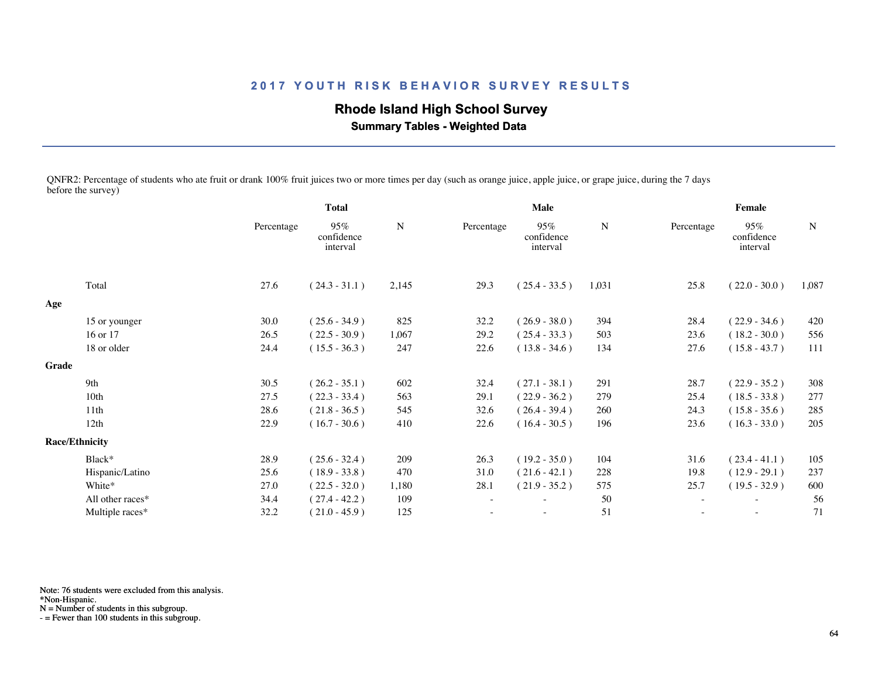# **Rhode Island High School Survey**

 **Summary Tables - Weighted Data**

QNFR2: Percentage of students who ate fruit or drank 100% fruit juices two or more times per day (such as orange juice, apple juice, or grape juice, during the 7 days before the survey)

|       |                       | <b>Total</b> |                               |           |                          | <b>Male</b>                   |       | Female     |                               |           |  |
|-------|-----------------------|--------------|-------------------------------|-----------|--------------------------|-------------------------------|-------|------------|-------------------------------|-----------|--|
|       |                       | Percentage   | 95%<br>confidence<br>interval | ${\bf N}$ | Percentage               | 95%<br>confidence<br>interval | N     | Percentage | 95%<br>confidence<br>interval | ${\bf N}$ |  |
|       | Total                 | 27.6         | $(24.3 - 31.1)$               | 2,145     | 29.3                     | $(25.4 - 33.5)$               | 1,031 | 25.8       | $(22.0 - 30.0)$               | 1,087     |  |
| Age   |                       |              |                               |           |                          |                               |       |            |                               |           |  |
|       | 15 or younger         | 30.0         | $(25.6 - 34.9)$               | 825       | 32.2                     | $(26.9 - 38.0)$               | 394   | 28.4       | $(22.9 - 34.6)$               | 420       |  |
|       | 16 or 17              | 26.5         | $(22.5 - 30.9)$               | 1,067     | 29.2                     | $(25.4 - 33.3)$               | 503   | 23.6       | $(18.2 - 30.0)$               | 556       |  |
|       | 18 or older           | 24.4         | $(15.5 - 36.3)$               | 247       | 22.6                     | $(13.8 - 34.6)$               | 134   | 27.6       | $(15.8 - 43.7)$               | 111       |  |
| Grade |                       |              |                               |           |                          |                               |       |            |                               |           |  |
|       | 9th                   | 30.5         | $(26.2 - 35.1)$               | 602       | 32.4                     | $(27.1 - 38.1)$               | 291   | 28.7       | $(22.9 - 35.2)$               | 308       |  |
|       | 10th                  | 27.5         | $(22.3 - 33.4)$               | 563       | 29.1                     | $(22.9 - 36.2)$               | 279   | 25.4       | $(18.5 - 33.8)$               | 277       |  |
|       | 11th                  | 28.6         | $(21.8 - 36.5)$               | 545       | 32.6                     | $(26.4 - 39.4)$               | 260   | 24.3       | $(15.8 - 35.6)$               | 285       |  |
|       | 12th                  | 22.9         | $(16.7 - 30.6)$               | 410       | 22.6                     | $(16.4 - 30.5)$               | 196   | 23.6       | $(16.3 - 33.0)$               | 205       |  |
|       | <b>Race/Ethnicity</b> |              |                               |           |                          |                               |       |            |                               |           |  |
|       | Black*                | 28.9         | $(25.6 - 32.4)$               | 209       | 26.3                     | $(19.2 - 35.0)$               | 104   | 31.6       | $(23.4 - 41.1)$               | 105       |  |
|       | Hispanic/Latino       | 25.6         | $(18.9 - 33.8)$               | 470       | 31.0                     | $(21.6 - 42.1)$               | 228   | 19.8       | $(12.9 - 29.1)$               | 237       |  |
|       | White*                | 27.0         | $(22.5 - 32.0)$               | 1,180     | 28.1                     | $(21.9 - 35.2)$               | 575   | 25.7       | $(19.5 - 32.9)$               | 600       |  |
|       | All other races*      | 34.4         | $(27.4 - 42.2)$               | 109       | $\overline{\phantom{a}}$ | $\overline{\phantom{a}}$      | 50    | $\sim$     | $\overline{\phantom{a}}$      | 56        |  |
|       | Multiple races*       | 32.2         | $(21.0 - 45.9)$               | 125       |                          | $\overline{\phantom{a}}$      | 51    |            | $\overline{\phantom{a}}$      | 71        |  |
|       |                       |              |                               |           |                          |                               |       |            |                               |           |  |

Note: 76 students were excluded from this analysis.

\*Non-Hispanic.

N = Number of students in this subgroup.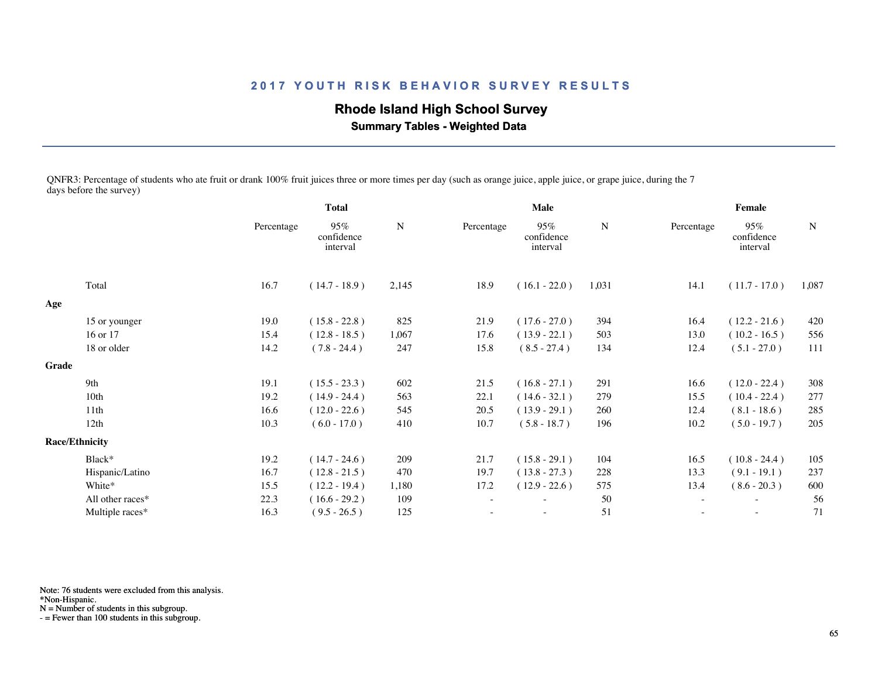# **Rhode Island High School Survey**

 **Summary Tables - Weighted Data**

QNFR3: Percentage of students who ate fruit or drank 100% fruit juices three or more times per day (such as orange juice, apple juice, or grape juice, during the 7 days before the survey)

|       |                       | <b>Total</b> |                               |       | Male                     |                               |       | Female     |                               |       |
|-------|-----------------------|--------------|-------------------------------|-------|--------------------------|-------------------------------|-------|------------|-------------------------------|-------|
|       |                       | Percentage   | 95%<br>confidence<br>interval | N     | Percentage               | 95%<br>confidence<br>interval | N     | Percentage | 95%<br>confidence<br>interval | N     |
|       | Total                 | 16.7         | $(14.7 - 18.9)$               | 2,145 | 18.9                     | $(16.1 - 22.0)$               | 1,031 | 14.1       | $(11.7 - 17.0)$               | 1,087 |
| Age   |                       |              |                               |       |                          |                               |       |            |                               |       |
|       | 15 or younger         | 19.0         | $(15.8 - 22.8)$               | 825   | 21.9                     | $(17.6 - 27.0)$               | 394   | 16.4       | $(12.2 - 21.6)$               | 420   |
|       | 16 or 17              | 15.4         | $(12.8 - 18.5)$               | 1,067 | 17.6                     | $(13.9 - 22.1)$               | 503   | 13.0       | $(10.2 - 16.5)$               | 556   |
|       | 18 or older           | 14.2         | $(7.8 - 24.4)$                | 247   | 15.8                     | $(8.5 - 27.4)$                | 134   | 12.4       | $(5.1 - 27.0)$                | 111   |
| Grade |                       |              |                               |       |                          |                               |       |            |                               |       |
|       | 9th                   | 19.1         | $(15.5 - 23.3)$               | 602   | 21.5                     | $(16.8 - 27.1)$               | 291   | 16.6       | $(12.0 - 22.4)$               | 308   |
|       | 10th                  | 19.2         | $(14.9 - 24.4)$               | 563   | 22.1                     | $(14.6 - 32.1)$               | 279   | 15.5       | $(10.4 - 22.4)$               | 277   |
|       | 11th                  | 16.6         | $(12.0 - 22.6)$               | 545   | 20.5                     | $(13.9 - 29.1)$               | 260   | 12.4       | $(8.1 - 18.6)$                | 285   |
|       | 12th                  | 10.3         | $(6.0 - 17.0)$                | 410   | 10.7                     | $(5.8 - 18.7)$                | 196   | 10.2       | $(5.0 - 19.7)$                | 205   |
|       | <b>Race/Ethnicity</b> |              |                               |       |                          |                               |       |            |                               |       |
|       | Black*                | 19.2         | $(14.7 - 24.6)$               | 209   | 21.7                     | $(15.8 - 29.1)$               | 104   | 16.5       | $(10.8 - 24.4)$               | 105   |
|       | Hispanic/Latino       | 16.7         | $(12.8 - 21.5)$               | 470   | 19.7                     | $(13.8 - 27.3)$               | 228   | 13.3       | $(9.1 - 19.1)$                | 237   |
|       | White*                | 15.5         | $(12.2 - 19.4)$               | 1,180 | 17.2                     | $(12.9 - 22.6)$               | 575   | 13.4       | $(8.6 - 20.3)$                | 600   |
|       | All other races*      | 22.3         | $(16.6 - 29.2)$               | 109   | $\overline{\phantom{a}}$ | ٠                             | 50    | $\sim$     | $\overline{\phantom{a}}$      | 56    |
|       | Multiple races*       | 16.3         | $(9.5 - 26.5)$                | 125   |                          | $\overline{\phantom{0}}$      | 51    |            | $\overline{\phantom{a}}$      | 71    |
|       |                       |              |                               |       |                          |                               |       |            |                               |       |

Note: 76 students were excluded from this analysis.

\*Non-Hispanic.

N = Number of students in this subgroup.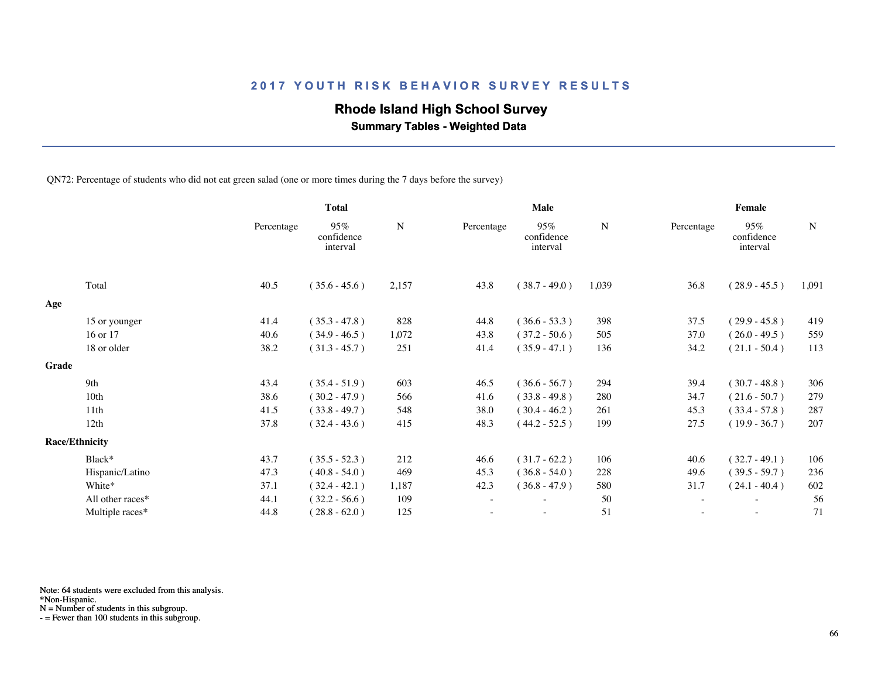## **Rhode Island High School Survey**

 **Summary Tables - Weighted Data**

QN72: Percentage of students who did not eat green salad (one or more times during the 7 days before the survey)

|       |                       | <b>Total</b> |                               | Male  |            |                               |       | Female     |                               |           |  |
|-------|-----------------------|--------------|-------------------------------|-------|------------|-------------------------------|-------|------------|-------------------------------|-----------|--|
|       |                       | Percentage   | 95%<br>confidence<br>interval | N     | Percentage | 95%<br>confidence<br>interval | N     | Percentage | 95%<br>confidence<br>interval | ${\bf N}$ |  |
|       | Total                 | 40.5         | $(35.6 - 45.6)$               | 2,157 | 43.8       | $(38.7 - 49.0)$               | 1,039 | 36.8       | $(28.9 - 45.5)$               | 1,091     |  |
| Age   |                       |              |                               |       |            |                               |       |            |                               |           |  |
|       | 15 or younger         | 41.4         | $(35.3 - 47.8)$               | 828   | 44.8       | $(36.6 - 53.3)$               | 398   | 37.5       | $(29.9 - 45.8)$               | 419       |  |
|       | 16 or 17              | 40.6         | $(34.9 - 46.5)$               | 1,072 | 43.8       | $(37.2 - 50.6)$               | 505   | 37.0       | $(26.0 - 49.5)$               | 559       |  |
|       | 18 or older           | 38.2         | $(31.3 - 45.7)$               | 251   | 41.4       | $(35.9 - 47.1)$               | 136   | 34.2       | $(21.1 - 50.4)$               | 113       |  |
| Grade |                       |              |                               |       |            |                               |       |            |                               |           |  |
|       | 9th                   | 43.4         | $(35.4 - 51.9)$               | 603   | 46.5       | $(36.6 - 56.7)$               | 294   | 39.4       | $(30.7 - 48.8)$               | 306       |  |
|       | 10th                  | 38.6         | $(30.2 - 47.9)$               | 566   | 41.6       | $(33.8 - 49.8)$               | 280   | 34.7       | $(21.6 - 50.7)$               | 279       |  |
|       | 11th                  | 41.5         | $(33.8 - 49.7)$               | 548   | 38.0       | $(30.4 - 46.2)$               | 261   | 45.3       | $(33.4 - 57.8)$               | 287       |  |
|       | 12th                  | 37.8         | $(32.4 - 43.6)$               | 415   | 48.3       | $(44.2 - 52.5)$               | 199   | 27.5       | $(19.9 - 36.7)$               | 207       |  |
|       | <b>Race/Ethnicity</b> |              |                               |       |            |                               |       |            |                               |           |  |
|       | Black*                | 43.7         | $(35.5 - 52.3)$               | 212   | 46.6       | $(31.7 - 62.2)$               | 106   | 40.6       | $(32.7 - 49.1)$               | 106       |  |
|       | Hispanic/Latino       | 47.3         | $(40.8 - 54.0)$               | 469   | 45.3       | $(36.8 - 54.0)$               | 228   | 49.6       | $(39.5 - 59.7)$               | 236       |  |
|       | White*                | 37.1         | $(32.4 - 42.1)$               | 1,187 | 42.3       | $(36.8 - 47.9)$               | 580   | 31.7       | $(24.1 - 40.4)$               | 602       |  |
|       | All other races*      | 44.1         | $(32.2 - 56.6)$               | 109   |            | ۰                             | 50    | $\sim$     | $\overline{\phantom{a}}$      | 56        |  |
|       | Multiple races*       | 44.8         | $(28.8 - 62.0)$               | 125   |            | $\overline{\phantom{a}}$      | 51    |            | $\overline{\phantom{a}}$      | 71        |  |
|       |                       |              |                               |       |            |                               |       |            |                               |           |  |

Note: 64 students were excluded from this analysis.

\*Non-Hispanic.

N = Number of students in this subgroup.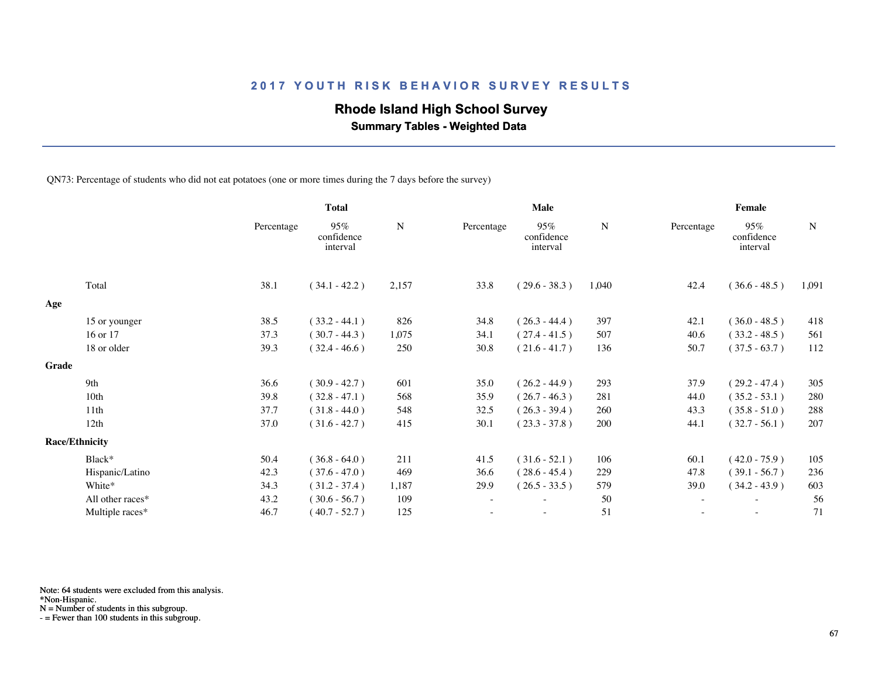## **Rhode Island High School Survey**

 **Summary Tables - Weighted Data**

QN73: Percentage of students who did not eat potatoes (one or more times during the 7 days before the survey)

|       |                       | <b>Total</b> |                               |           | Male       |                               |       | Female                   |                               |             |  |
|-------|-----------------------|--------------|-------------------------------|-----------|------------|-------------------------------|-------|--------------------------|-------------------------------|-------------|--|
|       |                       | Percentage   | 95%<br>confidence<br>interval | ${\bf N}$ | Percentage | 95%<br>confidence<br>interval | N     | Percentage               | 95%<br>confidence<br>interval | $\mathbf N$ |  |
|       | Total                 | 38.1         | $(34.1 - 42.2)$               | 2,157     | 33.8       | $(29.6 - 38.3)$               | 1,040 | 42.4                     | $(36.6 - 48.5)$               | 1,091       |  |
| Age   |                       |              |                               |           |            |                               |       |                          |                               |             |  |
|       | 15 or younger         | 38.5         | $(33.2 - 44.1)$               | 826       | 34.8       | $(26.3 - 44.4)$               | 397   | 42.1                     | $(36.0 - 48.5)$               | 418         |  |
|       | 16 or 17              | 37.3         | $(30.7 - 44.3)$               | 1,075     | 34.1       | $(27.4 - 41.5)$               | 507   | 40.6                     | $(33.2 - 48.5)$               | 561         |  |
|       | 18 or older           | 39.3         | $(32.4 - 46.6)$               | 250       | 30.8       | $(21.6 - 41.7)$               | 136   | 50.7                     | $(37.5 - 63.7)$               | 112         |  |
| Grade |                       |              |                               |           |            |                               |       |                          |                               |             |  |
|       | 9th                   | 36.6         | $(30.9 - 42.7)$               | 601       | 35.0       | $(26.2 - 44.9)$               | 293   | 37.9                     | $(29.2 - 47.4)$               | 305         |  |
|       | 10th                  | 39.8         | $(32.8 - 47.1)$               | 568       | 35.9       | $(26.7 - 46.3)$               | 281   | 44.0                     | $(35.2 - 53.1)$               | 280         |  |
|       | 11th                  | 37.7         | $(31.8 - 44.0)$               | 548       | 32.5       | $(26.3 - 39.4)$               | 260   | 43.3                     | $(35.8 - 51.0)$               | 288         |  |
|       | 12th                  | 37.0         | $(31.6 - 42.7)$               | 415       | 30.1       | $(23.3 - 37.8)$               | 200   | 44.1                     | $(32.7 - 56.1)$               | 207         |  |
|       | <b>Race/Ethnicity</b> |              |                               |           |            |                               |       |                          |                               |             |  |
|       | Black*                | 50.4         | $(36.8 - 64.0)$               | 211       | 41.5       | $(31.6 - 52.1)$               | 106   | 60.1                     | $(42.0 - 75.9)$               | 105         |  |
|       | Hispanic/Latino       | 42.3         | $(37.6 - 47.0)$               | 469       | 36.6       | $(28.6 - 45.4)$               | 229   | 47.8                     | $(39.1 - 56.7)$               | 236         |  |
|       | White*                | 34.3         | $(31.2 - 37.4)$               | 1,187     | 29.9       | $(26.5 - 33.5)$               | 579   | 39.0                     | $(34.2 - 43.9)$               | 603         |  |
|       | All other races*      | 43.2         | $(30.6 - 56.7)$               | 109       |            |                               | 50    | $\overline{\phantom{a}}$ |                               | 56          |  |
|       | Multiple races*       | 46.7         | $(40.7 - 52.7)$               | 125       |            | ٠                             | 51    | ٠                        | $\sim$                        | 71          |  |
|       |                       |              |                               |           |            |                               |       |                          |                               |             |  |

Note: 64 students were excluded from this analysis.

\*Non-Hispanic.

N = Number of students in this subgroup.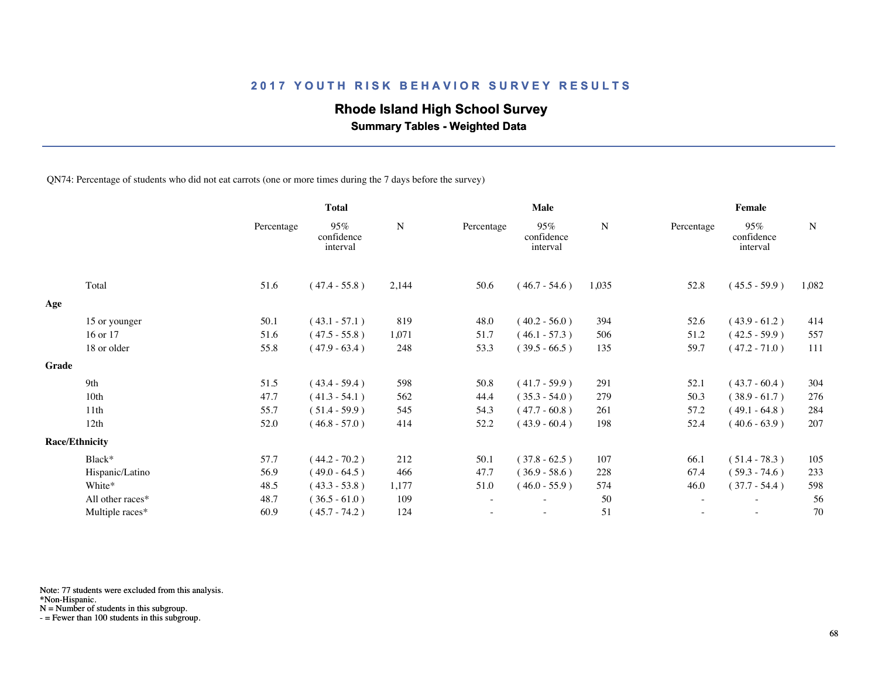## **Rhode Island High School Survey**

 **Summary Tables - Weighted Data**

QN74: Percentage of students who did not eat carrots (one or more times during the 7 days before the survey)

|       |                       | <b>Total</b> |                               |             | Male       |                               |           | Female                   |                               |           |  |
|-------|-----------------------|--------------|-------------------------------|-------------|------------|-------------------------------|-----------|--------------------------|-------------------------------|-----------|--|
|       |                       | Percentage   | 95%<br>confidence<br>interval | $\mathbf N$ | Percentage | 95%<br>confidence<br>interval | ${\bf N}$ | Percentage               | 95%<br>confidence<br>interval | ${\bf N}$ |  |
|       | Total                 | 51.6         | $(47.4 - 55.8)$               | 2,144       | 50.6       | $(46.7 - 54.6)$               | 1,035     | 52.8                     | $(45.5 - 59.9)$               | 1,082     |  |
| Age   |                       |              |                               |             |            |                               |           |                          |                               |           |  |
|       | 15 or younger         | 50.1         | $(43.1 - 57.1)$               | 819         | 48.0       | $(40.2 - 56.0)$               | 394       | 52.6                     | $(43.9 - 61.2)$               | 414       |  |
|       | 16 or 17              | 51.6         | $(47.5 - 55.8)$               | 1,071       | 51.7       | $(46.1 - 57.3)$               | 506       | 51.2                     | $(42.5 - 59.9)$               | 557       |  |
|       | 18 or older           | 55.8         | $(47.9 - 63.4)$               | 248         | 53.3       | $(39.5 - 66.5)$               | 135       | 59.7                     | $(47.2 - 71.0)$               | 111       |  |
| Grade |                       |              |                               |             |            |                               |           |                          |                               |           |  |
|       | 9th                   | 51.5         | $(43.4 - 59.4)$               | 598         | 50.8       | $(41.7 - 59.9)$               | 291       | 52.1                     | $(43.7 - 60.4)$               | 304       |  |
|       | 10 <sub>th</sub>      | 47.7         | $(41.3 - 54.1)$               | 562         | 44.4       | $(35.3 - 54.0)$               | 279       | 50.3                     | $(38.9 - 61.7)$               | 276       |  |
|       | 11th                  | 55.7         | $(51.4 - 59.9)$               | 545         | 54.3       | $(47.7 - 60.8)$               | 261       | 57.2                     | $(49.1 - 64.8)$               | 284       |  |
|       | 12th                  | 52.0         | $(46.8 - 57.0)$               | 414         | 52.2       | $(43.9 - 60.4)$               | 198       | 52.4                     | $(40.6 - 63.9)$               | 207       |  |
|       | <b>Race/Ethnicity</b> |              |                               |             |            |                               |           |                          |                               |           |  |
|       | Black*                | 57.7         | $(44.2 - 70.2)$               | 212         | 50.1       | $(37.8 - 62.5)$               | 107       | 66.1                     | $(51.4 - 78.3)$               | 105       |  |
|       | Hispanic/Latino       | 56.9         | $(49.0 - 64.5)$               | 466         | 47.7       | $(36.9 - 58.6)$               | 228       | 67.4                     | $(59.3 - 74.6)$               | 233       |  |
|       | White*                | 48.5         | $(43.3 - 53.8)$               | 1,177       | 51.0       | $(46.0 - 55.9)$               | 574       | 46.0                     | $(37.7 - 54.4)$               | 598       |  |
|       | All other races*      | 48.7         | $(36.5 - 61.0)$               | 109         |            | $\overline{\phantom{a}}$      | 50        | $\overline{\phantom{a}}$ | $\overline{\phantom{a}}$      | 56        |  |
|       | Multiple races*       | 60.9         | $(45.7 - 74.2)$               | 124         |            |                               | 51        |                          |                               | 70        |  |
|       |                       |              |                               |             |            |                               |           |                          |                               |           |  |

Note: 77 students were excluded from this analysis.

\*Non-Hispanic.

N = Number of students in this subgroup.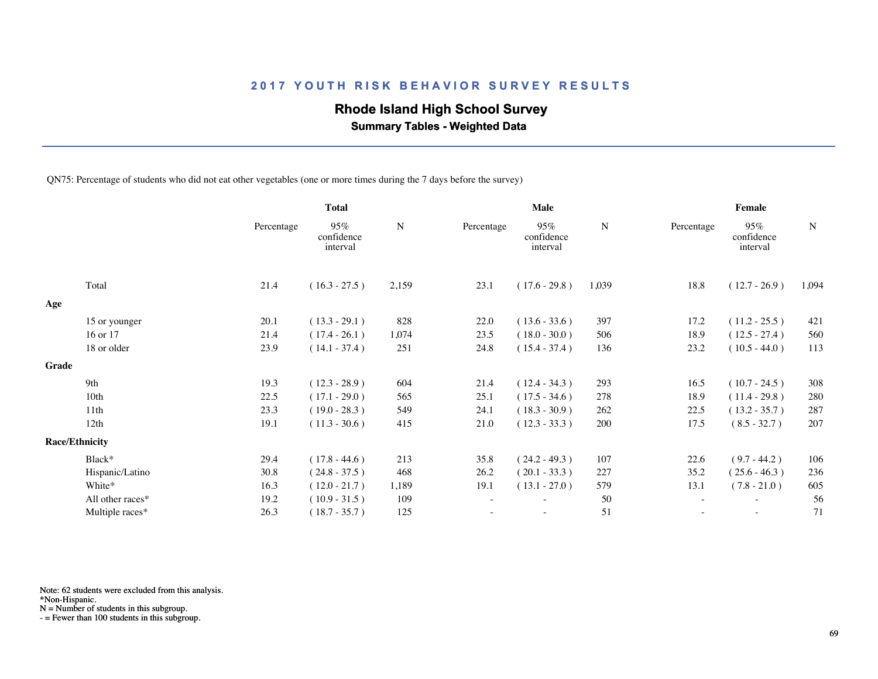## **Rhode Island High School Survey**

 **Summary Tables - Weighted Data**

QN75: Percentage of students who did not eat other vegetables (one or more times during the 7 days before the survey)

|       |                       |            | <b>Total</b>                  |       | Male       |                               |       | Female     |                               |             |  |
|-------|-----------------------|------------|-------------------------------|-------|------------|-------------------------------|-------|------------|-------------------------------|-------------|--|
|       |                       | Percentage | 95%<br>confidence<br>interval | N     | Percentage | 95%<br>confidence<br>interval | N     | Percentage | 95%<br>confidence<br>interval | $\mathbf N$ |  |
|       | Total                 | 21.4       | $(16.3 - 27.5)$               | 2,159 | 23.1       | $(17.6 - 29.8)$               | 1,039 | 18.8       | $(12.7 - 26.9)$               | 1,094       |  |
| Age   |                       |            |                               |       |            |                               |       |            |                               |             |  |
|       | 15 or younger         | 20.1       | $(13.3 - 29.1)$               | 828   | 22.0       | $(13.6 - 33.6)$               | 397   | 17.2       | $(11.2 - 25.5)$               | 421         |  |
|       | 16 or 17              | 21.4       | $(17.4 - 26.1)$               | 1,074 | 23.5       | $(18.0 - 30.0)$               | 506   | 18.9       | $(12.5 - 27.4)$               | 560         |  |
|       | 18 or older           | 23.9       | $(14.1 - 37.4)$               | 251   | 24.8       | $(15.4 - 37.4)$               | 136   | 23.2       | $(10.5 - 44.0)$               | 113         |  |
| Grade |                       |            |                               |       |            |                               |       |            |                               |             |  |
|       | 9th                   | 19.3       | $(12.3 - 28.9)$               | 604   | 21.4       | $(12.4 - 34.3)$               | 293   | 16.5       | $(10.7 - 24.5)$               | 308         |  |
|       | 10th                  | 22.5       | $(17.1 - 29.0)$               | 565   | 25.1       | $(17.5 - 34.6)$               | 278   | 18.9       | $(11.4 - 29.8)$               | 280         |  |
|       | 11 <sup>th</sup>      | 23.3       | $(19.0 - 28.3)$               | 549   | 24.1       | $(18.3 - 30.9)$               | 262   | 22.5       | $(13.2 - 35.7)$               | 287         |  |
|       | 12th                  | 19.1       | $(11.3 - 30.6)$               | 415   | 21.0       | $(12.3 - 33.3)$               | 200   | 17.5       | $(8.5 - 32.7)$                | 207         |  |
|       | <b>Race/Ethnicity</b> |            |                               |       |            |                               |       |            |                               |             |  |
|       | Black*                | 29.4       | $(17.8 - 44.6)$               | 213   | 35.8       | $(24.2 - 49.3)$               | 107   | 22.6       | $(9.7 - 44.2)$                | 106         |  |
|       | Hispanic/Latino       | 30.8       | $(24.8 - 37.5)$               | 468   | 26.2       | $(20.1 - 33.3)$               | 227   | 35.2       | $(25.6 - 46.3)$               | 236         |  |
|       | White*                | 16.3       | $(12.0 - 21.7)$               | 1,189 | 19.1       | $(13.1 - 27.0)$               | 579   | 13.1       | $(7.8 - 21.0)$                | 605         |  |
|       | All other races*      | 19.2       | $(10.9 - 31.5)$               | 109   |            | ٠                             | 50    |            | $\overline{\phantom{a}}$      | 56          |  |
|       | Multiple races*       | 26.3       | $(18.7 - 35.7)$               | 125   |            | ٠                             | 51    |            | $\overline{\phantom{a}}$      | 71          |  |
|       |                       |            |                               |       |            |                               |       |            |                               |             |  |

Note: 62 students were excluded from this analysis.

\*Non-Hispanic.

N = Number of students in this subgroup.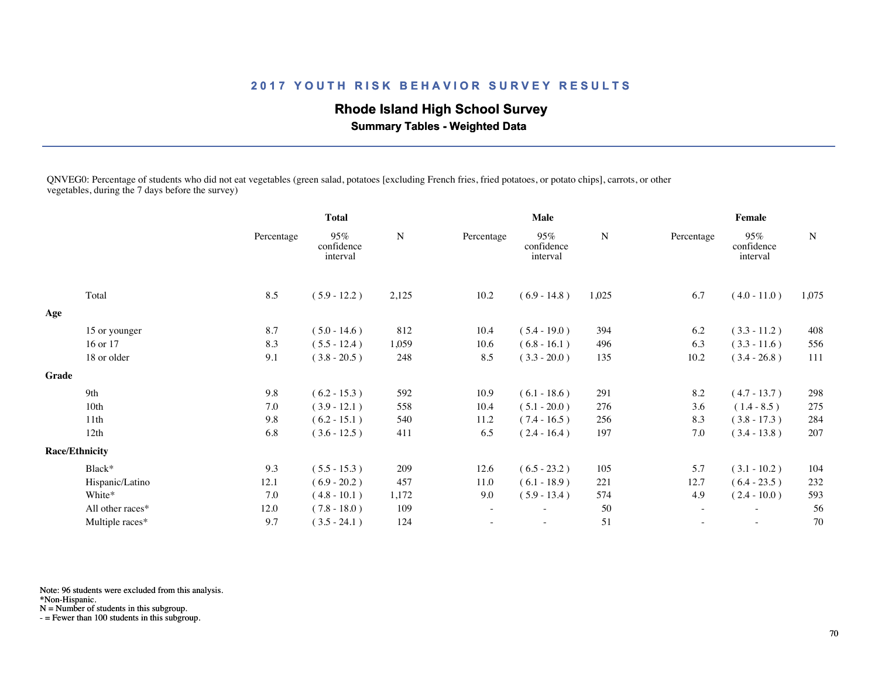## **Rhode Island High School Survey**

 **Summary Tables - Weighted Data**

QNVEG0: Percentage of students who did not eat vegetables (green salad, potatoes [excluding French fries, fried potatoes, or potato chips], carrots, or other vegetables, during the 7 days before the survey)

|       |                       | <b>Total</b> |                               | <b>Male</b> |                          |                               | <b>Female</b> |                          |                               |             |
|-------|-----------------------|--------------|-------------------------------|-------------|--------------------------|-------------------------------|---------------|--------------------------|-------------------------------|-------------|
|       |                       | Percentage   | 95%<br>confidence<br>interval | ${\bf N}$   | Percentage               | 95%<br>confidence<br>interval | $\mathbf N$   | Percentage               | 95%<br>confidence<br>interval | $\mathbf N$ |
|       | Total                 | 8.5          | $(5.9 - 12.2)$                | 2,125       | 10.2                     | $(6.9 - 14.8)$                | 1,025         | 6.7                      | $(4.0 - 11.0)$                | 1,075       |
| Age   |                       |              |                               |             |                          |                               |               |                          |                               |             |
|       | 15 or younger         | 8.7          | $(5.0 - 14.6)$                | 812         | 10.4                     | $(5.4 - 19.0)$                | 394           | 6.2                      | $(3.3 - 11.2)$                | 408         |
|       | 16 or 17              | 8.3          | $(5.5 - 12.4)$                | 1,059       | 10.6                     | $(6.8 - 16.1)$                | 496           | 6.3                      | $(3.3 - 11.6)$                | 556         |
|       | 18 or older           | 9.1          | $(3.8 - 20.5)$                | 248         | 8.5                      | $(3.3 - 20.0)$                | 135           | 10.2                     | $(3.4 - 26.8)$                | 111         |
| Grade |                       |              |                               |             |                          |                               |               |                          |                               |             |
|       | 9th                   | 9.8          | $(6.2 - 15.3)$                | 592         | 10.9                     | $(6.1 - 18.6)$                | 291           | 8.2                      | $(4.7 - 13.7)$                | 298         |
|       | 10th                  | 7.0          | $(3.9 - 12.1)$                | 558         | 10.4                     | $(5.1 - 20.0)$                | 276           | 3.6                      | $(1.4 - 8.5)$                 | 275         |
|       | 11th                  | 9.8          | $(6.2 - 15.1)$                | 540         | 11.2                     | $(7.4 - 16.5)$                | 256           | 8.3                      | $(3.8 - 17.3)$                | 284         |
|       | 12th                  | 6.8          | $(3.6 - 12.5)$                | 411         | 6.5                      | $(2.4 - 16.4)$                | 197           | 7.0                      | $(3.4 - 13.8)$                | 207         |
|       | <b>Race/Ethnicity</b> |              |                               |             |                          |                               |               |                          |                               |             |
|       | Black*                | 9.3          | $(5.5 - 15.3)$                | 209         | 12.6                     | $(6.5 - 23.2)$                | 105           | 5.7                      | $(3.1 - 10.2)$                | 104         |
|       | Hispanic/Latino       | 12.1         | $(6.9 - 20.2)$                | 457         | 11.0                     | $(6.1 - 18.9)$                | 221           | 12.7                     | $(6.4 - 23.5)$                | 232         |
|       | White*                | 7.0          | $(4.8 - 10.1)$                | 1,172       | 9.0                      | $(5.9 - 13.4)$                | 574           | 4.9                      | $(2.4 - 10.0)$                | 593         |
|       | All other races*      | 12.0         | $(7.8 - 18.0)$                | 109         | $\overline{\phantom{a}}$ |                               | 50            |                          | $\sim$                        | 56          |
|       | Multiple races*       | 9.7          | $(3.5 - 24.1)$                | 124         |                          | $\sim$                        | 51            | $\overline{\phantom{a}}$ | $\overline{\phantom{a}}$      | 70          |
|       |                       |              |                               |             |                          |                               |               |                          |                               |             |

Note: 96 students were excluded from this analysis.

\*Non-Hispanic.

N = Number of students in this subgroup.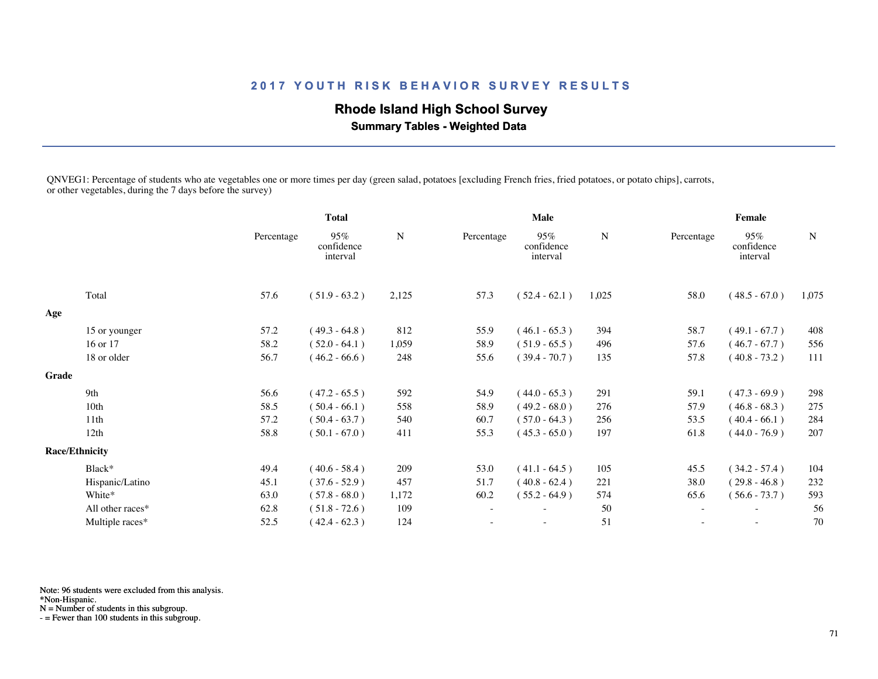# **Rhode Island High School Survey**

 **Summary Tables - Weighted Data**

QNVEG1: Percentage of students who ate vegetables one or more times per day (green salad, potatoes [excluding French fries, fried potatoes, or potato chips], carrots, or other vegetables, during the 7 days before the survey)

|       |                       |            | <b>Total</b>                  |           | <b>Male</b>              |                               |             | Female     |                               |             |  |
|-------|-----------------------|------------|-------------------------------|-----------|--------------------------|-------------------------------|-------------|------------|-------------------------------|-------------|--|
|       |                       | Percentage | 95%<br>confidence<br>interval | ${\bf N}$ | Percentage               | 95%<br>confidence<br>interval | $\mathbf N$ | Percentage | 95%<br>confidence<br>interval | $\mathbf N$ |  |
|       | Total                 | 57.6       | $(51.9 - 63.2)$               | 2,125     | 57.3                     | $(52.4 - 62.1)$               | 1,025       | 58.0       | $(48.5 - 67.0)$               | 1,075       |  |
| Age   |                       |            |                               |           |                          |                               |             |            |                               |             |  |
|       | 15 or younger         | 57.2       | $(49.3 - 64.8)$               | 812       | 55.9                     | $(46.1 - 65.3)$               | 394         | 58.7       | $(49.1 - 67.7)$               | 408         |  |
|       | 16 or 17              | 58.2       | $(52.0 - 64.1)$               | 1,059     | 58.9                     | $(51.9 - 65.5)$               | 496         | 57.6       | $(46.7 - 67.7)$               | 556         |  |
|       | 18 or older           | 56.7       | $(46.2 - 66.6)$               | 248       | 55.6                     | $(39.4 - 70.7)$               | 135         | 57.8       | $(40.8 - 73.2)$               | 111         |  |
| Grade |                       |            |                               |           |                          |                               |             |            |                               |             |  |
|       | 9th                   | 56.6       | $(47.2 - 65.5)$               | 592       | 54.9                     | $(44.0 - 65.3)$               | 291         | 59.1       | $(47.3 - 69.9)$               | 298         |  |
|       | 10th                  | 58.5       | $(50.4 - 66.1)$               | 558       | 58.9                     | $(49.2 - 68.0)$               | 276         | 57.9       | $(46.8 - 68.3)$               | 275         |  |
|       | 11th                  | 57.2       | $(50.4 - 63.7)$               | 540       | 60.7                     | $(57.0 - 64.3)$               | 256         | 53.5       | $(40.4 - 66.1)$               | 284         |  |
|       | 12th                  | 58.8       | $(50.1 - 67.0)$               | 411       | 55.3                     | $(45.3 - 65.0)$               | 197         | 61.8       | $(44.0 - 76.9)$               | 207         |  |
|       | <b>Race/Ethnicity</b> |            |                               |           |                          |                               |             |            |                               |             |  |
|       | Black*                | 49.4       | $(40.6 - 58.4)$               | 209       | 53.0                     | $(41.1 - 64.5)$               | 105         | 45.5       | $(34.2 - 57.4)$               | 104         |  |
|       | Hispanic/Latino       | 45.1       | $(37.6 - 52.9)$               | 457       | 51.7                     | $(40.8 - 62.4)$               | 221         | 38.0       | $(29.8 - 46.8)$               | 232         |  |
|       | White*                | 63.0       | $(57.8 - 68.0)$               | 1,172     | 60.2                     | $(55.2 - 64.9)$               | 574         | 65.6       | $(56.6 - 73.7)$               | 593         |  |
|       | All other races*      | 62.8       | $(51.8 - 72.6)$               | 109       | $\overline{\phantom{a}}$ |                               | 50          |            |                               | 56          |  |
|       | Multiple races*       | 52.5       | $(42.4 - 62.3)$               | 124       |                          | $\sim$                        | 51          |            | $\overline{\phantom{a}}$      | 70          |  |
|       |                       |            |                               |           |                          |                               |             |            |                               |             |  |

Note: 96 students were excluded from this analysis.

\*Non-Hispanic.

N = Number of students in this subgroup.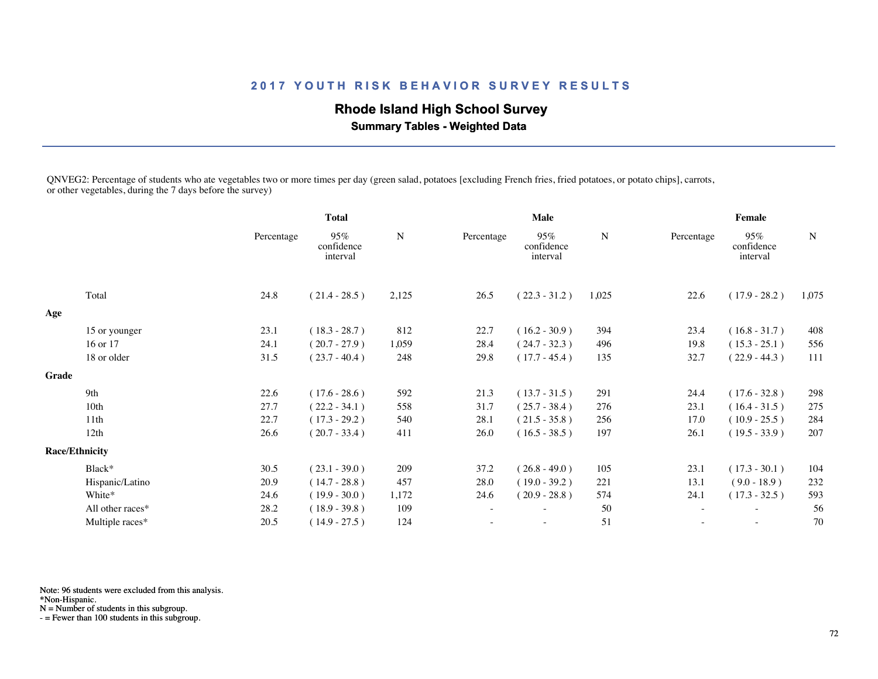## **Rhode Island High School Survey**

 **Summary Tables - Weighted Data**

QNVEG2: Percentage of students who ate vegetables two or more times per day (green salad, potatoes [excluding French fries, fried potatoes, or potato chips], carrots, or other vegetables, during the 7 days before the survey)

|       |                       | <b>Total</b> |                               |       |            | <b>Male</b>                   |       | Female     |                               |             |  |
|-------|-----------------------|--------------|-------------------------------|-------|------------|-------------------------------|-------|------------|-------------------------------|-------------|--|
|       |                       | Percentage   | 95%<br>confidence<br>interval | N     | Percentage | 95%<br>confidence<br>interval | N     | Percentage | 95%<br>confidence<br>interval | $\mathbf N$ |  |
|       | Total                 | 24.8         | $(21.4 - 28.5)$               | 2,125 | 26.5       | $(22.3 - 31.2)$               | 1,025 | 22.6       | $(17.9 - 28.2)$               | 1,075       |  |
| Age   |                       |              |                               |       |            |                               |       |            |                               |             |  |
|       | 15 or younger         | 23.1         | $(18.3 - 28.7)$               | 812   | 22.7       | $(16.2 - 30.9)$               | 394   | 23.4       | $(16.8 - 31.7)$               | 408         |  |
|       | 16 or 17              | 24.1         | $(20.7 - 27.9)$               | 1,059 | 28.4       | $(24.7 - 32.3)$               | 496   | 19.8       | $(15.3 - 25.1)$               | 556         |  |
|       | 18 or older           | 31.5         | $(23.7 - 40.4)$               | 248   | 29.8       | $(17.7 - 45.4)$               | 135   | 32.7       | $(22.9 - 44.3)$               | 111         |  |
| Grade |                       |              |                               |       |            |                               |       |            |                               |             |  |
|       | 9th                   | 22.6         | $(17.6 - 28.6)$               | 592   | 21.3       | $(13.7 - 31.5)$               | 291   | 24.4       | $(17.6 - 32.8)$               | 298         |  |
|       | 10 <sub>th</sub>      | 27.7         | $(22.2 - 34.1)$               | 558   | 31.7       | $(25.7 - 38.4)$               | 276   | 23.1       | $(16.4 - 31.5)$               | 275         |  |
|       | 11th                  | 22.7         | $(17.3 - 29.2)$               | 540   | 28.1       | $(21.5 - 35.8)$               | 256   | 17.0       | $(10.9 - 25.5)$               | 284         |  |
|       | 12th                  | 26.6         | $(20.7 - 33.4)$               | 411   | 26.0       | $(16.5 - 38.5)$               | 197   | 26.1       | $(19.5 - 33.9)$               | 207         |  |
|       | <b>Race/Ethnicity</b> |              |                               |       |            |                               |       |            |                               |             |  |
|       | Black*                | 30.5         | $(23.1 - 39.0)$               | 209   | 37.2       | $(26.8 - 49.0)$               | 105   | 23.1       | $(17.3 - 30.1)$               | 104         |  |
|       | Hispanic/Latino       | 20.9         | $(14.7 - 28.8)$               | 457   | 28.0       | $(19.0 - 39.2)$               | 221   | 13.1       | $(9.0 - 18.9)$                | 232         |  |
|       | White*                | 24.6         | $(19.9 - 30.0)$               | 1,172 | 24.6       | $(20.9 - 28.8)$               | 574   | 24.1       | $(17.3 - 32.5)$               | 593         |  |
|       | All other races*      | 28.2         | $(18.9 - 39.8)$               | 109   |            |                               | 50    |            |                               | 56          |  |
|       | Multiple races*       | 20.5         | $(14.9 - 27.5)$               | 124   |            | $\overline{\phantom{a}}$      | 51    |            | $\sim$                        | 70          |  |
|       |                       |              |                               |       |            |                               |       |            |                               |             |  |

Note: 96 students were excluded from this analysis.

\*Non-Hispanic.

N = Number of students in this subgroup.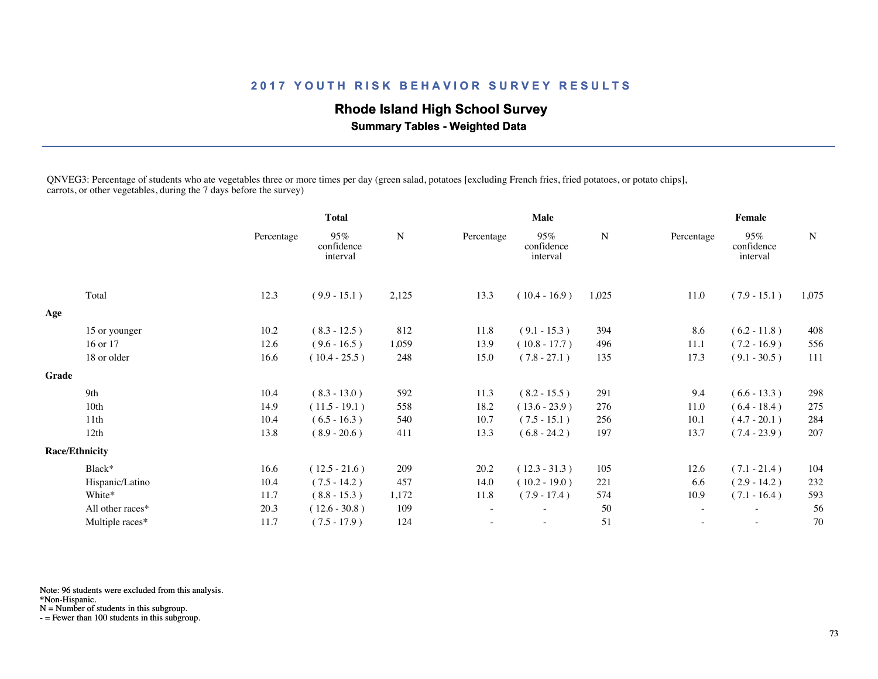## **Rhode Island High School Survey**

 **Summary Tables - Weighted Data**

QNVEG3: Percentage of students who ate vegetables three or more times per day (green salad, potatoes [excluding French fries, fried potatoes, or potato chips], carrots, or other vegetables, during the 7 days before the survey)

|       |                       | <b>Total</b> |                               |       |            | <b>Male</b>                   |           | Female            |                               |             |  |
|-------|-----------------------|--------------|-------------------------------|-------|------------|-------------------------------|-----------|-------------------|-------------------------------|-------------|--|
|       |                       | Percentage   | 95%<br>confidence<br>interval | N     | Percentage | 95%<br>confidence<br>interval | ${\bf N}$ | Percentage        | 95%<br>confidence<br>interval | $\mathbf N$ |  |
|       | Total                 | 12.3         | $(9.9 - 15.1)$                | 2,125 | 13.3       | $(10.4 - 16.9)$               | 1,025     | 11.0              | $(7.9 - 15.1)$                | 1,075       |  |
| Age   |                       |              |                               |       |            |                               |           |                   |                               |             |  |
|       | 15 or younger         | 10.2         | $(8.3 - 12.5)$                | 812   | 11.8       | $(9.1 - 15.3)$                | 394       | 8.6               | $(6.2 - 11.8)$                | 408         |  |
|       | 16 or 17              | 12.6         | $(9.6 - 16.5)$                | 1,059 | 13.9       | $(10.8 - 17.7)$               | 496       | 11.1              | $(7.2 - 16.9)$                | 556         |  |
|       | 18 or older           | 16.6         | $(10.4 - 25.5)$               | 248   | 15.0       | $(7.8 - 27.1)$                | 135       | 17.3              | $(9.1 - 30.5)$                | 111         |  |
| Grade |                       |              |                               |       |            |                               |           |                   |                               |             |  |
|       | 9th                   | 10.4         | $(8.3 - 13.0)$                | 592   | 11.3       | $(8.2 - 15.5)$                | 291       | 9.4               | $(6.6 - 13.3)$                | 298         |  |
|       | 10 <sub>th</sub>      | 14.9         | $(11.5 - 19.1)$               | 558   | 18.2       | $(13.6 - 23.9)$               | 276       | 11.0              | $(6.4 - 18.4)$                | 275         |  |
|       | 11th                  | 10.4         | $(6.5 - 16.3)$                | 540   | 10.7       | $(7.5 - 15.1)$                | 256       | 10.1              | $(4.7 - 20.1)$                | 284         |  |
|       | 12th                  | 13.8         | $(8.9 - 20.6)$                | 411   | 13.3       | $(6.8 - 24.2)$                | 197       | 13.7              | $(7.4 - 23.9)$                | 207         |  |
|       | <b>Race/Ethnicity</b> |              |                               |       |            |                               |           |                   |                               |             |  |
|       | Black*                | 16.6         | $(12.5 - 21.6)$               | 209   | 20.2       | $(12.3 - 31.3)$               | 105       | 12.6              | $(7.1 - 21.4)$                | 104         |  |
|       | Hispanic/Latino       | 10.4         | $(7.5 - 14.2)$                | 457   | 14.0       | $(10.2 - 19.0)$               | 221       | 6.6               | $(2.9 - 14.2)$                | 232         |  |
|       | White*                | 11.7         | $(8.8 - 15.3)$                | 1,172 | 11.8       | $(7.9 - 17.4)$                | 574       | 10.9              | $(7.1 - 16.4)$                | 593         |  |
|       | All other races*      | 20.3         | $(12.6 - 30.8)$               | 109   | ٠          |                               | 50        | $\sim$            | $\overline{\phantom{a}}$      | 56          |  |
|       | Multiple races*       | 11.7         | $(7.5 - 17.9)$                | 124   |            | $\overline{\phantom{a}}$      | 51        | $\qquad \qquad -$ | $\overline{\phantom{a}}$      | 70          |  |
|       |                       |              |                               |       |            |                               |           |                   |                               |             |  |

Note: 96 students were excluded from this analysis.

\*Non-Hispanic.

N = Number of students in this subgroup.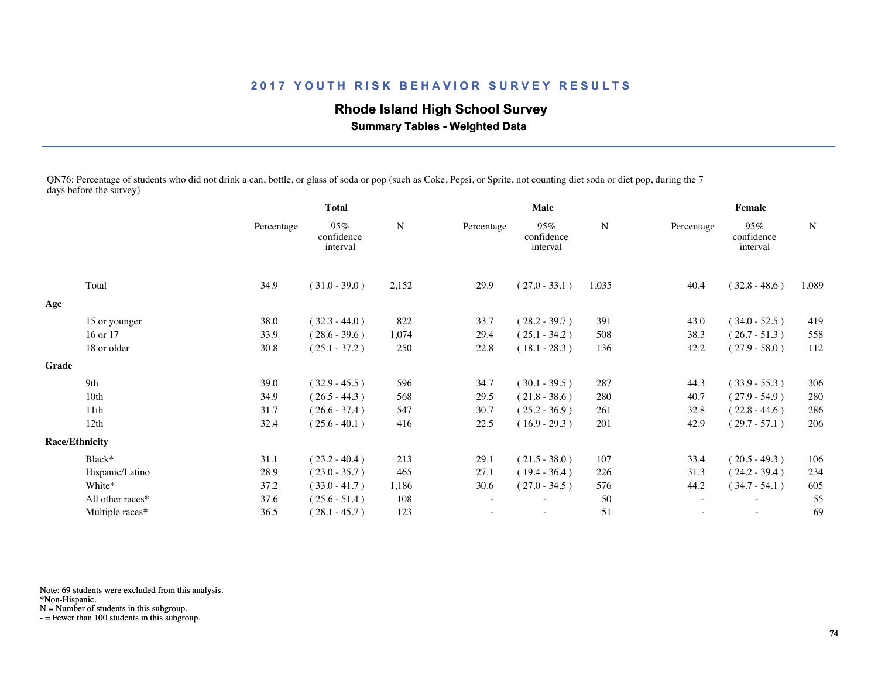# **Rhode Island High School Survey**

 **Summary Tables - Weighted Data**

QN76: Percentage of students who did not drink a can, bottle, or glass of soda or pop (such as Coke, Pepsi, or Sprite, not counting diet soda or diet pop, during the 7 days before the survey)

|       |                       | <b>Total</b> |                               |           | Male                     |                               |       | Female     |                               |           |
|-------|-----------------------|--------------|-------------------------------|-----------|--------------------------|-------------------------------|-------|------------|-------------------------------|-----------|
|       |                       | Percentage   | 95%<br>confidence<br>interval | ${\bf N}$ | Percentage               | 95%<br>confidence<br>interval | N     | Percentage | 95%<br>confidence<br>interval | ${\bf N}$ |
|       | Total                 | 34.9         | $(31.0 - 39.0)$               | 2,152     | 29.9                     | $(27.0 - 33.1)$               | 1,035 | 40.4       | $(32.8 - 48.6)$               | 1,089     |
| Age   |                       |              |                               |           |                          |                               |       |            |                               |           |
|       | 15 or younger         | 38.0         | $(32.3 - 44.0)$               | 822       | 33.7                     | $(28.2 - 39.7)$               | 391   | 43.0       | $(34.0 - 52.5)$               | 419       |
|       | 16 or 17              | 33.9         | $(28.6 - 39.6)$               | 1,074     | 29.4                     | $(25.1 - 34.2)$               | 508   | 38.3       | $(26.7 - 51.3)$               | 558       |
|       | 18 or older           | 30.8         | $(25.1 - 37.2)$               | 250       | 22.8                     | $(18.1 - 28.3)$               | 136   | 42.2       | $(27.9 - 58.0)$               | 112       |
| Grade |                       |              |                               |           |                          |                               |       |            |                               |           |
|       | 9th                   | 39.0         | $(32.9 - 45.5)$               | 596       | 34.7                     | $(30.1 - 39.5)$               | 287   | 44.3       | $(33.9 - 55.3)$               | 306       |
|       | 10th                  | 34.9         | $(26.5 - 44.3)$               | 568       | 29.5                     | $(21.8 - 38.6)$               | 280   | 40.7       | $(27.9 - 54.9)$               | 280       |
|       | 11th                  | 31.7         | $(26.6 - 37.4)$               | 547       | 30.7                     | $(25.2 - 36.9)$               | 261   | 32.8       | $(22.8 - 44.6)$               | 286       |
|       | 12th                  | 32.4         | $(25.6 - 40.1)$               | 416       | 22.5                     | $(16.9 - 29.3)$               | 201   | 42.9       | $(29.7 - 57.1)$               | 206       |
|       | <b>Race/Ethnicity</b> |              |                               |           |                          |                               |       |            |                               |           |
|       | Black*                | 31.1         | $(23.2 - 40.4)$               | 213       | 29.1                     | $(21.5 - 38.0)$               | 107   | 33.4       | $(20.5 - 49.3)$               | 106       |
|       | Hispanic/Latino       | 28.9         | $(23.0 - 35.7)$               | 465       | 27.1                     | $(19.4 - 36.4)$               | 226   | 31.3       | $(24.2 - 39.4)$               | 234       |
|       | White*                | 37.2         | $(33.0 - 41.7)$               | 1,186     | 30.6                     | $(27.0 - 34.5)$               | 576   | 44.2       | $(34.7 - 54.1)$               | 605       |
|       | All other races*      | 37.6         | $(25.6 - 51.4)$               | 108       | $\overline{\phantom{a}}$ | ٠                             | 50    | $\sim$     | $\sim$                        | 55        |
|       | Multiple races*       | 36.5         | $(28.1 - 45.7)$               | 123       |                          | $\overline{\phantom{a}}$      | 51    |            |                               | 69        |
|       |                       |              |                               |           |                          |                               |       |            |                               |           |

Note: 69 students were excluded from this analysis.

\*Non-Hispanic.

N = Number of students in this subgroup.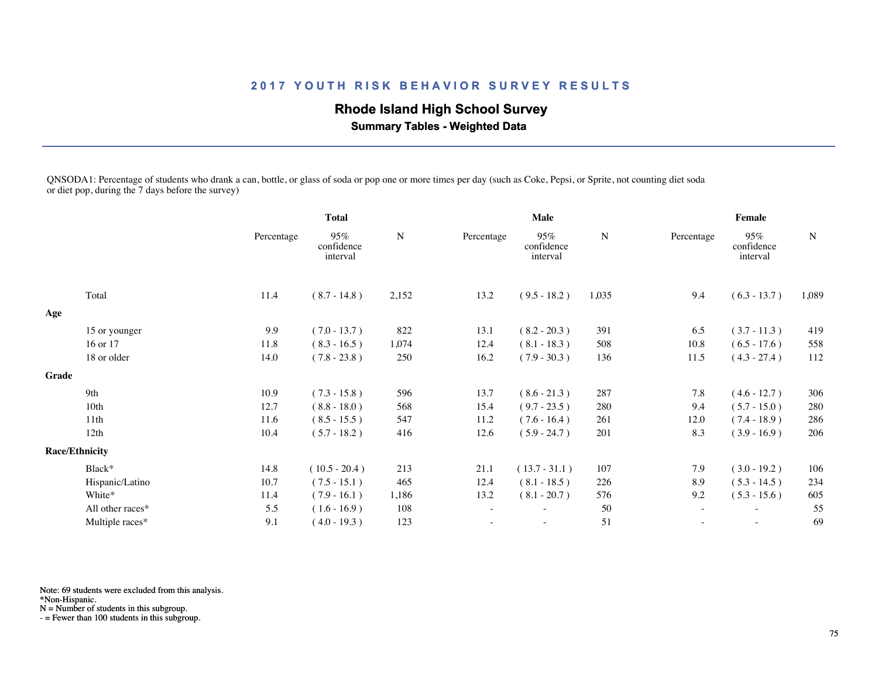# **Rhode Island High School Survey**

 **Summary Tables - Weighted Data**

QNSODA1: Percentage of students who drank a can, bottle, or glass of soda or pop one or more times per day (such as Coke, Pepsi, or Sprite, not counting diet soda or diet pop, during the 7 days before the survey)

|       |                       | <b>Total</b> |                               |           |            | Male                          |       | Female                   |                               |             |  |
|-------|-----------------------|--------------|-------------------------------|-----------|------------|-------------------------------|-------|--------------------------|-------------------------------|-------------|--|
|       |                       | Percentage   | 95%<br>confidence<br>interval | ${\bf N}$ | Percentage | 95%<br>confidence<br>interval | N     | Percentage               | 95%<br>confidence<br>interval | $\mathbf N$ |  |
|       | Total                 | 11.4         | $(8.7 - 14.8)$                | 2,152     | 13.2       | $(9.5 - 18.2)$                | 1,035 | 9.4                      | $(6.3 - 13.7)$                | 1,089       |  |
| Age   |                       |              |                               |           |            |                               |       |                          |                               |             |  |
|       | 15 or younger         | 9.9          | $(7.0 - 13.7)$                | 822       | 13.1       | $(8.2 - 20.3)$                | 391   | 6.5                      | $(3.7 - 11.3)$                | 419         |  |
|       | 16 or 17              | 11.8         | $(8.3 - 16.5)$                | 1,074     | 12.4       | $(8.1 - 18.3)$                | 508   | 10.8                     | $(6.5 - 17.6)$                | 558         |  |
|       | 18 or older           | 14.0         | $(7.8 - 23.8)$                | 250       | 16.2       | $(7.9 - 30.3)$                | 136   | 11.5                     | $(4.3 - 27.4)$                | 112         |  |
| Grade |                       |              |                               |           |            |                               |       |                          |                               |             |  |
|       | 9th                   | 10.9         | $(7.3 - 15.8)$                | 596       | 13.7       | $(8.6 - 21.3)$                | 287   | 7.8                      | $(4.6 - 12.7)$                | 306         |  |
|       | 10 <sub>th</sub>      | 12.7         | $(8.8 - 18.0)$                | 568       | 15.4       | $(9.7 - 23.5)$                | 280   | 9.4                      | $(5.7 - 15.0)$                | 280         |  |
|       | 11th                  | 11.6         | $(8.5 - 15.5)$                | 547       | 11.2       | $(7.6 - 16.4)$                | 261   | 12.0                     | $(7.4 - 18.9)$                | 286         |  |
|       | 12th                  | 10.4         | $(5.7 - 18.2)$                | 416       | 12.6       | $(5.9 - 24.7)$                | 201   | 8.3                      | $(3.9 - 16.9)$                | 206         |  |
|       | <b>Race/Ethnicity</b> |              |                               |           |            |                               |       |                          |                               |             |  |
|       | Black*                | 14.8         | $(10.5 - 20.4)$               | 213       | 21.1       | $(13.7 - 31.1)$               | 107   | 7.9                      | $(3.0 - 19.2)$                | 106         |  |
|       | Hispanic/Latino       | 10.7         | $(7.5 - 15.1)$                | 465       | 12.4       | $(8.1 - 18.5)$                | 226   | 8.9                      | $(5.3 - 14.5)$                | 234         |  |
|       | White*                | 11.4         | $(7.9 - 16.1)$                | 1,186     | 13.2       | $(8.1 - 20.7)$                | 576   | 9.2                      | $(5.3 - 15.6)$                | 605         |  |
|       | All other races*      | 5.5          | $(1.6 - 16.9)$                | 108       |            |                               | 50    |                          |                               | 55          |  |
|       | Multiple races*       | 9.1          | $(4.0 - 19.3)$                | 123       |            | $\overline{\phantom{a}}$      | 51    | $\overline{\phantom{a}}$ | $\sim$                        | 69          |  |
|       |                       |              |                               |           |            |                               |       |                          |                               |             |  |

Note: 69 students were excluded from this analysis.

\*Non-Hispanic.

N = Number of students in this subgroup.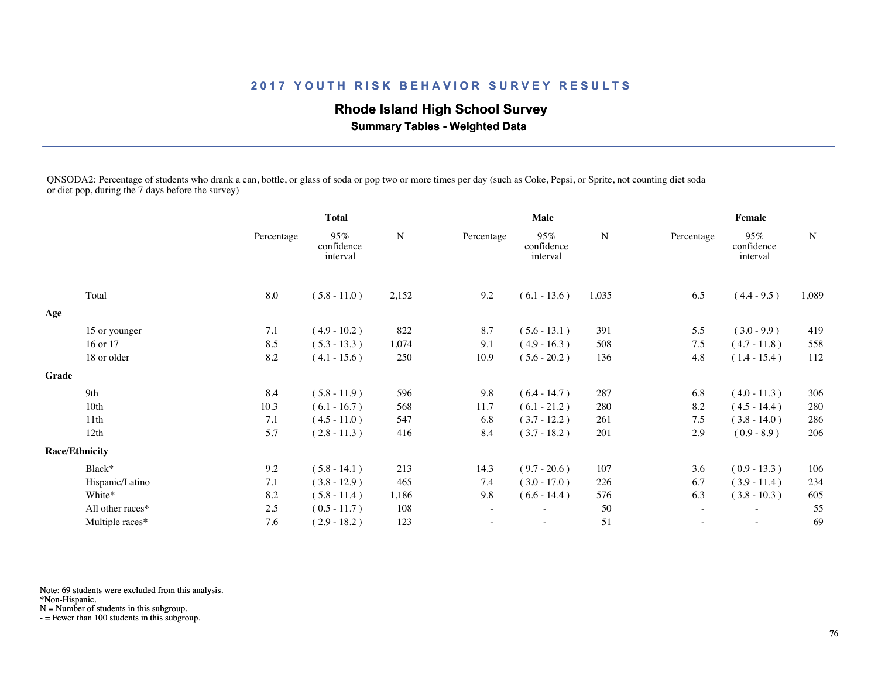# **Rhode Island High School Survey**

 **Summary Tables - Weighted Data**

QNSODA2: Percentage of students who drank a can, bottle, or glass of soda or pop two or more times per day (such as Coke, Pepsi, or Sprite, not counting diet soda or diet pop, during the 7 days before the survey)

|       |                       |            | <b>Total</b>                  |           | Male                     |                               |           | Female                   |                               |             |
|-------|-----------------------|------------|-------------------------------|-----------|--------------------------|-------------------------------|-----------|--------------------------|-------------------------------|-------------|
|       |                       | Percentage | 95%<br>confidence<br>interval | ${\bf N}$ | Percentage               | 95%<br>confidence<br>interval | ${\bf N}$ | Percentage               | 95%<br>confidence<br>interval | $\mathbf N$ |
|       | Total                 | 8.0        | $(5.8 - 11.0)$                | 2,152     | 9.2                      | $(6.1 - 13.6)$                | 1,035     | 6.5                      | $(4.4 - 9.5)$                 | 1,089       |
| Age   |                       |            |                               |           |                          |                               |           |                          |                               |             |
|       | 15 or younger         | 7.1        | $(4.9 - 10.2)$                | 822       | 8.7                      | $(5.6 - 13.1)$                | 391       | 5.5                      | $(3.0 - 9.9)$                 | 419         |
|       | 16 or 17              | 8.5        | $(5.3 - 13.3)$                | 1,074     | 9.1                      | $(4.9 - 16.3)$                | 508       | 7.5                      | $(4.7 - 11.8)$                | 558         |
|       | 18 or older           | 8.2        | $(4.1 - 15.6)$                | 250       | 10.9                     | $(5.6 - 20.2)$                | 136       | 4.8                      | $(1.4 - 15.4)$                | 112         |
| Grade |                       |            |                               |           |                          |                               |           |                          |                               |             |
|       | 9th                   | 8.4        | $(5.8 - 11.9)$                | 596       | 9.8                      | $(6.4 - 14.7)$                | 287       | 6.8                      | $(4.0 - 11.3)$                | 306         |
|       | 10th                  | 10.3       | $(6.1 - 16.7)$                | 568       | 11.7                     | $(6.1 - 21.2)$                | 280       | 8.2                      | $(4.5 - 14.4)$                | 280         |
|       | 11th                  | 7.1        | $(4.5 - 11.0)$                | 547       | 6.8                      | $(3.7 - 12.2)$                | 261       | 7.5                      | $(3.8 - 14.0)$                | 286         |
|       | 12th                  | 5.7        | $(2.8 - 11.3)$                | 416       | 8.4                      | $(3.7 - 18.2)$                | 201       | 2.9                      | $(0.9 - 8.9)$                 | 206         |
|       | <b>Race/Ethnicity</b> |            |                               |           |                          |                               |           |                          |                               |             |
|       | Black*                | 9.2        | $(5.8 - 14.1)$                | 213       | 14.3                     | $(9.7 - 20.6)$                | 107       | 3.6                      | $(0.9 - 13.3)$                | 106         |
|       | Hispanic/Latino       | 7.1        | $(3.8 - 12.9)$                | 465       | 7.4                      | $(3.0 - 17.0)$                | 226       | 6.7                      | $(3.9 - 11.4)$                | 234         |
|       | White*                | 8.2        | $(5.8 - 11.4)$                | 1,186     | 9.8                      | $(6.6 - 14.4)$                | 576       | 6.3                      | $(3.8 - 10.3)$                | 605         |
|       | All other races*      | 2.5        | $(0.5 - 11.7)$                | 108       | $\overline{\phantom{a}}$ |                               | 50        | $\sim$                   | $\overline{\phantom{a}}$      | 55          |
|       | Multiple races*       | 7.6        | $(2.9 - 18.2)$                | 123       |                          | $\sim$                        | 51        | $\overline{\phantom{a}}$ | $\sim$                        | 69          |
|       |                       |            |                               |           |                          |                               |           |                          |                               |             |

Note: 69 students were excluded from this analysis.

\*Non-Hispanic.

N = Number of students in this subgroup.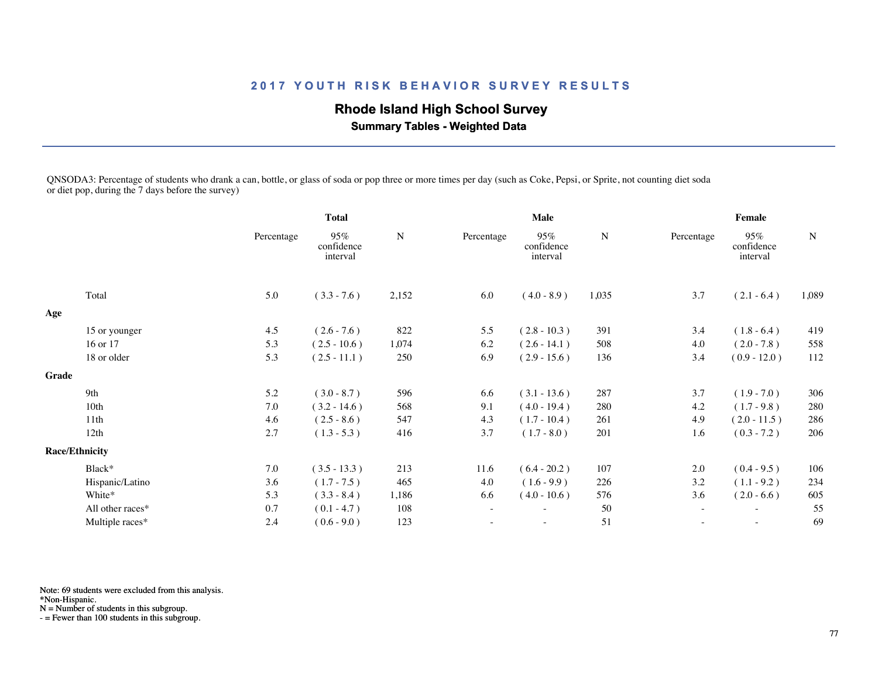# **Rhode Island High School Survey**

 **Summary Tables - Weighted Data**

QNSODA3: Percentage of students who drank a can, bottle, or glass of soda or pop three or more times per day (such as Coke, Pepsi, or Sprite, not counting diet soda or diet pop, during the  $\frac{8}{7}$  days before the survey)

|       |                       |            | <b>Total</b>                  |           |                          | Male                          |           | Female                   |                               |             |  |
|-------|-----------------------|------------|-------------------------------|-----------|--------------------------|-------------------------------|-----------|--------------------------|-------------------------------|-------------|--|
|       |                       | Percentage | 95%<br>confidence<br>interval | ${\bf N}$ | Percentage               | 95%<br>confidence<br>interval | ${\bf N}$ | Percentage               | 95%<br>confidence<br>interval | $\mathbf N$ |  |
|       | Total                 | 5.0        | $(3.3 - 7.6)$                 | 2,152     | 6.0                      | $(4.0 - 8.9)$                 | 1,035     | 3.7                      | $(2.1 - 6.4)$                 | 1,089       |  |
| Age   |                       |            |                               |           |                          |                               |           |                          |                               |             |  |
|       | 15 or younger         | 4.5        | $(2.6 - 7.6)$                 | 822       | 5.5                      | $(2.8 - 10.3)$                | 391       | 3.4                      | $(1.8 - 6.4)$                 | 419         |  |
|       | 16 or 17              | 5.3        | $(2.5 - 10.6)$                | 1,074     | 6.2                      | $(2.6 - 14.1)$                | 508       | 4.0                      | $(2.0 - 7.8)$                 | 558         |  |
|       | 18 or older           | 5.3        | $(2.5 - 11.1)$                | 250       | 6.9                      | $(2.9 - 15.6)$                | 136       | 3.4                      | $(0.9 - 12.0)$                | 112         |  |
| Grade |                       |            |                               |           |                          |                               |           |                          |                               |             |  |
|       | 9th                   | 5.2        | $(3.0 - 8.7)$                 | 596       | 6.6                      | $(3.1 - 13.6)$                | 287       | 3.7                      | $(1.9 - 7.0)$                 | 306         |  |
|       | 10th                  | 7.0        | $(3.2 - 14.6)$                | 568       | 9.1                      | $(4.0 - 19.4)$                | 280       | 4.2                      | $(1.7 - 9.8)$                 | 280         |  |
|       | 11th                  | 4.6        | $(2.5 - 8.6)$                 | 547       | 4.3                      | $(1.7 - 10.4)$                | 261       | 4.9                      | $(2.0 - 11.5)$                | 286         |  |
|       | 12th                  | 2.7        | $(1.3 - 5.3)$                 | 416       | 3.7                      | $(1.7 - 8.0)$                 | 201       | 1.6                      | $(0.3 - 7.2)$                 | 206         |  |
|       | <b>Race/Ethnicity</b> |            |                               |           |                          |                               |           |                          |                               |             |  |
|       | Black*                | 7.0        | $(3.5 - 13.3)$                | 213       | 11.6                     | $(6.4 - 20.2)$                | 107       | 2.0                      | $(0.4 - 9.5)$                 | 106         |  |
|       | Hispanic/Latino       | 3.6        | $(1.7 - 7.5)$                 | 465       | 4.0                      | $(1.6 - 9.9)$                 | 226       | 3.2                      | $(1.1 - 9.2)$                 | 234         |  |
|       | White*                | 5.3        | $(3.3 - 8.4)$                 | 1,186     | 6.6                      | $(4.0 - 10.6)$                | 576       | 3.6                      | $(2.0 - 6.6)$                 | 605         |  |
|       | All other races*      | 0.7        | $(0.1 - 4.7)$                 | 108       | $\overline{\phantom{a}}$ |                               | 50        | $\sim$                   | $\overline{\phantom{a}}$      | 55          |  |
|       | Multiple races*       | 2.4        | $(0.6 - 9.0)$                 | 123       | ٠                        | $\sim$                        | 51        | $\overline{\phantom{a}}$ | $\sim$                        | 69          |  |
|       |                       |            |                               |           |                          |                               |           |                          |                               |             |  |

Note: 69 students were excluded from this analysis.

\*Non-Hispanic.

N = Number of students in this subgroup.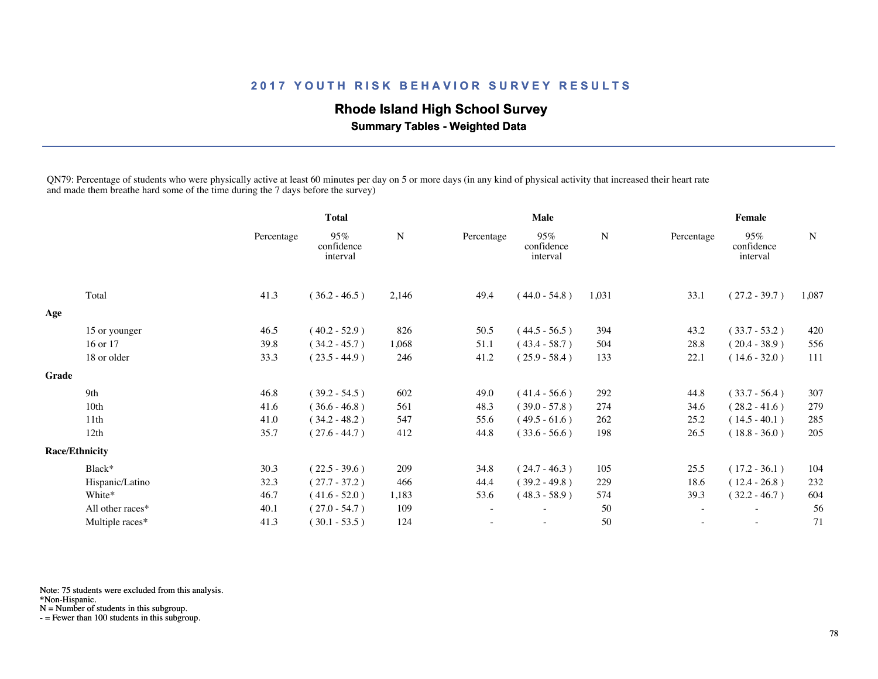# **Rhode Island High School Survey**

 **Summary Tables - Weighted Data**

QN79: Percentage of students who were physically active at least 60 minutes per day on 5 or more days (in any kind of physical activity that increased their heart rate and made them breathe hard some of the time during the 7 days before the survey)

|       |                       | <b>Total</b> |                               |       |                          | Male                          |       | Female     |                               |             |  |
|-------|-----------------------|--------------|-------------------------------|-------|--------------------------|-------------------------------|-------|------------|-------------------------------|-------------|--|
|       |                       | Percentage   | 95%<br>confidence<br>interval | N     | Percentage               | 95%<br>confidence<br>interval | N     | Percentage | 95%<br>confidence<br>interval | $\mathbf N$ |  |
|       | Total                 | 41.3         | $(36.2 - 46.5)$               | 2,146 | 49.4                     | $(44.0 - 54.8)$               | 1,031 | 33.1       | $(27.2 - 39.7)$               | 1,087       |  |
| Age   |                       |              |                               |       |                          |                               |       |            |                               |             |  |
|       | 15 or younger         | 46.5         | $(40.2 - 52.9)$               | 826   | 50.5                     | $(44.5 - 56.5)$               | 394   | 43.2       | $(33.7 - 53.2)$               | 420         |  |
|       | 16 or 17              | 39.8         | $(34.2 - 45.7)$               | 1,068 | 51.1                     | $(43.4 - 58.7)$               | 504   | 28.8       | $(20.4 - 38.9)$               | 556         |  |
|       | 18 or older           | 33.3         | $(23.5 - 44.9)$               | 246   | 41.2                     | $(25.9 - 58.4)$               | 133   | 22.1       | $(14.6 - 32.0)$               | 111         |  |
| Grade |                       |              |                               |       |                          |                               |       |            |                               |             |  |
|       | 9th                   | 46.8         | $(39.2 - 54.5)$               | 602   | 49.0                     | $(41.4 - 56.6)$               | 292   | 44.8       | $(33.7 - 56.4)$               | 307         |  |
|       | 10th                  | 41.6         | $(36.6 - 46.8)$               | 561   | 48.3                     | $(39.0 - 57.8)$               | 274   | 34.6       | $(28.2 - 41.6)$               | 279         |  |
|       | 11th                  | 41.0         | $(34.2 - 48.2)$               | 547   | 55.6                     | $(49.5 - 61.6)$               | 262   | 25.2       | $(14.5 - 40.1)$               | 285         |  |
|       | 12th                  | 35.7         | $(27.6 - 44.7)$               | 412   | 44.8                     | $(33.6 - 56.6)$               | 198   | 26.5       | $(18.8 - 36.0)$               | 205         |  |
|       | <b>Race/Ethnicity</b> |              |                               |       |                          |                               |       |            |                               |             |  |
|       | Black*                | 30.3         | $(22.5 - 39.6)$               | 209   | 34.8                     | $(24.7 - 46.3)$               | 105   | 25.5       | $(17.2 - 36.1)$               | 104         |  |
|       | Hispanic/Latino       | 32.3         | $(27.7 - 37.2)$               | 466   | 44.4                     | $(39.2 - 49.8)$               | 229   | 18.6       | $(12.4 - 26.8)$               | 232         |  |
|       | White*                | 46.7         | $(41.6 - 52.0)$               | 1,183 | 53.6                     | $(48.3 - 58.9)$               | 574   | 39.3       | $(32.2 - 46.7)$               | 604         |  |
|       | All other races*      | 40.1         | $(27.0 - 54.7)$               | 109   | $\overline{\phantom{a}}$ |                               | 50    |            |                               | 56          |  |
|       | Multiple races*       | 41.3         | $(30.1 - 53.5)$               | 124   |                          | $\sim$                        | 50    |            | $\sim$                        | 71          |  |
|       |                       |              |                               |       |                          |                               |       |            |                               |             |  |

Note: 75 students were excluded from this analysis.

\*Non-Hispanic.

N = Number of students in this subgroup.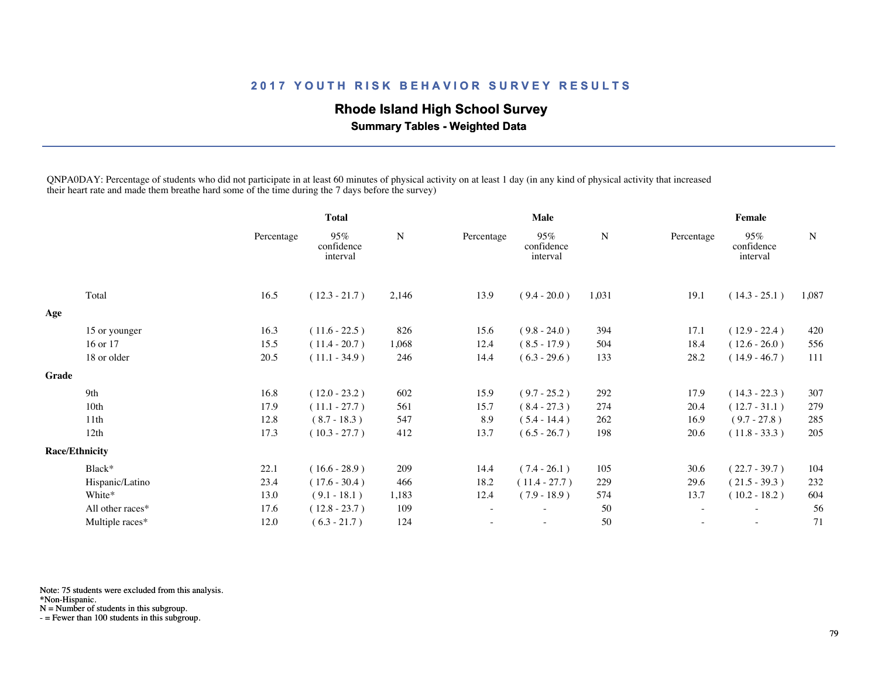# **Rhode Island High School Survey**

 **Summary Tables - Weighted Data**

QNPA0DAY: Percentage of students who did not participate in at least 60 minutes of physical activity on at least 1 day (in any kind of physical activity that increased their heart rate and made them breathe hard some of the time during the 7 days before the survey)

|       |                       | <b>Total</b> |                               | <b>Male</b> |            |                               | Female    |                     |                               |             |
|-------|-----------------------|--------------|-------------------------------|-------------|------------|-------------------------------|-----------|---------------------|-------------------------------|-------------|
|       |                       | Percentage   | 95%<br>confidence<br>interval | ${\bf N}$   | Percentage | 95%<br>confidence<br>interval | ${\bf N}$ | Percentage          | 95%<br>confidence<br>interval | $\mathbf N$ |
|       | Total                 | 16.5         | $(12.3 - 21.7)$               | 2,146       | 13.9       | $(9.4 - 20.0)$                | 1,031     | 19.1                | $(14.3 - 25.1)$               | 1,087       |
| Age   |                       |              |                               |             |            |                               |           |                     |                               |             |
|       | 15 or younger         | 16.3         | $(11.6 - 22.5)$               | 826         | 15.6       | $(9.8 - 24.0)$                | 394       | 17.1                | $(12.9 - 22.4)$               | 420         |
|       | 16 or 17              | 15.5         | $(11.4 - 20.7)$               | 1,068       | 12.4       | $(8.5 - 17.9)$                | 504       | 18.4                | $(12.6 - 26.0)$               | 556         |
|       | 18 or older           | 20.5         | $(11.1 - 34.9)$               | 246         | 14.4       | $(6.3 - 29.6)$                | 133       | 28.2                | $(14.9 - 46.7)$               | 111         |
| Grade |                       |              |                               |             |            |                               |           |                     |                               |             |
|       | 9th                   | 16.8         | $(12.0 - 23.2)$               | 602         | 15.9       | $(9.7 - 25.2)$                | 292       | 17.9                | $(14.3 - 22.3)$               | 307         |
|       | 10th                  | 17.9         | $(11.1 - 27.7)$               | 561         | 15.7       | $(8.4 - 27.3)$                | 274       | 20.4                | $(12.7 - 31.1)$               | 279         |
|       | 11th                  | 12.8         | $(8.7 - 18.3)$                | 547         | 8.9        | $(5.4 - 14.4)$                | 262       | 16.9                | $(9.7 - 27.8)$                | 285         |
|       | 12th                  | 17.3         | $(10.3 - 27.7)$               | 412         | 13.7       | $(6.5 - 26.7)$                | 198       | 20.6                | $(11.8 - 33.3)$               | 205         |
|       | <b>Race/Ethnicity</b> |              |                               |             |            |                               |           |                     |                               |             |
|       | Black*                | 22.1         | $(16.6 - 28.9)$               | 209         | 14.4       | $(7.4 - 26.1)$                | 105       | 30.6                | $(22.7 - 39.7)$               | 104         |
|       | Hispanic/Latino       | 23.4         | $(17.6 - 30.4)$               | 466         | 18.2       | $(11.4 - 27.7)$               | 229       | 29.6                | $(21.5 - 39.3)$               | 232         |
|       | White*                | 13.0         | $(9.1 - 18.1)$                | 1,183       | 12.4       | $(7.9 - 18.9)$                | 574       | 13.7                | $(10.2 - 18.2)$               | 604         |
|       | All other races*      | 17.6         | $(12.8 - 23.7)$               | 109         | $\sim$     |                               | 50        | $\sim$              | $\overline{\phantom{a}}$      | 56          |
|       | Multiple races*       | 12.0         | $(6.3 - 21.7)$                | 124         |            | $\overline{\phantom{a}}$      | 50        | $\bar{\phantom{a}}$ | $\overline{\phantom{a}}$      | 71          |
|       |                       |              |                               |             |            |                               |           |                     |                               |             |

Note: 75 students were excluded from this analysis.

\*Non-Hispanic.

N = Number of students in this subgroup.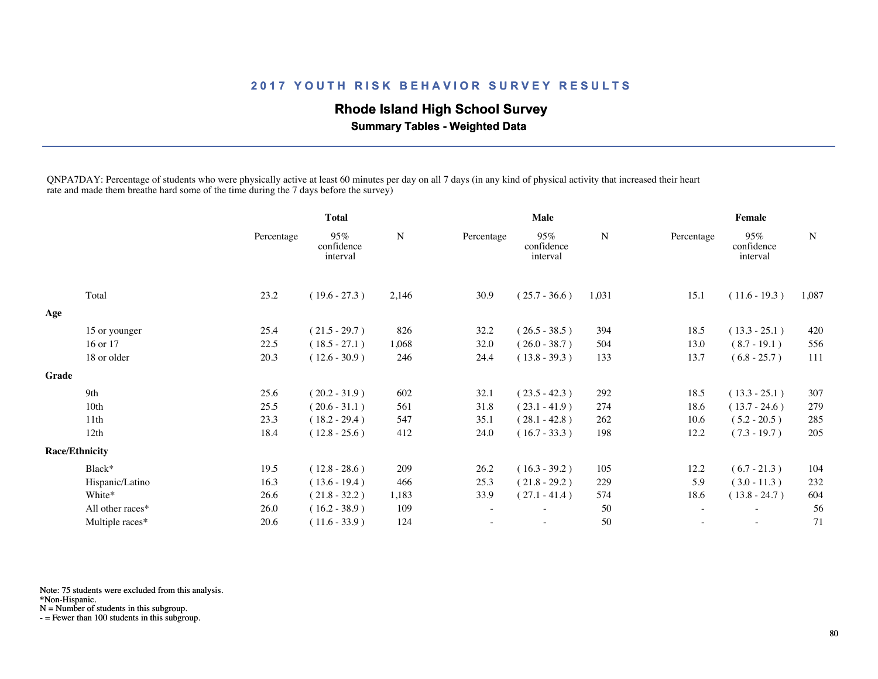## **Rhode Island High School Survey**

 **Summary Tables - Weighted Data**

QNPA7DAY: Percentage of students who were physically active at least 60 minutes per day on all 7 days (in any kind of physical activity that increased their heart rate and made them breathe hard some of the time during the 7 days before the survey)

|                       | <b>Total</b> |                               |           |            | Male                          |        | Female     |                               |             |  |
|-----------------------|--------------|-------------------------------|-----------|------------|-------------------------------|--------|------------|-------------------------------|-------------|--|
|                       | Percentage   | 95%<br>confidence<br>interval | ${\bf N}$ | Percentage | 95%<br>confidence<br>interval | N      | Percentage | 95%<br>confidence<br>interval | $\mathbf N$ |  |
| Total                 | 23.2         | $(19.6 - 27.3)$               | 2,146     | 30.9       | $(25.7 - 36.6)$               | 1,031  | 15.1       | $(11.6 - 19.3)$               | 1,087       |  |
|                       |              |                               |           |            |                               |        |            |                               |             |  |
| 15 or younger         | 25.4         | $(21.5 - 29.7)$               | 826       |            | $(26.5 - 38.5)$               | 394    | 18.5       | $(13.3 - 25.1)$               | 420         |  |
| 16 or 17              | 22.5         | $(18.5 - 27.1)$               | 1,068     | 32.0       | $(26.0 - 38.7)$               | 504    | 13.0       | $(8.7 - 19.1)$                | 556         |  |
| 18 or older           | 20.3         | $(12.6 - 30.9)$               | 246       | 24.4       | $(13.8 - 39.3)$               | 133    | 13.7       | $(6.8 - 25.7)$                | 111         |  |
|                       |              |                               |           |            |                               |        |            |                               |             |  |
| 9th                   | 25.6         | $(20.2 - 31.9)$               | 602       | 32.1       | $(23.5 - 42.3)$               | 292    | 18.5       | $(13.3 - 25.1)$               | 307         |  |
| 10 <sub>th</sub>      | 25.5         | $(20.6 - 31.1)$               | 561       | 31.8       | $(23.1 - 41.9)$               | 274    | 18.6       | $(13.7 - 24.6)$               | 279         |  |
| 11th                  | 23.3         | $(18.2 - 29.4)$               | 547       | 35.1       | $(28.1 - 42.8)$               | 262    | 10.6       | $(5.2 - 20.5)$                | 285         |  |
| 12th                  | 18.4         | $(12.8 - 25.6)$               | 412       | 24.0       | $(16.7 - 33.3)$               | 198    | 12.2       | $(7.3 - 19.7)$                | 205         |  |
| <b>Race/Ethnicity</b> |              |                               |           |            |                               |        |            |                               |             |  |
| Black*                | 19.5         | $(12.8 - 28.6)$               | 209       | 26.2       | $(16.3 - 39.2)$               | 105    | 12.2       | $(6.7 - 21.3)$                | 104         |  |
| Hispanic/Latino       | 16.3         | $(13.6 - 19.4)$               | 466       | 25.3       | $(21.8 - 29.2)$               | 229    | 5.9        | $(3.0 - 11.3)$                | 232         |  |
| White*                | 26.6         | $(21.8 - 32.2)$               | 1,183     | 33.9       | $(27.1 - 41.4)$               | 574    | 18.6       | $(13.8 - 24.7)$               | 604         |  |
| All other races*      | 26.0         | $(16.2 - 38.9)$               | 109       |            |                               | 50     |            |                               | 56          |  |
| Multiple races*       | 20.6         | $(11.6 - 33.9)$               | 124       |            | $\overline{\phantom{a}}$      | $50\,$ | ÷          | $\sim$                        | 71          |  |
|                       |              |                               |           |            | 32.2                          |        |            |                               |             |  |

Note: 75 students were excluded from this analysis.

\*Non-Hispanic.

N = Number of students in this subgroup.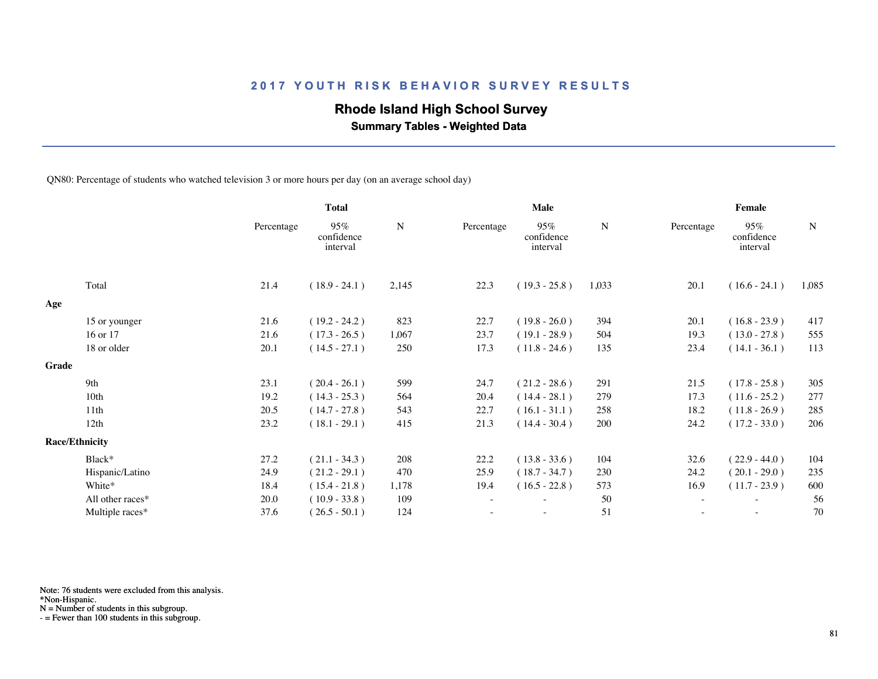## **Rhode Island High School Survey**

 **Summary Tables - Weighted Data**

QN80: Percentage of students who watched television 3 or more hours per day (on an average school day)

|                  |                                                 | <b>Total</b>                  |       | Male       |                               |       | Female                   |                               |             |  |
|------------------|-------------------------------------------------|-------------------------------|-------|------------|-------------------------------|-------|--------------------------|-------------------------------|-------------|--|
|                  | Percentage                                      | 95%<br>confidence<br>interval | N     | Percentage | 95%<br>confidence<br>interval | N     | Percentage               | 95%<br>confidence<br>interval | $\mathbf N$ |  |
| Total            | 21.4                                            | $(18.9 - 24.1)$               | 2,145 | 22.3       | $(19.3 - 25.8)$               | 1,033 | 20.1                     | $(16.6 - 24.1)$               | 1,085       |  |
|                  |                                                 |                               |       |            |                               |       |                          |                               |             |  |
|                  | 21.6                                            | $(19.2 - 24.2)$               | 823   | 22.7       | $(19.8 - 26.0)$               | 394   | 20.1                     | $(16.8 - 23.9)$               | 417         |  |
| 16 or 17         | 21.6                                            | $(17.3 - 26.5)$               | 1,067 | 23.7       | $(19.1 - 28.9)$               | 504   | 19.3                     | $(13.0 - 27.8)$               | 555         |  |
| 18 or older      | 20.1                                            | $(14.5 - 27.1)$               | 250   | 17.3       | $(11.8 - 24.6)$               | 135   | 23.4                     | $(14.1 - 36.1)$               | 113         |  |
|                  |                                                 |                               |       |            |                               |       |                          |                               |             |  |
| 9th              | 23.1                                            | $(20.4 - 26.1)$               | 599   | 24.7       | $(21.2 - 28.6)$               | 291   | 21.5                     | $(17.8 - 25.8)$               | 305         |  |
| 10th             | 19.2                                            | $(14.3 - 25.3)$               | 564   | 20.4       | $(14.4 - 28.1)$               | 279   | 17.3                     | $(11.6 - 25.2)$               | 277         |  |
| 11 <sup>th</sup> | 20.5                                            | $(14.7 - 27.8)$               | 543   | 22.7       | $(16.1 - 31.1)$               | 258   | 18.2                     | $(11.8 - 26.9)$               | 285         |  |
| 12th             | 23.2                                            | $(18.1 - 29.1)$               | 415   | 21.3       | $(14.4 - 30.4)$               | 200   | 24.2                     | $(17.2 - 33.0)$               | 206         |  |
|                  |                                                 |                               |       |            |                               |       |                          |                               |             |  |
| Black*           | 27.2                                            | $(21.1 - 34.3)$               | 208   | 22.2       | $(13.8 - 33.6)$               | 104   | 32.6                     | $(22.9 - 44.0)$               | 104         |  |
| Hispanic/Latino  | 24.9                                            | $(21.2 - 29.1)$               | 470   | 25.9       | $(18.7 - 34.7)$               | 230   | 24.2                     | $(20.1 - 29.0)$               | 235         |  |
| White*           | 18.4                                            | $(15.4 - 21.8)$               | 1,178 | 19.4       | $(16.5 - 22.8)$               | 573   | 16.9                     | $(11.7 - 23.9)$               | 600         |  |
| All other races* | 20.0                                            | $(10.9 - 33.8)$               | 109   | $\sim$     | $\overline{\phantom{a}}$      | 50    | $\overline{\phantom{a}}$ | $\overline{\phantom{a}}$      | 56          |  |
| Multiple races*  | 37.6                                            | $(26.5 - 50.1)$               | 124   |            | $\overline{\phantom{a}}$      | 51    |                          |                               | 70          |  |
|                  | 15 or younger<br>Grade<br><b>Race/Ethnicity</b> |                               |       |            |                               |       |                          |                               |             |  |

Note: 76 students were excluded from this analysis.

\*Non-Hispanic.

N = Number of students in this subgroup.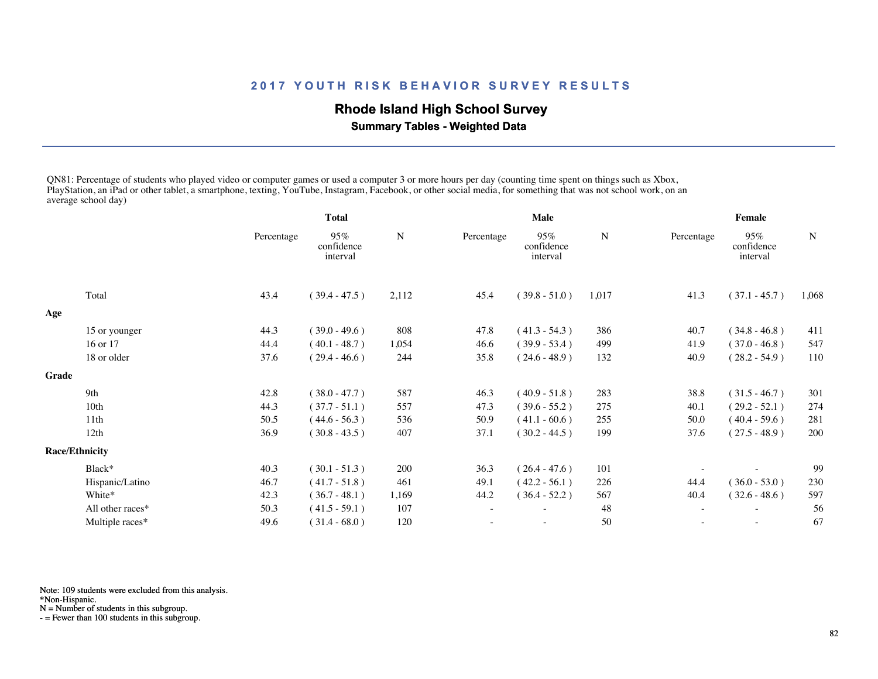## **Rhode Island High School Survey**

 **Summary Tables - Weighted Data**

QN81: Percentage of students who played video or computer games or used a computer 3 or more hours per day (counting time spent on things such as Xbox, PlayStation, an iPad or other tablet, a smartphone, texting, YouTube, Instagram, Facebook, or other social media, for something that was not school work, on an average school day)

|       |                       | <b>Total</b> |                               |             | Male       |                               |       | Female                   |                               |       |
|-------|-----------------------|--------------|-------------------------------|-------------|------------|-------------------------------|-------|--------------------------|-------------------------------|-------|
|       |                       | Percentage   | 95%<br>confidence<br>interval | $\mathbf N$ | Percentage | 95%<br>confidence<br>interval | N     | Percentage               | 95%<br>confidence<br>interval | N     |
|       | Total                 | 43.4         | $(39.4 - 47.5)$               | 2,112       | 45.4       | $(39.8 - 51.0)$               | 1,017 | 41.3                     | $(37.1 - 45.7)$               | 1,068 |
| Age   |                       |              |                               |             |            |                               |       |                          |                               |       |
|       | 15 or younger         | 44.3         | $(39.0 - 49.6)$               | 808         | 47.8       | $(41.3 - 54.3)$               | 386   | 40.7                     | $(34.8 - 46.8)$               | 411   |
|       | 16 or 17              | 44.4         | $(40.1 - 48.7)$               | 1,054       | 46.6       | $(39.9 - 53.4)$               | 499   | 41.9                     | $(37.0 - 46.8)$               | 547   |
|       | 18 or older           | 37.6         | $(29.4 - 46.6)$               | 244         | 35.8       | $(24.6 - 48.9)$               | 132   | 40.9                     | $(28.2 - 54.9)$               | 110   |
| Grade |                       |              |                               |             |            |                               |       |                          |                               |       |
|       | 9th                   | 42.8         | $(38.0 - 47.7)$               | 587         | 46.3       | $(40.9 - 51.8)$               | 283   | 38.8                     | $(31.5 - 46.7)$               | 301   |
|       | 10 <sub>th</sub>      | 44.3         | $(37.7 - 51.1)$               | 557         | 47.3       | $(39.6 - 55.2)$               | 275   | 40.1                     | $(29.2 - 52.1)$               | 274   |
|       | 11th                  | 50.5         | $(44.6 - 56.3)$               | 536         | 50.9       | $(41.1 - 60.6)$               | 255   | 50.0                     | $(40.4 - 59.6)$               | 281   |
|       | 12th                  | 36.9         | $(30.8 - 43.5)$               | 407         | 37.1       | $(30.2 - 44.5)$               | 199   | 37.6                     | $(27.5 - 48.9)$               | 200   |
|       | <b>Race/Ethnicity</b> |              |                               |             |            |                               |       |                          |                               |       |
|       | Black*                | 40.3         | $(30.1 - 51.3)$               | 200         | 36.3       | $(26.4 - 47.6)$               | 101   |                          |                               | 99    |
|       | Hispanic/Latino       | 46.7         | $(41.7 - 51.8)$               | 461         | 49.1       | $(42.2 - 56.1)$               | 226   | 44.4                     | $(36.0 - 53.0)$               | 230   |
|       | White*                | 42.3         | $(36.7 - 48.1)$               | 1,169       | 44.2       | $(36.4 - 52.2)$               | 567   | 40.4                     | $(32.6 - 48.6)$               | 597   |
|       | All other races*      | 50.3         | $(41.5 - 59.1)$               | 107         |            |                               | 48    | $\overline{\phantom{a}}$ |                               | 56    |
|       | Multiple races*       | 49.6         | $(31.4 - 68.0)$               | 120         |            | $\overline{\phantom{0}}$      | 50    | $\sim$                   | $\sim$                        | 67    |
|       |                       |              |                               |             |            |                               |       |                          |                               |       |

Note: 109 students were excluded from this analysis.

\*Non-Hispanic.

N = Number of students in this subgroup.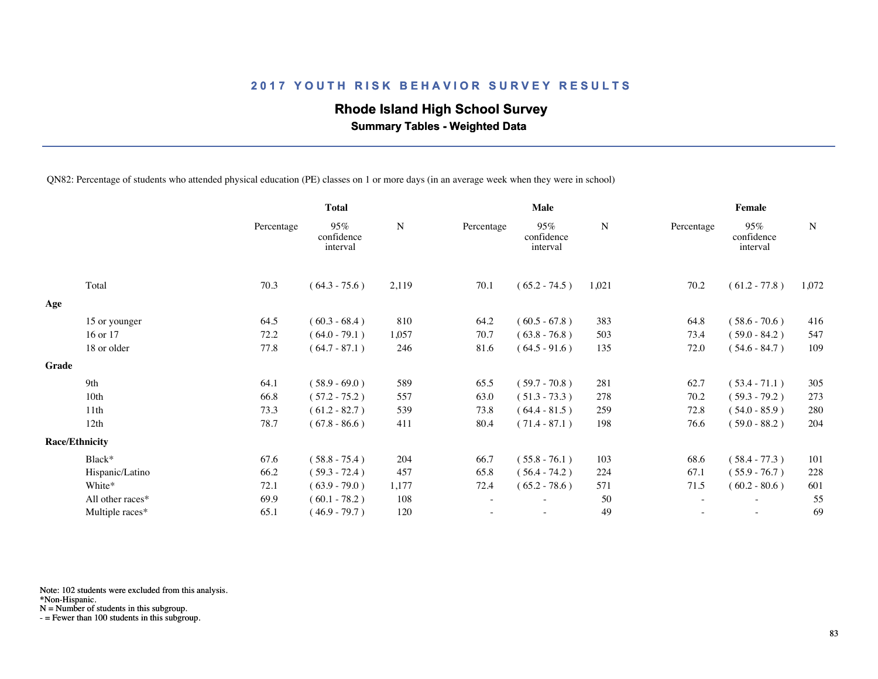## **Rhode Island High School Survey**

 **Summary Tables - Weighted Data**

QN82: Percentage of students who attended physical education (PE) classes on 1 or more days (in an average week when they were in school)

|       |                       |            | <b>Total</b>                  |           | Male                     |                               |           | Female                   |                               |             |
|-------|-----------------------|------------|-------------------------------|-----------|--------------------------|-------------------------------|-----------|--------------------------|-------------------------------|-------------|
|       |                       | Percentage | 95%<br>confidence<br>interval | ${\bf N}$ | Percentage               | 95%<br>confidence<br>interval | ${\bf N}$ | Percentage               | 95%<br>confidence<br>interval | $\mathbf N$ |
|       | Total                 | 70.3       | $(64.3 - 75.6)$               | 2,119     | 70.1                     | $(65.2 - 74.5)$               | 1,021     | 70.2                     | $(61.2 - 77.8)$               | 1,072       |
| Age   |                       |            |                               |           |                          |                               |           |                          |                               |             |
|       | 15 or younger         | 64.5       | $(60.3 - 68.4)$               | 810       | 64.2                     | $(60.5 - 67.8)$               | 383       | 64.8                     | $(58.6 - 70.6)$               | 416         |
|       | 16 or 17              | 72.2       | $(64.0 - 79.1)$               | 1,057     | 70.7                     | $(63.8 - 76.8)$               | 503       | 73.4                     | $(59.0 - 84.2)$               | 547         |
|       | 18 or older           | 77.8       | $(64.7 - 87.1)$               | 246       | 81.6                     | $(64.5 - 91.6)$               | 135       | 72.0                     | $(54.6 - 84.7)$               | 109         |
| Grade |                       |            |                               |           |                          |                               |           |                          |                               |             |
|       | 9th                   | 64.1       | $(58.9 - 69.0)$               | 589       | 65.5                     | $(59.7 - 70.8)$               | 281       | 62.7                     | $(53.4 - 71.1)$               | 305         |
|       | 10 <sub>th</sub>      | 66.8       | $(57.2 - 75.2)$               | 557       | 63.0                     | $(51.3 - 73.3)$               | 278       | 70.2                     | $(59.3 - 79.2)$               | 273         |
|       | 11th                  | 73.3       | $(61.2 - 82.7)$               | 539       | 73.8                     | $(64.4 - 81.5)$               | 259       | 72.8                     | $(54.0 - 85.9)$               | 280         |
|       | 12th                  | 78.7       | $(67.8 - 86.6)$               | 411       | 80.4                     | $(71.4 - 87.1)$               | 198       | 76.6                     | $(59.0 - 88.2)$               | 204         |
|       | <b>Race/Ethnicity</b> |            |                               |           |                          |                               |           |                          |                               |             |
|       | Black*                | 67.6       | $(58.8 - 75.4)$               | 204       | 66.7                     | $(55.8 - 76.1)$               | 103       | 68.6                     | $(58.4 - 77.3)$               | 101         |
|       | Hispanic/Latino       | 66.2       | $(59.3 - 72.4)$               | 457       | 65.8                     | $(56.4 - 74.2)$               | 224       | 67.1                     | $(55.9 - 76.7)$               | 228         |
|       | White*                | 72.1       | $(63.9 - 79.0)$               | 1,177     | 72.4                     | $(65.2 - 78.6)$               | 571       | 71.5                     | $(60.2 - 80.6)$               | 601         |
|       | All other races*      | 69.9       | $(60.1 - 78.2)$               | 108       | $\overline{\phantom{a}}$ |                               | 50        | $\overline{\phantom{a}}$ | $\overline{\phantom{a}}$      | 55          |
|       | Multiple races*       | 65.1       | $(46.9 - 79.7)$               | 120       |                          |                               | 49        |                          |                               | 69          |
|       |                       |            |                               |           |                          |                               |           |                          |                               |             |

Note: 102 students were excluded from this analysis.

N = Number of students in this subgroup.

<sup>\*</sup>Non-Hispanic.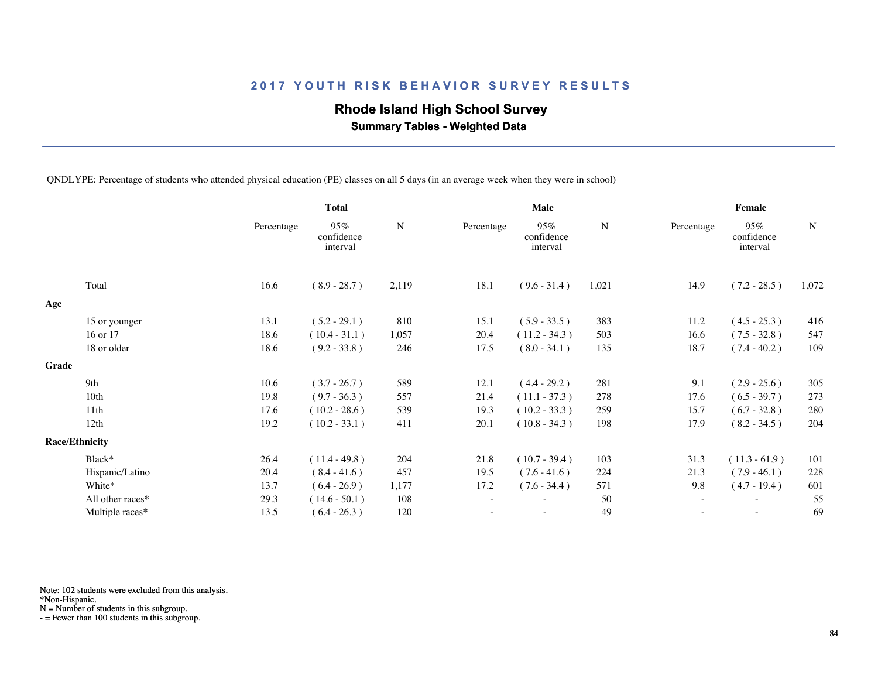## **Rhode Island High School Survey**

 **Summary Tables - Weighted Data**

QNDLYPE: Percentage of students who attended physical education (PE) classes on all 5 days (in an average week when they were in school)

|       |                       |            | <b>Total</b>                  |           | <b>Male</b>              |                               |       | Female     |                               |             |  |
|-------|-----------------------|------------|-------------------------------|-----------|--------------------------|-------------------------------|-------|------------|-------------------------------|-------------|--|
|       |                       | Percentage | 95%<br>confidence<br>interval | ${\bf N}$ | Percentage               | 95%<br>confidence<br>interval | N     | Percentage | 95%<br>confidence<br>interval | $\mathbf N$ |  |
|       | Total                 | 16.6       | $(8.9 - 28.7)$                | 2,119     | 18.1                     | $(9.6 - 31.4)$                | 1,021 | 14.9       | $(7.2 - 28.5)$                | 1,072       |  |
| Age   |                       |            |                               |           |                          |                               |       |            |                               |             |  |
|       | 15 or younger         | 13.1       | $(5.2 - 29.1)$                | 810       | 15.1                     | $(5.9 - 33.5)$                | 383   | 11.2       | $(4.5 - 25.3)$                | 416         |  |
|       | 16 or 17              | 18.6       | $(10.4 - 31.1)$               | 1,057     | 20.4                     | $(11.2 - 34.3)$               | 503   | 16.6       | $(7.5 - 32.8)$                | 547         |  |
|       | 18 or older           | 18.6       | $(9.2 - 33.8)$                | 246       | 17.5                     | $(8.0 - 34.1)$                | 135   | 18.7       | $(7.4 - 40.2)$                | 109         |  |
| Grade |                       |            |                               |           |                          |                               |       |            |                               |             |  |
|       | 9th                   | 10.6       | $(3.7 - 26.7)$                | 589       | 12.1                     | $(4.4 - 29.2)$                | 281   | 9.1        | $(2.9 - 25.6)$                | 305         |  |
|       | 10th                  | 19.8       | $(9.7 - 36.3)$                | 557       | 21.4                     | $(11.1 - 37.3)$               | 278   | 17.6       | $(6.5 - 39.7)$                | 273         |  |
|       | 11 <sup>th</sup>      | 17.6       | $(10.2 - 28.6)$               | 539       | 19.3                     | $(10.2 - 33.3)$               | 259   | 15.7       | $(6.7 - 32.8)$                | 280         |  |
|       | 12th                  | 19.2       | $(10.2 - 33.1)$               | 411       | 20.1                     | $(10.8 - 34.3)$               | 198   | 17.9       | $(8.2 - 34.5)$                | 204         |  |
|       | <b>Race/Ethnicity</b> |            |                               |           |                          |                               |       |            |                               |             |  |
|       | Black*                | 26.4       | $(11.4 - 49.8)$               | 204       | 21.8                     | $(10.7 - 39.4)$               | 103   | 31.3       | $(11.3 - 61.9)$               | 101         |  |
|       | Hispanic/Latino       | 20.4       | $(8.4 - 41.6)$                | 457       | 19.5                     | $(7.6 - 41.6)$                | 224   | 21.3       | $(7.9 - 46.1)$                | 228         |  |
|       | White*                | 13.7       | $(6.4 - 26.9)$                | 1,177     | 17.2                     | $(7.6 - 34.4)$                | 571   | 9.8        | $(4.7 - 19.4)$                | 601         |  |
|       | All other races*      | 29.3       | $(14.6 - 50.1)$               | 108       | $\overline{\phantom{a}}$ | $\overline{\phantom{0}}$      | 50    | $\sim$     | $\overline{\phantom{a}}$      | 55          |  |
|       | Multiple races*       | 13.5       | $(6.4 - 26.3)$                | 120       |                          |                               | 49    |            |                               | 69          |  |
|       |                       |            |                               |           |                          |                               |       |            |                               |             |  |

Note: 102 students were excluded from this analysis.

\*Non-Hispanic.

N = Number of students in this subgroup.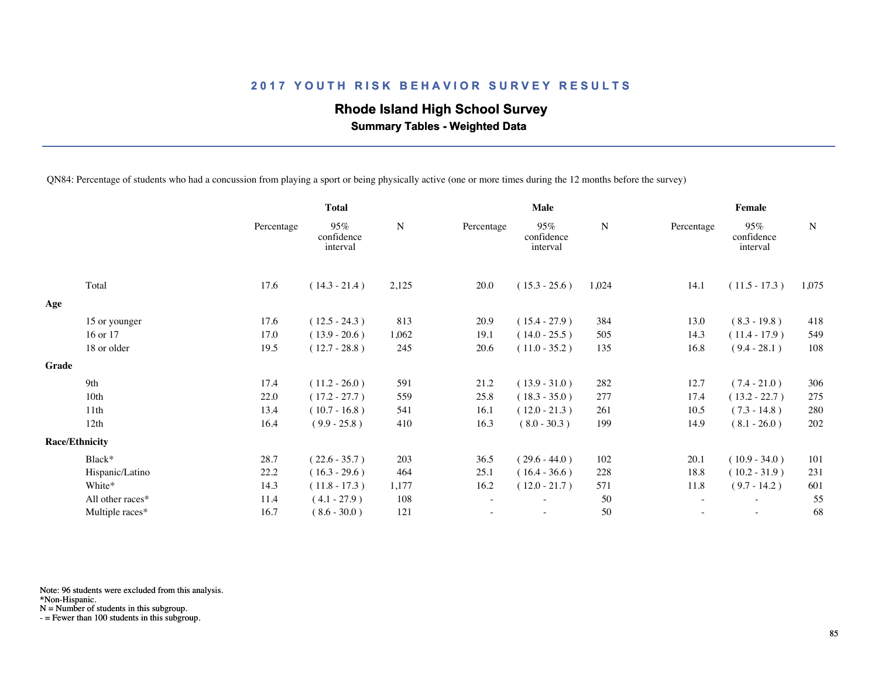# **Rhode Island High School Survey**

 **Summary Tables - Weighted Data**

QN84: Percentage of students who had a concussion from playing a sport or being physically active (one or more times during the 12 months before the survey)

|       |                       | <b>Total</b> |                               |       |                          | <b>Male</b>                   |       | Female                   |                               |             |  |
|-------|-----------------------|--------------|-------------------------------|-------|--------------------------|-------------------------------|-------|--------------------------|-------------------------------|-------------|--|
|       |                       | Percentage   | 95%<br>confidence<br>interval | N     | Percentage               | 95%<br>confidence<br>interval | N     | Percentage               | 95%<br>confidence<br>interval | $\mathbf N$ |  |
|       | Total                 | 17.6         | $(14.3 - 21.4)$               | 2,125 | 20.0                     | $(15.3 - 25.6)$               | 1,024 | 14.1                     | $(11.5 - 17.3)$               | 1,075       |  |
| Age   |                       |              |                               |       |                          |                               |       |                          |                               |             |  |
|       | 15 or younger         | 17.6         | $(12.5 - 24.3)$               | 813   | 20.9                     | $(15.4 - 27.9)$               | 384   | 13.0                     | $(8.3 - 19.8)$                | 418         |  |
|       | 16 or 17              | 17.0         | $(13.9 - 20.6)$               | 1,062 | 19.1                     | $(14.0 - 25.5)$               | 505   | 14.3                     | $(11.4 - 17.9)$               | 549         |  |
|       | 18 or older           | 19.5         | $(12.7 - 28.8)$               | 245   | 20.6                     | $(11.0 - 35.2)$               | 135   | 16.8                     | $(9.4 - 28.1)$                | 108         |  |
| Grade |                       |              |                               |       |                          |                               |       |                          |                               |             |  |
|       | 9th                   | 17.4         | $(11.2 - 26.0)$               | 591   | 21.2                     | $(13.9 - 31.0)$               | 282   | 12.7                     | $(7.4 - 21.0)$                | 306         |  |
|       | 10th                  | 22.0         | $(17.2 - 27.7)$               | 559   | 25.8                     | $(18.3 - 35.0)$               | 277   | 17.4                     | $(13.2 - 22.7)$               | 275         |  |
|       | 11 <sup>th</sup>      | 13.4         | $(10.7 - 16.8)$               | 541   | 16.1                     | $(12.0 - 21.3)$               | 261   | 10.5                     | $(7.3 - 14.8)$                | 280         |  |
|       | 12th                  | 16.4         | $(9.9 - 25.8)$                | 410   | 16.3                     | $(8.0 - 30.3)$                | 199   | 14.9                     | $(8.1 - 26.0)$                | 202         |  |
|       | <b>Race/Ethnicity</b> |              |                               |       |                          |                               |       |                          |                               |             |  |
|       | Black*                | 28.7         | $(22.6 - 35.7)$               | 203   | 36.5                     | $(29.6 - 44.0)$               | 102   | 20.1                     | $(10.9 - 34.0)$               | 101         |  |
|       | Hispanic/Latino       | 22.2         | $(16.3 - 29.6)$               | 464   | 25.1                     | $(16.4 - 36.6)$               | 228   | 18.8                     | $(10.2 - 31.9)$               | 231         |  |
|       | White*                | 14.3         | $(11.8 - 17.3)$               | 1,177 | 16.2                     | $(12.0 - 21.7)$               | 571   | 11.8                     | $(9.7 - 14.2)$                | 601         |  |
|       | All other races*      | 11.4         | $(4.1 - 27.9)$                | 108   | $\overline{\phantom{a}}$ | $\overline{\phantom{a}}$      | 50    | $\overline{\phantom{a}}$ | $\overline{\phantom{a}}$      | 55          |  |
|       | Multiple races*       | 16.7         | $(8.6 - 30.0)$                | 121   |                          |                               | 50    |                          | $\sim$                        | 68          |  |
|       |                       |              |                               |       |                          |                               |       |                          |                               |             |  |

Note: 96 students were excluded from this analysis.

\*Non-Hispanic.

N = Number of students in this subgroup.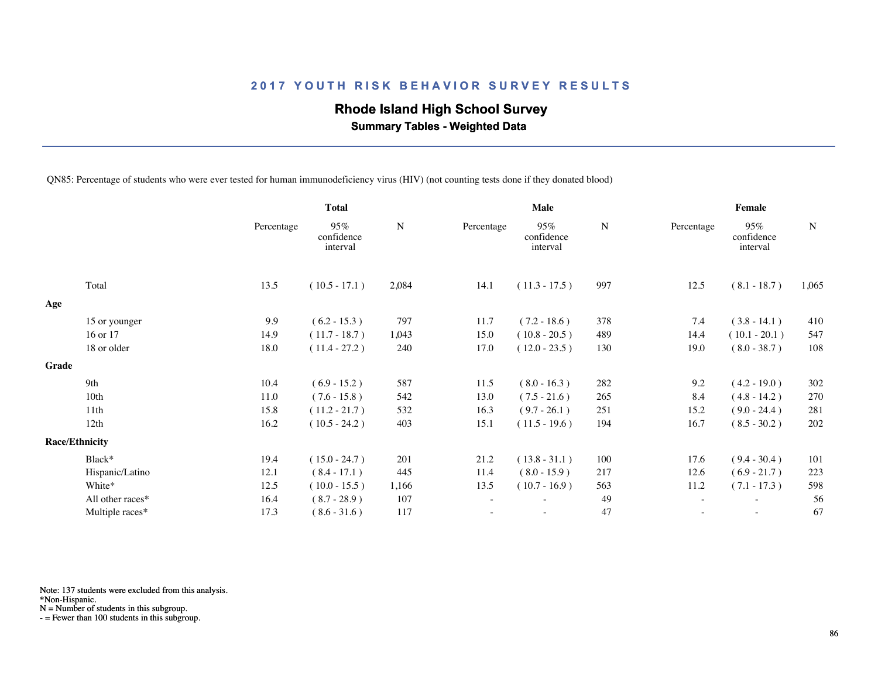## **Rhode Island High School Survey**

 **Summary Tables - Weighted Data**

QN85: Percentage of students who were ever tested for human immunodeficiency virus (HIV) (not counting tests done if they donated blood)

|       |                       |            | <b>Total</b>                  |           |                          | Male                          |     | Female                   |                               |             |  |
|-------|-----------------------|------------|-------------------------------|-----------|--------------------------|-------------------------------|-----|--------------------------|-------------------------------|-------------|--|
|       |                       | Percentage | 95%<br>confidence<br>interval | ${\bf N}$ | Percentage               | 95%<br>confidence<br>interval | N   | Percentage               | 95%<br>confidence<br>interval | $\mathbf N$ |  |
|       | Total                 | 13.5       | $(10.5 - 17.1)$               | 2,084     | 14.1                     | $(11.3 - 17.5)$               | 997 | 12.5                     | $(8.1 - 18.7)$                | 1,065       |  |
| Age   |                       |            |                               |           |                          |                               |     |                          |                               |             |  |
|       | 15 or younger         | 9.9        | $(6.2 - 15.3)$                | 797       | 11.7                     | $(7.2 - 18.6)$                | 378 | 7.4                      | $(3.8 - 14.1)$                | 410         |  |
|       | 16 or 17              | 14.9       | $(11.7 - 18.7)$               | 1,043     | 15.0                     | $(10.8 - 20.5)$               | 489 | 14.4                     | $(10.1 - 20.1)$               | 547         |  |
|       | 18 or older           | 18.0       | $(11.4 - 27.2)$               | 240       | 17.0                     | $(12.0 - 23.5)$               | 130 | 19.0                     | $(8.0 - 38.7)$                | 108         |  |
| Grade |                       |            |                               |           |                          |                               |     |                          |                               |             |  |
|       | 9th                   | 10.4       | $(6.9 - 15.2)$                | 587       | 11.5                     | $(8.0 - 16.3)$                | 282 | 9.2                      | $(4.2 - 19.0)$                | 302         |  |
|       | 10th                  | 11.0       | $(7.6 - 15.8)$                | 542       | 13.0                     | $(7.5 - 21.6)$                | 265 | 8.4                      | $(4.8 - 14.2)$                | 270         |  |
|       | 11 <sup>th</sup>      | 15.8       | $(11.2 - 21.7)$               | 532       | 16.3                     | $(9.7 - 26.1)$                | 251 | 15.2                     | $(9.0 - 24.4)$                | 281         |  |
|       | 12th                  | 16.2       | $(10.5 - 24.2)$               | 403       | 15.1                     | $(11.5 - 19.6)$               | 194 | 16.7                     | $(8.5 - 30.2)$                | 202         |  |
|       | <b>Race/Ethnicity</b> |            |                               |           |                          |                               |     |                          |                               |             |  |
|       | Black*                | 19.4       | $(15.0 - 24.7)$               | 201       | 21.2                     | $(13.8 - 31.1)$               | 100 | 17.6                     | $(9.4 - 30.4)$                | 101         |  |
|       | Hispanic/Latino       | 12.1       | $(8.4 - 17.1)$                | 445       | 11.4                     | $(8.0 - 15.9)$                | 217 | 12.6                     | $(6.9 - 21.7)$                | 223         |  |
|       | White*                | 12.5       | $(10.0 - 15.5)$               | 1,166     | 13.5                     | $(10.7 - 16.9)$               | 563 | 11.2                     | $(7.1 - 17.3)$                | 598         |  |
|       | All other races*      | 16.4       | $(8.7 - 28.9)$                | 107       | $\overline{\phantom{a}}$ | $\overline{\phantom{0}}$      | 49  | $\overline{\phantom{a}}$ | $\overline{\phantom{a}}$      | 56          |  |
|       | Multiple races*       | 17.3       | $(8.6 - 31.6)$                | 117       |                          |                               | 47  |                          |                               | 67          |  |
|       |                       |            |                               |           |                          |                               |     |                          |                               |             |  |

Note: 137 students were excluded from this analysis.

N = Number of students in this subgroup.

<sup>\*</sup>Non-Hispanic.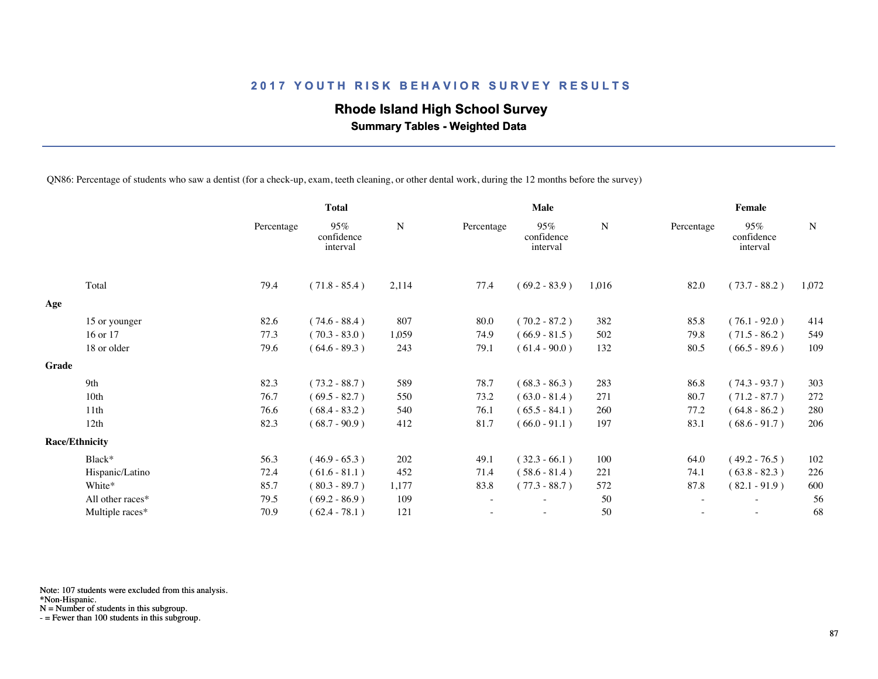## **Rhode Island High School Survey**

 **Summary Tables - Weighted Data**

QN86: Percentage of students who saw a dentist (for a check-up, exam, teeth cleaning, or other dental work, during the 12 months before the survey)

|       |                       | <b>Total</b> |                               |           | Male                     |                               |           | Female                   |                               |             |  |
|-------|-----------------------|--------------|-------------------------------|-----------|--------------------------|-------------------------------|-----------|--------------------------|-------------------------------|-------------|--|
|       |                       | Percentage   | 95%<br>confidence<br>interval | ${\bf N}$ | Percentage               | 95%<br>confidence<br>interval | ${\bf N}$ | Percentage               | 95%<br>confidence<br>interval | $\mathbf N$ |  |
|       | Total                 | 79.4         | $(71.8 - 85.4)$               | 2,114     | 77.4                     | $(69.2 - 83.9)$               | 1,016     | 82.0                     | $(73.7 - 88.2)$               | 1,072       |  |
| Age   |                       |              |                               |           |                          |                               |           |                          |                               |             |  |
|       | 15 or younger         | 82.6         | $(74.6 - 88.4)$               | 807       | 80.0                     | $(70.2 - 87.2)$               | 382       | 85.8                     | $(76.1 - 92.0)$               | 414         |  |
|       | 16 or 17              | 77.3         | $(70.3 - 83.0)$               | 1,059     | 74.9                     | $(66.9 - 81.5)$               | 502       | 79.8                     | $(71.5 - 86.2)$               | 549         |  |
|       | 18 or older           | 79.6         | $(64.6 - 89.3)$               | 243       | 79.1                     | $(61.4 - 90.0)$               | 132       | 80.5                     | $(66.5 - 89.6)$               | 109         |  |
| Grade |                       |              |                               |           |                          |                               |           |                          |                               |             |  |
|       | 9th                   | 82.3         | $(73.2 - 88.7)$               | 589       | 78.7                     | $(68.3 - 86.3)$               | 283       | 86.8                     | $(74.3 - 93.7)$               | 303         |  |
|       | 10 <sub>th</sub>      | 76.7         | $(69.5 - 82.7)$               | 550       | 73.2                     | $(63.0 - 81.4)$               | 271       | 80.7                     | $(71.2 - 87.7)$               | 272         |  |
|       | 11th                  | 76.6         | $(68.4 - 83.2)$               | 540       | 76.1                     | $(65.5 - 84.1)$               | 260       | 77.2                     | $(64.8 - 86.2)$               | 280         |  |
|       | 12th                  | 82.3         | $(68.7 - 90.9)$               | 412       | 81.7                     | $(66.0 - 91.1)$               | 197       | 83.1                     | $(68.6 - 91.7)$               | 206         |  |
|       | <b>Race/Ethnicity</b> |              |                               |           |                          |                               |           |                          |                               |             |  |
|       | Black*                | 56.3         | $(46.9 - 65.3)$               | 202       | 49.1                     | $(32.3 - 66.1)$               | 100       | 64.0                     | $(49.2 - 76.5)$               | 102         |  |
|       | Hispanic/Latino       | 72.4         | $(61.6 - 81.1)$               | 452       | 71.4                     | $(58.6 - 81.4)$               | 221       | 74.1                     | $(63.8 - 82.3)$               | 226         |  |
|       | White*                | 85.7         | $(80.3 - 89.7)$               | 1,177     | 83.8                     | $(77.3 - 88.7)$               | 572       | 87.8                     | $(82.1 - 91.9)$               | 600         |  |
|       | All other races*      | 79.5         | $(69.2 - 86.9)$               | 109       | $\overline{\phantom{a}}$ |                               | 50        | $\overline{\phantom{a}}$ | $\sim$                        | 56          |  |
|       | Multiple races*       | 70.9         | $(62.4 - 78.1)$               | 121       |                          |                               | 50        |                          |                               | 68          |  |
|       |                       |              |                               |           |                          |                               |           |                          |                               |             |  |

Note: 107 students were excluded from this analysis.

N = Number of students in this subgroup.

<sup>\*</sup>Non-Hispanic.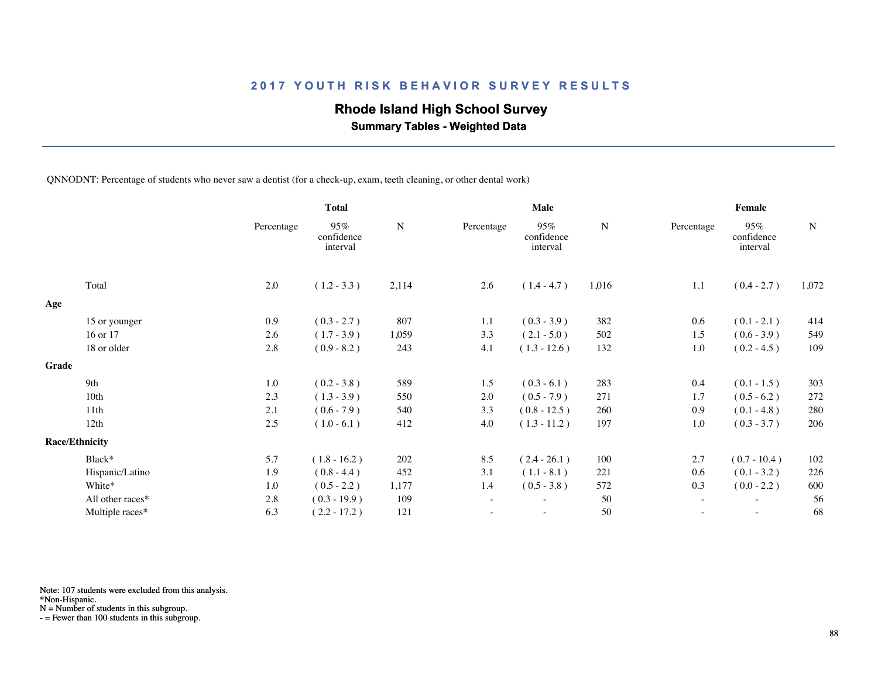## **Rhode Island High School Survey**

 **Summary Tables - Weighted Data**

QNNODNT: Percentage of students who never saw a dentist (for a check-up, exam, teeth cleaning, or other dental work)

|                  |                                                 | <b>Total</b>                  |               |                          | Male                          |             | Female     |                               |             |  |
|------------------|-------------------------------------------------|-------------------------------|---------------|--------------------------|-------------------------------|-------------|------------|-------------------------------|-------------|--|
|                  | Percentage                                      | 95%<br>confidence<br>interval | $\mathbf N$   | Percentage               | 95%<br>confidence<br>interval | $\mathbf N$ | Percentage | 95%<br>confidence<br>interval | $\mathbf N$ |  |
| Total            | 2.0                                             | $(1.2 - 3.3)$                 | 2,114         | 2.6                      | $(1.4 - 4.7)$                 | 1,016       | 1.1        | $(0.4 - 2.7)$                 | 1,072       |  |
|                  |                                                 |                               |               |                          |                               |             |            |                               |             |  |
|                  | 0.9                                             | $(0.3 - 2.7)$                 | 807           | 1.1                      | $(0.3 - 3.9)$                 | 382         | 0.6        | $(0.1 - 2.1)$                 | 414         |  |
| 16 or 17         | 2.6                                             | $(1.7 - 3.9)$                 | 1,059         | 3.3                      | $(2.1 - 5.0)$                 | 502         | 1.5        | $(0.6 - 3.9)$                 | 549         |  |
| 18 or older      | 2.8                                             | $(0.9 - 8.2)$                 | 243           | 4.1                      | $(1.3 - 12.6)$                | 132         | 1.0        | $(0.2 - 4.5)$                 | 109         |  |
|                  |                                                 |                               |               |                          |                               |             |            |                               |             |  |
| 9th              | 1.0                                             |                               | 589           | 1.5                      | $(0.3 - 6.1)$                 | 283         | 0.4        | $(0.1 - 1.5)$                 | 303         |  |
| 10th             | 2.3                                             | $(1.3 - 3.9)$                 | 550           | 2.0                      | $(0.5 - 7.9)$                 | 271         | 1.7        | $(0.5 - 6.2)$                 | 272         |  |
| 11th             | 2.1                                             | $(0.6 - 7.9)$                 | 540           | 3.3                      | $(0.8 - 12.5)$                | 260         | 0.9        | $(0.1 - 4.8)$                 | 280         |  |
| 12th             | 2.5                                             | $(1.0 - 6.1)$                 | 412           | 4.0                      | $(1.3 - 11.2)$                | 197         | 1.0        | $(0.3 - 3.7)$                 | 206         |  |
|                  |                                                 |                               |               |                          |                               |             |            |                               |             |  |
| Black*           | 5.7                                             | $(1.8 - 16.2)$                | 202           | 8.5                      | $(2.4 - 26.1)$                | 100         | 2.7        | $(0.7 - 10.4)$                | 102         |  |
| Hispanic/Latino  | 1.9                                             | $(0.8 - 4.4)$                 | 452           | 3.1                      | $(1.1 - 8.1)$                 | 221         | 0.6        | $(0.1 - 3.2)$                 | 226         |  |
| White*           | 1.0                                             | $(0.5 - 2.2)$                 | 1,177         | 1.4                      | $(0.5 - 3.8)$                 | 572         | 0.3        | $(0.0 - 2.2)$                 | 600         |  |
| All other races* | 2.8                                             | $(0.3 - 19.9)$                | 109           | $\overline{\phantom{a}}$ | $\overline{\phantom{a}}$      | 50          | $\sim$     | $\sim$                        | 56          |  |
| Multiple races*  | 6.3                                             | $(2.2 - 17.2)$                | 121           |                          |                               | 50          |            |                               | 68          |  |
|                  | 15 or younger<br>Grade<br><b>Race/Ethnicity</b> |                               | $(0.2 - 3.8)$ |                          |                               |             |            |                               |             |  |

Note: 107 students were excluded from this analysis.

N = Number of students in this subgroup.

<sup>\*</sup>Non-Hispanic.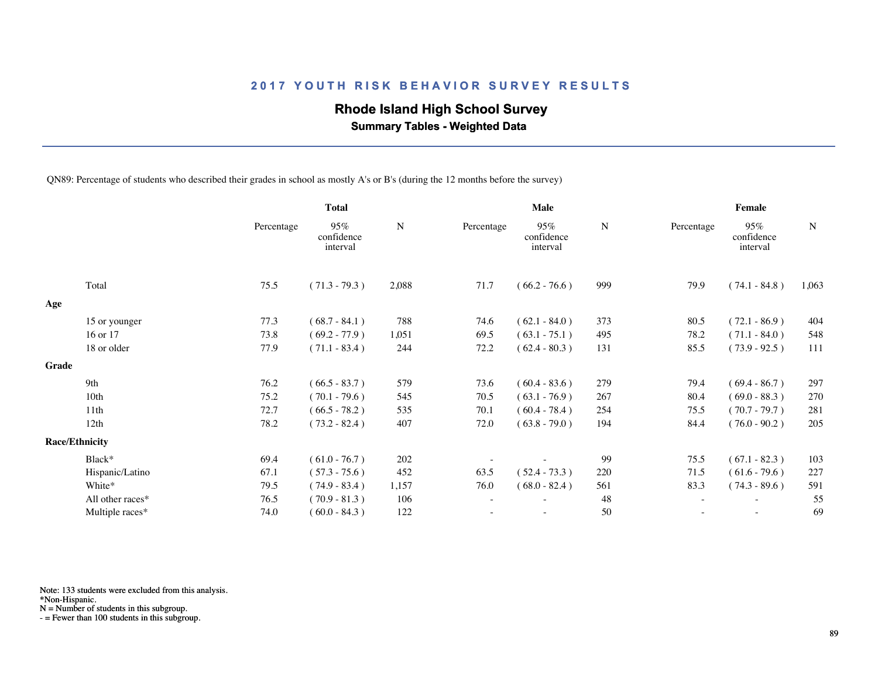## **Rhode Island High School Survey**

 **Summary Tables - Weighted Data**

QN89: Percentage of students who described their grades in school as mostly A's or B's (during the 12 months before the survey)

|                  |                                | <b>Total</b>                  |             | <b>Male</b> |                               |     | Female     |                               |             |  |
|------------------|--------------------------------|-------------------------------|-------------|-------------|-------------------------------|-----|------------|-------------------------------|-------------|--|
|                  | Percentage                     | 95%<br>confidence<br>interval | $\mathbf N$ | Percentage  | 95%<br>confidence<br>interval | N   | Percentage | 95%<br>confidence<br>interval | $\mathbf N$ |  |
| Total            | 75.5                           | $(71.3 - 79.3)$               | 2,088       | 71.7        | $(66.2 - 76.6)$               | 999 | 79.9       | $(74.1 - 84.8)$               | 1,063       |  |
|                  |                                |                               |             |             |                               |     |            |                               |             |  |
| 15 or younger    | 77.3                           | $(68.7 - 84.1)$               | 788         | 74.6        | $(62.1 - 84.0)$               | 373 | 80.5       | $(72.1 - 86.9)$               | 404         |  |
| 16 or 17         | 73.8                           | $(69.2 - 77.9)$               | 1,051       | 69.5        | $(63.1 - 75.1)$               | 495 | 78.2       | $(71.1 - 84.0)$               | 548         |  |
| 18 or older      | 77.9                           | $(71.1 - 83.4)$               | 244         | 72.2        | $(62.4 - 80.3)$               | 131 | 85.5       | $(73.9 - 92.5)$               | 111         |  |
|                  |                                |                               |             |             |                               |     |            |                               |             |  |
| 9th              | 76.2                           | $(66.5 - 83.7)$               | 579         | 73.6        | $(60.4 - 83.6)$               | 279 | 79.4       | $(69.4 - 86.7)$               | 297         |  |
| 10 <sub>th</sub> | 75.2                           | $(70.1 - 79.6)$               | 545         | 70.5        | $(63.1 - 76.9)$               | 267 | 80.4       | $(69.0 - 88.3)$               | 270         |  |
| 11 <sup>th</sup> | 72.7                           | $(66.5 - 78.2)$               | 535         | 70.1        | $(60.4 - 78.4)$               | 254 | 75.5       | $(70.7 - 79.7)$               | 281         |  |
| 12th             | 78.2                           | $(73.2 - 82.4)$               | 407         | 72.0        | $(63.8 - 79.0)$               | 194 | 84.4       | $(76.0 - 90.2)$               | 205         |  |
|                  |                                |                               |             |             |                               |     |            |                               |             |  |
| Black*           | 69.4                           | $(61.0 - 76.7)$               | 202         |             |                               | 99  | 75.5       | $(67.1 - 82.3)$               | 103         |  |
| Hispanic/Latino  | 67.1                           | $(57.3 - 75.6)$               | 452         | 63.5        | $(52.4 - 73.3)$               | 220 | 71.5       | $(61.6 - 79.6)$               | 227         |  |
| White*           | 79.5                           | $(74.9 - 83.4)$               | 1,157       | 76.0        | $(68.0 - 82.4)$               | 561 | 83.3       | $(74.3 - 89.6)$               | 591         |  |
| All other races* | 76.5                           | $(70.9 - 81.3)$               | 106         |             |                               | 48  |            |                               | 55          |  |
| Multiple races*  | 74.0                           | $(60.0 - 84.3)$               | 122         |             | ٠                             | 50  |            | $\sim$                        | 69          |  |
|                  | Grade<br><b>Race/Ethnicity</b> |                               |             |             |                               |     |            |                               |             |  |

Note: 133 students were excluded from this analysis.

N = Number of students in this subgroup.

<sup>\*</sup>Non-Hispanic.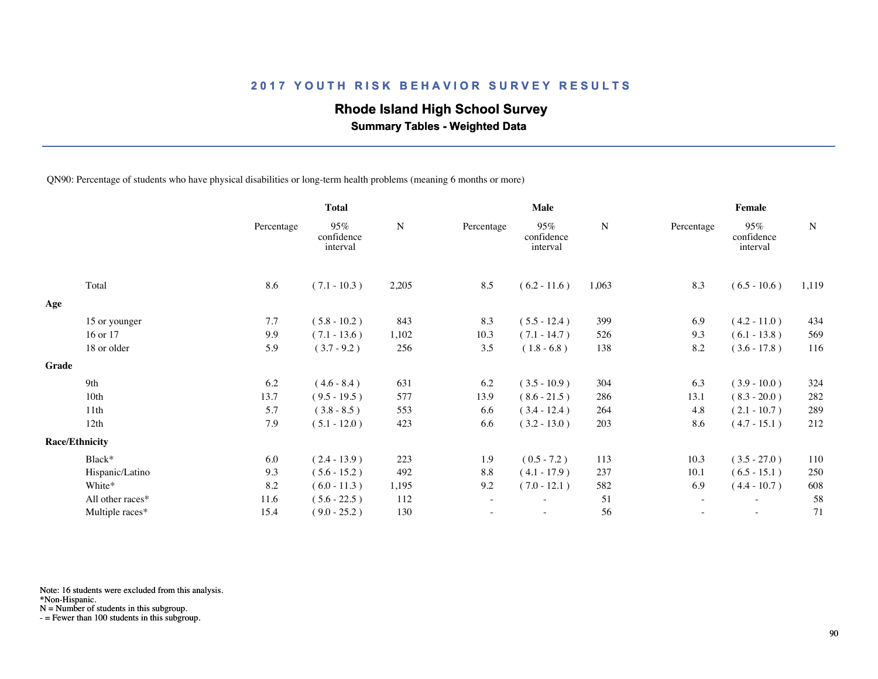## **Rhode Island High School Survey**

 **Summary Tables - Weighted Data**

QN90: Percentage of students who have physical disabilities or long-term health problems (meaning 6 months or more)

|       |                       |            | <b>Total</b>                  |           |                          | Male                          |           | Female     |                               |           |  |
|-------|-----------------------|------------|-------------------------------|-----------|--------------------------|-------------------------------|-----------|------------|-------------------------------|-----------|--|
|       |                       | Percentage | 95%<br>confidence<br>interval | ${\bf N}$ | Percentage               | 95%<br>confidence<br>interval | ${\bf N}$ | Percentage | 95%<br>confidence<br>interval | ${\bf N}$ |  |
|       | Total                 | 8.6        | $(7.1 - 10.3)$                | 2,205     | 8.5                      | $(6.2 - 11.6)$                | 1,063     | 8.3        | $(6.5 - 10.6)$                | 1,119     |  |
| Age   |                       |            |                               |           |                          |                               |           |            |                               |           |  |
|       | 15 or younger         | 7.7        | $(5.8 - 10.2)$                | 843       | 8.3                      | $(5.5 - 12.4)$                | 399       | 6.9        | $(4.2 - 11.0)$                | 434       |  |
|       | 16 or 17              | 9.9        | $(7.1 - 13.6)$                | 1,102     | 10.3                     | $(7.1 - 14.7)$                | 526       | 9.3        | $(6.1 - 13.8)$                | 569       |  |
|       | 18 or older           | 5.9        | $(3.7 - 9.2)$                 | 256       | 3.5                      | $(1.8 - 6.8)$                 | 138       | 8.2        | $(3.6 - 17.8)$                | 116       |  |
| Grade |                       |            |                               |           |                          |                               |           |            |                               |           |  |
|       | 9th                   | 6.2        | $(4.6 - 8.4)$                 | 631       | 6.2                      | $(3.5 - 10.9)$                | 304       | 6.3        | $(3.9 - 10.0)$                | 324       |  |
|       | 10 <sub>th</sub>      | 13.7       | $(9.5 - 19.5)$                | 577       | 13.9                     | $(8.6 - 21.5)$                | 286       | 13.1       | $(8.3 - 20.0)$                | 282       |  |
|       | 11th                  | 5.7        | $(3.8 - 8.5)$                 | 553       | 6.6                      | $(3.4 - 12.4)$                | 264       | 4.8        | $(2.1 - 10.7)$                | 289       |  |
|       | 12th                  | 7.9        | $(5.1 - 12.0)$                | 423       | 6.6                      | $(3.2 - 13.0)$                | 203       | 8.6        | $(4.7 - 15.1)$                | 212       |  |
|       | <b>Race/Ethnicity</b> |            |                               |           |                          |                               |           |            |                               |           |  |
|       | Black*                | 6.0        | $(2.4 - 13.9)$                | 223       | 1.9                      | $(0.5 - 7.2)$                 | 113       | 10.3       | $(3.5 - 27.0)$                | 110       |  |
|       | Hispanic/Latino       | 9.3        | $(5.6 - 15.2)$                | 492       | 8.8                      | $(4.1 - 17.9)$                | 237       | 10.1       | $(6.5 - 15.1)$                | 250       |  |
|       | White*                | 8.2        | $(6.0 - 11.3)$                | 1,195     | 9.2                      | $(7.0 - 12.1)$                | 582       | 6.9        | $(4.4 - 10.7)$                | 608       |  |
|       | All other races*      | 11.6       | $(5.6 - 22.5)$                | 112       | $\overline{\phantom{a}}$ | $\overline{\phantom{a}}$      | 51        | $\sim$     | $\overline{\phantom{a}}$      | 58        |  |
|       | Multiple races*       | 15.4       | $(9.0 - 25.2)$                | 130       |                          |                               | 56        |            |                               | 71        |  |
|       |                       |            |                               |           |                          |                               |           |            |                               |           |  |

Note: 16 students were excluded from this analysis.

\*Non-Hispanic.

N = Number of students in this subgroup.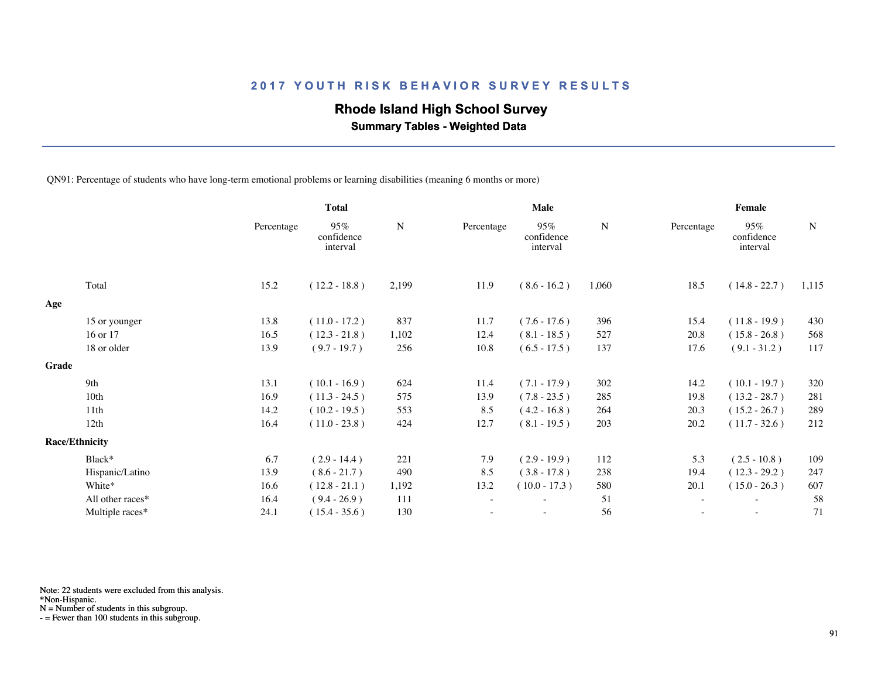## **Rhode Island High School Survey**

 **Summary Tables - Weighted Data**

QN91: Percentage of students who have long-term emotional problems or learning disabilities (meaning 6 months or more)

|       |                       |            | <b>Total</b>                  |           |                          | <b>Male</b>                   |       | Female                   |                               |             |  |
|-------|-----------------------|------------|-------------------------------|-----------|--------------------------|-------------------------------|-------|--------------------------|-------------------------------|-------------|--|
|       |                       | Percentage | 95%<br>confidence<br>interval | ${\bf N}$ | Percentage               | 95%<br>confidence<br>interval | N     | Percentage               | 95%<br>confidence<br>interval | $\mathbf N$ |  |
|       | Total                 | 15.2       | $(12.2 - 18.8)$               | 2,199     | 11.9                     | $(8.6 - 16.2)$                | 1,060 | 18.5                     | $(14.8 - 22.7)$               | 1,115       |  |
| Age   |                       |            |                               |           |                          |                               |       |                          |                               |             |  |
|       | 15 or younger         | 13.8       | $(11.0 - 17.2)$               | 837       | 11.7                     | $(7.6 - 17.6)$                | 396   | 15.4                     | $(11.8 - 19.9)$               | 430         |  |
|       | 16 or 17              | 16.5       | $(12.3 - 21.8)$               | 1,102     | 12.4                     | $(8.1 - 18.5)$                | 527   | 20.8                     | $(15.8 - 26.8)$               | 568         |  |
|       | 18 or older           | 13.9       | $(9.7 - 19.7)$                | 256       | 10.8                     | $(6.5 - 17.5)$                | 137   | 17.6                     | $(9.1 - 31.2)$                | 117         |  |
| Grade |                       |            |                               |           |                          |                               |       |                          |                               |             |  |
|       | 9th                   | 13.1       | $(10.1 - 16.9)$               | 624       | 11.4                     | $(7.1 - 17.9)$                | 302   | 14.2                     | $(10.1 - 19.7)$               | 320         |  |
|       | 10th                  | 16.9       | $(11.3 - 24.5)$               | 575       | 13.9                     | $(7.8 - 23.5)$                | 285   | 19.8                     | $(13.2 - 28.7)$               | 281         |  |
|       | 11th                  | 14.2       | $(10.2 - 19.5)$               | 553       | 8.5                      | $(4.2 - 16.8)$                | 264   | 20.3                     | $(15.2 - 26.7)$               | 289         |  |
|       | 12th                  | 16.4       | $(11.0 - 23.8)$               | 424       | 12.7                     | $(8.1 - 19.5)$                | 203   | 20.2                     | $(11.7 - 32.6)$               | 212         |  |
|       | <b>Race/Ethnicity</b> |            |                               |           |                          |                               |       |                          |                               |             |  |
|       | Black*                | 6.7        | $(2.9 - 14.4)$                | 221       | 7.9                      | $(2.9 - 19.9)$                | 112   | 5.3                      | $(2.5 - 10.8)$                | 109         |  |
|       | Hispanic/Latino       | 13.9       | $(8.6 - 21.7)$                | 490       | 8.5                      | $(3.8 - 17.8)$                | 238   | 19.4                     | $(12.3 - 29.2)$               | 247         |  |
|       | White*                | 16.6       | $(12.8 - 21.1)$               | 1,192     | 13.2                     | $(10.0 - 17.3)$               | 580   | 20.1                     | $(15.0 - 26.3)$               | 607         |  |
|       | All other races*      | 16.4       | $(9.4 - 26.9)$                | 111       | $\overline{\phantom{a}}$ | $\overline{\phantom{0}}$      | 51    | $\overline{\phantom{a}}$ | $\overline{\phantom{a}}$      | 58          |  |
|       | Multiple races*       | 24.1       | $(15.4 - 35.6)$               | 130       |                          |                               | 56    |                          |                               | 71          |  |
|       |                       |            |                               |           |                          |                               |       |                          |                               |             |  |

Note: 22 students were excluded from this analysis.

\*Non-Hispanic.

N = Number of students in this subgroup.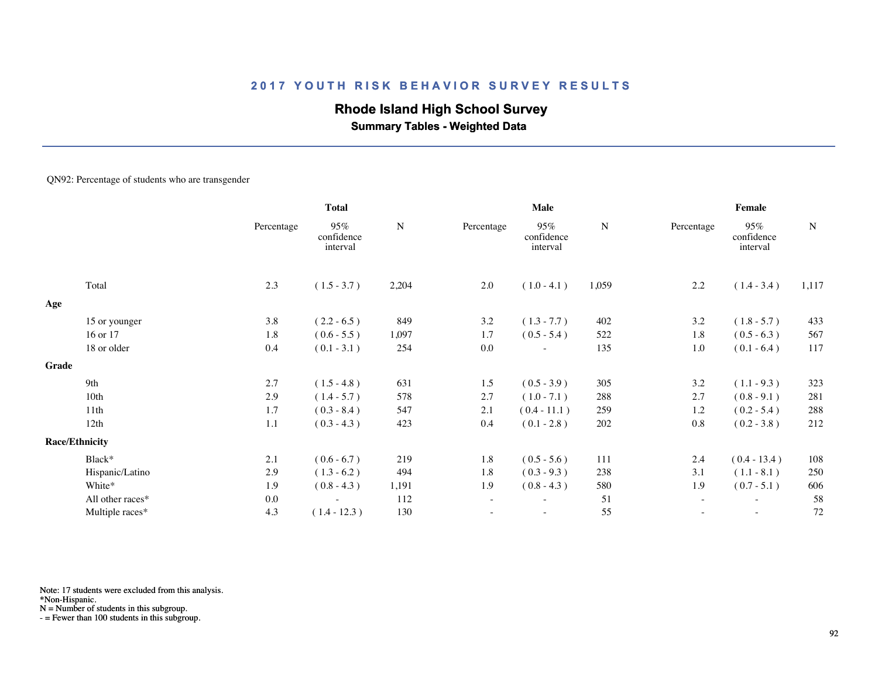## **Rhode Island High School Survey**

 **Summary Tables - Weighted Data**

#### QN92: Percentage of students who are transgender

|       |                       | <b>Total</b> |                               | Male      |                          |                               | Female    |            |                               |           |
|-------|-----------------------|--------------|-------------------------------|-----------|--------------------------|-------------------------------|-----------|------------|-------------------------------|-----------|
|       |                       | Percentage   | 95%<br>confidence<br>interval | ${\bf N}$ | Percentage               | 95%<br>confidence<br>interval | ${\bf N}$ | Percentage | 95%<br>confidence<br>interval | ${\bf N}$ |
|       | Total                 | 2.3          | $(1.5 - 3.7)$                 | 2,204     | 2.0                      | $(1.0 - 4.1)$                 | 1,059     | 2.2        | $(1.4 - 3.4)$                 | 1,117     |
| Age   |                       |              |                               |           |                          |                               |           |            |                               |           |
|       | 15 or younger         | 3.8          | $(2.2 - 6.5)$                 | 849       | 3.2                      | $(1.3 - 7.7)$                 | 402       | $3.2\,$    | $(1.8 - 5.7)$                 | 433       |
|       | 16 or 17              | 1.8          | $(0.6 - 5.5)$                 | 1,097     | 1.7                      | $(0.5 - 5.4)$                 | 522       | 1.8        | $(0.5 - 6.3)$                 | 567       |
|       | 18 or older           | 0.4          | $(0.1 - 3.1)$                 | 254       | 0.0                      | $\overline{\phantom{a}}$      | 135       | 1.0        | $(0.1 - 6.4)$                 | 117       |
| Grade |                       |              |                               |           |                          |                               |           |            |                               |           |
|       | 9th                   | 2.7          | $(1.5 - 4.8)$                 | 631       | 1.5                      | $(0.5 - 3.9)$                 | 305       | 3.2        | $(1.1 - 9.3)$                 | 323       |
|       | 10th                  | 2.9          | $(1.4 - 5.7)$                 | 578       | 2.7                      | $(1.0 - 7.1)$                 | 288       | 2.7        | $(0.8 - 9.1)$                 | 281       |
|       | 11th                  | 1.7          | $(0.3 - 8.4)$                 | 547       | 2.1                      | $(0.4 - 11.1)$                | 259       | 1.2        | $(0.2 - 5.4)$                 | 288       |
|       | 12th                  | 1.1          | $(0.3 - 4.3)$                 | 423       | 0.4                      | $(0.1 - 2.8)$                 | 202       | 0.8        | $(0.2 - 3.8)$                 | 212       |
|       | <b>Race/Ethnicity</b> |              |                               |           |                          |                               |           |            |                               |           |
|       | Black*                | 2.1          | $(0.6 - 6.7)$                 | 219       | 1.8                      | $(0.5 - 5.6)$                 | 111       | 2.4        | $(0.4 - 13.4)$                | 108       |
|       | Hispanic/Latino       | 2.9          | $(1.3 - 6.2)$                 | 494       | 1.8                      | $(0.3 - 9.3)$                 | 238       | 3.1        | $(1.1 - 8.1)$                 | 250       |
|       | White*                | 1.9          | $(0.8 - 4.3)$                 | 1,191     | 1.9                      | $(0.8 - 4.3)$                 | 580       | 1.9        | $(0.7 - 5.1)$                 | 606       |
|       | All other races*      | $0.0\,$      | $\overline{\phantom{a}}$      | 112       | $\overline{\phantom{a}}$ | $\sim$                        | 51        | $\sim$     | $\overline{\phantom{a}}$      | 58        |
|       | Multiple races*       | 4.3          | $(1.4 - 12.3)$                | 130       |                          | ٠                             | 55        |            | $\sim$                        | 72        |
|       |                       |              |                               |           |                          |                               |           |            |                               |           |

Note: 17 students were excluded from this analysis.

\*Non-Hispanic.

N = Number of students in this subgroup.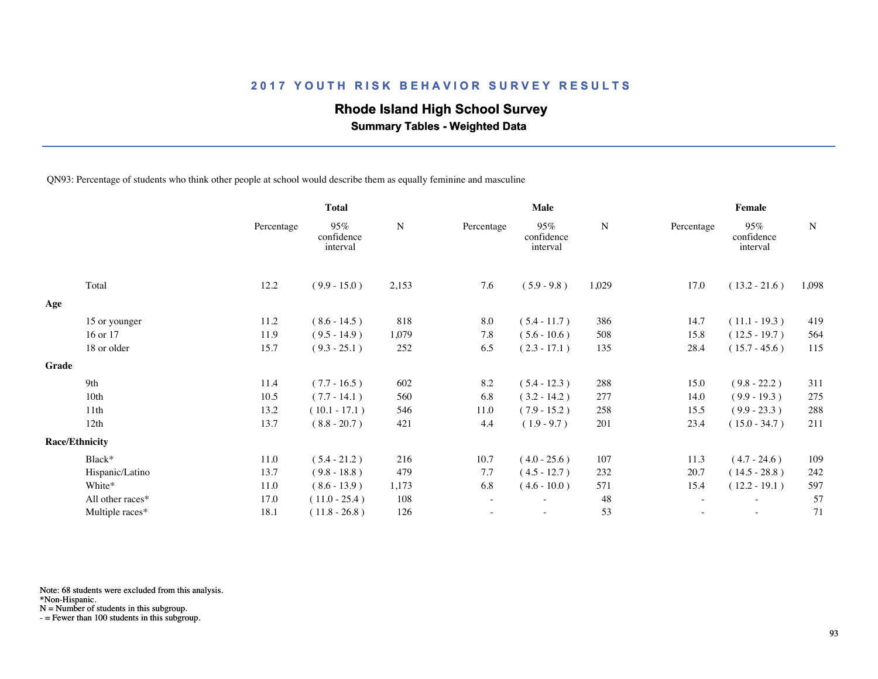## **Rhode Island High School Survey**

 **Summary Tables - Weighted Data**

QN93: Percentage of students who think other people at school would describe them as equally feminine and masculine

|       |                       |            | <b>Total</b>                  |           | Male       |                               |           | Female                   |                               |           |  |
|-------|-----------------------|------------|-------------------------------|-----------|------------|-------------------------------|-----------|--------------------------|-------------------------------|-----------|--|
|       |                       | Percentage | 95%<br>confidence<br>interval | ${\bf N}$ | Percentage | 95%<br>confidence<br>interval | ${\bf N}$ | Percentage               | 95%<br>confidence<br>interval | ${\bf N}$ |  |
|       | Total                 | 12.2       | $(9.9 - 15.0)$                | 2,153     | 7.6        | $(5.9 - 9.8)$                 | 1,029     | 17.0                     | $(13.2 - 21.6)$               | 1,098     |  |
| Age   |                       |            |                               |           |            |                               |           |                          |                               |           |  |
|       | 15 or younger         | 11.2       | $(8.6 - 14.5)$                | 818       | 8.0        | $(5.4 - 11.7)$                | 386       | 14.7                     | $(11.1 - 19.3)$               | 419       |  |
|       | 16 or 17              | 11.9       | $(9.5 - 14.9)$                | 1,079     | 7.8        | $(5.6 - 10.6)$                | 508       | 15.8                     | $(12.5 - 19.7)$               | 564       |  |
|       | 18 or older           | 15.7       | $(9.3 - 25.1)$                | 252       | 6.5        | $(2.3 - 17.1)$                | 135       | 28.4                     | $(15.7 - 45.6)$               | 115       |  |
| Grade |                       |            |                               |           |            |                               |           |                          |                               |           |  |
|       | 9th                   | 11.4       | $(7.7 - 16.5)$                | 602       | 8.2        | $(5.4 - 12.3)$                | 288       | 15.0                     | $(9.8 - 22.2)$                | 311       |  |
|       | 10 <sub>th</sub>      | 10.5       | $(7.7 - 14.1)$                | 560       | 6.8        | $(3.2 - 14.2)$                | 277       | 14.0                     | $(9.9 - 19.3)$                | 275       |  |
|       | 11th                  | 13.2       | $(10.1 - 17.1)$               | 546       | 11.0       | $(7.9 - 15.2)$                | 258       | 15.5                     | $(9.9 - 23.3)$                | 288       |  |
|       | 12th                  | 13.7       | $(8.8 - 20.7)$                | 421       | 4.4        | $(1.9 - 9.7)$                 | 201       | 23.4                     | $(15.0 - 34.7)$               | 211       |  |
|       | <b>Race/Ethnicity</b> |            |                               |           |            |                               |           |                          |                               |           |  |
|       | Black*                | 11.0       | $(5.4 - 21.2)$                | 216       | 10.7       | $(4.0 - 25.6)$                | 107       | 11.3                     | $(4.7 - 24.6)$                | 109       |  |
|       | Hispanic/Latino       | 13.7       | $(9.8 - 18.8)$                | 479       | 7.7        | $(4.5 - 12.7)$                | 232       | 20.7                     | $(14.5 - 28.8)$               | 242       |  |
|       | White*                | 11.0       | $(8.6 - 13.9)$                | 1,173     | 6.8        | $(4.6 - 10.0)$                | 571       | 15.4                     | $(12.2 - 19.1)$               | 597       |  |
|       | All other races*      | 17.0       | $(11.0 - 25.4)$               | 108       | $\sim$     | $\overline{\phantom{a}}$      | 48        | $\overline{\phantom{a}}$ | $\sim$                        | 57        |  |
|       | Multiple races*       | 18.1       | $(11.8 - 26.8)$               | 126       |            |                               | 53        |                          |                               | 71        |  |
|       |                       |            |                               |           |            |                               |           |                          |                               |           |  |

Note: 68 students were excluded from this analysis.

\*Non-Hispanic.

N = Number of students in this subgroup.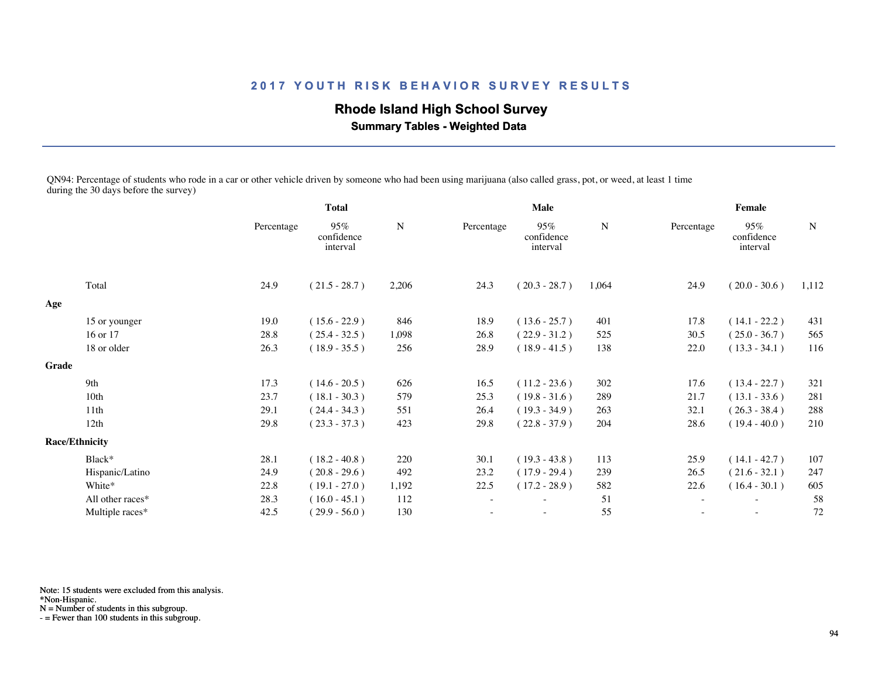## **Rhode Island High School Survey**

 **Summary Tables - Weighted Data**

QN94: Percentage of students who rode in a car or other vehicle driven by someone who had been using marijuana (also called grass, pot, or weed, at least 1 time during the 30 days before the survey)

|       |                       | <b>Total</b> |                               |       | <b>Male</b>              |                               |       | Female     |                               |             |  |
|-------|-----------------------|--------------|-------------------------------|-------|--------------------------|-------------------------------|-------|------------|-------------------------------|-------------|--|
|       |                       | Percentage   | 95%<br>confidence<br>interval | N     | Percentage               | 95%<br>confidence<br>interval | N     | Percentage | 95%<br>confidence<br>interval | $\mathbf N$ |  |
|       | Total                 | 24.9         | $(21.5 - 28.7)$               | 2,206 | 24.3                     | $(20.3 - 28.7)$               | 1,064 | 24.9       | $(20.0 - 30.6)$               | 1,112       |  |
| Age   |                       |              |                               |       |                          |                               |       |            |                               |             |  |
|       | 15 or younger         | 19.0         | $(15.6 - 22.9)$               | 846   | 18.9                     | $(13.6 - 25.7)$               | 401   | 17.8       | $(14.1 - 22.2)$               | 431         |  |
|       | 16 or 17              | 28.8         | $(25.4 - 32.5)$               | 1,098 | 26.8                     | $(22.9 - 31.2)$               | 525   | 30.5       | $(25.0 - 36.7)$               | 565         |  |
|       | 18 or older           | 26.3         | $(18.9 - 35.5)$               | 256   | 28.9                     | $(18.9 - 41.5)$               | 138   | 22.0       | $(13.3 - 34.1)$               | 116         |  |
| Grade |                       |              |                               |       |                          |                               |       |            |                               |             |  |
|       | 9th                   | 17.3         | $(14.6 - 20.5)$               | 626   | 16.5                     | $(11.2 - 23.6)$               | 302   | 17.6       | $(13.4 - 22.7)$               | 321         |  |
|       | 10 <sub>th</sub>      | 23.7         | $(18.1 - 30.3)$               | 579   | 25.3                     | $(19.8 - 31.6)$               | 289   | 21.7       | $(13.1 - 33.6)$               | 281         |  |
|       | 11th                  | 29.1         | $(24.4 - 34.3)$               | 551   | 26.4                     | $(19.3 - 34.9)$               | 263   | 32.1       | $(26.3 - 38.4)$               | 288         |  |
|       | 12th                  | 29.8         | $(23.3 - 37.3)$               | 423   | 29.8                     | $(22.8 - 37.9)$               | 204   | 28.6       | $(19.4 - 40.0)$               | 210         |  |
|       | <b>Race/Ethnicity</b> |              |                               |       |                          |                               |       |            |                               |             |  |
|       | Black*                | 28.1         | $(18.2 - 40.8)$               | 220   | 30.1                     | $(19.3 - 43.8)$               | 113   | 25.9       | $(14.1 - 42.7)$               | 107         |  |
|       | Hispanic/Latino       | 24.9         | $(20.8 - 29.6)$               | 492   | 23.2                     | $(17.9 - 29.4)$               | 239   | 26.5       | $(21.6 - 32.1)$               | 247         |  |
|       | White*                | 22.8         | $(19.1 - 27.0)$               | 1,192 | 22.5                     | $(17.2 - 28.9)$               | 582   | 22.6       | $(16.4 - 30.1)$               | 605         |  |
|       | All other races*      | 28.3         | $(16.0 - 45.1)$               | 112   | $\overline{\phantom{a}}$ | ٠                             | 51    | $\sim$     | $\sim$                        | 58          |  |
|       | Multiple races*       | 42.5         | $(29.9 - 56.0)$               | 130   |                          | $\overline{\phantom{a}}$      | 55    |            | $\sim$                        | 72          |  |
|       |                       |              |                               |       |                          |                               |       |            |                               |             |  |

Note: 15 students were excluded from this analysis.

\*Non-Hispanic.

N = Number of students in this subgroup.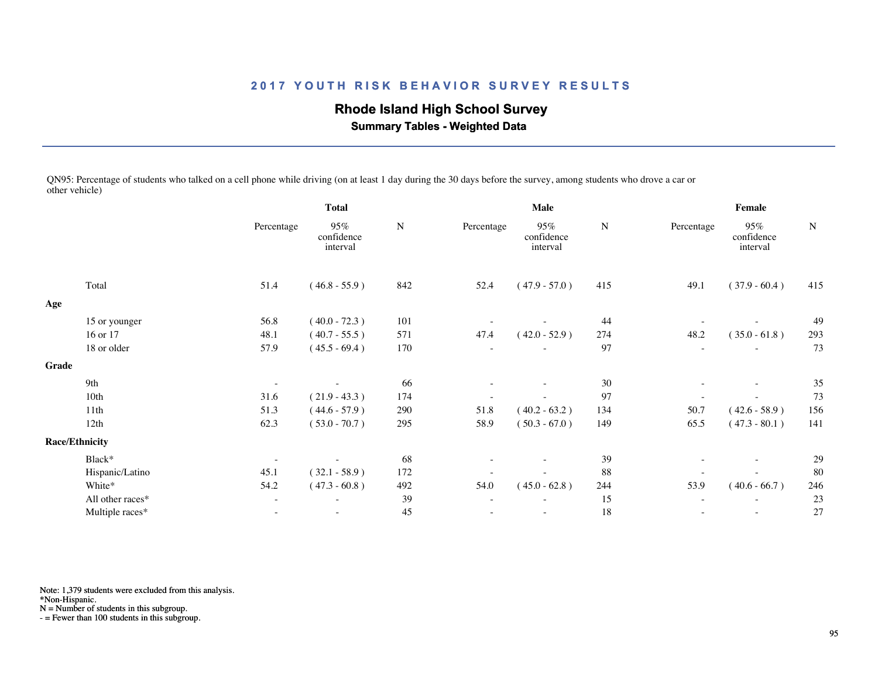# **Rhode Island High School Survey**

 **Summary Tables - Weighted Data**

QN95: Percentage of students who talked on a cell phone while driving (on at least 1 day during the 30 days before the survey, among students who drove a car or other vehicle)

|       |                       | <b>Total</b>             |                               |     |            | Male                          |     | Female                   |                               |        |  |
|-------|-----------------------|--------------------------|-------------------------------|-----|------------|-------------------------------|-----|--------------------------|-------------------------------|--------|--|
|       |                       | Percentage               | 95%<br>confidence<br>interval | N   | Percentage | 95%<br>confidence<br>interval | N   | Percentage               | 95%<br>confidence<br>interval | $\,$ N |  |
|       | Total                 | 51.4                     | $(46.8 - 55.9)$               | 842 | 52.4       | $(47.9 - 57.0)$               | 415 | 49.1                     | $(37.9 - 60.4)$               | 415    |  |
| Age   |                       |                          |                               |     |            |                               |     |                          |                               |        |  |
|       | 15 or younger         | 56.8                     | $(40.0 - 72.3)$               | 101 |            |                               | 44  |                          |                               | 49     |  |
|       | 16 or 17              | 48.1                     | $(40.7 - 55.5)$               | 571 | 47.4       | $(42.0 - 52.9)$               | 274 | 48.2                     | $(35.0 - 61.8)$               | 293    |  |
|       | 18 or older           | 57.9                     | $(45.5 - 69.4)$               | 170 |            |                               | 97  |                          |                               | 73     |  |
| Grade |                       |                          |                               |     |            |                               |     |                          |                               |        |  |
|       | 9th                   | $\overline{\phantom{a}}$ |                               | 66  |            |                               | 30  |                          | $\sim$                        | 35     |  |
|       | 10th                  | 31.6                     | $(21.9 - 43.3)$               | 174 |            |                               | 97  | $\overline{\phantom{a}}$ |                               | 73     |  |
|       | 11 <sup>th</sup>      | 51.3                     | $(44.6 - 57.9)$               | 290 | 51.8       | $(40.2 - 63.2)$               | 134 | 50.7                     | $(42.6 - 58.9)$               | 156    |  |
|       | 12th                  | 62.3                     | $(53.0 - 70.7)$               | 295 | 58.9       | $(50.3 - 67.0)$               | 149 | 65.5                     | $(47.3 - 80.1)$               | 141    |  |
|       | <b>Race/Ethnicity</b> |                          |                               |     |            |                               |     |                          |                               |        |  |
|       | Black*                |                          |                               | 68  |            |                               | 39  |                          | $\sim$                        | 29     |  |
|       | Hispanic/Latino       | 45.1                     | $(32.1 - 58.9)$               | 172 |            |                               | 88  |                          |                               | 80     |  |
|       | White*                | 54.2                     | $(47.3 - 60.8)$               | 492 | 54.0       | $(45.0 - 62.8)$               | 244 | 53.9                     | $(40.6 - 66.7)$               | 246    |  |
|       | All other races*      | $\overline{\phantom{a}}$ |                               | 39  |            | $\overline{\phantom{a}}$      | 15  |                          | $\overline{\phantom{a}}$      | 23     |  |
|       | Multiple races*       | $\overline{\phantom{a}}$ | ٠                             | 45  |            | $\sim$                        | 18  | $\overline{\phantom{a}}$ | $\sim$                        | 27     |  |
|       |                       |                          |                               |     |            |                               |     |                          |                               |        |  |

Note: 1,379 students were excluded from this analysis.

\*Non-Hispanic.

N = Number of students in this subgroup.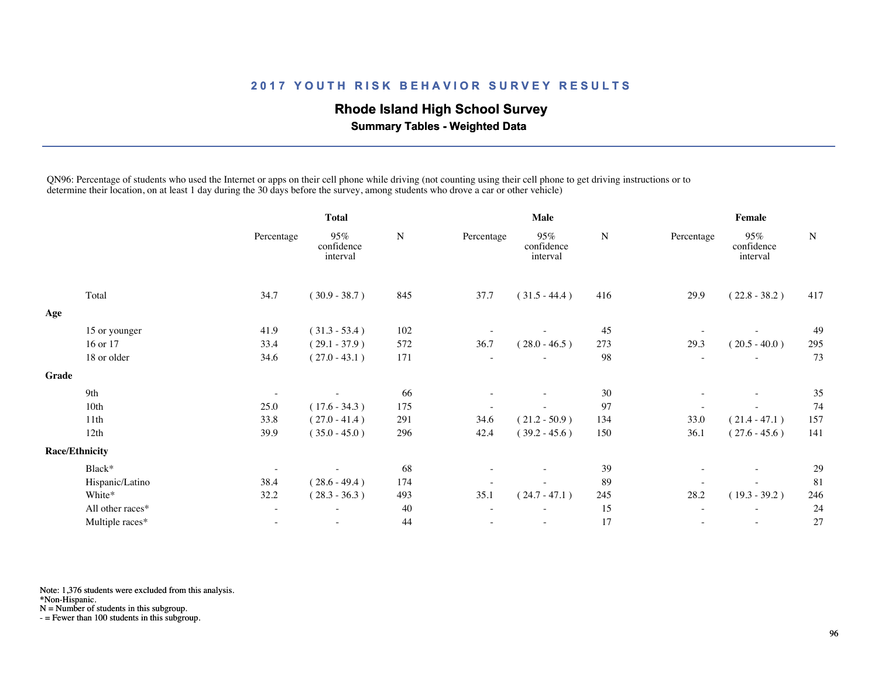## **Rhode Island High School Survey**

 **Summary Tables - Weighted Data**

QN96: Percentage of students who used the Internet or apps on their cell phone while driving (not counting using their cell phone to get driving instructions or to determine their location, on at least 1 day during the 30 days before the survey, among students who drove a car or other vehicle)

|       |                       | <b>Total</b>             |                               | <b>Male</b> |                          |                               | Female    |            |                               |           |
|-------|-----------------------|--------------------------|-------------------------------|-------------|--------------------------|-------------------------------|-----------|------------|-------------------------------|-----------|
|       |                       | Percentage               | 95%<br>confidence<br>interval | ${\bf N}$   | Percentage               | 95%<br>confidence<br>interval | ${\bf N}$ | Percentage | 95%<br>confidence<br>interval | ${\bf N}$ |
|       | Total                 | 34.7                     | $(30.9 - 38.7)$               | 845         | 37.7                     | $(31.5 - 44.4)$               | 416       | 29.9       | $(22.8 - 38.2)$               | 417       |
| Age   |                       |                          |                               |             |                          |                               |           |            |                               |           |
|       | 15 or younger         | 41.9                     | $(31.3 - 53.4)$               | 102         |                          |                               | 45        |            |                               | 49        |
|       | 16 or 17              | 33.4                     | $(29.1 - 37.9)$               | 572         | 36.7                     | $(28.0 - 46.5)$               | 273       | 29.3       | $(20.5 - 40.0)$               | 295       |
|       | 18 or older           | 34.6                     | $(27.0 - 43.1)$               | 171         |                          |                               | 98        |            |                               | 73        |
| Grade |                       |                          |                               |             |                          |                               |           |            |                               |           |
|       | 9th                   | $\overline{\phantom{a}}$ |                               | 66          |                          |                               | 30        |            | $\sim$                        | 35        |
|       | 10th                  | 25.0                     | $(17.6 - 34.3)$               | 175         |                          |                               | 97        |            |                               | 74        |
|       | 11th                  | 33.8                     | $(27.0 - 41.4)$               | 291         | 34.6                     | $(21.2 - 50.9)$               | 134       | 33.0       | $(21.4 - 47.1)$               | 157       |
|       | 12th                  | 39.9                     | $(35.0 - 45.0)$               | 296         | 42.4                     | $(39.2 - 45.6)$               | 150       | 36.1       | $(27.6 - 45.6)$               | 141       |
|       | <b>Race/Ethnicity</b> |                          |                               |             |                          |                               |           |            |                               |           |
|       | Black*                | $\overline{\phantom{a}}$ |                               | 68          |                          |                               | 39        |            | $\overline{\phantom{a}}$      | 29        |
|       | Hispanic/Latino       | 38.4                     | $(28.6 - 49.4)$               | 174         |                          |                               | 89        |            |                               | 81        |
|       | White*                | 32.2                     | $(28.3 - 36.3)$               | 493         | 35.1                     | $(24.7 - 47.1)$               | 245       | 28.2       | $(19.3 - 39.2)$               | 246       |
|       | All other races*      | $\qquad \qquad -$        |                               | 40          | $\overline{\phantom{a}}$ |                               | 15        |            |                               | 24        |
|       | Multiple races*       | $\overline{\phantom{a}}$ | $\sim$                        | 44          | ٠                        |                               | 17        |            | $\overline{\phantom{a}}$      | 27        |
|       |                       |                          |                               |             |                          |                               |           |            |                               |           |

Note: 1,376 students were excluded from this analysis.

\*Non-Hispanic.

N = Number of students in this subgroup.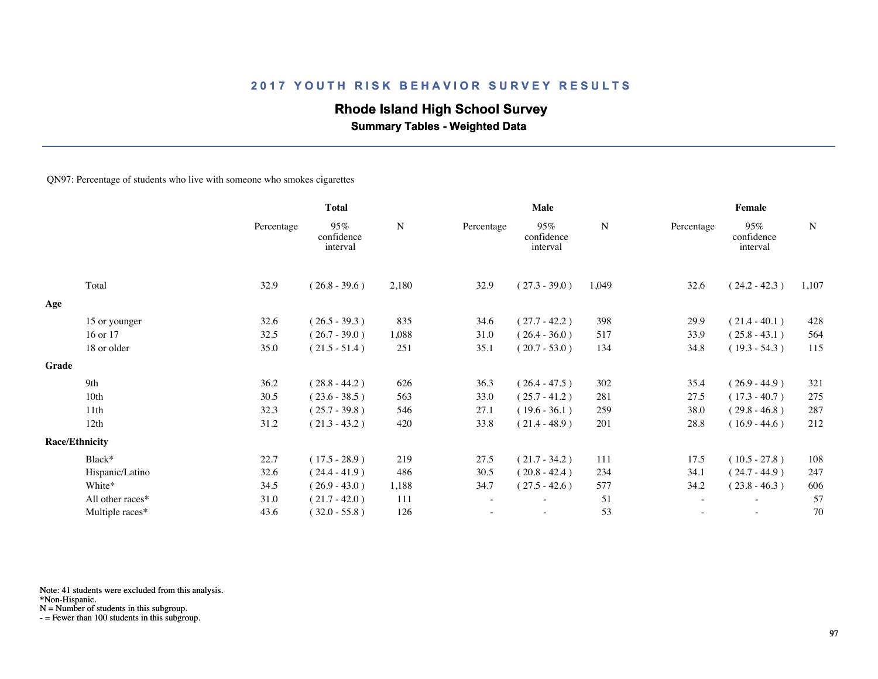## **Rhode Island High School Survey**

 **Summary Tables - Weighted Data**

#### QN97: Percentage of students who live with someone who smokes cigarettes

|       |                       | <b>Total</b> |                               |       |            | Male                          |           | Female     |                               |       |  |
|-------|-----------------------|--------------|-------------------------------|-------|------------|-------------------------------|-----------|------------|-------------------------------|-------|--|
|       |                       | Percentage   | 95%<br>confidence<br>interval | N     | Percentage | 95%<br>confidence<br>interval | ${\bf N}$ | Percentage | 95%<br>confidence<br>interval | N     |  |
|       | Total                 | 32.9         | $(26.8 - 39.6)$               | 2,180 | 32.9       | $(27.3 - 39.0)$               | 1,049     | 32.6       | $(24.2 - 42.3)$               | 1,107 |  |
| Age   |                       |              |                               |       |            |                               |           |            |                               |       |  |
|       | 15 or younger         | 32.6         | $(26.5 - 39.3)$               | 835   | 34.6       | $(27.7 - 42.2)$               | 398       | 29.9       | $(21.4 - 40.1)$               | 428   |  |
|       | 16 or 17              | 32.5         | $(26.7 - 39.0)$               | 1,088 | 31.0       | $(26.4 - 36.0)$               | 517       | 33.9       | $(25.8 - 43.1)$               | 564   |  |
|       | 18 or older           | 35.0         | $(21.5 - 51.4)$               | 251   | 35.1       | $(20.7 - 53.0)$               | 134       | 34.8       | $(19.3 - 54.3)$               | 115   |  |
| Grade |                       |              |                               |       |            |                               |           |            |                               |       |  |
|       | 9th                   | 36.2         | $(28.8 - 44.2)$               | 626   | 36.3       | $(26.4 - 47.5)$               | 302       | 35.4       | $(26.9 - 44.9)$               | 321   |  |
|       | 10th                  | 30.5         | $(23.6 - 38.5)$               | 563   | 33.0       | $(25.7 - 41.2)$               | 281       | 27.5       | $(17.3 - 40.7)$               | 275   |  |
|       | 11 <sup>th</sup>      | 32.3         | $(25.7 - 39.8)$               | 546   | 27.1       | $(19.6 - 36.1)$               | 259       | 38.0       | $(29.8 - 46.8)$               | 287   |  |
|       | 12th                  | 31.2         | $(21.3 - 43.2)$               | 420   | 33.8       | $(21.4 - 48.9)$               | 201       | 28.8       | $(16.9 - 44.6)$               | 212   |  |
|       | <b>Race/Ethnicity</b> |              |                               |       |            |                               |           |            |                               |       |  |
|       | Black*                | 22.7         | $(17.5 - 28.9)$               | 219   | 27.5       | $(21.7 - 34.2)$               | 111       | 17.5       | $(10.5 - 27.8)$               | 108   |  |
|       | Hispanic/Latino       | 32.6         | $(24.4 - 41.9)$               | 486   | 30.5       | $(20.8 - 42.4)$               | 234       | 34.1       | $(24.7 - 44.9)$               | 247   |  |
|       | White*                | 34.5         | $(26.9 - 43.0)$               | 1,188 | 34.7       | $(27.5 - 42.6)$               | 577       | 34.2       | $(23.8 - 46.3)$               | 606   |  |
|       | All other races*      | 31.0         | $(21.7 - 42.0)$               | 111   |            | $\overline{\phantom{0}}$      | 51        |            | $\overline{\phantom{a}}$      | 57    |  |
|       | Multiple races*       | 43.6         | $(32.0 - 55.8)$               | 126   |            | $\overline{\phantom{0}}$      | 53        | $\sim$     | $\sim$                        | 70    |  |
|       |                       |              |                               |       |            |                               |           |            |                               |       |  |

Note: 41 students were excluded from this analysis.

\*Non-Hispanic.

N = Number of students in this subgroup.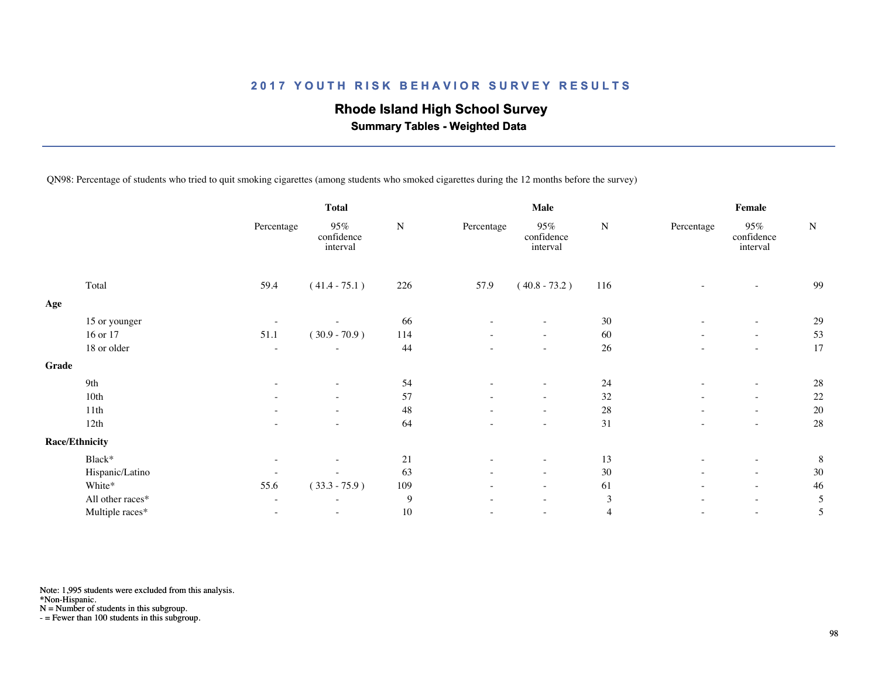## **Rhode Island High School Survey**

 **Summary Tables - Weighted Data**

QN98: Percentage of students who tried to quit smoking cigarettes (among students who smoked cigarettes during the 12 months before the survey)

|       |                       |                          | <b>Total</b>                  |           | <b>Male</b>              |                                  |           | Female                   |                               |        |  |
|-------|-----------------------|--------------------------|-------------------------------|-----------|--------------------------|----------------------------------|-----------|--------------------------|-------------------------------|--------|--|
|       |                       | Percentage               | 95%<br>confidence<br>interval | ${\bf N}$ | Percentage               | $95\%$<br>confidence<br>interval | ${\bf N}$ | Percentage               | 95%<br>confidence<br>interval | $\,$ N |  |
|       | Total                 | 59.4                     | $(41.4 - 75.1)$               | 226       | 57.9                     | $(40.8 - 73.2)$                  | 116       |                          |                               | 99     |  |
| Age   |                       |                          |                               |           |                          |                                  |           |                          |                               |        |  |
|       | 15 or younger         |                          |                               | 66        |                          |                                  | 30        |                          | $\overline{\phantom{a}}$      | 29     |  |
|       | 16 or 17              | 51.1                     | $(30.9 - 70.9)$               | 114       | $\overline{\phantom{a}}$ | $\sim$                           | 60        | $\overline{\phantom{a}}$ | $\overline{\phantom{a}}$      | 53     |  |
|       | 18 or older           | $\overline{\phantom{a}}$ | $\overline{\phantom{a}}$      | 44        |                          | $\overline{\phantom{a}}$         | 26        | $\equiv$                 | $\sim$                        | 17     |  |
| Grade |                       |                          |                               |           |                          |                                  |           |                          |                               |        |  |
|       | 9th                   |                          |                               | 54        |                          |                                  | 24        |                          | $\sim$                        | 28     |  |
|       | 10th                  |                          | $\sim$                        | 57        | $\sim$                   | $\sim$                           | 32        | $\sim$                   | $\sim$                        | 22     |  |
|       | 11th                  |                          | $\overline{\phantom{a}}$      | 48        |                          | $\sim$                           | 28        | $\overline{\phantom{a}}$ | $\sim$                        | 20     |  |
|       | 12th                  | $\overline{\phantom{a}}$ | $\overline{\phantom{a}}$      | 64        |                          | $\sim$                           | 31        | $\overline{\phantom{a}}$ | $\sim$                        | 28     |  |
|       | <b>Race/Ethnicity</b> |                          |                               |           |                          |                                  |           |                          |                               |        |  |
|       | Black*                | $\overline{\phantom{a}}$ |                               | 21        |                          | $\overline{\phantom{0}}$         | 13        | $\overline{\phantom{a}}$ | $\sim$                        | 8      |  |
|       | Hispanic/Latino       | $\overline{\phantom{a}}$ | $\sim$                        | 63        |                          | $\overline{\phantom{a}}$         | 30        | ٠                        | $\overline{\phantom{a}}$      | 30     |  |
|       | White*                | 55.6                     | $(33.3 - 75.9)$               | 109       |                          | $\overline{\phantom{a}}$         | 61        | $\overline{\phantom{a}}$ | $\sim$                        | 46     |  |
|       | All other races*      | $\overline{\phantom{a}}$ | $\sim$                        | 9         |                          | ٠                                | 3         | ٠                        | $\sim$                        | 5      |  |
|       | Multiple races*       | $\overline{\phantom{a}}$ | ٠                             | 10        |                          | ٠                                | 4         | $\overline{\phantom{a}}$ | $\overline{\phantom{a}}$      | 5      |  |

Note: 1,995 students were excluded from this analysis.

\*Non-Hispanic.

N = Number of students in this subgroup.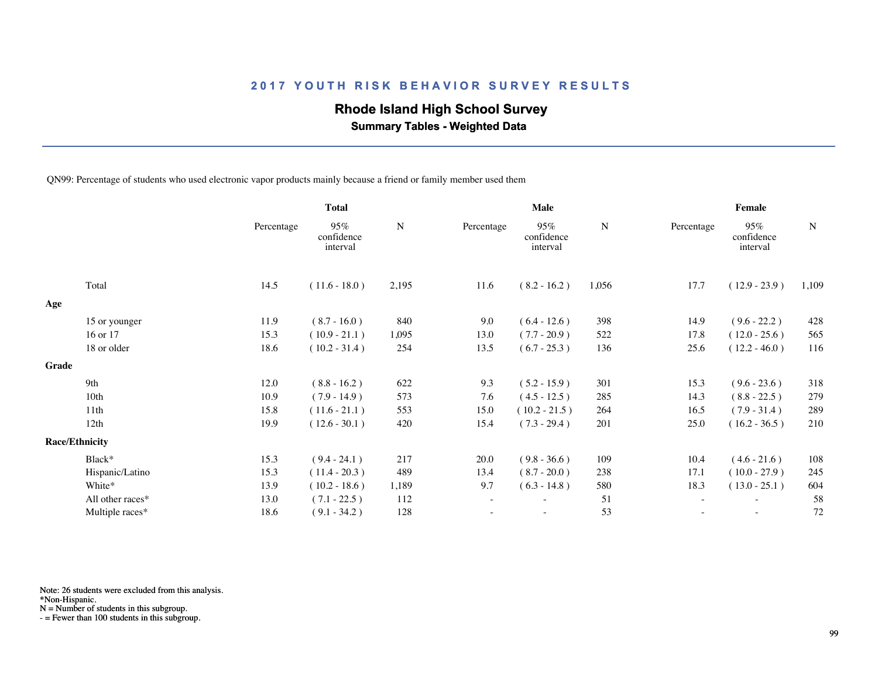## **Rhode Island High School Survey**

 **Summary Tables - Weighted Data**

QN99: Percentage of students who used electronic vapor products mainly because a friend or family member used them

|       |                       | <b>Total</b> |                               |             |            | Male                          |           | Female                   |                               |           |  |
|-------|-----------------------|--------------|-------------------------------|-------------|------------|-------------------------------|-----------|--------------------------|-------------------------------|-----------|--|
|       |                       | Percentage   | 95%<br>confidence<br>interval | $\mathbf N$ | Percentage | 95%<br>confidence<br>interval | ${\bf N}$ | Percentage               | 95%<br>confidence<br>interval | ${\bf N}$ |  |
|       | Total                 | 14.5         | $(11.6 - 18.0)$               | 2,195       | 11.6       | $(8.2 - 16.2)$                | 1,056     | 17.7                     | $(12.9 - 23.9)$               | 1,109     |  |
| Age   |                       |              |                               |             |            |                               |           |                          |                               |           |  |
|       | 15 or younger         | 11.9         | $(8.7 - 16.0)$                | 840         | 9.0        | $(6.4 - 12.6)$                | 398       | 14.9                     | $(9.6 - 22.2)$                | 428       |  |
|       | 16 or 17              | 15.3         | $(10.9 - 21.1)$               | 1,095       | 13.0       | $(7.7 - 20.9)$                | 522       | 17.8                     | $(12.0 - 25.6)$               | 565       |  |
|       | 18 or older           | 18.6         | $(10.2 - 31.4)$               | 254         | 13.5       | $(6.7 - 25.3)$                | 136       | 25.6                     | $(12.2 - 46.0)$               | 116       |  |
| Grade |                       |              |                               |             |            |                               |           |                          |                               |           |  |
|       | 9th                   | 12.0         | $(8.8 - 16.2)$                | 622         | 9.3        | $(5.2 - 15.9)$                | 301       | 15.3                     | $(9.6 - 23.6)$                | 318       |  |
|       | 10 <sub>th</sub>      | 10.9         | $(7.9 - 14.9)$                | 573         | 7.6        | $(4.5 - 12.5)$                | 285       | 14.3                     | $(8.8 - 22.5)$                | 279       |  |
|       | 11th                  | 15.8         | $(11.6 - 21.1)$               | 553         | 15.0       | $(10.2 - 21.5)$               | 264       | 16.5                     | $(7.9 - 31.4)$                | 289       |  |
|       | 12th                  | 19.9         | $(12.6 - 30.1)$               | 420         | 15.4       | $(7.3 - 29.4)$                | 201       | 25.0                     | $(16.2 - 36.5)$               | 210       |  |
|       | <b>Race/Ethnicity</b> |              |                               |             |            |                               |           |                          |                               |           |  |
|       | Black*                | 15.3         | $(9.4 - 24.1)$                | 217         | 20.0       | $(9.8 - 36.6)$                | 109       | 10.4                     | $(4.6 - 21.6)$                | 108       |  |
|       | Hispanic/Latino       | 15.3         | $(11.4 - 20.3)$               | 489         | 13.4       | $(8.7 - 20.0)$                | 238       | 17.1                     | $(10.0 - 27.9)$               | 245       |  |
|       | White*                | 13.9         | $(10.2 - 18.6)$               | 1,189       | 9.7        | $(6.3 - 14.8)$                | 580       | 18.3                     | $(13.0 - 25.1)$               | 604       |  |
|       | All other races*      | 13.0         | $(7.1 - 22.5)$                | 112         | $\sim$     | $\overline{\phantom{a}}$      | 51        | $\overline{\phantom{a}}$ | $\overline{\phantom{a}}$      | 58        |  |
|       | Multiple races*       | 18.6         | $(9.1 - 34.2)$                | 128         |            |                               | 53        |                          |                               | 72        |  |
|       |                       |              |                               |             |            |                               |           |                          |                               |           |  |

Note: 26 students were excluded from this analysis.

\*Non-Hispanic.

N = Number of students in this subgroup.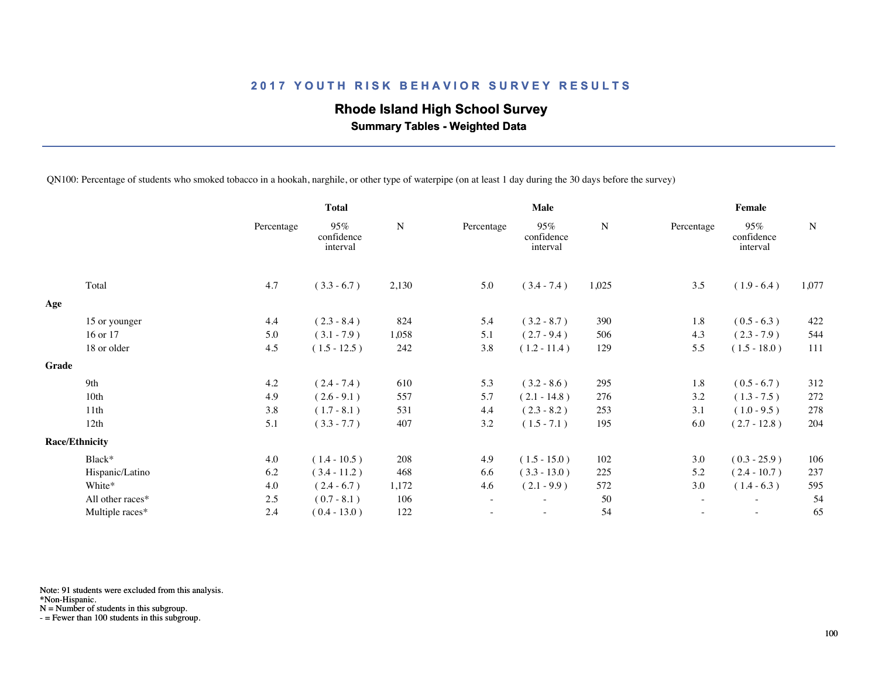# **Rhode Island High School Survey**

 **Summary Tables - Weighted Data**

QN100: Percentage of students who smoked tobacco in a hookah, narghile, or other type of waterpipe (on at least 1 day during the 30 days before the survey)

|                  |                                                 | <b>Total</b>                  |                                |                          | Male                          |           | Female     |                               |             |  |
|------------------|-------------------------------------------------|-------------------------------|--------------------------------|--------------------------|-------------------------------|-----------|------------|-------------------------------|-------------|--|
|                  | Percentage                                      | 95%<br>confidence<br>interval | ${\bf N}$                      | Percentage               | 95%<br>confidence<br>interval | ${\bf N}$ | Percentage | 95%<br>confidence<br>interval | $\mathbf N$ |  |
| Total            | 4.7                                             | $(3.3 - 6.7)$                 | 2,130                          | 5.0                      | $(3.4 - 7.4)$                 | 1,025     | 3.5        | $(1.9 - 6.4)$                 | 1,077       |  |
|                  |                                                 |                               |                                |                          |                               |           |            |                               |             |  |
|                  | 4.4                                             |                               | 824                            | 5.4                      | $(3.2 - 8.7)$                 | 390       | 1.8        | $(0.5 - 6.3)$                 | 422         |  |
| 16 or 17         | 5.0                                             | $(3.1 - 7.9)$                 | 1,058                          | 5.1                      | $(2.7 - 9.4)$                 | 506       | 4.3        | $(2.3 - 7.9)$                 | 544         |  |
| 18 or older      | 4.5                                             | $(1.5 - 12.5)$                | 242                            | 3.8                      | $(1.2 - 11.4)$                | 129       | 5.5        | $(1.5 - 18.0)$                | 111         |  |
|                  |                                                 |                               |                                |                          |                               |           |            |                               |             |  |
| 9th              | 4.2                                             |                               | 610                            | 5.3                      | $(3.2 - 8.6)$                 | 295       | 1.8        | $(0.5 - 6.7)$                 | 312         |  |
| 10th             | 4.9                                             | $(2.6 - 9.1)$                 | 557                            | 5.7                      | $(2.1 - 14.8)$                | 276       | 3.2        | $(1.3 - 7.5)$                 | 272         |  |
| 11th             | 3.8                                             | $(1.7 - 8.1)$                 | 531                            | 4.4                      | $(2.3 - 8.2)$                 | 253       | 3.1        | $(1.0 - 9.5)$                 | 278         |  |
| 12th             | 5.1                                             | $(3.3 - 7.7)$                 | 407                            | 3.2                      | $(1.5 - 7.1)$                 | 195       | 6.0        | $(2.7 - 12.8)$                | 204         |  |
|                  |                                                 |                               |                                |                          |                               |           |            |                               |             |  |
| Black*           | 4.0                                             | $(1.4 - 10.5)$                | 208                            | 4.9                      | $(1.5 - 15.0)$                | 102       | 3.0        | $(0.3 - 25.9)$                | 106         |  |
| Hispanic/Latino  | 6.2                                             | $(3.4 - 11.2)$                | 468                            | 6.6                      | $(3.3 - 13.0)$                | 225       | 5.2        | $(2.4 - 10.7)$                | 237         |  |
| White*           | 4.0                                             | $(2.4 - 6.7)$                 | 1,172                          | 4.6                      | $(2.1 - 9.9)$                 | 572       | 3.0        | $(1.4 - 6.3)$                 | 595         |  |
| All other races* | 2.5                                             | $(0.7 - 8.1)$                 | 106                            | $\overline{\phantom{a}}$ |                               | 50        | $\sim$     | $\overline{\phantom{a}}$      | 54          |  |
| Multiple races*  | 2.4                                             | $(0.4 - 13.0)$                | 122                            |                          |                               | 54        |            | $\overline{\phantom{a}}$      | 65          |  |
|                  | 15 or younger<br>Grade<br><b>Race/Ethnicity</b> |                               | $(2.3 - 8.4)$<br>$(2.4 - 7.4)$ |                          |                               |           |            |                               |             |  |

Note: 91 students were excluded from this analysis.

\*Non-Hispanic.

N = Number of students in this subgroup.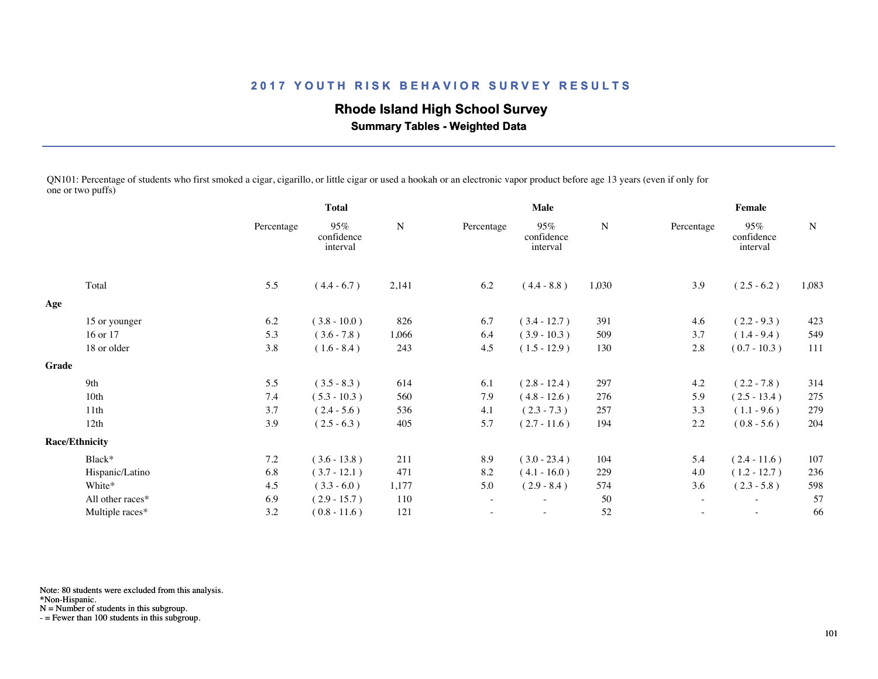# **Rhode Island High School Survey**

 **Summary Tables - Weighted Data**

QN101: Percentage of students who first smoked a cigar, cigarillo, or little cigar or used a hookah or an electronic vapor product before age 13 years (even if only for one or two puffs)

|       |                       |            | <b>Total</b>                  |           |            | <b>Male</b>                   |           |                   | Female                        |             |  |  |
|-------|-----------------------|------------|-------------------------------|-----------|------------|-------------------------------|-----------|-------------------|-------------------------------|-------------|--|--|
|       |                       | Percentage | 95%<br>confidence<br>interval | ${\bf N}$ | Percentage | 95%<br>confidence<br>interval | ${\bf N}$ | Percentage        | 95%<br>confidence<br>interval | $\mathbf N$ |  |  |
|       | Total                 | 5.5        | $(4.4 - 6.7)$                 | 2,141     | 6.2        | $(4.4 - 8.8)$                 | 1,030     | 3.9               | $(2.5 - 6.2)$                 | 1,083       |  |  |
| Age   |                       |            |                               |           |            |                               |           |                   |                               |             |  |  |
|       | 15 or younger         | 6.2        | $(3.8 - 10.0)$                | 826       | 6.7        | $(3.4 - 12.7)$                | 391       | 4.6               | $(2.2 - 9.3)$                 | 423         |  |  |
|       | 16 or 17              | 5.3        | $(3.6 - 7.8)$                 | 1,066     | 6.4        | $(3.9 - 10.3)$                | 509       | 3.7               | $(1.4 - 9.4)$                 | 549         |  |  |
|       | 18 or older           | 3.8        | $(1.6 - 8.4)$                 | 243       | 4.5        | $(1.5 - 12.9)$                | 130       | 2.8               | $(0.7 - 10.3)$                | 111         |  |  |
| Grade |                       |            |                               |           |            |                               |           |                   |                               |             |  |  |
|       | 9th                   | 5.5        | $(3.5 - 8.3)$                 | 614       | 6.1        | $(2.8 - 12.4)$                | 297       | 4.2               | $(2.2 - 7.8)$                 | 314         |  |  |
|       | 10th                  | 7.4        | $(5.3 - 10.3)$                | 560       | 7.9        | $(4.8 - 12.6)$                | 276       | 5.9               | $(2.5 - 13.4)$                | 275         |  |  |
|       | 11th                  | 3.7        | $(2.4 - 5.6)$                 | 536       | 4.1        | $(2.3 - 7.3)$                 | 257       | 3.3               | $(1.1 - 9.6)$                 | 279         |  |  |
|       | 12th                  | 3.9        | $(2.5 - 6.3)$                 | 405       | 5.7        | $(2.7 - 11.6)$                | 194       | 2.2               | $(0.8 - 5.6)$                 | 204         |  |  |
|       | <b>Race/Ethnicity</b> |            |                               |           |            |                               |           |                   |                               |             |  |  |
|       | Black*                | 7.2        | $(3.6 - 13.8)$                | 211       | 8.9        | $(3.0 - 23.4)$                | 104       | 5.4               | $(2.4 - 11.6)$                | 107         |  |  |
|       | Hispanic/Latino       | 6.8        | $(3.7 - 12.1)$                | 471       | 8.2        | $(4.1 - 16.0)$                | 229       | 4.0               | $(1.2 - 12.7)$                | 236         |  |  |
|       | White*                | 4.5        | $(3.3 - 6.0)$                 | 1,177     | 5.0        | $(2.9 - 8.4)$                 | 574       | 3.6               | $(2.3 - 5.8)$                 | 598         |  |  |
|       | All other races*      | 6.9        | $(2.9 - 15.7)$                | 110       | $\sim$     | $\overline{\phantom{a}}$      | $50\,$    | $\sim$            | $\overline{\phantom{a}}$      | 57          |  |  |
|       | Multiple races*       | 3.2        | $(0.8 - 11.6)$                | 121       |            | $\overline{\phantom{a}}$      | 52        | $\qquad \qquad -$ | $\overline{\phantom{a}}$      | 66          |  |  |
|       |                       |            |                               |           |            |                               |           |                   |                               |             |  |  |

Note: 80 students were excluded from this analysis.

\*Non-Hispanic.

N = Number of students in this subgroup.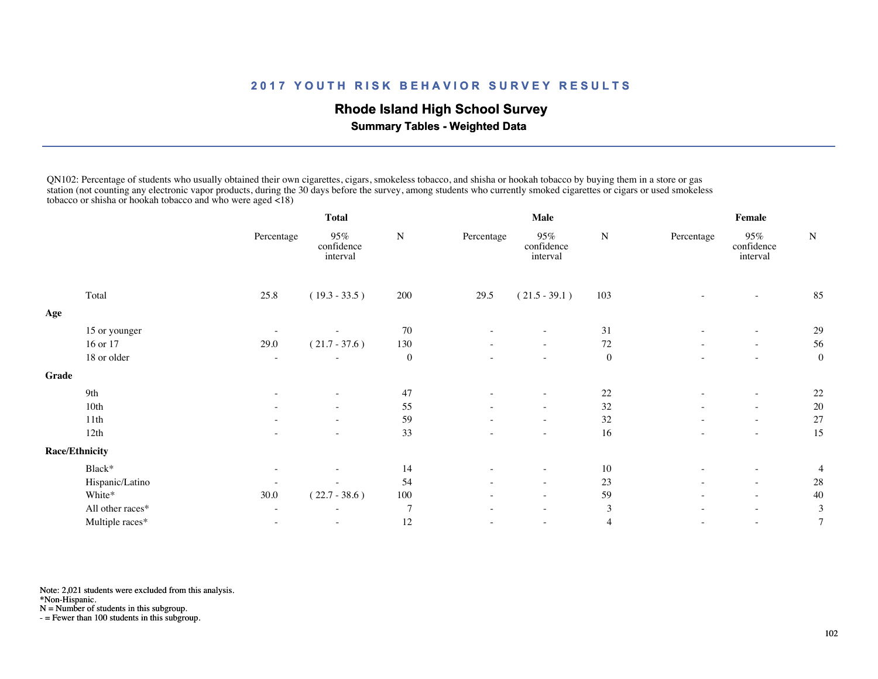## **Rhode Island High School Survey**

 **Summary Tables - Weighted Data**

QN102: Percentage of students who usually obtained their own cigarettes, cigars, smokeless tobacco, and shisha or hookah tobacco by buying them in a store or gas station (not counting any electronic vapor products, during the 30 days before the survey, among students who currently smoked cigarettes or cigars or used smokeless tobacco or shisha or hookah tobacco and who were aged <18)

|       |                       | <b>Total</b> |                               |                  |            | Male                          |                  | Female     |                               |                  |  |
|-------|-----------------------|--------------|-------------------------------|------------------|------------|-------------------------------|------------------|------------|-------------------------------|------------------|--|
|       |                       | Percentage   | 95%<br>confidence<br>interval | N                | Percentage | 95%<br>confidence<br>interval | N                | Percentage | 95%<br>confidence<br>interval | $\mathbf N$      |  |
|       | Total                 | 25.8         | $(19.3 - 33.5)$               | 200              | 29.5       | $(21.5 - 39.1)$               | 103              |            | ٠                             | 85               |  |
| Age   |                       |              |                               |                  |            |                               |                  |            |                               |                  |  |
|       | 15 or younger         |              |                               | 70               |            |                               | 31               |            | $\overline{\phantom{a}}$      | 29               |  |
|       | 16 or 17              | 29.0         | $(21.7 - 37.6)$               | 130              |            | $\overline{\phantom{a}}$      | 72               | ٠          | $\overline{\phantom{a}}$      | 56               |  |
|       | 18 or older           |              |                               | $\boldsymbol{0}$ |            |                               | $\boldsymbol{0}$ |            | ٠                             | $\boldsymbol{0}$ |  |
| Grade |                       |              |                               |                  |            |                               |                  |            |                               |                  |  |
|       | 9th                   |              | ۰                             | 47               |            | ۰                             | 22               |            | $\overline{\phantom{a}}$      | 22               |  |
|       | 10th                  |              | ٠                             | 55               |            | $\overline{\phantom{a}}$      | 32               | ٠          | $\sim$                        | 20               |  |
|       | 11th                  |              |                               | 59               |            |                               | 32               |            | $\sim$                        | 27               |  |
|       | 12th                  |              |                               | 33               |            | $\overline{\phantom{a}}$      | 16               |            | $\sim$                        | 15               |  |
|       | <b>Race/Ethnicity</b> |              |                               |                  |            |                               |                  |            |                               |                  |  |
|       | Black*                |              |                               | 14               |            |                               | 10               |            | $\overline{\phantom{a}}$      | 4                |  |
|       | Hispanic/Latino       |              | $\overline{\phantom{a}}$      | 54               | $\sim$     | $\overline{\phantom{a}}$      | 23               | ۰          | $\sim$                        | 28               |  |
|       | White*                | 30.0         | $(22.7 - 38.6)$               | 100              | $\sim$     | $\overline{\phantom{0}}$      | 59               | $\equiv$   | $\sim$                        | 40               |  |
|       | All other races*      |              | ٠                             | 7                | $\sim$     | $\overline{\phantom{a}}$      | $\mathfrak{Z}$   | ٠          | $\sim$                        | 3                |  |
|       | Multiple races*       |              | $\overline{\phantom{0}}$      | 12               |            |                               | 4                |            | $\overline{\phantom{a}}$      | $\overline{7}$   |  |
|       |                       |              |                               |                  |            |                               |                  |            |                               |                  |  |

Note: 2,021 students were excluded from this analysis.

\*Non-Hispanic.

 $N =$  Number of students in this subgroup.

 $N =$  Number of students in this subgroup.<br> $=$  Fewer than 100 students in this subgroup.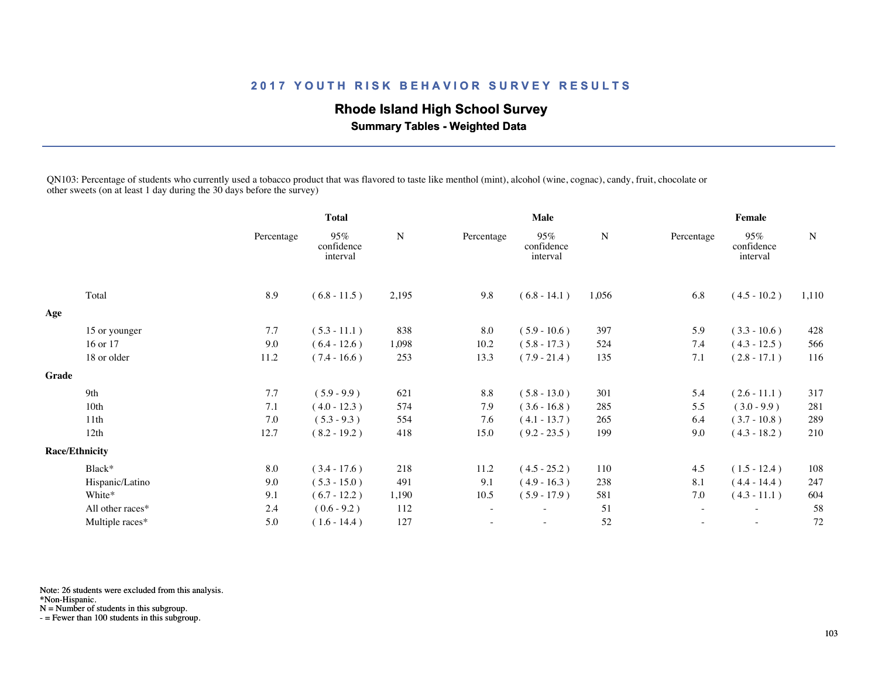## **Rhode Island High School Survey**

 **Summary Tables - Weighted Data**

QN103: Percentage of students who currently used a tobacco product that was flavored to taste like menthol (mint), alcohol (wine, cognac), candy, fruit, chocolate or other sweets (on at least 1 day during the 30 days before the survey)

|                  |                                                 | <b>Total</b>                  |             |                          | <b>Male</b>                   |       |            |                               |             |  |
|------------------|-------------------------------------------------|-------------------------------|-------------|--------------------------|-------------------------------|-------|------------|-------------------------------|-------------|--|
|                  | Percentage                                      | 95%<br>confidence<br>interval | $\mathbf N$ | Percentage               | 95%<br>confidence<br>interval | N     | Percentage | 95%<br>confidence<br>interval | $\mathbf N$ |  |
| Total            | 8.9                                             | $(6.8 - 11.5)$                | 2,195       | 9.8                      | $(6.8 - 14.1)$                | 1,056 | 6.8        | $(4.5 - 10.2)$                | 1,110       |  |
|                  |                                                 |                               |             |                          |                               |       |            |                               |             |  |
|                  | 7.7                                             | $(5.3 - 11.1)$                | 838         | 8.0                      | $(5.9 - 10.6)$                | 397   | 5.9        | $(3.3 - 10.6)$                | 428         |  |
| 16 or 17         | 9.0                                             | $(6.4 - 12.6)$                | 1,098       | 10.2                     | $(5.8 - 17.3)$                | 524   | 7.4        | $(4.3 - 12.5)$                | 566         |  |
| 18 or older      | 11.2                                            | $(7.4 - 16.6)$                | 253         | 13.3                     | $(7.9 - 21.4)$                | 135   | 7.1        | $(2.8 - 17.1)$                | 116         |  |
|                  |                                                 |                               |             |                          |                               |       |            |                               |             |  |
| 9th              | 7.7                                             | $(5.9 - 9.9)$                 | 621         | 8.8                      | $(5.8 - 13.0)$                | 301   | 5.4        | $(2.6 - 11.1)$                | 317         |  |
| 10 <sub>th</sub> | 7.1                                             | $(4.0 - 12.3)$                | 574         | 7.9                      | $(3.6 - 16.8)$                | 285   | 5.5        | $(3.0 - 9.9)$                 | 281         |  |
| 11th             | 7.0                                             | $(5.3 - 9.3)$                 | 554         | 7.6                      | $(4.1 - 13.7)$                | 265   | 6.4        | $(3.7 - 10.8)$                | 289         |  |
| 12th             | 12.7                                            | $(8.2 - 19.2)$                | 418         | 15.0                     | $(9.2 - 23.5)$                | 199   | 9.0        | $(4.3 - 18.2)$                | 210         |  |
|                  |                                                 |                               |             |                          |                               |       |            |                               |             |  |
| Black*           | 8.0                                             | $(3.4 - 17.6)$                | 218         | 11.2                     | $(4.5 - 25.2)$                | 110   | 4.5        | $(1.5 - 12.4)$                | 108         |  |
| Hispanic/Latino  | 9.0                                             | $(5.3 - 15.0)$                | 491         | 9.1                      | $(4.9 - 16.3)$                | 238   | 8.1        | $(4.4 - 14.4)$                | 247         |  |
| White*           | 9.1                                             | $(6.7 - 12.2)$                | 1,190       | 10.5                     | $(5.9 - 17.9)$                | 581   | 7.0        | $(4.3 - 11.1)$                | 604         |  |
| All other races* | 2.4                                             | $(0.6 - 9.2)$                 | 112         | $\overline{\phantom{a}}$ |                               | 51    | $\sim$     | $\sim$                        | 58          |  |
| Multiple races*  | 5.0                                             | $(1.6 - 14.4)$                | 127         |                          |                               | 52    |            | $\overline{\phantom{a}}$      | 72          |  |
|                  | 15 or younger<br>Grade<br><b>Race/Ethnicity</b> |                               |             |                          |                               |       |            |                               | Female      |  |

Note: 26 students were excluded from this analysis.

\*Non-Hispanic.

N = Number of students in this subgroup.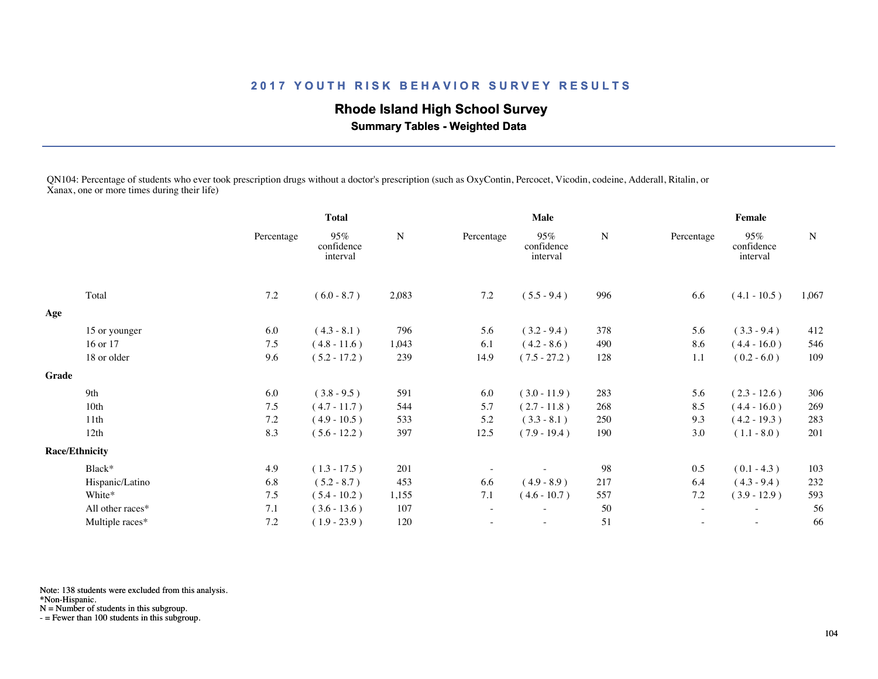## **Rhode Island High School Survey**

 **Summary Tables - Weighted Data**

QN104: Percentage of students who ever took prescription drugs without a doctor's prescription (such as OxyContin, Percocet, Vicodin, codeine, Adderall, Ritalin, or Xanax, one or more times during their life)

|       |                       | <b>Total</b> |                               |           | <b>Male</b>              |                               |             | <b>Female</b>            |                               |             |  |
|-------|-----------------------|--------------|-------------------------------|-----------|--------------------------|-------------------------------|-------------|--------------------------|-------------------------------|-------------|--|
|       |                       | Percentage   | 95%<br>confidence<br>interval | ${\bf N}$ | Percentage               | 95%<br>confidence<br>interval | $\mathbf N$ | Percentage               | 95%<br>confidence<br>interval | $\mathbf N$ |  |
|       | Total                 | 7.2          | $(6.0 - 8.7)$                 | 2,083     | 7.2                      | $(5.5 - 9.4)$                 | 996         | 6.6                      | $(4.1 - 10.5)$                | 1,067       |  |
| Age   |                       |              |                               |           |                          |                               |             |                          |                               |             |  |
|       | 15 or younger         | 6.0          | $(4.3 - 8.1)$                 | 796       | 5.6                      | $(3.2 - 9.4)$                 | 378         | 5.6                      | $(3.3 - 9.4)$                 | 412         |  |
|       | 16 or 17              | 7.5          | $(4.8 - 11.6)$                | 1,043     | 6.1                      | $(4.2 - 8.6)$                 | 490         | 8.6                      | $(4.4 - 16.0)$                | 546         |  |
|       | 18 or older           | 9.6          | $(5.2 - 17.2)$                | 239       | 14.9                     | $(7.5 - 27.2)$                | 128         | 1.1                      | $(0.2 - 6.0)$                 | 109         |  |
| Grade |                       |              |                               |           |                          |                               |             |                          |                               |             |  |
|       | 9th                   | 6.0          | $(3.8 - 9.5)$                 | 591       | 6.0                      | $(3.0 - 11.9)$                | 283         | 5.6                      | $(2.3 - 12.6)$                | 306         |  |
|       | 10th                  | 7.5          | $(4.7 - 11.7)$                | 544       | 5.7                      | $(2.7 - 11.8)$                | 268         | 8.5                      | $(4.4 - 16.0)$                | 269         |  |
|       | 11th                  | 7.2          | $(4.9 - 10.5)$                | 533       | 5.2                      | $(3.3 - 8.1)$                 | 250         | 9.3                      | $(4.2 - 19.3)$                | 283         |  |
|       | 12th                  | 8.3          | $(5.6 - 12.2)$                | 397       | 12.5                     | $(7.9 - 19.4)$                | 190         | 3.0                      | $(1.1 - 8.0)$                 | 201         |  |
|       | <b>Race/Ethnicity</b> |              |                               |           |                          |                               |             |                          |                               |             |  |
|       | Black*                | 4.9          | $(1.3 - 17.5)$                | 201       |                          |                               | 98          | 0.5                      | $(0.1 - 4.3)$                 | 103         |  |
|       | Hispanic/Latino       | 6.8          | $(5.2 - 8.7)$                 | 453       | 6.6                      | $(4.9 - 8.9)$                 | 217         | 6.4                      | $(4.3 - 9.4)$                 | 232         |  |
|       | White*                | 7.5          | $(5.4 - 10.2)$                | 1,155     | 7.1                      | $(4.6 - 10.7)$                | 557         | 7.2                      | $(3.9 - 12.9)$                | 593         |  |
|       | All other races*      | $7.1\,$      | $(3.6 - 13.6)$                | 107       | $\overline{\phantom{a}}$ |                               | 50          | $\sim$                   | $\overline{\phantom{a}}$      | 56          |  |
|       | Multiple races*       | 7.2          | $(1.9 - 23.9)$                | 120       |                          | $\sim$                        | 51          | $\overline{\phantom{a}}$ | $\overline{\phantom{a}}$      | 66          |  |
|       |                       |              |                               |           |                          |                               |             |                          |                               |             |  |

Note: 138 students were excluded from this analysis.

\*Non-Hispanic.

N = Number of students in this subgroup.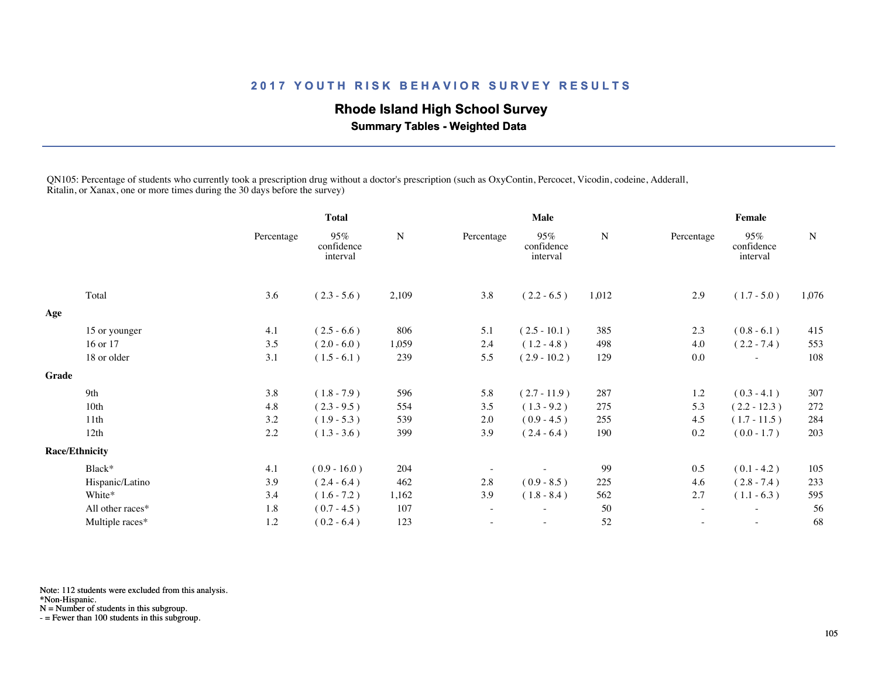## **Rhode Island High School Survey**

 **Summary Tables - Weighted Data**

QN105: Percentage of students who currently took a prescription drug without a doctor's prescription (such as OxyContin, Percocet, Vicodin, codeine, Adderall, Ritalin, or Xanax, one or more times during the 30 days before the survey)

|       |                       |            | <b>Total</b>                  |           |                          | <b>Male</b>                   |           | Female                   |                               |           |  |
|-------|-----------------------|------------|-------------------------------|-----------|--------------------------|-------------------------------|-----------|--------------------------|-------------------------------|-----------|--|
|       |                       | Percentage | 95%<br>confidence<br>interval | ${\bf N}$ | Percentage               | 95%<br>confidence<br>interval | ${\bf N}$ | Percentage               | 95%<br>confidence<br>interval | ${\bf N}$ |  |
|       | Total                 | 3.6        | $(2.3 - 5.6)$                 | 2,109     | 3.8                      | $(2.2 - 6.5)$                 | 1,012     | 2.9                      | $(1.7 - 5.0)$                 | 1,076     |  |
| Age   |                       |            |                               |           |                          |                               |           |                          |                               |           |  |
|       | 15 or younger         | 4.1        | $(2.5 - 6.6)$                 | 806       | 5.1                      | $(2.5 - 10.1)$                | 385       | 2.3                      | $(0.8 - 6.1)$                 | 415       |  |
|       | 16 or 17              | 3.5        | $(2.0 - 6.0)$                 | 1,059     | 2.4                      | $(1.2 - 4.8)$                 | 498       | 4.0                      | $(2.2 - 7.4)$                 | 553       |  |
|       | 18 or older           | 3.1        | $(1.5 - 6.1)$                 | 239       | 5.5                      | $(2.9 - 10.2)$                | 129       | 0.0                      | $\overline{\phantom{a}}$      | 108       |  |
| Grade |                       |            |                               |           |                          |                               |           |                          |                               |           |  |
|       | 9th                   | 3.8        | $(1.8 - 7.9)$                 | 596       | 5.8                      | $(2.7 - 11.9)$                | 287       | 1.2                      | $(0.3 - 4.1)$                 | 307       |  |
|       | 10th                  | 4.8        | $(2.3 - 9.5)$                 | 554       | 3.5                      | $(1.3 - 9.2)$                 | 275       | 5.3                      | $(2.2 - 12.3)$                | 272       |  |
|       | 11th                  | 3.2        | $(1.9 - 5.3)$                 | 539       | 2.0                      | $(0.9 - 4.5)$                 | 255       | 4.5                      | $(1.7 - 11.5)$                | 284       |  |
|       | 12th                  | 2.2        | $(1.3 - 3.6)$                 | 399       | 3.9                      | $(2.4 - 6.4)$                 | 190       | 0.2                      | $(0.0 - 1.7)$                 | 203       |  |
|       | <b>Race/Ethnicity</b> |            |                               |           |                          |                               |           |                          |                               |           |  |
|       | Black*                | 4.1        | $(0.9 - 16.0)$                | 204       | $\overline{\phantom{m}}$ |                               | 99        | 0.5                      | $(0.1 - 4.2)$                 | 105       |  |
|       | Hispanic/Latino       | 3.9        | $(2.4 - 6.4)$                 | 462       | 2.8                      | $(0.9 - 8.5)$                 | 225       | 4.6                      | $(2.8 - 7.4)$                 | 233       |  |
|       | White*                | 3.4        | $(1.6 - 7.2)$                 | 1,162     | 3.9                      | $(1.8 - 8.4)$                 | 562       | 2.7                      | $(1.1 - 6.3)$                 | 595       |  |
|       | All other races*      | 1.8        | $(0.7 - 4.5)$                 | 107       | $\overline{\phantom{a}}$ |                               | 50        | $\sim$                   | $\overline{\phantom{a}}$      | 56        |  |
|       | Multiple races*       | 1.2        | $(0.2 - 6.4)$                 | 123       | $\overline{\phantom{0}}$ | $\overline{\phantom{a}}$      | 52        | $\overline{\phantom{m}}$ | $\overline{\phantom{a}}$      | 68        |  |
|       |                       |            |                               |           |                          |                               |           |                          |                               |           |  |

Note: 112 students were excluded from this analysis.

N = Number of students in this subgroup.

<sup>\*</sup>Non-Hispanic.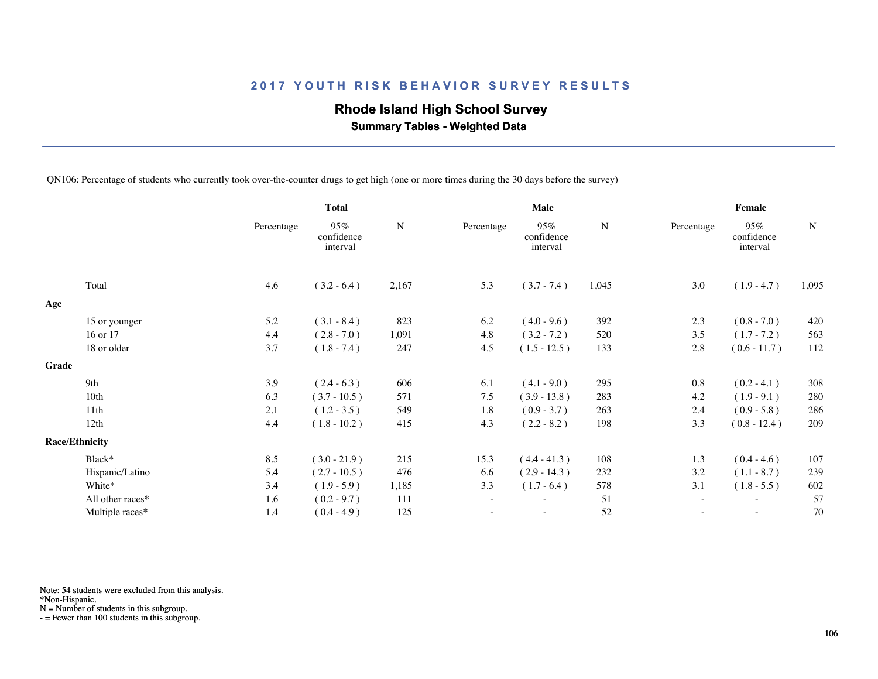## **Rhode Island High School Survey**

 **Summary Tables - Weighted Data**

QN106: Percentage of students who currently took over-the-counter drugs to get high (one or more times during the 30 days before the survey)

|       |                       |            | <b>Total</b>                  |           |            | <b>Male</b>                   |             | Female     |                               |             |  |
|-------|-----------------------|------------|-------------------------------|-----------|------------|-------------------------------|-------------|------------|-------------------------------|-------------|--|
|       |                       | Percentage | 95%<br>confidence<br>interval | ${\bf N}$ | Percentage | 95%<br>confidence<br>interval | $\mathbf N$ | Percentage | 95%<br>confidence<br>interval | $\mathbf N$ |  |
|       | Total                 | 4.6        | $(3.2 - 6.4)$                 | 2,167     | 5.3        | $(3.7 - 7.4)$                 | 1,045       | 3.0        | $(1.9 - 4.7)$                 | 1,095       |  |
| Age   |                       |            |                               |           |            |                               |             |            |                               |             |  |
|       | 15 or younger         | 5.2        | $(3.1 - 8.4)$                 | 823       | 6.2        | $(4.0 - 9.6)$                 | 392         | 2.3        | $(0.8 - 7.0)$                 | 420         |  |
|       | 16 or 17              | 4.4        | $(2.8 - 7.0)$                 | 1,091     | 4.8        | $(3.2 - 7.2)$                 | 520         | 3.5        | $(1.7 - 7.2)$                 | 563         |  |
|       | 18 or older           | 3.7        | $(1.8 - 7.4)$                 | 247       | 4.5        | $(1.5 - 12.5)$                | 133         | 2.8        | $(0.6 - 11.7)$                | 112         |  |
| Grade |                       |            |                               |           |            |                               |             |            |                               |             |  |
|       | 9th                   | 3.9        | $(2.4 - 6.3)$                 | 606       | 6.1        | $(4.1 - 9.0)$                 | 295         | 0.8        | $(0.2 - 4.1)$                 | 308         |  |
|       | 10 <sub>th</sub>      | 6.3        | $(3.7 - 10.5)$                | 571       | 7.5        | $(3.9 - 13.8)$                | 283         | 4.2        | $(1.9 - 9.1)$                 | 280         |  |
|       | 11th                  | 2.1        | $(1.2 - 3.5)$                 | 549       | 1.8        | $(0.9 - 3.7)$                 | 263         | 2.4        | $(0.9 - 5.8)$                 | 286         |  |
|       | 12th                  | 4.4        | $(1.8 - 10.2)$                | 415       | 4.3        | $(2.2 - 8.2)$                 | 198         | 3.3        | $(0.8 - 12.4)$                | 209         |  |
|       | <b>Race/Ethnicity</b> |            |                               |           |            |                               |             |            |                               |             |  |
|       | Black*                | 8.5        | $(3.0 - 21.9)$                | 215       | 15.3       | $(4.4 - 41.3)$                | 108         | 1.3        | $(0.4 - 4.6)$                 | 107         |  |
|       | Hispanic/Latino       | 5.4        | $(2.7 - 10.5)$                | 476       | 6.6        | $(2.9 - 14.3)$                | 232         | 3.2        | $(1.1 - 8.7)$                 | 239         |  |
|       | White*                | 3.4        | $(1.9 - 5.9)$                 | 1,185     | 3.3        | $(1.7 - 6.4)$                 | 578         | 3.1        | $(1.8 - 5.5)$                 | 602         |  |
|       | All other races*      | 1.6        | $(0.2 - 9.7)$                 | 111       | $\sim$     | $\overline{\phantom{a}}$      | 51          | $\sim$     | $\sim$                        | 57          |  |
|       | Multiple races*       | 1.4        | $(0.4 - 4.9)$                 | 125       |            |                               | 52          |            |                               | 70          |  |
|       |                       |            |                               |           |            |                               |             |            |                               |             |  |

Note: 54 students were excluded from this analysis.

\*Non-Hispanic.

N = Number of students in this subgroup.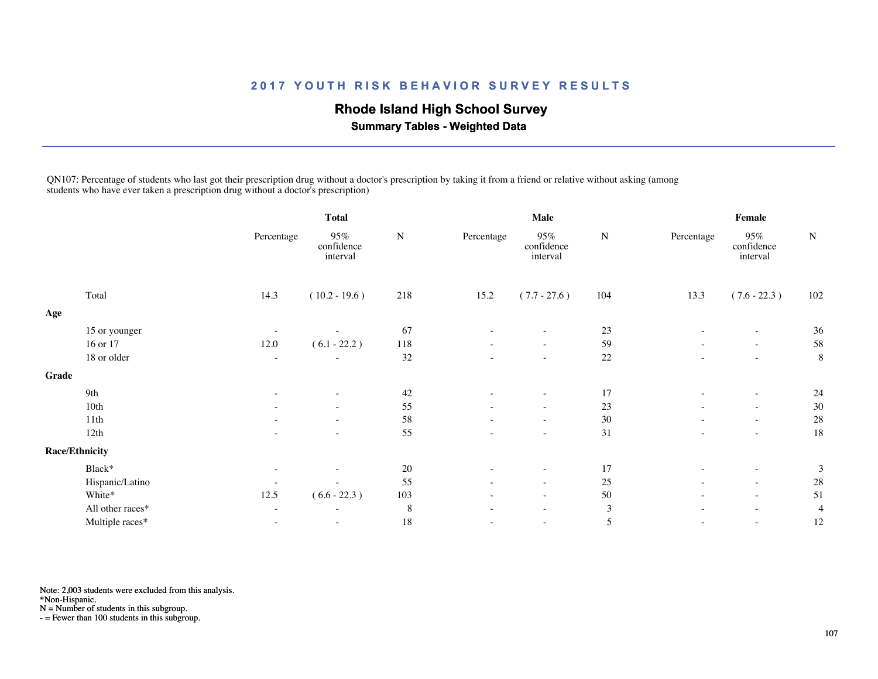## **Rhode Island High School Survey**

 **Summary Tables - Weighted Data**

QN107: Percentage of students who last got their prescription drug without a doctor's prescription by taking it from a friend or relative without asking (among students who have ever taken a prescription drug without a doctor's prescription)

|       |                       | <b>Total</b>             |                               |           | <b>Male</b>              |                               | Female         |                          |                               |                |
|-------|-----------------------|--------------------------|-------------------------------|-----------|--------------------------|-------------------------------|----------------|--------------------------|-------------------------------|----------------|
|       |                       | Percentage               | 95%<br>confidence<br>interval | ${\bf N}$ | Percentage               | 95%<br>confidence<br>interval | ${\bf N}$      | Percentage               | 95%<br>confidence<br>interval | ${\bf N}$      |
|       | Total                 | 14.3                     | $(10.2 - 19.6)$               | 218       | 15.2                     | $(7.7 - 27.6)$                | 104            | 13.3                     | $(7.6 - 22.3)$                | 102            |
| Age   |                       |                          |                               |           |                          |                               |                |                          |                               |                |
|       | 15 or younger         | $\overline{\phantom{a}}$ |                               | 67        |                          |                               | 23             |                          | $\overline{\phantom{a}}$      | 36             |
|       | 16 or 17              | 12.0                     | $(6.1 - 22.2)$                | 118       | $\overline{\phantom{a}}$ | $\overline{\phantom{a}}$      | 59             |                          | $\sim$                        | 58             |
|       | 18 or older           | $\sim$                   | $\sim$                        | $32\,$    | $\overline{\phantom{a}}$ | $\sim$                        | $22\,$         | $\equiv$                 | $\sim$                        | 8              |
| Grade |                       |                          |                               |           |                          |                               |                |                          |                               |                |
|       | 9th                   | $\overline{\phantom{a}}$ | $\overline{\phantom{a}}$      | 42        | $\sim$                   | $\overline{\phantom{a}}$      | 17             | $\equiv$                 | $\sim$                        | 24             |
|       | 10th                  |                          | $\overline{\phantom{a}}$      | 55        |                          | $\overline{\phantom{a}}$      | 23             | $\overline{\phantom{a}}$ | $\overline{\phantom{a}}$      | 30             |
|       | 11th                  | $\sim$                   | $\sim$                        | 58        | $\sim$                   | $\overline{\phantom{a}}$      | $30\,$         | $\sim$                   | $\overline{\phantom{a}}$      | 28             |
|       | 12th                  | $\overline{\phantom{a}}$ | $\overline{\phantom{a}}$      | 55        | $\overline{\phantom{a}}$ | $\sim$                        | 31             |                          | $\overline{\phantom{a}}$      | 18             |
|       | <b>Race/Ethnicity</b> |                          |                               |           |                          |                               |                |                          |                               |                |
|       | Black*                | $\overline{\phantom{a}}$ |                               | $20\,$    | $\overline{\phantom{a}}$ | $\overline{\phantom{a}}$      | 17             | $\overline{\phantom{a}}$ | $\overline{\phantom{a}}$      | 3              |
|       | Hispanic/Latino       | $\overline{\phantom{a}}$ | $\overline{\phantom{a}}$      | 55        | $\overline{\phantom{a}}$ | $\overline{\phantom{a}}$      | 25             | $\overline{\phantom{a}}$ | $\sim$                        | 28             |
|       | White*                | 12.5                     | $(6.6 - 22.3)$                | 103       | $\overline{\phantom{a}}$ | $\overline{\phantom{a}}$      | $50\,$         | $\overline{\phantom{a}}$ | $\overline{\phantom{a}}$      | 51             |
|       | All other races*      | $\overline{\phantom{a}}$ | $\sim$                        | 8         | $\overline{\phantom{a}}$ | $\overline{\phantom{a}}$      | $\mathfrak{Z}$ |                          | $\overline{\phantom{a}}$      | $\overline{4}$ |
|       | Multiple races*       | $\overline{\phantom{a}}$ | $\sim$                        | $18\,$    |                          | $\overline{\phantom{a}}$      | $\mathfrak s$  | $\overline{\phantom{a}}$ | $\sim$                        | 12             |
|       |                       |                          |                               |           |                          |                               |                |                          |                               |                |

Note: 2,003 students were excluded from this analysis.

\*Non-Hispanic.

N = Number of students in this subgroup.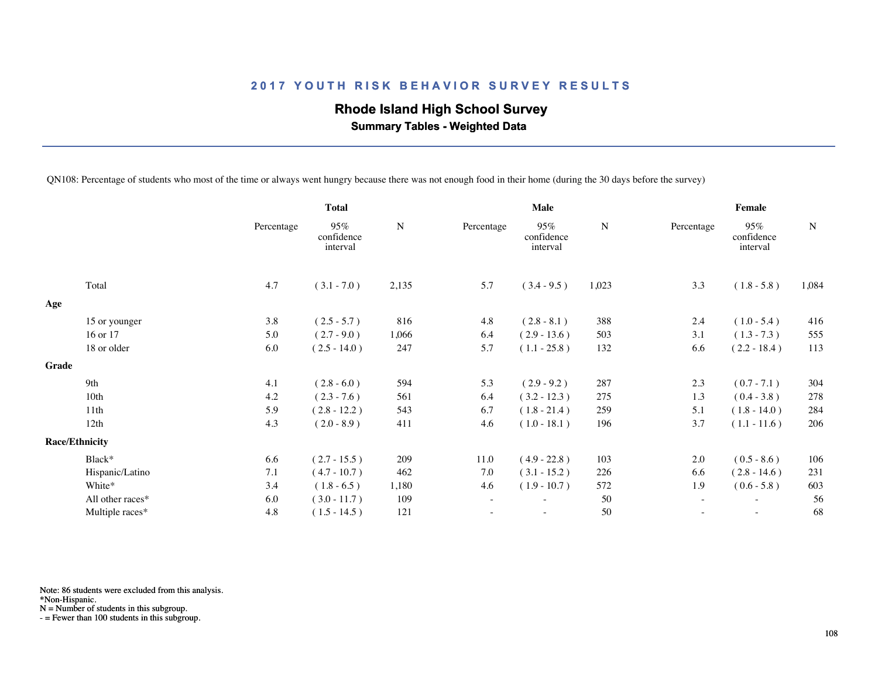## **Rhode Island High School Survey**

 **Summary Tables - Weighted Data**

QN108: Percentage of students who most of the time or always went hungry because there was not enough food in their home (during the 30 days before the survey)

|       |                       | <b>Total</b> |                               |           |                          | <b>Male</b>                   |       | Female     |                               |       |  |
|-------|-----------------------|--------------|-------------------------------|-----------|--------------------------|-------------------------------|-------|------------|-------------------------------|-------|--|
|       |                       | Percentage   | 95%<br>confidence<br>interval | ${\bf N}$ | Percentage               | 95%<br>confidence<br>interval | N     | Percentage | 95%<br>confidence<br>interval | N     |  |
|       | Total                 | 4.7          | $(3.1 - 7.0)$                 | 2,135     | 5.7                      | $(3.4 - 9.5)$                 | 1,023 | 3.3        | $(1.8 - 5.8)$                 | 1,084 |  |
| Age   |                       |              |                               |           |                          |                               |       |            |                               |       |  |
|       | 15 or younger         | 3.8          | $(2.5 - 5.7)$                 | 816       | 4.8                      | $(2.8 - 8.1)$                 | 388   | 2.4        | $(1.0 - 5.4)$                 | 416   |  |
|       | 16 or 17              | 5.0          | $(2.7 - 9.0)$                 | 1,066     | 6.4                      | $(2.9 - 13.6)$                | 503   | 3.1        | $(1.3 - 7.3)$                 | 555   |  |
|       | 18 or older           | 6.0          | $(2.5 - 14.0)$                | 247       | 5.7                      | $(1.1 - 25.8)$                | 132   | 6.6        | $(2.2 - 18.4)$                | 113   |  |
| Grade |                       |              |                               |           |                          |                               |       |            |                               |       |  |
|       | 9th                   | 4.1          | $(2.8 - 6.0)$                 | 594       | 5.3                      | $(2.9 - 9.2)$                 | 287   | 2.3        | $(0.7 - 7.1)$                 | 304   |  |
|       | 10th                  | 4.2          | $(2.3 - 7.6)$                 | 561       | 6.4                      | $(3.2 - 12.3)$                | 275   | 1.3        | $(0.4 - 3.8)$                 | 278   |  |
|       | 11th                  | 5.9          | $(2.8 - 12.2)$                | 543       | 6.7                      | $(1.8 - 21.4)$                | 259   | 5.1        | $(1.8 - 14.0)$                | 284   |  |
|       | 12th                  | 4.3          | $(2.0 - 8.9)$                 | 411       | 4.6                      | $(1.0 - 18.1)$                | 196   | 3.7        | $(1.1 - 11.6)$                | 206   |  |
|       | <b>Race/Ethnicity</b> |              |                               |           |                          |                               |       |            |                               |       |  |
|       | Black*                | 6.6          | $(2.7 - 15.5)$                | 209       | 11.0                     | $(4.9 - 22.8)$                | 103   | 2.0        | $(0.5 - 8.6)$                 | 106   |  |
|       | Hispanic/Latino       | 7.1          | $(4.7 - 10.7)$                | 462       | 7.0                      | $(3.1 - 15.2)$                | 226   | 6.6        | $(2.8 - 14.6)$                | 231   |  |
|       | White*                | 3.4          | $(1.8 - 6.5)$                 | 1,180     | 4.6                      | $(1.9 - 10.7)$                | 572   | 1.9        | $(0.6 - 5.8)$                 | 603   |  |
|       | All other races*      | 6.0          | $(3.0 - 11.7)$                | 109       | $\overline{\phantom{a}}$ | $\overline{\phantom{0}}$      | 50    | $\sim$     | $\overline{\phantom{a}}$      | 56    |  |
|       | Multiple races*       | 4.8          | $(1.5 - 14.5)$                | 121       |                          |                               | 50    |            |                               | 68    |  |
|       |                       |              |                               |           |                          |                               |       |            |                               |       |  |

Note: 86 students were excluded from this analysis.

\*Non-Hispanic.

N = Number of students in this subgroup.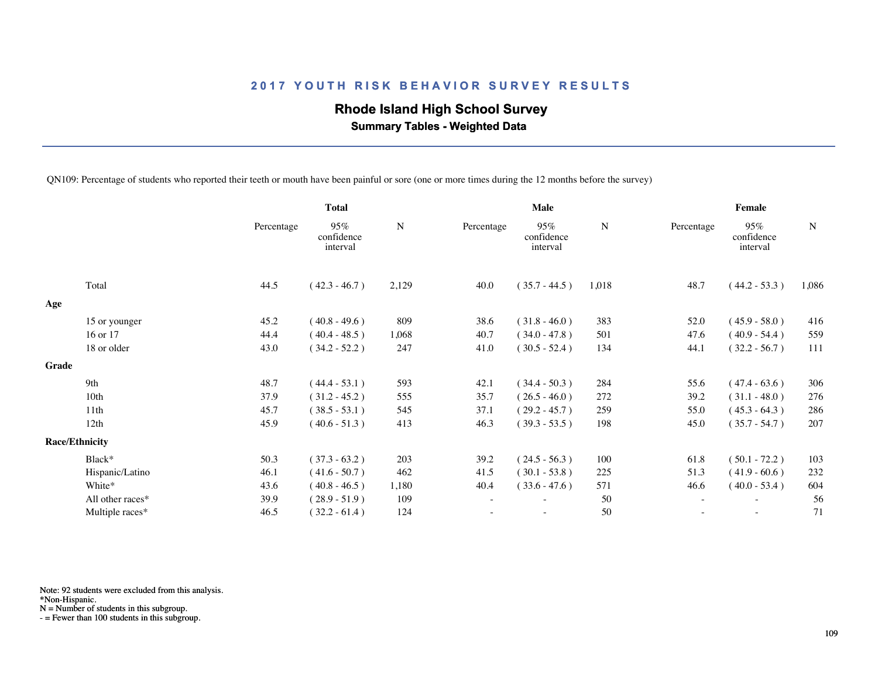## **Rhode Island High School Survey**

 **Summary Tables - Weighted Data**

QN109: Percentage of students who reported their teeth or mouth have been painful or sore (one or more times during the 12 months before the survey)

|       |                       | <b>Total</b> |                               |           |            | Male                          |       | <b>Female</b> |                               |       |  |
|-------|-----------------------|--------------|-------------------------------|-----------|------------|-------------------------------|-------|---------------|-------------------------------|-------|--|
|       |                       | Percentage   | 95%<br>confidence<br>interval | ${\bf N}$ | Percentage | 95%<br>confidence<br>interval | N     | Percentage    | 95%<br>confidence<br>interval | N     |  |
|       | Total                 | 44.5         | $(42.3 - 46.7)$               | 2,129     | 40.0       | $(35.7 - 44.5)$               | 1,018 | 48.7          | $(44.2 - 53.3)$               | 1,086 |  |
| Age   |                       |              |                               |           |            |                               |       |               |                               |       |  |
|       | 15 or younger         | 45.2         | $(40.8 - 49.6)$               | 809       | 38.6       | $(31.8 - 46.0)$               | 383   | 52.0          | $(45.9 - 58.0)$               | 416   |  |
|       | 16 or 17              | 44.4         | $(40.4 - 48.5)$               | 1,068     | 40.7       | $(34.0 - 47.8)$               | 501   | 47.6          | $(40.9 - 54.4)$               | 559   |  |
|       | 18 or older           | 43.0         | $(34.2 - 52.2)$               | 247       | 41.0       | $(30.5 - 52.4)$               | 134   | 44.1          | $(32.2 - 56.7)$               | 111   |  |
| Grade |                       |              |                               |           |            |                               |       |               |                               |       |  |
|       | 9th                   | 48.7         | $(44.4 - 53.1)$               | 593       | 42.1       | $(34.4 - 50.3)$               | 284   | 55.6          | $(47.4 - 63.6)$               | 306   |  |
|       | 10 <sub>th</sub>      | 37.9         | $(31.2 - 45.2)$               | 555       | 35.7       | $(26.5 - 46.0)$               | 272   | 39.2          | $(31.1 - 48.0)$               | 276   |  |
|       | 11th                  | 45.7         | $(38.5 - 53.1)$               | 545       | 37.1       | $(29.2 - 45.7)$               | 259   | 55.0          | $(45.3 - 64.3)$               | 286   |  |
|       | 12th                  | 45.9         | $(40.6 - 51.3)$               | 413       | 46.3       | $(39.3 - 53.5)$               | 198   | 45.0          | $(35.7 - 54.7)$               | 207   |  |
|       | <b>Race/Ethnicity</b> |              |                               |           |            |                               |       |               |                               |       |  |
|       | Black*                | 50.3         | $(37.3 - 63.2)$               | 203       | 39.2       | $(24.5 - 56.3)$               | 100   | 61.8          | $(50.1 - 72.2)$               | 103   |  |
|       | Hispanic/Latino       | 46.1         | $(41.6 - 50.7)$               | 462       | 41.5       | $(30.1 - 53.8)$               | 225   | 51.3          | $(41.9 - 60.6)$               | 232   |  |
|       | White*                | 43.6         | $(40.8 - 46.5)$               | 1,180     | 40.4       | $(33.6 - 47.6)$               | 571   | 46.6          | $(40.0 - 53.4)$               | 604   |  |
|       | All other races*      | 39.9         | $(28.9 - 51.9)$               | 109       |            | ٠                             | 50    | $\sim$        | $\sim$                        | 56    |  |
|       | Multiple races*       | 46.5         | $(32.2 - 61.4)$               | 124       |            | ۰                             | 50    | ٠             | $\sim$                        | 71    |  |
|       |                       |              |                               |           |            |                               |       |               |                               |       |  |

Note: 92 students were excluded from this analysis.

\*Non-Hispanic.

N = Number of students in this subgroup.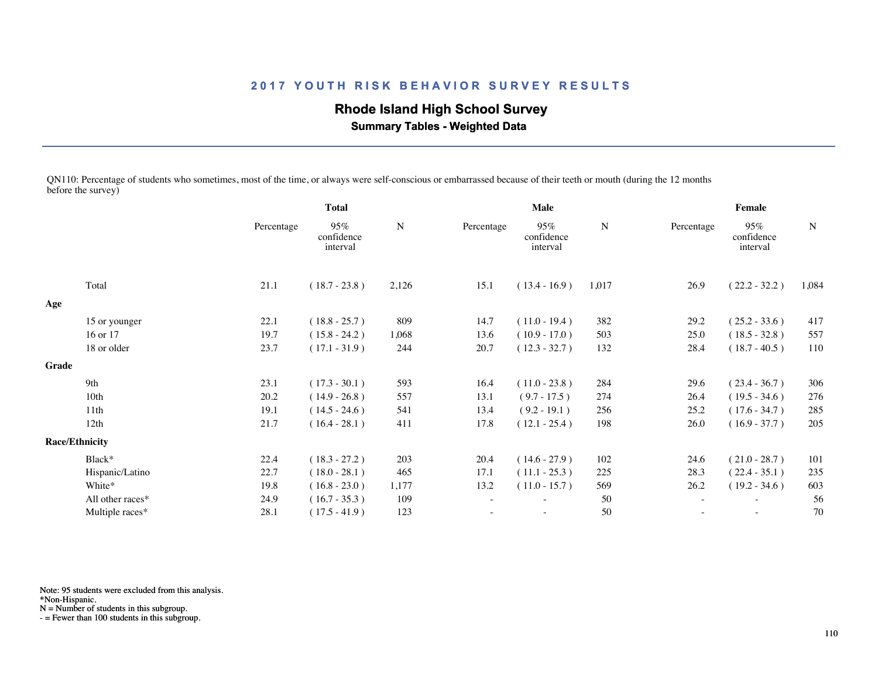## **Rhode Island High School Survey**

 **Summary Tables - Weighted Data**

QN110: Percentage of students who sometimes, most of the time, or always were self-conscious or embarrassed because of their teeth or mouth (during the 12 months before the survey)

|       |                       |            | <b>Total</b>                  |           |            | Male                          |             | Female                   |                               |             |
|-------|-----------------------|------------|-------------------------------|-----------|------------|-------------------------------|-------------|--------------------------|-------------------------------|-------------|
|       |                       | Percentage | 95%<br>confidence<br>interval | ${\bf N}$ | Percentage | 95%<br>confidence<br>interval | $\mathbf N$ | Percentage               | 95%<br>confidence<br>interval | $\mathbf N$ |
|       | Total                 | 21.1       | $(18.7 - 23.8)$               | 2,126     | 15.1       | $(13.4 - 16.9)$               | 1,017       | 26.9                     | $(22.2 - 32.2)$               | 1,084       |
| Age   |                       |            |                               |           |            |                               |             |                          |                               |             |
|       | 15 or younger         | 22.1       | $(18.8 - 25.7)$               | 809       | 14.7       | $(11.0 - 19.4)$               | 382         | 29.2                     | $(25.2 - 33.6)$               | 417         |
|       | 16 or 17              | 19.7       | $(15.8 - 24.2)$               | 1,068     | 13.6       | $(10.9 - 17.0)$               | 503         | 25.0                     | $(18.5 - 32.8)$               | 557         |
|       | 18 or older           | 23.7       | $(17.1 - 31.9)$               | 244       | 20.7       | $(12.3 - 32.7)$               | 132         | 28.4                     | $(18.7 - 40.5)$               | 110         |
| Grade |                       |            |                               |           |            |                               |             |                          |                               |             |
|       | 9th                   | 23.1       | $(17.3 - 30.1)$               | 593       | 16.4       | $(11.0 - 23.8)$               | 284         | 29.6                     | $(23.4 - 36.7)$               | 306         |
|       | 10th                  | 20.2       | $(14.9 - 26.8)$               | 557       | 13.1       | $(9.7 - 17.5)$                | 274         | 26.4                     | $(19.5 - 34.6)$               | 276         |
|       | 11 <sup>th</sup>      | 19.1       | $(14.5 - 24.6)$               | 541       | 13.4       | $(9.2 - 19.1)$                | 256         | 25.2                     | $(17.6 - 34.7)$               | 285         |
|       | 12th                  | 21.7       | $(16.4 - 28.1)$               | 411       | 17.8       | $(12.1 - 25.4)$               | 198         | 26.0                     | $(16.9 - 37.7)$               | 205         |
|       | <b>Race/Ethnicity</b> |            |                               |           |            |                               |             |                          |                               |             |
|       | Black*                | 22.4       | $(18.3 - 27.2)$               | 203       | 20.4       | $(14.6 - 27.9)$               | 102         | 24.6                     | $(21.0 - 28.7)$               | 101         |
|       | Hispanic/Latino       | 22.7       | $(18.0 - 28.1)$               | 465       | 17.1       | $(11.1 - 25.3)$               | 225         | 28.3                     | $(22.4 - 35.1)$               | 235         |
|       | White*                | 19.8       | $(16.8 - 23.0)$               | 1,177     | 13.2       | $(11.0 - 15.7)$               | 569         | 26.2                     | $(19.2 - 34.6)$               | 603         |
|       | All other races*      | 24.9       | $(16.7 - 35.3)$               | 109       |            | $\overline{\phantom{a}}$      | 50          | $\sim$                   | $\sim$                        | 56          |
|       | Multiple races*       | 28.1       | $(17.5 - 41.9)$               | 123       |            |                               | 50          | $\overline{\phantom{a}}$ | $\sim$                        | 70          |
|       |                       |            |                               |           |            |                               |             |                          |                               |             |

Note: 95 students were excluded from this analysis.

\*Non-Hispanic.

N = Number of students in this subgroup.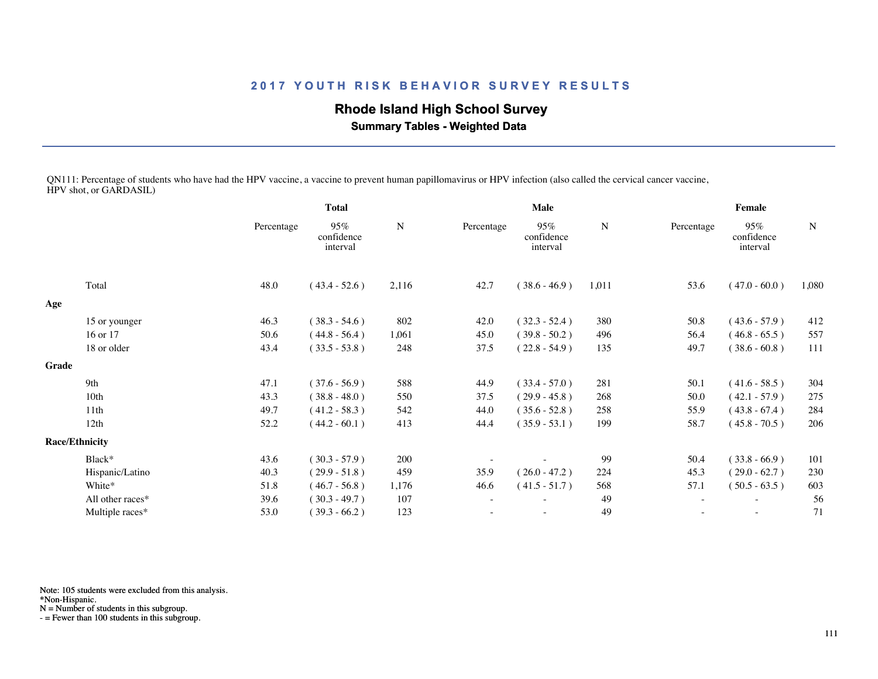## **Rhode Island High School Survey**

 **Summary Tables - Weighted Data**

QN111: Percentage of students who have had the HPV vaccine, a vaccine to prevent human papillomavirus or HPV infection (also called the cervical cancer vaccine, HPV shot, or GARDASIL)

|       |                       | <b>Total</b> |                               |             |            | Male                          |       | Female     |                               |       |
|-------|-----------------------|--------------|-------------------------------|-------------|------------|-------------------------------|-------|------------|-------------------------------|-------|
|       |                       | Percentage   | 95%<br>confidence<br>interval | $\mathbf N$ | Percentage | 95%<br>confidence<br>interval | N     | Percentage | 95%<br>confidence<br>interval | N     |
|       | Total                 | 48.0         | $(43.4 - 52.6)$               | 2,116       | 42.7       | $(38.6 - 46.9)$               | 1,011 | 53.6       | $(47.0 - 60.0)$               | 1,080 |
| Age   |                       |              |                               |             |            |                               |       |            |                               |       |
|       | 15 or younger         | 46.3         | $(38.3 - 54.6)$               | 802         | 42.0       | $(32.3 - 52.4)$               | 380   | 50.8       | $(43.6 - 57.9)$               | 412   |
|       | 16 or 17              | 50.6         | $(44.8 - 56.4)$               | 1,061       | 45.0       | $(39.8 - 50.2)$               | 496   | 56.4       | $(46.8 - 65.5)$               | 557   |
|       | 18 or older           | 43.4         | $(33.5 - 53.8)$               | 248         | 37.5       | $(22.8 - 54.9)$               | 135   | 49.7       | $(38.6 - 60.8)$               | 111   |
| Grade |                       |              |                               |             |            |                               |       |            |                               |       |
|       | 9th                   | 47.1         | $(37.6 - 56.9)$               | 588         | 44.9       | $(33.4 - 57.0)$               | 281   | 50.1       | $(41.6 - 58.5)$               | 304   |
|       | 10th                  | 43.3         | $(38.8 - 48.0)$               | 550         | 37.5       | $(29.9 - 45.8)$               | 268   | 50.0       | $(42.1 - 57.9)$               | 275   |
|       | 11th                  | 49.7         | $(41.2 - 58.3)$               | 542         | 44.0       | $(35.6 - 52.8)$               | 258   | 55.9       | $(43.8 - 67.4)$               | 284   |
|       | 12th                  | 52.2         | $(44.2 - 60.1)$               | 413         | 44.4       | $(35.9 - 53.1)$               | 199   | 58.7       | $(45.8 - 70.5)$               | 206   |
|       | <b>Race/Ethnicity</b> |              |                               |             |            |                               |       |            |                               |       |
|       | Black*                | 43.6         | $(30.3 - 57.9)$               | 200         |            |                               | 99    | 50.4       | $(33.8 - 66.9)$               | 101   |
|       | Hispanic/Latino       | 40.3         | $(29.9 - 51.8)$               | 459         | 35.9       | $(26.0 - 47.2)$               | 224   | 45.3       | $(29.0 - 62.7)$               | 230   |
|       | White*                | 51.8         | $(46.7 - 56.8)$               | 1,176       | 46.6       | $(41.5 - 51.7)$               | 568   | 57.1       | $(50.5 - 63.5)$               | 603   |
|       | All other races*      | 39.6         | $(30.3 - 49.7)$               | 107         |            |                               | 49    |            | $\overline{\phantom{a}}$      | 56    |
|       | Multiple races*       | 53.0         | $(39.3 - 66.2)$               | 123         |            | ٠                             | 49    | ۰          | $\sim$                        | 71    |
|       |                       |              |                               |             |            |                               |       |            |                               |       |

Note: 105 students were excluded from this analysis.

\*Non-Hispanic.

N = Number of students in this subgroup.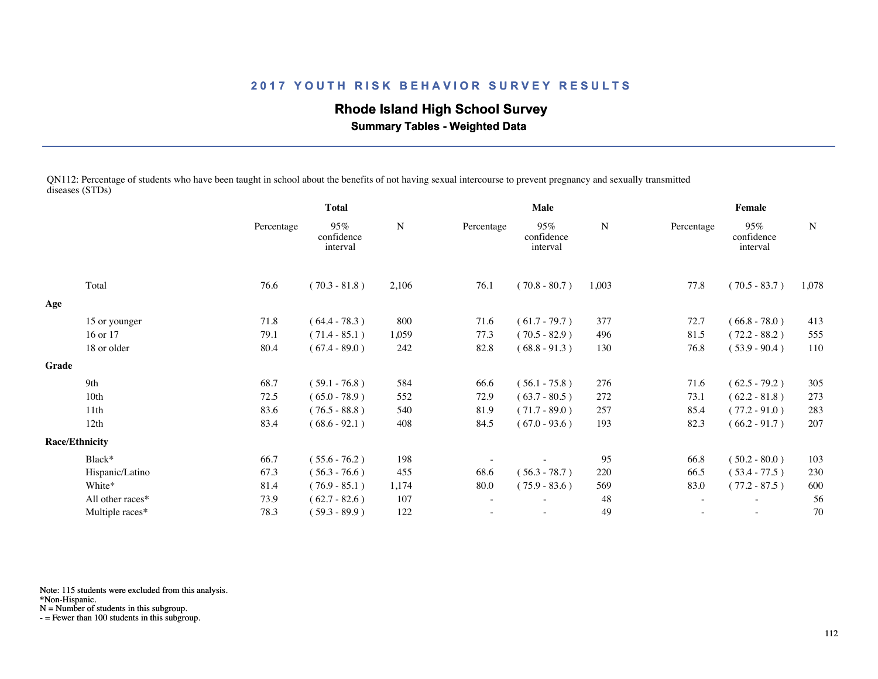## **Rhode Island High School Survey**

 **Summary Tables - Weighted Data**

QN112: Percentage of students who have been taught in school about the benefits of not having sexual intercourse to prevent pregnancy and sexually transmitted diseases (STDs)

|       |                       | <b>Total</b> |                               |       |            | Male                          | Female |            |                               |       |
|-------|-----------------------|--------------|-------------------------------|-------|------------|-------------------------------|--------|------------|-------------------------------|-------|
|       |                       | Percentage   | 95%<br>confidence<br>interval | N     | Percentage | 95%<br>confidence<br>interval | N      | Percentage | 95%<br>confidence<br>interval | N     |
|       | Total                 | 76.6         | $(70.3 - 81.8)$               | 2,106 | 76.1       | $(70.8 - 80.7)$               | 1,003  | 77.8       | $(70.5 - 83.7)$               | 1,078 |
| Age   |                       |              |                               |       |            |                               |        |            |                               |       |
|       | 15 or younger         | 71.8         | $(64.4 - 78.3)$               | 800   | 71.6       | $(61.7 - 79.7)$               | 377    | 72.7       | $(66.8 - 78.0)$               | 413   |
|       | 16 or 17              | 79.1         | $(71.4 - 85.1)$               | 1,059 | 77.3       | $(70.5 - 82.9)$               | 496    | 81.5       | $(72.2 - 88.2)$               | 555   |
|       | 18 or older           | 80.4         | $(67.4 - 89.0)$               | 242   | 82.8       | $(68.8 - 91.3)$               | 130    | 76.8       | $(53.9 - 90.4)$               | 110   |
| Grade |                       |              |                               |       |            |                               |        |            |                               |       |
|       | 9th                   | 68.7         | $(59.1 - 76.8)$               | 584   | 66.6       | $(56.1 - 75.8)$               | 276    | 71.6       | $(62.5 - 79.2)$               | 305   |
|       | 10 <sub>th</sub>      | 72.5         | $(65.0 - 78.9)$               | 552   | 72.9       | $(63.7 - 80.5)$               | 272    | 73.1       | $(62.2 - 81.8)$               | 273   |
|       | 11th                  | 83.6         | $(76.5 - 88.8)$               | 540   | 81.9       | $(71.7 - 89.0)$               | 257    | 85.4       | $(77.2 - 91.0)$               | 283   |
|       | 12th                  | 83.4         | $(68.6 - 92.1)$               | 408   | 84.5       | $(67.0 - 93.6)$               | 193    | 82.3       | $(66.2 - 91.7)$               | 207   |
|       | <b>Race/Ethnicity</b> |              |                               |       |            |                               |        |            |                               |       |
|       | Black*                | 66.7         | $(55.6 - 76.2)$               | 198   |            |                               | 95     | 66.8       | $(50.2 - 80.0)$               | 103   |
|       | Hispanic/Latino       | 67.3         | $(56.3 - 76.6)$               | 455   | 68.6       | $(56.3 - 78.7)$               | 220    | 66.5       | $(53.4 - 77.5)$               | 230   |
|       | White*                | 81.4         | $(76.9 - 85.1)$               | 1,174 | 80.0       | $(75.9 - 83.6)$               | 569    | 83.0       | $(77.2 - 87.5)$               | 600   |
|       | All other races*      | 73.9         | $(62.7 - 82.6)$               | 107   |            |                               | 48     |            |                               | 56    |
|       | Multiple races*       | 78.3         | $(59.3 - 89.9)$               | 122   |            |                               | 49     |            | $\overline{\phantom{a}}$      | 70    |
|       |                       |              |                               |       |            |                               |        |            |                               |       |

Note: 115 students were excluded from this analysis.

\*Non-Hispanic.

N = Number of students in this subgroup.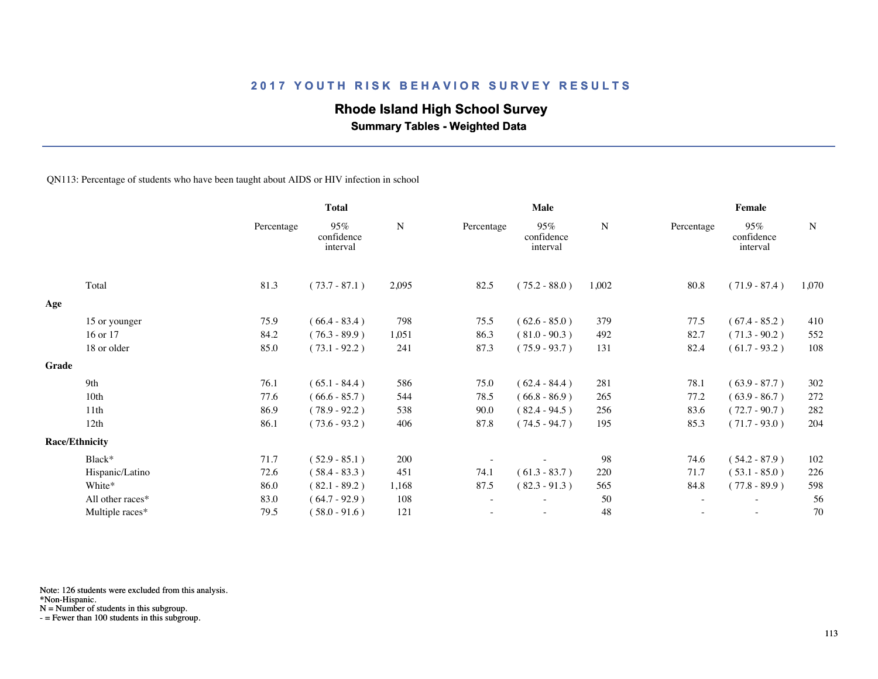## **Rhode Island High School Survey**

 **Summary Tables - Weighted Data**

QN113: Percentage of students who have been taught about AIDS or HIV infection in school

|       |                       |            | <b>Total</b>                  |           |                          | Male                             |           | Female                   |                               |           |  |
|-------|-----------------------|------------|-------------------------------|-----------|--------------------------|----------------------------------|-----------|--------------------------|-------------------------------|-----------|--|
|       |                       | Percentage | 95%<br>confidence<br>interval | ${\bf N}$ | Percentage               | $95\%$<br>confidence<br>interval | ${\bf N}$ | Percentage               | 95%<br>confidence<br>interval | ${\bf N}$ |  |
|       | Total                 | 81.3       | $(73.7 - 87.1)$               | 2,095     | 82.5                     | $(75.2 - 88.0)$                  | 1,002     | 80.8                     | $(71.9 - 87.4)$               | 1,070     |  |
| Age   |                       |            |                               |           |                          |                                  |           |                          |                               |           |  |
|       | 15 or younger         | 75.9       | $(66.4 - 83.4)$               | 798       | 75.5                     | $(62.6 - 85.0)$                  | 379       | 77.5                     | $(67.4 - 85.2)$               | 410       |  |
|       | 16 or 17              | 84.2       | $(76.3 - 89.9)$               | 1,051     | 86.3                     | $(81.0 - 90.3)$                  | 492       | 82.7                     | $(71.3 - 90.2)$               | 552       |  |
|       | 18 or older           | 85.0       | $(73.1 - 92.2)$               | 241       | 87.3                     | $(75.9 - 93.7)$                  | 131       | 82.4                     | $(61.7 - 93.2)$               | 108       |  |
| Grade |                       |            |                               |           |                          |                                  |           |                          |                               |           |  |
|       | 9th                   | 76.1       | $(65.1 - 84.4)$               | 586       | 75.0                     | $(62.4 - 84.4)$                  | 281       | 78.1                     | $(63.9 - 87.7)$               | 302       |  |
|       | 10 <sub>th</sub>      | 77.6       | $(66.6 - 85.7)$               | 544       | 78.5                     | $(66.8 - 86.9)$                  | 265       | 77.2                     | $(63.9 - 86.7)$               | 272       |  |
|       | 11th                  | 86.9       | $(78.9 - 92.2)$               | 538       | 90.0                     | $(82.4 - 94.5)$                  | 256       | 83.6                     | $(72.7 - 90.7)$               | 282       |  |
|       | 12th                  | 86.1       | $(73.6 - 93.2)$               | 406       | 87.8                     | $(74.5 - 94.7)$                  | 195       | 85.3                     | $(71.7 - 93.0)$               | 204       |  |
|       | <b>Race/Ethnicity</b> |            |                               |           |                          |                                  |           |                          |                               |           |  |
|       | Black*                | 71.7       | $(52.9 - 85.1)$               | 200       |                          |                                  | 98        | 74.6                     | $(54.2 - 87.9)$               | 102       |  |
|       | Hispanic/Latino       | 72.6       | $(58.4 - 83.3)$               | 451       | 74.1                     | $(61.3 - 83.7)$                  | 220       | 71.7                     | $(53.1 - 85.0)$               | 226       |  |
|       | White*                | 86.0       | $(82.1 - 89.2)$               | 1,168     | 87.5                     | $(82.3 - 91.3)$                  | 565       | 84.8                     | $(77.8 - 89.9)$               | 598       |  |
|       | All other races*      | 83.0       | $(64.7 - 92.9)$               | 108       | $\overline{\phantom{a}}$ |                                  | 50        | $\overline{\phantom{a}}$ | $\overline{\phantom{a}}$      | 56        |  |
|       | Multiple races*       | 79.5       | $(58.0 - 91.6)$               | 121       |                          |                                  | 48        |                          |                               | 70        |  |
|       |                       |            |                               |           |                          |                                  |           |                          |                               |           |  |

Note: 126 students were excluded from this analysis.

N = Number of students in this subgroup.

<sup>\*</sup>Non-Hispanic.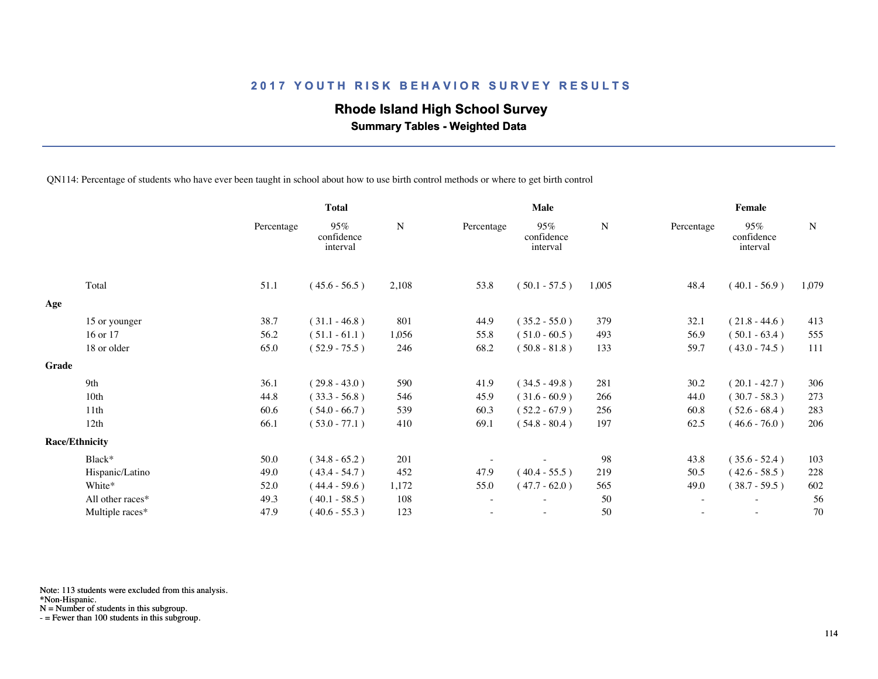## **Rhode Island High School Survey**

 **Summary Tables - Weighted Data**

QN114: Percentage of students who have ever been taught in school about how to use birth control methods or where to get birth control

|       |                       |            | <b>Total</b>                  |             |                          | Male                          |       | Female                   |                               |             |  |
|-------|-----------------------|------------|-------------------------------|-------------|--------------------------|-------------------------------|-------|--------------------------|-------------------------------|-------------|--|
|       |                       | Percentage | 95%<br>confidence<br>interval | $\mathbf N$ | Percentage               | 95%<br>confidence<br>interval | N     | Percentage               | 95%<br>confidence<br>interval | $\mathbf N$ |  |
|       | Total                 | 51.1       | $(45.6 - 56.5)$               | 2,108       | 53.8                     | $(50.1 - 57.5)$               | 1,005 | 48.4                     | $(40.1 - 56.9)$               | 1,079       |  |
| Age   |                       |            |                               |             |                          |                               |       |                          |                               |             |  |
|       | 15 or younger         | 38.7       | $(31.1 - 46.8)$               | 801         | 44.9                     | $(35.2 - 55.0)$               | 379   | 32.1                     | $(21.8 - 44.6)$               | 413         |  |
|       | 16 or 17              | 56.2       | $(51.1 - 61.1)$               | 1,056       | 55.8                     | $(51.0 - 60.5)$               | 493   | 56.9                     | $(50.1 - 63.4)$               | 555         |  |
|       | 18 or older           | 65.0       | $(52.9 - 75.5)$               | 246         | 68.2                     | $(50.8 - 81.8)$               | 133   | 59.7                     | $(43.0 - 74.5)$               | 111         |  |
| Grade |                       |            |                               |             |                          |                               |       |                          |                               |             |  |
|       | 9th                   | 36.1       | $(29.8 - 43.0)$               | 590         | 41.9                     | $(34.5 - 49.8)$               | 281   | 30.2                     | $(20.1 - 42.7)$               | 306         |  |
|       | 10 <sub>th</sub>      | 44.8       | $(33.3 - 56.8)$               | 546         | 45.9                     | $(31.6 - 60.9)$               | 266   | 44.0                     | $(30.7 - 58.3)$               | 273         |  |
|       | 11th                  | 60.6       | $(54.0 - 66.7)$               | 539         | 60.3                     | $(52.2 - 67.9)$               | 256   | 60.8                     | $(52.6 - 68.4)$               | 283         |  |
|       | 12th                  | 66.1       | $(53.0 - 77.1)$               | 410         | 69.1                     | $(54.8 - 80.4)$               | 197   | 62.5                     | $(46.6 - 76.0)$               | 206         |  |
|       | <b>Race/Ethnicity</b> |            |                               |             |                          |                               |       |                          |                               |             |  |
|       | Black*                | 50.0       | $(34.8 - 65.2)$               | 201         |                          |                               | 98    | 43.8                     | $(35.6 - 52.4)$               | 103         |  |
|       | Hispanic/Latino       | 49.0       | $(43.4 - 54.7)$               | 452         | 47.9                     | $(40.4 - 55.5)$               | 219   | 50.5                     | $(42.6 - 58.5)$               | 228         |  |
|       | White*                | 52.0       | $(44.4 - 59.6)$               | 1,172       | 55.0                     | $(47.7 - 62.0)$               | 565   | 49.0                     | $(38.7 - 59.5)$               | 602         |  |
|       | All other races*      | 49.3       | $(40.1 - 58.5)$               | 108         | $\overline{\phantom{a}}$ |                               | 50    | $\overline{\phantom{a}}$ | $\overline{\phantom{a}}$      | 56          |  |
|       | Multiple races*       | 47.9       | $(40.6 - 55.3)$               | 123         |                          |                               | 50    |                          |                               | 70          |  |
|       |                       |            |                               |             |                          |                               |       |                          |                               |             |  |

Note: 113 students were excluded from this analysis.

N = Number of students in this subgroup.

<sup>\*</sup>Non-Hispanic.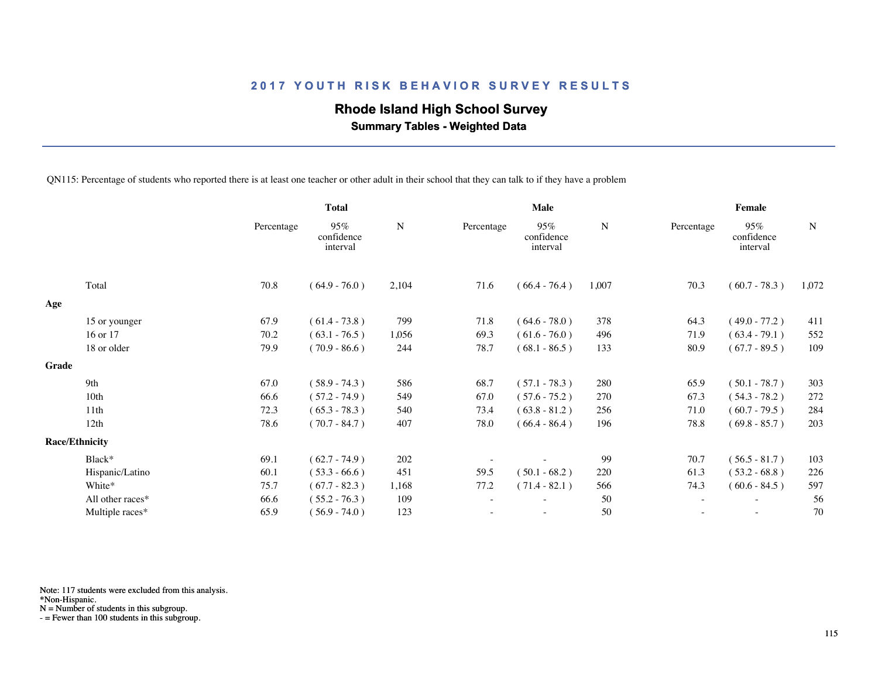## **Rhode Island High School Survey**

 **Summary Tables - Weighted Data**

QN115: Percentage of students who reported there is at least one teacher or other adult in their school that they can talk to if they have a problem

|       |                       | <b>Total</b> |                               |           |            | Male                          |           | Female                   |                               |             |  |
|-------|-----------------------|--------------|-------------------------------|-----------|------------|-------------------------------|-----------|--------------------------|-------------------------------|-------------|--|
|       |                       | Percentage   | 95%<br>confidence<br>interval | ${\bf N}$ | Percentage | 95%<br>confidence<br>interval | ${\bf N}$ | Percentage               | 95%<br>confidence<br>interval | $\mathbf N$ |  |
|       | Total                 | 70.8         | $(64.9 - 76.0)$               | 2,104     | 71.6       | $(66.4 - 76.4)$               | 1,007     | 70.3                     | $(60.7 - 78.3)$               | 1,072       |  |
| Age   |                       |              |                               |           |            |                               |           |                          |                               |             |  |
|       | 15 or younger         | 67.9         | $(61.4 - 73.8)$               | 799       | 71.8       | $(64.6 - 78.0)$               | 378       | 64.3                     | $(49.0 - 77.2)$               | 411         |  |
|       | 16 or 17              | 70.2         | $(63.1 - 76.5)$               | 1,056     | 69.3       | $(61.6 - 76.0)$               | 496       | 71.9                     | $(63.4 - 79.1)$               | 552         |  |
|       | 18 or older           | 79.9         | $(70.9 - 86.6)$               | 244       | 78.7       | $(68.1 - 86.5)$               | 133       | 80.9                     | $(67.7 - 89.5)$               | 109         |  |
| Grade |                       |              |                               |           |            |                               |           |                          |                               |             |  |
|       | 9th                   | 67.0         | $(58.9 - 74.3)$               | 586       | 68.7       | $(57.1 - 78.3)$               | 280       | 65.9                     | $(50.1 - 78.7)$               | 303         |  |
|       | 10 <sub>th</sub>      | 66.6         | $(57.2 - 74.9)$               | 549       | 67.0       | $(57.6 - 75.2)$               | 270       | 67.3                     | $(54.3 - 78.2)$               | 272         |  |
|       | 11th                  | 72.3         | $(65.3 - 78.3)$               | 540       | 73.4       | $(63.8 - 81.2)$               | 256       | 71.0                     | $(60.7 - 79.5)$               | 284         |  |
|       | 12th                  | 78.6         | $(70.7 - 84.7)$               | 407       | 78.0       | $(66.4 - 86.4)$               | 196       | 78.8                     | $(69.8 - 85.7)$               | 203         |  |
|       | <b>Race/Ethnicity</b> |              |                               |           |            |                               |           |                          |                               |             |  |
|       | Black*                | 69.1         | $(62.7 - 74.9)$               | 202       |            |                               | 99        | 70.7                     | $(56.5 - 81.7)$               | 103         |  |
|       | Hispanic/Latino       | 60.1         | $(53.3 - 66.6)$               | 451       | 59.5       | $(50.1 - 68.2)$               | 220       | 61.3                     | $(53.2 - 68.8)$               | 226         |  |
|       | White*                | 75.7         | $(67.7 - 82.3)$               | 1,168     | 77.2       | $(71.4 - 82.1)$               | 566       | 74.3                     | $(60.6 - 84.5)$               | 597         |  |
|       | All other races*      | 66.6         | $(55.2 - 76.3)$               | 109       |            |                               | 50        | $\overline{\phantom{a}}$ | $\sim$                        | 56          |  |
|       | Multiple races*       | 65.9         | $(56.9 - 74.0)$               | 123       |            |                               | 50        |                          |                               | 70          |  |
|       |                       |              |                               |           |            |                               |           |                          |                               |             |  |

Note: 117 students were excluded from this analysis.

\*Non-Hispanic.

N = Number of students in this subgroup.